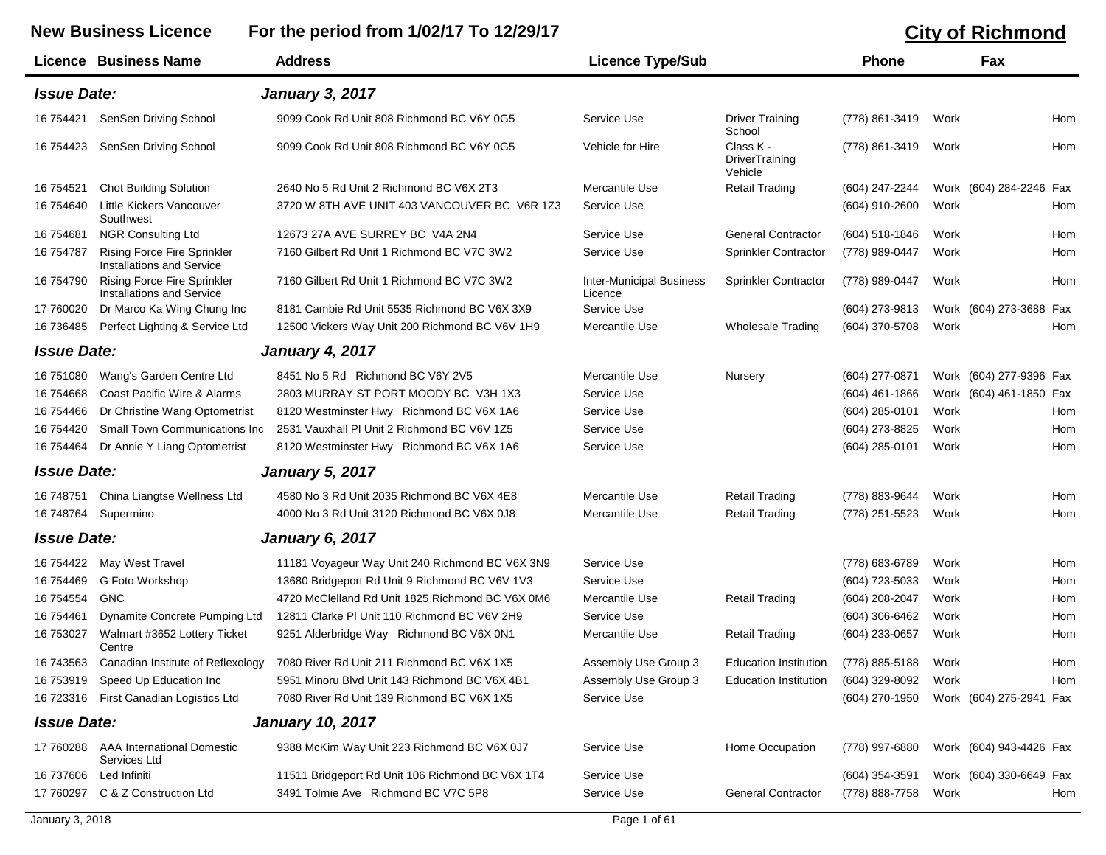## New Business Licence For the period from 1/02/17 To 12/29/17 **City of Richmond**

|                    | <b>Licence Business Name</b>                                           | <b>Address</b>                                   | <b>Licence Type/Sub</b>                    |                                               | <b>Phone</b>     |      | Fax                     |     |
|--------------------|------------------------------------------------------------------------|--------------------------------------------------|--------------------------------------------|-----------------------------------------------|------------------|------|-------------------------|-----|
| <b>Issue Date:</b> |                                                                        | <b>January 3, 2017</b>                           |                                            |                                               |                  |      |                         |     |
| 16 754421          | SenSen Driving School                                                  | 9099 Cook Rd Unit 808 Richmond BC V6Y 0G5        | Service Use                                | <b>Driver Training</b><br>School              | (778) 861-3419   | Work |                         | Hom |
| 16 754423          | SenSen Driving School                                                  | 9099 Cook Rd Unit 808 Richmond BC V6Y 0G5        | Vehicle for Hire                           | Class K -<br><b>DriverTraining</b><br>Vehicle | (778) 861-3419   | Work |                         | Hom |
| 16 754521          | <b>Chot Building Solution</b>                                          | 2640 No 5 Rd Unit 2 Richmond BC V6X 2T3          | Mercantile Use                             | <b>Retail Trading</b>                         | (604) 247-2244   |      | Work (604) 284-2246     | Fax |
| 16 754640          | Little Kickers Vancouver<br>Southwest                                  | 3720 W 8TH AVE UNIT 403 VANCOUVER BC V6R 1Z3     | Service Use                                |                                               | (604) 910-2600   | Work |                         | Hom |
| 16 754681          | NGR Consulting Ltd                                                     | 12673 27A AVE SURREY BC V4A 2N4                  | Service Use                                | <b>General Contractor</b>                     | (604) 518-1846   | Work |                         | Hom |
| 16 754787          | Rising Force Fire Sprinkler<br>Installations and Service               | 7160 Gilbert Rd Unit 1 Richmond BC V7C 3W2       | Service Use                                | Sprinkler Contractor                          | (778) 989-0447   | Work |                         | Hom |
| 16 754790          | <b>Rising Force Fire Sprinkler</b><br><b>Installations and Service</b> | 7160 Gilbert Rd Unit 1 Richmond BC V7C 3W2       | <b>Inter-Municipal Business</b><br>Licence | <b>Sprinkler Contractor</b>                   | (778) 989-0447   | Work |                         | Hom |
| 17 760020          | Dr Marco Ka Wing Chung Inc                                             | 8181 Cambie Rd Unit 5535 Richmond BC V6X 3X9     | Service Use                                |                                               | (604) 273-9813   |      | Work (604) 273-3688     | Fax |
| 16 73 6485         | Perfect Lighting & Service Ltd                                         | 12500 Vickers Way Unit 200 Richmond BC V6V 1H9   | Mercantile Use                             | <b>Wholesale Trading</b>                      | (604) 370-5708   | Work |                         | Hom |
| <b>Issue Date:</b> |                                                                        | <b>January 4, 2017</b>                           |                                            |                                               |                  |      |                         |     |
| 16 751080          | Wang's Garden Centre Ltd                                               | 8451 No 5 Rd Richmond BC V6Y 2V5                 | Mercantile Use                             | Nursery                                       | (604) 277-0871   |      | Work (604) 277-9396 Fax |     |
| 16 754668          | Coast Pacific Wire & Alarms                                            | 2803 MURRAY ST PORT MOODY BC V3H 1X3             | Service Use                                |                                               | $(604)$ 461-1866 |      | Work (604) 461-1850 Fax |     |
| 16 754466          | Dr Christine Wang Optometrist                                          | 8120 Westminster Hwy Richmond BC V6X 1A6         | Service Use                                |                                               | (604) 285-0101   | Work |                         | Hom |
| 16 754420          | <b>Small Town Communications Inc.</b>                                  | 2531 Vauxhall PI Unit 2 Richmond BC V6V 1Z5      | Service Use                                |                                               | (604) 273-8825   | Work |                         | Hom |
| 16 754464          | Dr Annie Y Liang Optometrist                                           | 8120 Westminster Hwy Richmond BC V6X 1A6         | Service Use                                |                                               | (604) 285-0101   | Work |                         | Hom |
| <b>Issue Date:</b> |                                                                        | <b>January 5, 2017</b>                           |                                            |                                               |                  |      |                         |     |
| 16 748751          | China Liangtse Wellness Ltd                                            | 4580 No 3 Rd Unit 2035 Richmond BC V6X 4E8       | Mercantile Use                             | <b>Retail Trading</b>                         | (778) 883-9644   | Work |                         | Hom |
| 16 748764          | Supermino                                                              | 4000 No 3 Rd Unit 3120 Richmond BC V6X 0J8       | Mercantile Use                             | <b>Retail Trading</b>                         | (778) 251-5523   | Work |                         | Hom |
| <b>Issue Date:</b> |                                                                        | <b>January 6, 2017</b>                           |                                            |                                               |                  |      |                         |     |
| 16 754422          | May West Travel                                                        | 11181 Voyageur Way Unit 240 Richmond BC V6X 3N9  | Service Use                                |                                               | (778) 683-6789   | Work |                         | Hom |
| 16 754469          | G Foto Workshop                                                        | 13680 Bridgeport Rd Unit 9 Richmond BC V6V 1V3   | Service Use                                |                                               | (604) 723-5033   | Work |                         | Hom |
| 16 754554          | <b>GNC</b>                                                             | 4720 McClelland Rd Unit 1825 Richmond BC V6X 0M6 | Mercantile Use                             | <b>Retail Trading</b>                         | (604) 208-2047   | Work |                         | Hom |
| 16 754461          | Dynamite Concrete Pumping Ltd                                          | 12811 Clarke PI Unit 110 Richmond BC V6V 2H9     | Service Use                                |                                               | (604) 306-6462   | Work |                         | Hom |
| 16 753027          | Walmart #3652 Lottery Ticket<br>Centre                                 | 9251 Alderbridge Way Richmond BC V6X 0N1         | Mercantile Use                             | <b>Retail Trading</b>                         | (604) 233-0657   | Work |                         | Hom |
| 16 743563          | Canadian Institute of Reflexology                                      | 7080 River Rd Unit 211 Richmond BC V6X 1X5       | Assembly Use Group 3                       | <b>Education Institution</b>                  | (778) 885-5188   | Work |                         | Hom |
|                    | 16 753919 Speed Up Education Inc                                       | 5951 Minoru Blvd Unit 143 Richmond BC V6X 4B1    | Assembly Use Group 3                       | <b>Education Institution</b>                  | (604) 329-8092   | Work |                         | Hom |
|                    | 16 723316 First Canadian Logistics Ltd                                 | 7080 River Rd Unit 139 Richmond BC V6X 1X5       | Service Use                                |                                               | (604) 270-1950   |      | Work (604) 275-2941 Fax |     |
| <b>Issue Date:</b> |                                                                        | <b>January 10, 2017</b>                          |                                            |                                               |                  |      |                         |     |
| 17 760288          | AAA International Domestic<br>Services Ltd                             | 9388 McKim Way Unit 223 Richmond BC V6X 0J7      | Service Use                                | Home Occupation                               | (778) 997-6880   |      | Work (604) 943-4426 Fax |     |
| 16 737606          | Led Infiniti                                                           | 11511 Bridgeport Rd Unit 106 Richmond BC V6X 1T4 | Service Use                                |                                               | $(604)$ 354-3591 |      | Work (604) 330-6649 Fax |     |
|                    | 17 760297 C & Z Construction Ltd                                       | 3491 Tolmie Ave Richmond BC V7C 5P8              | Service Use                                | <b>General Contractor</b>                     | (778) 888-7758   | Work |                         | Hom |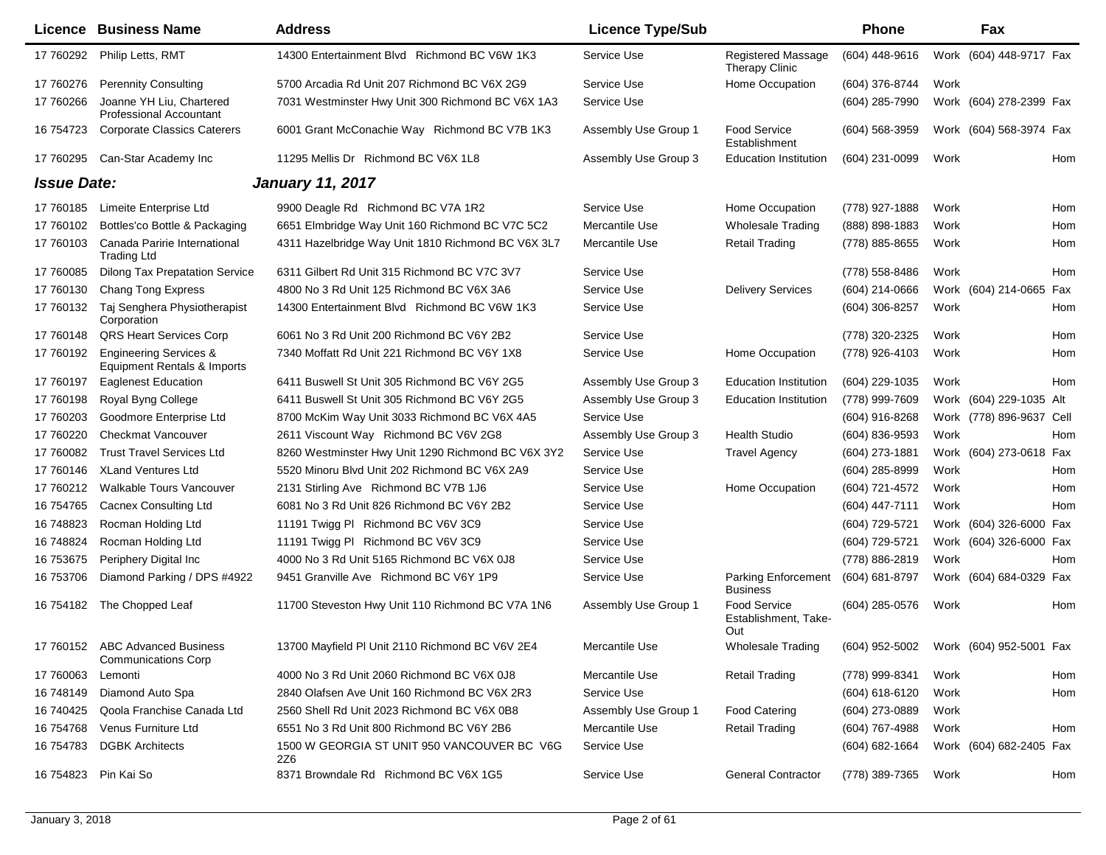| Licence            | <b>Business Name</b>                                             | <b>Address</b>                                     | <b>Licence Type/Sub</b> |                                                    | <b>Phone</b>        | Fax                                    |     |
|--------------------|------------------------------------------------------------------|----------------------------------------------------|-------------------------|----------------------------------------------------|---------------------|----------------------------------------|-----|
| 17 760292          | Philip Letts, RMT                                                | 14300 Entertainment Blvd Richmond BC V6W 1K3       | Service Use             | Registered Massage<br>Therapy Clinic               | (604) 448-9616      | Work (604) 448-9717 Fax                |     |
| 17 760276          | <b>Perennity Consulting</b>                                      | 5700 Arcadia Rd Unit 207 Richmond BC V6X 2G9       | Service Use             | Home Occupation                                    | (604) 376-8744      | Work                                   |     |
| 17 760266          | Joanne YH Liu, Chartered<br><b>Professional Accountant</b>       | 7031 Westminster Hwy Unit 300 Richmond BC V6X 1A3  | Service Use             |                                                    | (604) 285-7990      | Work (604) 278-2399 Fax                |     |
| 16 754723          | <b>Corporate Classics Caterers</b>                               | 6001 Grant McConachie Way Richmond BC V7B 1K3      | Assembly Use Group 1    | <b>Food Service</b><br>Establishment               | $(604)$ 568-3959    | Work (604) 568-3974 Fax                |     |
| 17 760295          | Can-Star Academy Inc                                             | 11295 Mellis Dr Richmond BC V6X 1L8                | Assembly Use Group 3    | <b>Education Institution</b>                       | (604) 231-0099      | Work                                   | Hom |
| <b>Issue Date:</b> |                                                                  | <b>January 11, 2017</b>                            |                         |                                                    |                     |                                        |     |
| 17 760185          | Limeite Enterprise Ltd                                           | 9900 Deagle Rd Richmond BC V7A 1R2                 | Service Use             | Home Occupation                                    | (778) 927-1888      | Work                                   | Hom |
| 17 760102          | Bottles'co Bottle & Packaging                                    | 6651 Elmbridge Way Unit 160 Richmond BC V7C 5C2    | Mercantile Use          | <b>Wholesale Trading</b>                           | (888) 898-1883      | Work                                   | Hom |
| 17 760103          | Canada Paririe International<br><b>Trading Ltd</b>               | 4311 Hazelbridge Way Unit 1810 Richmond BC V6X 3L7 | Mercantile Use          | <b>Retail Trading</b>                              | (778) 885-8655      | Work                                   | Hom |
| 17 760085          | <b>Dilong Tax Prepatation Service</b>                            | 6311 Gilbert Rd Unit 315 Richmond BC V7C 3V7       | Service Use             |                                                    | (778) 558-8486      | Work                                   | Hom |
| 17 760130          | Chang Tong Express                                               | 4800 No 3 Rd Unit 125 Richmond BC V6X 3A6          | Service Use             | <b>Delivery Services</b>                           | (604) 214-0666      | Work (604) 214-0665 Fax                |     |
| 17 760132          | Taj Senghera Physiotherapist<br>Corporation                      | 14300 Entertainment Blvd Richmond BC V6W 1K3       | Service Use             |                                                    | (604) 306-8257      | Work                                   | Hom |
| 17 760148          | QRS Heart Services Corp                                          | 6061 No 3 Rd Unit 200 Richmond BC V6Y 2B2          | Service Use             |                                                    | (778) 320-2325      | Work                                   | Hom |
| 17 760192          | <b>Engineering Services &amp;</b><br>Equipment Rentals & Imports | 7340 Moffatt Rd Unit 221 Richmond BC V6Y 1X8       | Service Use             | Home Occupation                                    | (778) 926-4103      | Work                                   | Hom |
| 17 760197          | <b>Eaglenest Education</b>                                       | 6411 Buswell St Unit 305 Richmond BC V6Y 2G5       | Assembly Use Group 3    | <b>Education Institution</b>                       | (604) 229-1035      | Work                                   | Hom |
| 17 760198          | Royal Byng College                                               | 6411 Buswell St Unit 305 Richmond BC V6Y 2G5       | Assembly Use Group 3    | <b>Education Institution</b>                       | (778) 999-7609      | Work (604) 229-1035 Alt                |     |
| 17 760203          | Goodmore Enterprise Ltd                                          | 8700 McKim Way Unit 3033 Richmond BC V6X 4A5       | Service Use             |                                                    | (604) 916-8268      | Work (778) 896-9637 Cell               |     |
| 17 760220          | <b>Checkmat Vancouver</b>                                        | 2611 Viscount Way Richmond BC V6V 2G8              | Assembly Use Group 3    | <b>Health Studio</b>                               | (604) 836-9593      | Work                                   | Hom |
| 17 760082          | <b>Trust Travel Services Ltd</b>                                 | 8260 Westminster Hwy Unit 1290 Richmond BC V6X 3Y2 | Service Use             | <b>Travel Agency</b>                               | (604) 273-1881      | Work (604) 273-0618 Fax                |     |
| 17 760146          | <b>XLand Ventures Ltd</b>                                        | 5520 Minoru Blvd Unit 202 Richmond BC V6X 2A9      | Service Use             |                                                    | (604) 285-8999      | Work                                   | Hom |
| 17 760212          | <b>Walkable Tours Vancouver</b>                                  | 2131 Stirling Ave Richmond BC V7B 1J6              | Service Use             | Home Occupation                                    | (604) 721-4572      | Work                                   | Hom |
| 16 754765          | <b>Cacnex Consulting Ltd</b>                                     | 6081 No 3 Rd Unit 826 Richmond BC V6Y 2B2          | Service Use             |                                                    | (604) 447-7111      | Work                                   | Hom |
| 16 748823          | Rocman Holding Ltd                                               | 11191 Twigg PI Richmond BC V6V 3C9                 | Service Use             |                                                    | (604) 729-5721      | Work (604) 326-6000 Fax                |     |
| 16 748824          | Rocman Holding Ltd                                               | 11191 Twigg PI Richmond BC V6V 3C9                 | Service Use             |                                                    | (604) 729-5721      | Work (604) 326-6000 Fax                |     |
| 16 753675          | Periphery Digital Inc                                            | 4000 No 3 Rd Unit 5165 Richmond BC V6X 0J8         | Service Use             |                                                    | (778) 886-2819      | Work                                   | Hom |
| 16 753706          | Diamond Parking / DPS #4922                                      | 9451 Granville Ave Richmond BC V6Y 1P9             | Service Use             | <b>Parking Enforcement</b><br><b>Business</b>      | (604) 681-8797      | Work (604) 684-0329 Fax                |     |
| 16 754182          | The Chopped Leaf                                                 | 11700 Steveston Hwy Unit 110 Richmond BC V7A 1N6   | Assembly Use Group 1    | <b>Food Service</b><br>Establishment, Take-<br>Out | (604) 285-0576      | Work                                   | Hom |
|                    | 17 760152 ABC Advanced Business<br><b>Communications Corp</b>    | 13700 Mayfield PI Unit 2110 Richmond BC V6V 2E4    | Mercantile Use          | <b>Wholesale Trading</b>                           |                     | (604) 952-5002 Work (604) 952-5001 Fax |     |
| 17 760063          | Lemonti                                                          | 4000 No 3 Rd Unit 2060 Richmond BC V6X 0J8         | Mercantile Use          | <b>Retail Trading</b>                              | (778) 999-8341      | Work                                   | Hom |
| 16 748149          | Diamond Auto Spa                                                 | 2840 Olafsen Ave Unit 160 Richmond BC V6X 2R3      | Service Use             |                                                    | (604) 618-6120      | Work                                   | Hom |
| 16 740425          | Qoola Franchise Canada Ltd                                       | 2560 Shell Rd Unit 2023 Richmond BC V6X 0B8        | Assembly Use Group 1    | <b>Food Catering</b>                               | (604) 273-0889      | Work                                   |     |
| 16 754768          | Venus Furniture Ltd                                              | 6551 No 3 Rd Unit 800 Richmond BC V6Y 2B6          | Mercantile Use          | <b>Retail Trading</b>                              | (604) 767-4988      | Work                                   | Hom |
| 16 754783          | <b>DGBK Architects</b>                                           | 1500 W GEORGIA ST UNIT 950 VANCOUVER BC V6G<br>2Z6 | Service Use             |                                                    | (604) 682-1664      | Work (604) 682-2405 Fax                |     |
|                    | 16 754823 Pin Kai So                                             | 8371 Browndale Rd Richmond BC V6X 1G5              | Service Use             | <b>General Contractor</b>                          | (778) 389-7365 Work |                                        | Hom |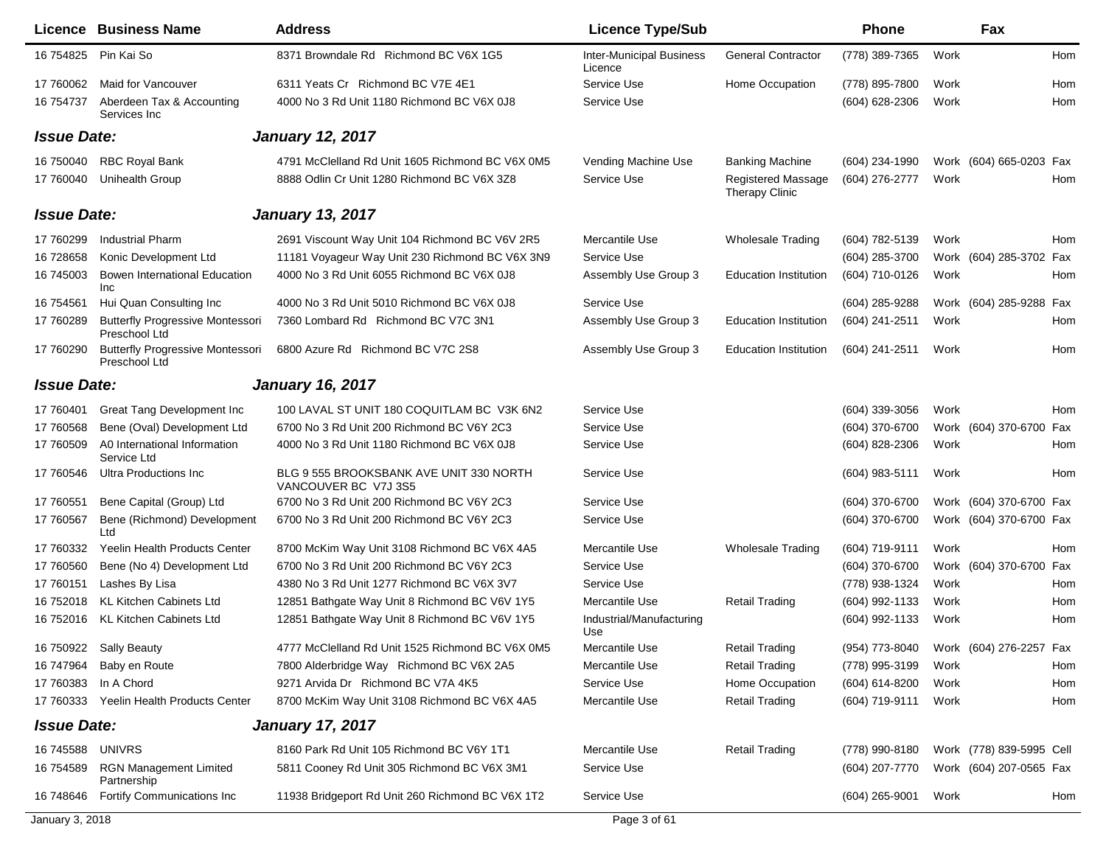|                    | <b>Licence Business Name</b>                             | <b>Address</b>                                                  | <b>Licence Type/Sub</b>                    |                                             | <b>Phone</b>     | Fax                                    |     |
|--------------------|----------------------------------------------------------|-----------------------------------------------------------------|--------------------------------------------|---------------------------------------------|------------------|----------------------------------------|-----|
|                    | 16 754825 Pin Kai So                                     | 8371 Browndale Rd Richmond BC V6X 1G5                           | <b>Inter-Municipal Business</b><br>Licence | <b>General Contractor</b>                   | (778) 389-7365   | Work                                   | Hom |
| 17 760062          | Maid for Vancouver                                       | 6311 Yeats Cr Richmond BC V7E 4E1                               | Service Use                                | Home Occupation                             | (778) 895-7800   | Work                                   | Hom |
| 16 754737          | Aberdeen Tax & Accounting<br>Services Inc                | 4000 No 3 Rd Unit 1180 Richmond BC V6X 0J8                      | Service Use                                |                                             | (604) 628-2306   | Work                                   | Hom |
| <b>Issue Date:</b> |                                                          | <b>January 12, 2017</b>                                         |                                            |                                             |                  |                                        |     |
| 16 750040          | <b>RBC Royal Bank</b>                                    | 4791 McClelland Rd Unit 1605 Richmond BC V6X 0M5                | Vending Machine Use                        | <b>Banking Machine</b>                      | (604) 234-1990   | Work (604) 665-0203 Fax                |     |
| 17 760040          | Unihealth Group                                          | 8888 Odlin Cr Unit 1280 Richmond BC V6X 3Z8                     | Service Use                                | Registered Massage<br><b>Therapy Clinic</b> | (604) 276-2777   | Work                                   | Hom |
| <b>Issue Date:</b> |                                                          | <b>January 13, 2017</b>                                         |                                            |                                             |                  |                                        |     |
| 17 760299          | <b>Industrial Pharm</b>                                  | 2691 Viscount Way Unit 104 Richmond BC V6V 2R5                  | Mercantile Use                             | <b>Wholesale Trading</b>                    | (604) 782-5139   | Work                                   | Hom |
| 16 728658          | Konic Development Ltd                                    | 11181 Voyageur Way Unit 230 Richmond BC V6X 3N9                 | Service Use                                |                                             | (604) 285-3700   | Work (604) 285-3702 Fax                |     |
| 16 745003          | Bowen International Education<br>Inc                     | 4000 No 3 Rd Unit 6055 Richmond BC V6X 0J8                      | Assembly Use Group 3                       | <b>Education Institution</b>                | (604) 710-0126   | Work                                   | Hom |
| 16 754561          | Hui Quan Consulting Inc                                  | 4000 No 3 Rd Unit 5010 Richmond BC V6X 0J8                      | Service Use                                |                                             | (604) 285-9288   | Work (604) 285-9288 Fax                |     |
| 17 760289          | <b>Butterfly Progressive Montessori</b><br>Preschool Ltd | 7360 Lombard Rd Richmond BC V7C 3N1                             | Assembly Use Group 3                       | <b>Education Institution</b>                | (604) 241-2511   | Work                                   | Hom |
| 17 760290          | <b>Butterfly Progressive Montessori</b><br>Preschool Ltd | 6800 Azure Rd Richmond BC V7C 2S8                               | Assembly Use Group 3                       | <b>Education Institution</b>                | $(604)$ 241-2511 | Work                                   | Hom |
| <b>Issue Date:</b> |                                                          | <b>January 16, 2017</b>                                         |                                            |                                             |                  |                                        |     |
| 17 760401          | Great Tang Development Inc                               | 100 LAVAL ST UNIT 180 COQUITLAM BC V3K 6N2                      | Service Use                                |                                             | (604) 339-3056   | Work                                   | Hom |
| 17 760568          | Bene (Oval) Development Ltd                              | 6700 No 3 Rd Unit 200 Richmond BC V6Y 2C3                       | Service Use                                |                                             | (604) 370-6700   | Work (604) 370-6700 Fax                |     |
| 17 760509          | A0 International Information<br>Service Ltd              | 4000 No 3 Rd Unit 1180 Richmond BC V6X 0J8                      | Service Use                                |                                             | (604) 828-2306   | Work                                   | Hom |
| 17 760546          | <b>Ultra Productions Inc</b>                             | BLG 9 555 BROOKSBANK AVE UNIT 330 NORTH<br>VANCOUVER BC V7J 3S5 | Service Use                                |                                             | $(604)$ 983-5111 | Work                                   | Hom |
| 17 760551          | Bene Capital (Group) Ltd                                 | 6700 No 3 Rd Unit 200 Richmond BC V6Y 2C3                       | Service Use                                |                                             | (604) 370-6700   | (604) 370-6700 Fax<br>Work             |     |
| 17 760567          | Bene (Richmond) Development<br>Ltd                       | 6700 No 3 Rd Unit 200 Richmond BC V6Y 2C3                       | Service Use                                |                                             | (604) 370-6700   | Work (604) 370-6700 Fax                |     |
| 17 760332          | Yeelin Health Products Center                            | 8700 McKim Way Unit 3108 Richmond BC V6X 4A5                    | Mercantile Use                             | <b>Wholesale Trading</b>                    | (604) 719-9111   | Work                                   | Hom |
| 17 760560          | Bene (No 4) Development Ltd                              | 6700 No 3 Rd Unit 200 Richmond BC V6Y 2C3                       | Service Use                                |                                             | (604) 370-6700   | Work (604) 370-6700 Fax                |     |
| 17 760151          | Lashes By Lisa                                           | 4380 No 3 Rd Unit 1277 Richmond BC V6X 3V7                      | Service Use                                |                                             | (778) 938-1324   | Work                                   | Hom |
| 16 752018          | <b>KL Kitchen Cabinets Ltd</b>                           | 12851 Bathgate Way Unit 8 Richmond BC V6V 1Y5                   | Mercantile Use                             | <b>Retail Trading</b>                       | (604) 992-1133   | Work                                   | Hom |
| 16 75 2016         | <b>KL Kitchen Cabinets Ltd</b>                           | 12851 Bathgate Way Unit 8 Richmond BC V6V 1Y5                   | Industrial/Manufacturing<br>Use            |                                             | (604) 992-1133   | Work                                   | Hom |
|                    | 16 750922 Sally Beauty                                   | 4777 McClelland Rd Unit 1525 Richmond BC V6X 0M5                | Mercantile Use                             | <b>Retail Trading</b>                       |                  | (954) 773-8040 Work (604) 276-2257 Fax |     |
| 16 747964          | Baby en Route                                            | 7800 Alderbridge Way Richmond BC V6X 2A5                        | Mercantile Use                             | <b>Retail Trading</b>                       | (778) 995-3199   | Work                                   | Hom |
| 17 760383          | In A Chord                                               | 9271 Arvida Dr Richmond BC V7A 4K5                              | Service Use                                | Home Occupation                             | (604) 614-8200   | Work                                   | Hom |
|                    | 17 760333 Yeelin Health Products Center                  | 8700 McKim Way Unit 3108 Richmond BC V6X 4A5                    | Mercantile Use                             | <b>Retail Trading</b>                       | (604) 719-9111   | Work                                   | Hom |
| <b>Issue Date:</b> |                                                          | <b>January 17, 2017</b>                                         |                                            |                                             |                  |                                        |     |
| 16 745588          | <b>UNIVRS</b>                                            | 8160 Park Rd Unit 105 Richmond BC V6Y 1T1                       | Mercantile Use                             | <b>Retail Trading</b>                       | (778) 990-8180   | Work (778) 839-5995 Cell               |     |
| 16 754589          | <b>RGN Management Limited</b><br>Partnership             | 5811 Cooney Rd Unit 305 Richmond BC V6X 3M1                     | Service Use                                |                                             | (604) 207-7770   | Work (604) 207-0565 Fax                |     |
| 16 748646          | Fortify Communications Inc                               | 11938 Bridgeport Rd Unit 260 Richmond BC V6X 1T2                | Service Use                                |                                             | $(604)$ 265-9001 | Work                                   | Hom |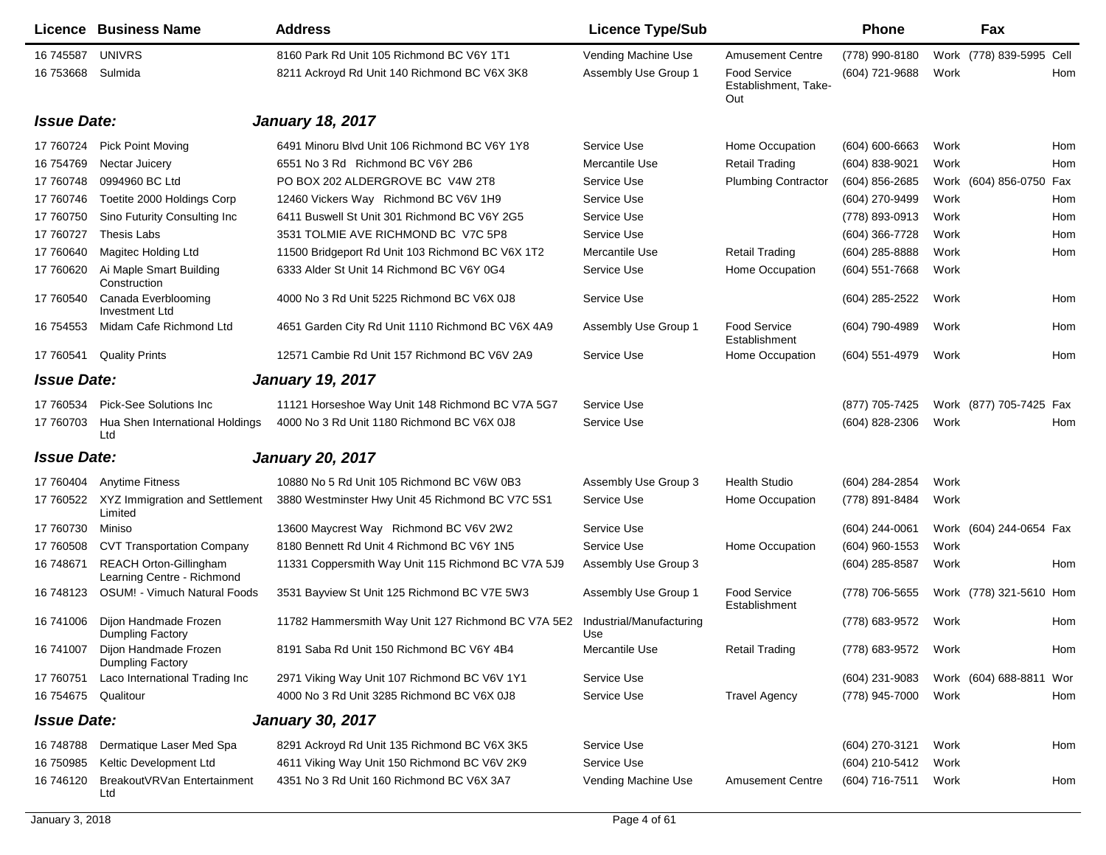|                    | Licence Business Name                                       | <b>Address</b>                                     | <b>Licence Type/Sub</b>         |                                             | <b>Phone</b>       |      | Fax                      |     |
|--------------------|-------------------------------------------------------------|----------------------------------------------------|---------------------------------|---------------------------------------------|--------------------|------|--------------------------|-----|
| 16 745587          | <b>UNIVRS</b>                                               | 8160 Park Rd Unit 105 Richmond BC V6Y 1T1          | Vending Machine Use             | <b>Amusement Centre</b>                     | (778) 990-8180     |      | Work (778) 839-5995 Cell |     |
| 16 753668          | Sulmida                                                     | 8211 Ackroyd Rd Unit 140 Richmond BC V6X 3K8       | Assembly Use Group 1            | Food Service<br>Establishment, Take-<br>Out | (604) 721-9688     | Work |                          | Hom |
| <b>Issue Date:</b> |                                                             | <b>January 18, 2017</b>                            |                                 |                                             |                    |      |                          |     |
| 17 760724          | <b>Pick Point Moving</b>                                    | 6491 Minoru Blvd Unit 106 Richmond BC V6Y 1Y8      | Service Use                     | Home Occupation                             | $(604) 600 - 6663$ | Work |                          | Hom |
| 16 754769          | Nectar Juicery                                              | 6551 No 3 Rd Richmond BC V6Y 2B6                   | Mercantile Use                  | <b>Retail Trading</b>                       | (604) 838-9021     | Work |                          | Hom |
| 17 760748          | 0994960 BC Ltd                                              | PO BOX 202 ALDERGROVE BC V4W 2T8                   | Service Use                     | <b>Plumbing Contractor</b>                  | $(604)$ 856-2685   |      | Work (604) 856-0750 Fax  |     |
| 17 760746          | Toetite 2000 Holdings Corp                                  | 12460 Vickers Way Richmond BC V6V 1H9              | Service Use                     |                                             | (604) 270-9499     | Work |                          | Hom |
| 17 760750          | Sino Futurity Consulting Inc                                | 6411 Buswell St Unit 301 Richmond BC V6Y 2G5       | Service Use                     |                                             | (778) 893-0913     | Work |                          | Hom |
| 17 760727          | Thesis Labs                                                 | 3531 TOLMIE AVE RICHMOND BC V7C 5P8                | Service Use                     |                                             | (604) 366-7728     | Work |                          | Hom |
| 17 760640          | Magitec Holding Ltd                                         | 11500 Bridgeport Rd Unit 103 Richmond BC V6X 1T2   | Mercantile Use                  | <b>Retail Trading</b>                       | (604) 285-8888     | Work |                          | Hom |
| 17 760620          | Ai Maple Smart Building<br>Construction                     | 6333 Alder St Unit 14 Richmond BC V6Y 0G4          | Service Use                     | Home Occupation                             | $(604)$ 551-7668   | Work |                          |     |
| 17 760540          | Canada Everblooming<br>Investment Ltd                       | 4000 No 3 Rd Unit 5225 Richmond BC V6X 0J8         | Service Use                     |                                             | (604) 285-2522     | Work |                          | Hom |
| 16 754553          | Midam Cafe Richmond Ltd                                     | 4651 Garden City Rd Unit 1110 Richmond BC V6X 4A9  | Assembly Use Group 1            | <b>Food Service</b><br>Establishment        | (604) 790-4989     | Work |                          | Hom |
| 17 760541          | <b>Quality Prints</b>                                       | 12571 Cambie Rd Unit 157 Richmond BC V6V 2A9       | Service Use                     | Home Occupation                             | (604) 551-4979     | Work |                          | Hom |
| <b>Issue Date:</b> |                                                             | <b>January 19, 2017</b>                            |                                 |                                             |                    |      |                          |     |
| 17 760534          | Pick-See Solutions Inc                                      | 11121 Horseshoe Way Unit 148 Richmond BC V7A 5G7   | Service Use                     |                                             | (877) 705-7425     |      | Work (877) 705-7425 Fax  |     |
| 17 760703          | Hua Shen International Holdings<br>Ltd                      | 4000 No 3 Rd Unit 1180 Richmond BC V6X 0J8         | Service Use                     |                                             | (604) 828-2306     | Work |                          | Hom |
| <b>Issue Date:</b> |                                                             | <b>January 20, 2017</b>                            |                                 |                                             |                    |      |                          |     |
| 17 760404          | <b>Anytime Fitness</b>                                      | 10880 No 5 Rd Unit 105 Richmond BC V6W 0B3         | Assembly Use Group 3            | <b>Health Studio</b>                        | (604) 284-2854     | Work |                          |     |
| 17 760522          | XYZ Immigration and Settlement<br>Limited                   | 3880 Westminster Hwy Unit 45 Richmond BC V7C 5S1   | Service Use                     | Home Occupation                             | (778) 891-8484     | Work |                          |     |
| 17 760730          | Miniso                                                      | 13600 Maycrest Way Richmond BC V6V 2W2             | Service Use                     |                                             | (604) 244-0061     |      | Work (604) 244-0654 Fax  |     |
| 17 760508          | <b>CVT Transportation Company</b>                           | 8180 Bennett Rd Unit 4 Richmond BC V6Y 1N5         | Service Use                     | Home Occupation                             | (604) 960-1553     | Work |                          |     |
| 16 748671          | <b>REACH Orton-Gillingham</b><br>Learning Centre - Richmond | 11331 Coppersmith Way Unit 115 Richmond BC V7A 5J9 | Assembly Use Group 3            |                                             | (604) 285-8587     | Work |                          | Hom |
| 16 748123          | <b>OSUM! - Vimuch Natural Foods</b>                         | 3531 Bayview St Unit 125 Richmond BC V7E 5W3       | Assembly Use Group 1            | Food Service<br>Establishment               | (778) 706-5655     |      | Work (778) 321-5610 Hom  |     |
| 16 741006          | Dijon Handmade Frozen<br>Dumpling Factory                   | 11782 Hammersmith Way Unit 127 Richmond BC V7A 5E2 | Industrial/Manufacturing<br>Use |                                             | (778) 683-9572     | Work |                          | Hom |
| 16 741007          | Dijon Handmade Frozen<br>Dumpling Factory                   | 8191 Saba Rd Unit 150 Richmond BC V6Y 4B4          | Mercantile Use                  | <b>Retail Trading</b>                       | (778) 683-9572     | Work |                          | Hom |
| 17 760751          | Laco International Trading Inc                              | 2971 Viking Way Unit 107 Richmond BC V6V 1Y1       | Service Use                     |                                             | (604) 231-9083     |      | Work (604) 688-8811 Wor  |     |
| 16 754 675         | Qualitour                                                   | 4000 No 3 Rd Unit 3285 Richmond BC V6X 0J8         | Service Use                     | <b>Travel Agency</b>                        | (778) 945-7000     | Work |                          | Hom |
| <b>Issue Date:</b> |                                                             | <b>January 30, 2017</b>                            |                                 |                                             |                    |      |                          |     |
| 16 748788          | Dermatique Laser Med Spa                                    | 8291 Ackroyd Rd Unit 135 Richmond BC V6X 3K5       | Service Use                     |                                             | (604) 270-3121     | Work |                          | Hom |
| 16 750985          | Keltic Development Ltd                                      | 4611 Viking Way Unit 150 Richmond BC V6V 2K9       | Service Use                     |                                             | (604) 210-5412     | Work |                          |     |
| 16 74 6120         | BreakoutVRVan Entertainment<br>Ltd                          | 4351 No 3 Rd Unit 160 Richmond BC V6X 3A7          | Vending Machine Use             | <b>Amusement Centre</b>                     | (604) 716-7511     | Work |                          | Hom |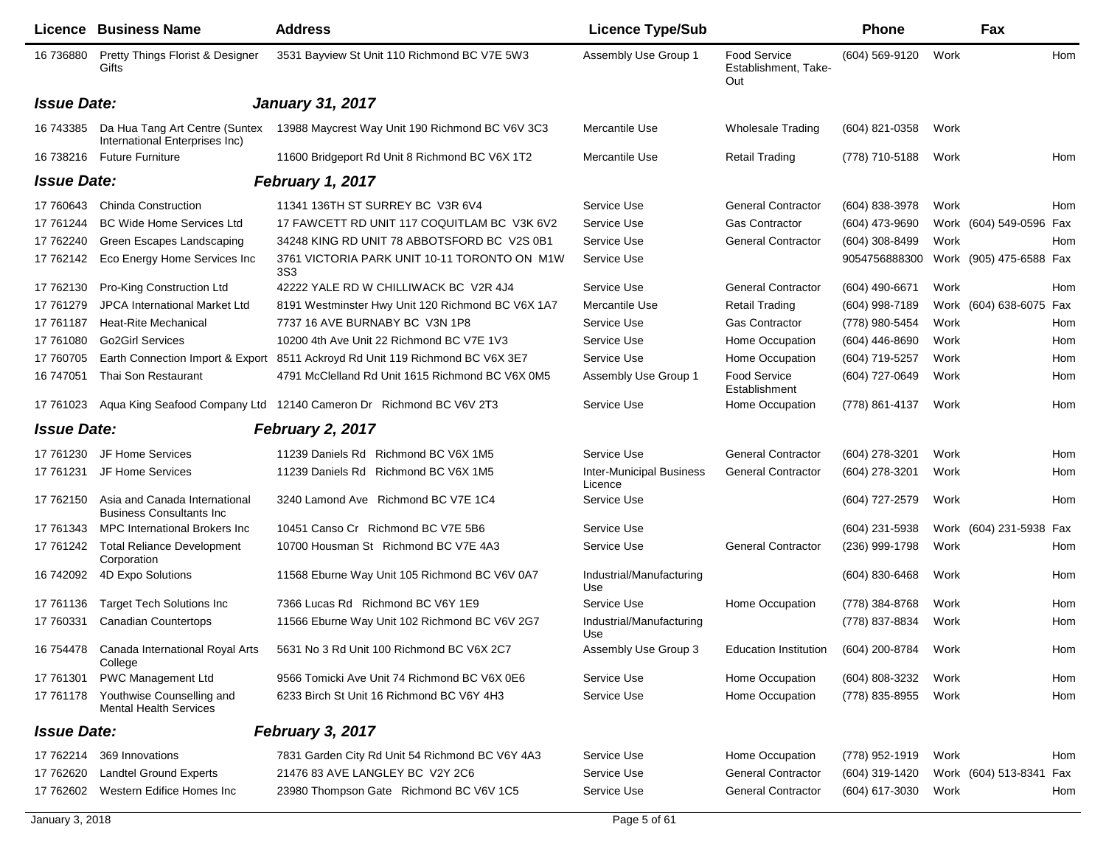|                    | Licence Business Name                                             | <b>Address</b>                                                                | <b>Licence Type/Sub</b>                    |                                                    | <b>Phone</b>   |      | Fax                     |     |
|--------------------|-------------------------------------------------------------------|-------------------------------------------------------------------------------|--------------------------------------------|----------------------------------------------------|----------------|------|-------------------------|-----|
| 16 73 6880         | Pretty Things Florist & Designer<br>Gifts                         | 3531 Bayview St Unit 110 Richmond BC V7E 5W3                                  | Assembly Use Group 1                       | <b>Food Service</b><br>Establishment, Take-<br>Out | (604) 569-9120 | Work |                         | Hom |
| <b>Issue Date:</b> |                                                                   | <b>January 31, 2017</b>                                                       |                                            |                                                    |                |      |                         |     |
| 16 743385          | Da Hua Tang Art Centre (Suntex<br>International Enterprises Inc)  | 13988 Maycrest Way Unit 190 Richmond BC V6V 3C3                               | Mercantile Use                             | <b>Wholesale Trading</b>                           | (604) 821-0358 | Work |                         |     |
| 16 738216          | <b>Future Furniture</b>                                           | 11600 Bridgeport Rd Unit 8 Richmond BC V6X 1T2                                | Mercantile Use                             | <b>Retail Trading</b>                              | (778) 710-5188 | Work |                         | Hom |
| <b>Issue Date:</b> |                                                                   | February 1, 2017                                                              |                                            |                                                    |                |      |                         |     |
| 17 760643          | <b>Chinda Construction</b>                                        | 11341 136TH ST SURREY BC V3R 6V4                                              | Service Use                                | <b>General Contractor</b>                          | (604) 838-3978 | Work |                         | Hom |
| 17 761244          | <b>BC Wide Home Services Ltd</b>                                  | 17 FAWCETT RD UNIT 117 COQUITLAM BC V3K 6V2                                   | Service Use                                | <b>Gas Contractor</b>                              | (604) 473-9690 |      | Work (604) 549-0596 Fax |     |
| 17 762240          | Green Escapes Landscaping                                         | 34248 KING RD UNIT 78 ABBOTSFORD BC V2S 0B1                                   | Service Use                                | <b>General Contractor</b>                          | (604) 308-8499 | Work |                         | Hom |
| 17 762142          | Eco Energy Home Services Inc                                      | 3761 VICTORIA PARK UNIT 10-11 TORONTO ON M1W<br>3S3                           | Service Use                                |                                                    | 9054756888300  |      | Work (905) 475-6588 Fax |     |
| 17 762130          | Pro-King Construction Ltd                                         | 42222 YALE RD W CHILLIWACK BC V2R 4J4                                         | Service Use                                | <b>General Contractor</b>                          | (604) 490-6671 | Work |                         | Hom |
| 17 761279          | <b>JPCA International Market Ltd</b>                              | 8191 Westminster Hwy Unit 120 Richmond BC V6X 1A7                             | Mercantile Use                             | <b>Retail Trading</b>                              | (604) 998-7189 |      | Work (604) 638-6075     | Fax |
| 17 761187          | <b>Heat-Rite Mechanical</b>                                       | 7737 16 AVE BURNABY BC V3N 1P8                                                | Service Use                                | <b>Gas Contractor</b>                              | (778) 980-5454 | Work |                         | Hom |
| 17 761080          | <b>Go2Girl Services</b>                                           | 10200 4th Ave Unit 22 Richmond BC V7E 1V3                                     | Service Use                                | Home Occupation                                    | (604) 446-8690 | Work |                         | Hom |
| 17 760705          |                                                                   | Earth Connection Import & Export 8511 Ackroyd Rd Unit 119 Richmond BC V6X 3E7 | Service Use                                | Home Occupation                                    | (604) 719-5257 | Work |                         | Hom |
| 16 747051          | Thai Son Restaurant                                               | 4791 McClelland Rd Unit 1615 Richmond BC V6X 0M5                              | Assembly Use Group 1                       | <b>Food Service</b><br>Establishment               | (604) 727-0649 | Work |                         | Hom |
| 17 761023          |                                                                   | Aqua King Seafood Company Ltd 12140 Cameron Dr Richmond BC V6V 2T3            | Service Use                                | Home Occupation                                    | (778) 861-4137 | Work |                         | Hom |
| <b>Issue Date:</b> |                                                                   | February 2, 2017                                                              |                                            |                                                    |                |      |                         |     |
| 17 761230          | JF Home Services                                                  | 11239 Daniels Rd Richmond BC V6X 1M5                                          | Service Use                                | <b>General Contractor</b>                          | (604) 278-3201 | Work |                         | Hom |
| 17 761231          | JF Home Services                                                  | 11239 Daniels Rd Richmond BC V6X 1M5                                          | <b>Inter-Municipal Business</b><br>Licence | <b>General Contractor</b>                          | (604) 278-3201 | Work |                         | Hom |
| 17 762150          | Asia and Canada International<br><b>Business Consultants Inc.</b> | 3240 Lamond Ave Richmond BC V7E 1C4                                           | Service Use                                |                                                    | (604) 727-2579 | Work |                         | Hom |
| 17 761343          | <b>MPC International Brokers Inc</b>                              | 10451 Canso Cr Richmond BC V7E 5B6                                            | Service Use                                |                                                    | (604) 231-5938 |      | Work (604) 231-5938 Fax |     |
| 17 761242          | <b>Total Reliance Development</b><br>Corporation                  | 10700 Housman St Richmond BC V7E 4A3                                          | Service Use                                | <b>General Contractor</b>                          | (236) 999-1798 | Work |                         | Hom |
| 16 742092          | 4D Expo Solutions                                                 | 11568 Eburne Way Unit 105 Richmond BC V6V 0A7                                 | Industrial/Manufacturing<br>Use            |                                                    | (604) 830-6468 | Work |                         | Hom |
| 17 761136          | <b>Target Tech Solutions Inc</b>                                  | 7366 Lucas Rd Richmond BC V6Y 1E9                                             | Service Use                                | Home Occupation                                    | (778) 384-8768 | Work |                         | Hom |
| 17 760331          | <b>Canadian Countertops</b>                                       | 11566 Eburne Way Unit 102 Richmond BC V6V 2G7                                 | Industrial/Manufacturing<br>Use            |                                                    | (778) 837-8834 | Work |                         | Hom |
| 16 754478          | Canada International Royal Arts<br>College                        | 5631 No 3 Rd Unit 100 Richmond BC V6X 2C7                                     | Assembly Use Group 3                       | <b>Education Institution</b>                       | (604) 200-8784 | Work |                         | Hom |
| 17 761301          | PWC Management Ltd                                                | 9566 Tomicki Ave Unit 74 Richmond BC V6X 0E6                                  | Service Use                                | Home Occupation                                    | (604) 808-3232 | Work |                         | Hom |
| 17 761178          | Youthwise Counselling and<br><b>Mental Health Services</b>        | 6233 Birch St Unit 16 Richmond BC V6Y 4H3                                     | Service Use                                | Home Occupation                                    | (778) 835-8955 | Work |                         | Hom |
| <b>Issue Date:</b> |                                                                   | February 3, 2017                                                              |                                            |                                                    |                |      |                         |     |
|                    | 17 762214 369 Innovations                                         | 7831 Garden City Rd Unit 54 Richmond BC V6Y 4A3                               | Service Use                                | Home Occupation                                    | (778) 952-1919 | Work |                         | Hom |
| 17 762620          | <b>Landtel Ground Experts</b>                                     | 21476 83 AVE LANGLEY BC V2Y 2C6                                               | Service Use                                | <b>General Contractor</b>                          | (604) 319-1420 |      | Work (604) 513-8341     | Fax |
| 17 762602          | Western Edifice Homes Inc                                         | 23980 Thompson Gate Richmond BC V6V 1C5                                       | Service Use                                | <b>General Contractor</b>                          | (604) 617-3030 | Work |                         | Hom |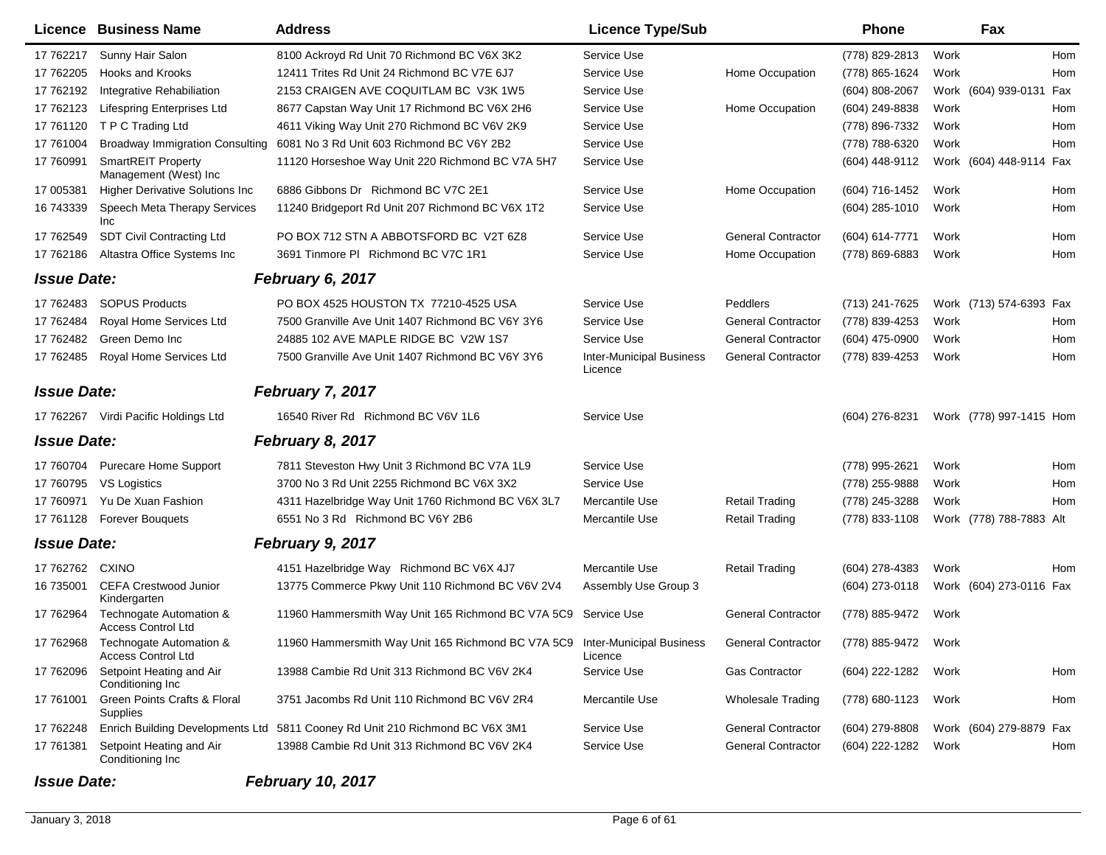| Licence            | <b>Business Name</b>                                 | <b>Address</b>                                                               | <b>Licence Type/Sub</b>                    |                           | <b>Phone</b>       | Fax                     |     |
|--------------------|------------------------------------------------------|------------------------------------------------------------------------------|--------------------------------------------|---------------------------|--------------------|-------------------------|-----|
| 17 762217          | Sunny Hair Salon                                     | 8100 Ackroyd Rd Unit 70 Richmond BC V6X 3K2                                  | Service Use                                |                           | (778) 829-2813     | Work                    | Hom |
| 17 762205          | <b>Hooks and Krooks</b>                              | 12411 Trites Rd Unit 24 Richmond BC V7E 6J7                                  | Service Use                                | Home Occupation           | (778) 865-1624     | Work                    | Hom |
| 17 762192          | Integrative Rehabiliation                            | 2153 CRAIGEN AVE COQUITLAM BC V3K 1W5                                        | Service Use                                |                           | (604) 808-2067     | (604) 939-0131<br>Work  | Fax |
| 17 762123          | <b>Lifespring Enterprises Ltd</b>                    | 8677 Capstan Way Unit 17 Richmond BC V6X 2H6                                 | Service Use                                | Home Occupation           | (604) 249-8838     | Work                    | Hom |
| 17 761120          | T P C Trading Ltd                                    | 4611 Viking Way Unit 270 Richmond BC V6V 2K9                                 | Service Use                                |                           | (778) 896-7332     | Work                    | Hom |
| 17 761004          | <b>Broadway Immigration Consulting</b>               | 6081 No 3 Rd Unit 603 Richmond BC V6Y 2B2                                    | Service Use                                |                           | (778) 788-6320     | Work                    | Hom |
| 17 760991          | <b>SmartREIT Property</b><br>Management (West) Inc   | 11120 Horseshoe Way Unit 220 Richmond BC V7A 5H7                             | Service Use                                |                           | (604) 448-9112     | Work (604) 448-9114 Fax |     |
| 17 005381          | <b>Higher Derivative Solutions Inc</b>               | 6886 Gibbons Dr Richmond BC V7C 2E1                                          | Service Use                                | Home Occupation           | (604) 716-1452     | Work                    | Hom |
| 16 743339          | Speech Meta Therapy Services<br>Inc                  | 11240 Bridgeport Rd Unit 207 Richmond BC V6X 1T2                             | Service Use                                |                           | $(604)$ 285-1010   | Work                    | Hom |
| 17 762549          | <b>SDT Civil Contracting Ltd</b>                     | PO BOX 712 STN A ABBOTSFORD BC V2T 6Z8                                       | Service Use                                | <b>General Contractor</b> | $(604) 614 - 7771$ | Work                    | Hom |
| 17 762186          | Altastra Office Systems Inc                          | 3691 Tinmore PI Richmond BC V7C 1R1                                          | Service Use                                | Home Occupation           | (778) 869-6883     | Work                    | Hom |
| <b>Issue Date:</b> |                                                      | February 6, 2017                                                             |                                            |                           |                    |                         |     |
| 17 762483          | <b>SOPUS Products</b>                                | PO BOX 4525 HOUSTON TX 77210-4525 USA                                        | Service Use                                | Peddlers                  | (713) 241-7625     | Work (713) 574-6393 Fax |     |
| 17 762484          | Royal Home Services Ltd                              | 7500 Granville Ave Unit 1407 Richmond BC V6Y 3Y6                             | Service Use                                | <b>General Contractor</b> | (778) 839-4253     | Work                    | Hom |
| 17 762482          | Green Demo Inc                                       | 24885 102 AVE MAPLE RIDGE BC V2W 1S7                                         | Service Use                                | <b>General Contractor</b> | (604) 475-0900     | Work                    | Hom |
| 17 762485          | Royal Home Services Ltd                              | 7500 Granville Ave Unit 1407 Richmond BC V6Y 3Y6                             | <b>Inter-Municipal Business</b><br>Licence | <b>General Contractor</b> | (778) 839-4253     | Work                    | Hom |
| <b>Issue Date:</b> |                                                      | February 7, 2017                                                             |                                            |                           |                    |                         |     |
|                    | 17 762267 Virdi Pacific Holdings Ltd                 | 16540 River Rd Richmond BC V6V 1L6                                           | Service Use                                |                           | (604) 276-8231     | Work (778) 997-1415 Hom |     |
| <b>Issue Date:</b> |                                                      | February 8, 2017                                                             |                                            |                           |                    |                         |     |
| 17 760704          | Purecare Home Support                                | 7811 Steveston Hwy Unit 3 Richmond BC V7A 1L9                                | Service Use                                |                           | (778) 995-2621     | Work                    | Hom |
| 17 760795          | VS Logistics                                         | 3700 No 3 Rd Unit 2255 Richmond BC V6X 3X2                                   | Service Use                                |                           | (778) 255-9888     | Work                    | Hom |
| 17 760971          | Yu De Xuan Fashion                                   | 4311 Hazelbridge Way Unit 1760 Richmond BC V6X 3L7                           | Mercantile Use                             | <b>Retail Trading</b>     | (778) 245-3288     | Work                    | Hom |
| 17 761128          | <b>Forever Bouquets</b>                              | 6551 No 3 Rd Richmond BC V6Y 2B6                                             | Mercantile Use                             | <b>Retail Trading</b>     | (778) 833-1108     | Work (778) 788-7883 Alt |     |
| <b>Issue Date:</b> |                                                      | February 9, 2017                                                             |                                            |                           |                    |                         |     |
| 17 762762          | <b>CXINO</b>                                         | 4151 Hazelbridge Way Richmond BC V6X 4J7                                     | Mercantile Use                             | <b>Retail Trading</b>     | (604) 278-4383     | Work                    | Hom |
| 16 735001          | <b>CEFA Crestwood Junior</b><br>Kindergarten         | 13775 Commerce Pkwy Unit 110 Richmond BC V6V 2V4                             | Assembly Use Group 3                       |                           | (604) 273-0118     | Work (604) 273-0116 Fax |     |
| 17 762964          | Technogate Automation &<br><b>Access Control Ltd</b> | 11960 Hammersmith Way Unit 165 Richmond BC V7A 5C9 Service Use               |                                            | <b>General Contractor</b> | (778) 885-9472     | Work                    |     |
| 17 762968          | Technogate Automation &<br><b>Access Control Ltd</b> | 11960 Hammersmith Way Unit 165 Richmond BC V7A 5C9 Inter-Municipal Business  | Licence                                    | <b>General Contractor</b> | (778) 885-9472     | Work                    |     |
| 17 762096          | Setpoint Heating and Air<br>Conditioning Inc         | 13988 Cambie Rd Unit 313 Richmond BC V6V 2K4                                 | Service Use                                | Gas Contractor            | (604) 222-1282     | Work                    | Hom |
| 17 761001          | Green Points Crafts & Floral<br>Supplies             | 3751 Jacombs Rd Unit 110 Richmond BC V6V 2R4                                 | Mercantile Use                             | <b>Wholesale Trading</b>  | (778) 680-1123     | Work                    | Hom |
| 17 762248          |                                                      | Enrich Building Developments Ltd 5811 Cooney Rd Unit 210 Richmond BC V6X 3M1 | Service Use                                | <b>General Contractor</b> | (604) 279-8808     | Work (604) 279-8879 Fax |     |
| 17 761381          | Setpoint Heating and Air<br>Conditioning Inc         | 13988 Cambie Rd Unit 313 Richmond BC V6V 2K4                                 | Service Use                                | <b>General Contractor</b> | (604) 222-1282     | Work                    | Hom |

*Issue Date: February 10, 2017*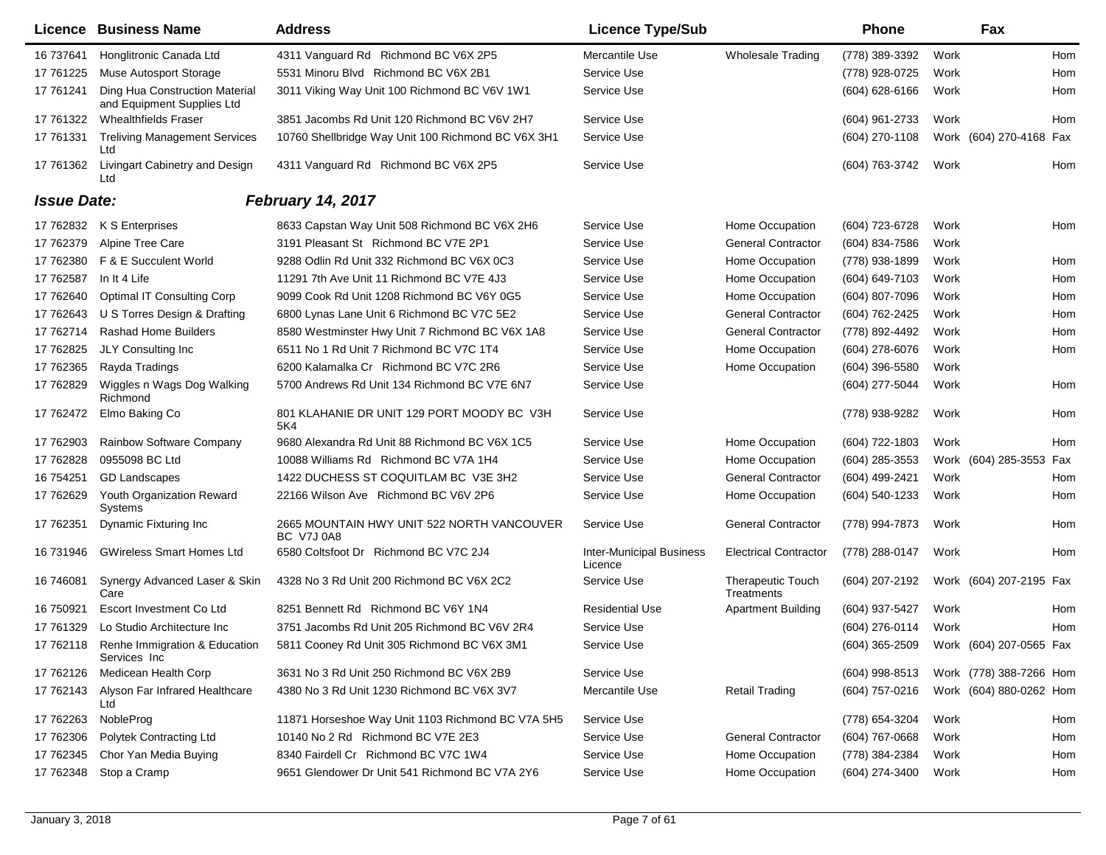|                           | Licence Business Name                                        | <b>Address</b>                                                  | <b>Licence Type/Sub</b>                    |                                        | <b>Phone</b>     | Fax                                    |     |
|---------------------------|--------------------------------------------------------------|-----------------------------------------------------------------|--------------------------------------------|----------------------------------------|------------------|----------------------------------------|-----|
| 16 737641                 | Honglitronic Canada Ltd                                      | 4311 Vanguard Rd Richmond BC V6X 2P5                            | Mercantile Use                             | <b>Wholesale Trading</b>               | (778) 389-3392   | Work                                   | Hom |
| 17 761225                 | Muse Autosport Storage                                       | 5531 Minoru Blvd Richmond BC V6X 2B1                            | Service Use                                |                                        | (778) 928-0725   | Work                                   | Hom |
| 17 761241                 | Ding Hua Construction Material<br>and Equipment Supplies Ltd | 3011 Viking Way Unit 100 Richmond BC V6V 1W1                    | Service Use                                |                                        | $(604)$ 628-6166 | Work                                   | Hom |
| 17 761322                 | <b>Whealthfields Fraser</b>                                  | 3851 Jacombs Rd Unit 120 Richmond BC V6V 2H7                    | Service Use                                |                                        | (604) 961-2733   | Work                                   | Hom |
| 17 761331                 | <b>Treliving Management Services</b><br>Ltd                  | 10760 Shellbridge Way Unit 100 Richmond BC V6X 3H1              | Service Use                                |                                        | $(604)$ 270-1108 | Work (604) 270-4168 Fax                |     |
| 17 761362                 | Livingart Cabinetry and Design<br>Ltd                        | 4311 Vanguard Rd Richmond BC V6X 2P5                            | Service Use                                |                                        | (604) 763-3742   | Work                                   | Hom |
| <i><b>Issue Date:</b></i> |                                                              | <b>February 14, 2017</b>                                        |                                            |                                        |                  |                                        |     |
|                           | 17 762832 K S Enterprises                                    | 8633 Capstan Way Unit 508 Richmond BC V6X 2H6                   | Service Use                                | Home Occupation                        | (604) 723-6728   | Work                                   | Hom |
| 17 762379                 | Alpine Tree Care                                             | 3191 Pleasant St Richmond BC V7E 2P1                            | Service Use                                | <b>General Contractor</b>              | (604) 834-7586   | Work                                   |     |
| 17 762380                 | F & E Succulent World                                        | 9288 Odlin Rd Unit 332 Richmond BC V6X 0C3                      | Service Use                                | Home Occupation                        | (778) 938-1899   | Work                                   | Hom |
| 17 762587                 | In It 4 Life                                                 | 11291 7th Ave Unit 11 Richmond BC V7E 4J3                       | Service Use                                | Home Occupation                        | (604) 649-7103   | Work                                   | Hom |
| 17 762640                 | <b>Optimal IT Consulting Corp</b>                            | 9099 Cook Rd Unit 1208 Richmond BC V6Y 0G5                      | Service Use                                | Home Occupation                        | (604) 807-7096   | Work                                   | Hom |
| 17 762643                 | U S Torres Design & Drafting                                 | 6800 Lynas Lane Unit 6 Richmond BC V7C 5E2                      | Service Use                                | <b>General Contractor</b>              | (604) 762-2425   | Work                                   | Hom |
| 17 762714                 | <b>Rashad Home Builders</b>                                  | 8580 Westminster Hwy Unit 7 Richmond BC V6X 1A8                 | Service Use                                | <b>General Contractor</b>              | (778) 892-4492   | Work                                   | Hom |
| 17 762825                 | JLY Consulting Inc                                           | 6511 No 1 Rd Unit 7 Richmond BC V7C 1T4                         | Service Use                                | Home Occupation                        | (604) 278-6076   | Work                                   | Hom |
| 17 762365                 | Rayda Tradings                                               | 6200 Kalamalka Cr Richmond BC V7C 2R6                           | Service Use                                | Home Occupation                        | (604) 396-5580   | Work                                   |     |
| 17 762829                 | Wiggles n Wags Dog Walking<br>Richmond                       | 5700 Andrews Rd Unit 134 Richmond BC V7E 6N7                    | Service Use                                |                                        | (604) 277-5044   | Work                                   | Hom |
| 17 762472                 | Elmo Baking Co                                               | 801 KLAHANIE DR UNIT 129 PORT MOODY BC V3H<br>5K4               | Service Use                                |                                        | (778) 938-9282   | Work                                   | Hom |
| 17 762903                 | <b>Rainbow Software Company</b>                              | 9680 Alexandra Rd Unit 88 Richmond BC V6X 1C5                   | Service Use                                | Home Occupation                        | (604) 722-1803   | Work                                   | Hom |
| 17 762828                 | 0955098 BC Ltd                                               | 10088 Williams Rd Richmond BC V7A 1H4                           | Service Use                                | Home Occupation                        | (604) 285-3553   | Work (604) 285-3553                    | Fax |
| 16 754251                 | <b>GD Landscapes</b>                                         | 1422 DUCHESS ST COQUITLAM BC V3E 3H2                            | Service Use                                | <b>General Contractor</b>              | (604) 499-2421   | Work                                   | Hom |
| 17 762629                 | Youth Organization Reward<br>Systems                         | 22166 Wilson Ave Richmond BC V6V 2P6                            | Service Use                                | Home Occupation                        | (604) 540-1233   | Work                                   | Hom |
| 17 762351                 | Dynamic Fixturing Inc                                        | 2665 MOUNTAIN HWY UNIT 522 NORTH VANCOUVER<br><b>BC V7J 0A8</b> | Service Use                                | <b>General Contractor</b>              | (778) 994-7873   | Work                                   | Hom |
| 16 731946                 | <b>GWireless Smart Homes Ltd</b>                             | 6580 Coltsfoot Dr Richmond BC V7C 2J4                           | <b>Inter-Municipal Business</b><br>Licence | <b>Electrical Contractor</b>           | (778) 288-0147   | Work                                   | Hom |
| 16 746081                 | Synergy Advanced Laser & Skin<br>Care                        | 4328 No 3 Rd Unit 200 Richmond BC V6X 2C2                       | Service Use                                | <b>Therapeutic Touch</b><br>Treatments | (604) 207-2192   | Work (604) 207-2195 Fax                |     |
| 16 750921                 | Escort Investment Co Ltd                                     | 8251 Bennett Rd Richmond BC V6Y 1N4                             | <b>Residential Use</b>                     | <b>Apartment Building</b>              | (604) 937-5427   | Work                                   | Hom |
| 17 761329                 | Lo Studio Architecture Inc                                   | 3751 Jacombs Rd Unit 205 Richmond BC V6V 2R4                    | Service Use                                |                                        | (604) 276-0114   | Work                                   | Hom |
|                           | 17 762118 Renhe Immigration & Education<br>Services Inc      | 5811 Cooney Rd Unit 305 Richmond BC V6X 3M1                     | Service Use                                |                                        |                  | (604) 365-2509 Work (604) 207-0565 Fax |     |
| 17 762126                 | Medicean Health Corp                                         | 3631 No 3 Rd Unit 250 Richmond BC V6X 2B9                       | Service Use                                |                                        | (604) 998-8513   | Work (778) 388-7266 Hom                |     |
| 17 762143                 | Alyson Far Infrared Healthcare<br>Ltd                        | 4380 No 3 Rd Unit 1230 Richmond BC V6X 3V7                      | Mercantile Use                             | <b>Retail Trading</b>                  | (604) 757-0216   | Work (604) 880-0262 Hom                |     |
| 17 762263                 | NobleProg                                                    | 11871 Horseshoe Way Unit 1103 Richmond BC V7A 5H5               | Service Use                                |                                        | (778) 654-3204   | Work                                   | Hom |
| 17 762306                 | Polytek Contracting Ltd                                      | 10140 No 2 Rd Richmond BC V7E 2E3                               | Service Use                                | <b>General Contractor</b>              | $(604)$ 767-0668 | Work                                   | Hom |
| 17 762345                 | Chor Yan Media Buying                                        | 8340 Fairdell Cr Richmond BC V7C 1W4                            | Service Use                                | Home Occupation                        | (778) 384-2384   | Work                                   | Hom |
| 17 762348                 | Stop a Cramp                                                 | 9651 Glendower Dr Unit 541 Richmond BC V7A 2Y6                  | Service Use                                | Home Occupation                        | (604) 274-3400   | Work                                   | Hom |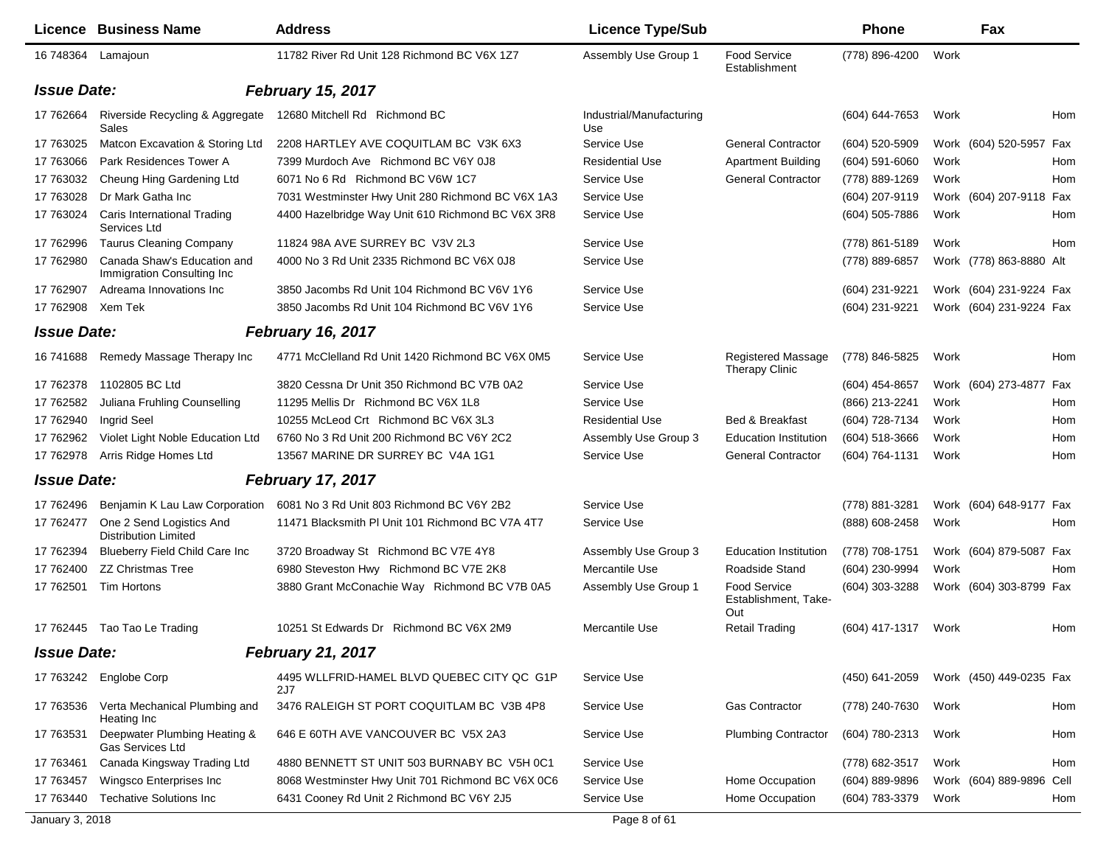|                    | Licence Business Name                                      | <b>Address</b>                                    | <b>Licence Type/Sub</b>         |                                                    | <b>Phone</b>     |      | Fax                      |     |
|--------------------|------------------------------------------------------------|---------------------------------------------------|---------------------------------|----------------------------------------------------|------------------|------|--------------------------|-----|
| 16 748364 Lamajoun |                                                            | 11782 River Rd Unit 128 Richmond BC V6X 127       | Assembly Use Group 1            | <b>Food Service</b><br>Establishment               | (778) 896-4200   | Work |                          |     |
| <b>Issue Date:</b> |                                                            | <b>February 15, 2017</b>                          |                                 |                                                    |                  |      |                          |     |
| 17 762664          | Riverside Recycling & Aggregate<br>Sales                   | 12680 Mitchell Rd Richmond BC                     | Industrial/Manufacturing<br>Use |                                                    | (604) 644-7653   | Work |                          | Hom |
| 17 763025          | Matcon Excavation & Storing Ltd                            | 2208 HARTLEY AVE COQUITLAM BC V3K 6X3             | Service Use                     | <b>General Contractor</b>                          | (604) 520-5909   |      | Work (604) 520-5957 Fax  |     |
| 17 763066          | Park Residences Tower A                                    | 7399 Murdoch Ave Richmond BC V6Y 0J8              | <b>Residential Use</b>          | <b>Apartment Building</b>                          | (604) 591-6060   | Work |                          | Hom |
| 17 763032          | Cheung Hing Gardening Ltd                                  | 6071 No 6 Rd Richmond BC V6W 1C7                  | Service Use                     | <b>General Contractor</b>                          | (778) 889-1269   | Work |                          | Hom |
| 17 763028          | Dr Mark Gatha Inc                                          | 7031 Westminster Hwy Unit 280 Richmond BC V6X 1A3 | Service Use                     |                                                    | (604) 207-9119   |      | Work (604) 207-9118 Fax  |     |
| 17 763024          | Caris International Trading<br>Services Ltd                | 4400 Hazelbridge Way Unit 610 Richmond BC V6X 3R8 | Service Use                     |                                                    | (604) 505-7886   | Work |                          | Hom |
| 17 762996          | <b>Taurus Cleaning Company</b>                             | 11824 98A AVE SURREY BC V3V 2L3                   | Service Use                     |                                                    | (778) 861-5189   | Work |                          | Hom |
| 17 762980          | Canada Shaw's Education and<br>Immigration Consulting Inc. | 4000 No 3 Rd Unit 2335 Richmond BC V6X 0J8        | Service Use                     |                                                    | (778) 889-6857   |      | Work (778) 863-8880 Alt  |     |
| 17 762907          | Adreama Innovations Inc                                    | 3850 Jacombs Rd Unit 104 Richmond BC V6V 1Y6      | Service Use                     |                                                    | (604) 231-9221   |      | Work (604) 231-9224 Fax  |     |
| 17 762908          | Xem Tek                                                    | 3850 Jacombs Rd Unit 104 Richmond BC V6V 1Y6      | Service Use                     |                                                    | (604) 231-9221   |      | Work (604) 231-9224 Fax  |     |
| <b>Issue Date:</b> |                                                            | <b>February 16, 2017</b>                          |                                 |                                                    |                  |      |                          |     |
| 16 74 1688         | Remedy Massage Therapy Inc                                 | 4771 McClelland Rd Unit 1420 Richmond BC V6X 0M5  | Service Use                     | <b>Registered Massage</b><br><b>Therapy Clinic</b> | (778) 846-5825   | Work |                          | Hom |
| 17 762378          | 1102805 BC Ltd                                             | 3820 Cessna Dr Unit 350 Richmond BC V7B 0A2       | Service Use                     |                                                    | (604) 454-8657   |      | Work (604) 273-4877 Fax  |     |
| 17 762582          | Juliana Fruhling Counselling                               | 11295 Mellis Dr Richmond BC V6X 1L8               | Service Use                     |                                                    | (866) 213-2241   | Work |                          | Hom |
| 17 762940          | <b>Ingrid Seel</b>                                         | 10255 McLeod Crt Richmond BC V6X 3L3              | <b>Residential Use</b>          | Bed & Breakfast                                    | (604) 728-7134   | Work |                          | Hom |
| 17 762962          | Violet Light Noble Education Ltd                           | 6760 No 3 Rd Unit 200 Richmond BC V6Y 2C2         | Assembly Use Group 3            | <b>Education Institution</b>                       | $(604)$ 518-3666 | Work |                          | Hom |
| 17 762978          | Arris Ridge Homes Ltd                                      | 13567 MARINE DR SURREY BC V4A 1G1                 | Service Use                     | <b>General Contractor</b>                          | (604) 764-1131   | Work |                          | Hom |
| <b>Issue Date:</b> |                                                            | <b>February 17, 2017</b>                          |                                 |                                                    |                  |      |                          |     |
| 17 762496          | Benjamin K Lau Law Corporation                             | 6081 No 3 Rd Unit 803 Richmond BC V6Y 2B2         | Service Use                     |                                                    | (778) 881-3281   |      | Work (604) 648-9177 Fax  |     |
| 17 762477          | One 2 Send Logistics And<br><b>Distribution Limited</b>    | 11471 Blacksmith PI Unit 101 Richmond BC V7A 4T7  | Service Use                     |                                                    | (888) 608-2458   | Work |                          | Hom |
| 17 762394          | <b>Blueberry Field Child Care Inc</b>                      | 3720 Broadway St Richmond BC V7E 4Y8              | Assembly Use Group 3            | <b>Education Institution</b>                       | (778) 708-1751   |      | Work (604) 879-5087 Fax  |     |
| 17 762400          | <b>ZZ Christmas Tree</b>                                   | 6980 Steveston Hwy Richmond BC V7E 2K8            | Mercantile Use                  | Roadside Stand                                     | (604) 230-9994   | Work |                          | Hom |
| 17 762501          | Tim Hortons                                                | 3880 Grant McConachie Way Richmond BC V7B 0A5     | Assembly Use Group 1            | <b>Food Service</b><br>Establishment, Take-<br>Out | (604) 303-3288   |      | Work (604) 303-8799 Fax  |     |
|                    | 17 762445  Tao Tao Le Trading                              | 10251 St Edwards Dr Richmond BC V6X 2M9           | Mercantile Use                  | <b>Retail Trading</b>                              | (604) 417-1317   | Work |                          | Hom |
| <b>Issue Date:</b> |                                                            | <b>February 21, 2017</b>                          |                                 |                                                    |                  |      |                          |     |
|                    | 17 763242 Englobe Corp                                     | 4495 WLLFRID-HAMEL BLVD QUEBEC CITY QC G1P<br>2J7 | Service Use                     |                                                    | (450) 641-2059   |      | Work (450) 449-0235 Fax  |     |
| 17 763536          | Verta Mechanical Plumbing and<br>Heating Inc               | 3476 RALEIGH ST PORT COQUITLAM BC V3B 4P8         | Service Use                     | <b>Gas Contractor</b>                              | (778) 240-7630   | Work |                          | Hom |
| 17 763531          | Deepwater Plumbing Heating &<br>Gas Services Ltd           | 646 E 60TH AVE VANCOUVER BC V5X 2A3               | Service Use                     | <b>Plumbing Contractor</b>                         | (604) 780-2313   | Work |                          | Hom |
| 17 763461          | Canada Kingsway Trading Ltd                                | 4880 BENNETT ST UNIT 503 BURNABY BC V5H 0C1       | Service Use                     |                                                    | (778) 682-3517   | Work |                          | Hom |
| 17 763457          | Wingsco Enterprises Inc                                    | 8068 Westminster Hwy Unit 701 Richmond BC V6X 0C6 | Service Use                     | Home Occupation                                    | (604) 889-9896   |      | Work (604) 889-9896 Cell |     |
| 17 763440          | <b>Techative Solutions Inc</b>                             | 6431 Cooney Rd Unit 2 Richmond BC V6Y 2J5         | Service Use                     | Home Occupation                                    | (604) 783-3379   | Work |                          | Hom |
| January 3, 2018    |                                                            |                                                   | Page 8 of 61                    |                                                    |                  |      |                          |     |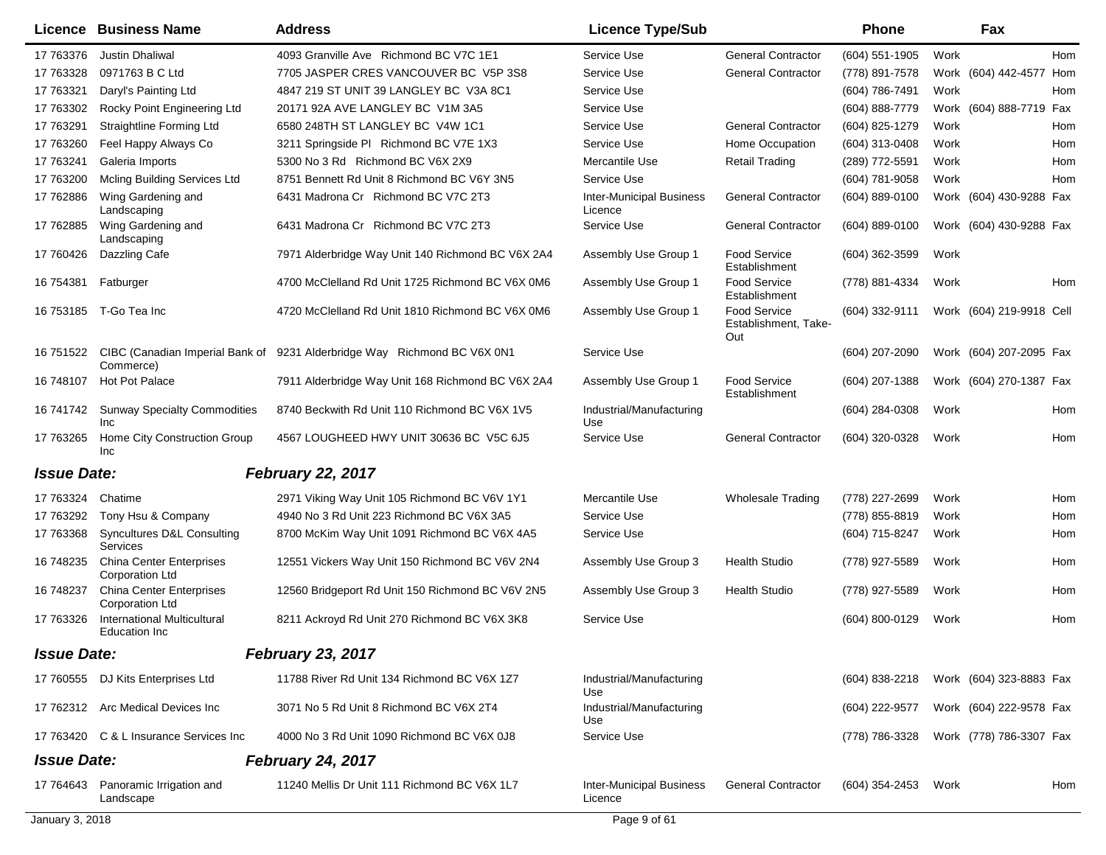|                    | <b>Licence Business Name</b>                              | <b>Address</b>                                    | <b>Licence Type/Sub</b>                    |                                                    | <b>Phone</b>     | Fax                      |     |
|--------------------|-----------------------------------------------------------|---------------------------------------------------|--------------------------------------------|----------------------------------------------------|------------------|--------------------------|-----|
| 17 763376          | <b>Justin Dhaliwal</b>                                    | 4093 Granville Ave Richmond BC V7C 1E1            | Service Use                                | <b>General Contractor</b>                          | $(604)$ 551-1905 | Work                     | Hom |
| 17 763328          | 0971763 B C Ltd                                           | 7705 JASPER CRES VANCOUVER BC V5P 3S8             | Service Use                                | <b>General Contractor</b>                          | (778) 891-7578   | Work (604) 442-4577      | Hom |
| 17 763321          | Daryl's Painting Ltd                                      | 4847 219 ST UNIT 39 LANGLEY BC V3A 8C1            | Service Use                                |                                                    | (604) 786-7491   | Work                     | Hom |
| 17 763302          | Rocky Point Engineering Ltd                               | 20171 92A AVE LANGLEY BC V1M 3A5                  | Service Use                                |                                                    | (604) 888-7779   | Work (604) 888-7719 Fax  |     |
| 17 763291          | Straightline Forming Ltd                                  | 6580 248TH ST LANGLEY BC V4W 1C1                  | Service Use                                | <b>General Contractor</b>                          | (604) 825-1279   | Work                     | Hom |
| 17 763260          | Feel Happy Always Co                                      | 3211 Springside PI Richmond BC V7E 1X3            | Service Use                                | Home Occupation                                    | (604) 313-0408   | Work                     | Hom |
| 17 763241          | Galeria Imports                                           | 5300 No 3 Rd Richmond BC V6X 2X9                  | Mercantile Use                             | <b>Retail Trading</b>                              | (289) 772-5591   | Work                     | Hom |
| 17 763200          | Mcling Building Services Ltd                              | 8751 Bennett Rd Unit 8 Richmond BC V6Y 3N5        | Service Use                                |                                                    | (604) 781-9058   | Work                     | Hom |
| 17 762886          | Wing Gardening and<br>Landscaping                         | 6431 Madrona Cr Richmond BC V7C 2T3               | <b>Inter-Municipal Business</b><br>Licence | <b>General Contractor</b>                          | (604) 889-0100   | Work (604) 430-9288 Fax  |     |
| 17 762885          | Wing Gardening and<br>Landscaping                         | 6431 Madrona Cr Richmond BC V7C 2T3               | Service Use                                | <b>General Contractor</b>                          | (604) 889-0100   | Work (604) 430-9288 Fax  |     |
| 17 760426          | Dazzling Cafe                                             | 7971 Alderbridge Way Unit 140 Richmond BC V6X 2A4 | Assembly Use Group 1                       | <b>Food Service</b><br>Establishment               | (604) 362-3599   | Work                     |     |
| 16 754381          | Fatburger                                                 | 4700 McClelland Rd Unit 1725 Richmond BC V6X 0M6  | Assembly Use Group 1                       | <b>Food Service</b><br>Establishment               | (778) 881-4334   | Work                     | Hom |
| 16 753185          | T-Go Tea Inc                                              | 4720 McClelland Rd Unit 1810 Richmond BC V6X 0M6  | Assembly Use Group 1                       | <b>Food Service</b><br>Establishment, Take-<br>Out | (604) 332-9111   | Work (604) 219-9918 Cell |     |
| 16 75 15 22        | CIBC (Canadian Imperial Bank of<br>Commerce)              | 9231 Alderbridge Way Richmond BC V6X 0N1          | Service Use                                |                                                    | (604) 207-2090   | Work (604) 207-2095 Fax  |     |
| 16 748107          | <b>Hot Pot Palace</b>                                     | 7911 Alderbridge Way Unit 168 Richmond BC V6X 2A4 | Assembly Use Group 1                       | <b>Food Service</b><br>Establishment               | (604) 207-1388   | Work (604) 270-1387 Fax  |     |
| 16 741742          | <b>Sunway Specialty Commodities</b><br>Inc                | 8740 Beckwith Rd Unit 110 Richmond BC V6X 1V5     | Industrial/Manufacturing<br>Use            |                                                    | $(604)$ 284-0308 | Work                     | Hom |
| 17 763265          | Home City Construction Group<br>Inc                       | 4567 LOUGHEED HWY UNIT 30636 BC V5C 6J5           | Service Use                                | <b>General Contractor</b>                          | (604) 320-0328   | Work                     | Hom |
| <b>Issue Date:</b> |                                                           | <b>February 22, 2017</b>                          |                                            |                                                    |                  |                          |     |
| 17 763324          | Chatime                                                   | 2971 Viking Way Unit 105 Richmond BC V6V 1Y1      | Mercantile Use                             | <b>Wholesale Trading</b>                           | (778) 227-2699   | Work                     | Hom |
| 17 763292          | Tony Hsu & Company                                        | 4940 No 3 Rd Unit 223 Richmond BC V6X 3A5         | Service Use                                |                                                    | (778) 855-8819   | Work                     | Hom |
| 17 763368          | Syncultures D&L Consulting<br>Services                    | 8700 McKim Way Unit 1091 Richmond BC V6X 4A5      | Service Use                                |                                                    | (604) 715-8247   | Work                     | Hom |
| 16 748235          | <b>China Center Enterprises</b><br>Corporation Ltd        | 12551 Vickers Way Unit 150 Richmond BC V6V 2N4    | Assembly Use Group 3                       | <b>Health Studio</b>                               | (778) 927-5589   | Work                     | Hom |
| 16 748237          | <b>China Center Enterprises</b><br><b>Corporation Ltd</b> | 12560 Bridgeport Rd Unit 150 Richmond BC V6V 2N5  | Assembly Use Group 3                       | <b>Health Studio</b>                               | (778) 927-5589   | Work                     | Hom |
| 17 763326          | <b>International Multicultural</b><br>Education Inc       | 8211 Ackroyd Rd Unit 270 Richmond BC V6X 3K8      | Service Use                                |                                                    | (604) 800-0129   | Work                     | Hom |
| <b>Issue Date:</b> |                                                           | <b>February 23, 2017</b>                          |                                            |                                                    |                  |                          |     |
|                    | 17 760555 DJ Kits Enterprises Ltd                         | 11788 River Rd Unit 134 Richmond BC V6X 1Z7       | Industrial/Manufacturing<br>Use            |                                                    | (604) 838-2218   | Work (604) 323-8883 Fax  |     |
|                    | 17 762312 Arc Medical Devices Inc                         | 3071 No 5 Rd Unit 8 Richmond BC V6X 2T4           | Industrial/Manufacturing<br>Use            |                                                    | (604) 222-9577   | Work (604) 222-9578 Fax  |     |
| 17 763420          | C & L Insurance Services Inc                              | 4000 No 3 Rd Unit 1090 Richmond BC V6X 0J8        | Service Use                                |                                                    | (778) 786-3328   | Work (778) 786-3307 Fax  |     |
| <b>Issue Date:</b> |                                                           | <b>February 24, 2017</b>                          |                                            |                                                    |                  |                          |     |
| 17 764643          | Panoramic Irrigation and<br>Landscape                     | 11240 Mellis Dr Unit 111 Richmond BC V6X 1L7      | <b>Inter-Municipal Business</b><br>Licence | <b>General Contractor</b>                          | (604) 354-2453   | Work                     | Hom |
| January 3, 2018    |                                                           |                                                   | Page 9 of 61                               |                                                    |                  |                          |     |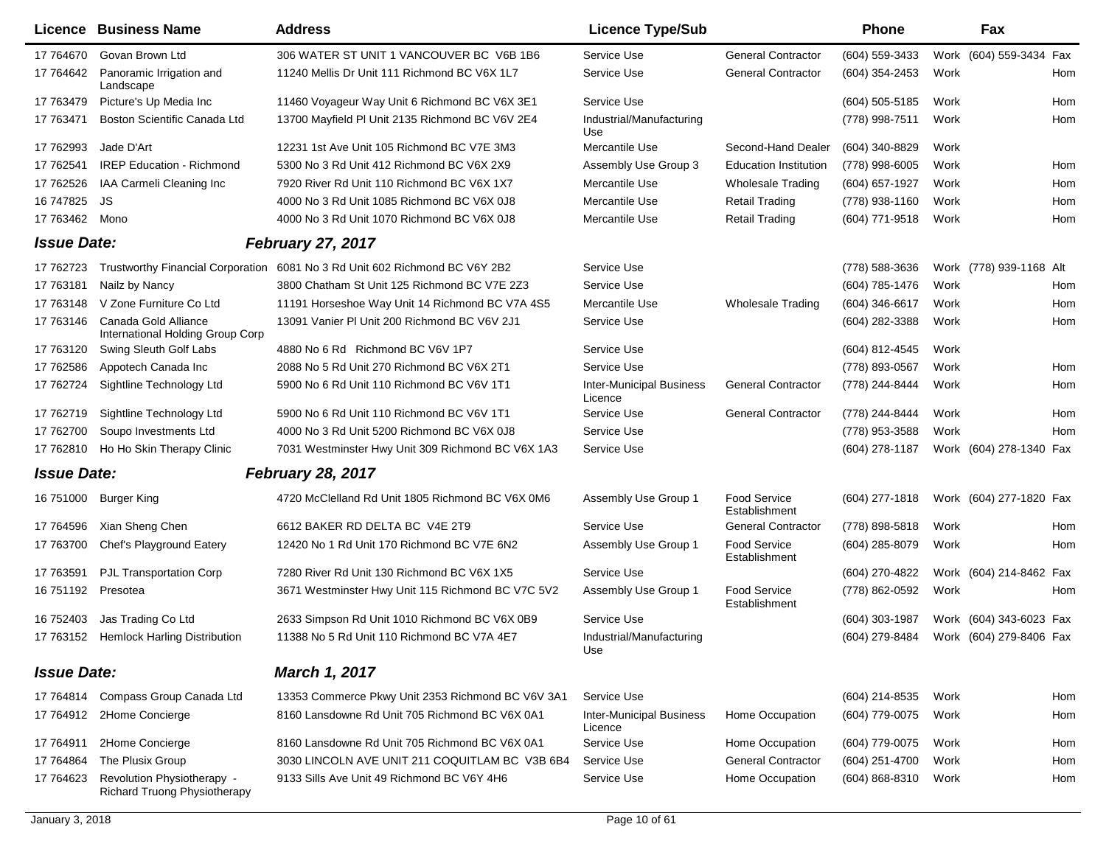| Licence            | <b>Business Name</b>                                       | <b>Address</b>                                                              | <b>Licence Type/Sub</b>                    |                                      | <b>Phone</b>     | Fax  |                         |
|--------------------|------------------------------------------------------------|-----------------------------------------------------------------------------|--------------------------------------------|--------------------------------------|------------------|------|-------------------------|
| 17 764670          | Govan Brown Ltd                                            | 306 WATER ST UNIT 1 VANCOUVER BC V6B 1B6                                    | Service Use                                | <b>General Contractor</b>            | (604) 559-3433   |      | Work (604) 559-3434 Fax |
| 17 764642          | Panoramic Irrigation and<br>Landscape                      | 11240 Mellis Dr Unit 111 Richmond BC V6X 1L7                                | Service Use                                | <b>General Contractor</b>            | (604) 354-2453   | Work | Hom                     |
| 17 763479          | Picture's Up Media Inc                                     | 11460 Voyageur Way Unit 6 Richmond BC V6X 3E1                               | Service Use                                |                                      | (604) 505-5185   | Work | Hom                     |
| 17 763471          | Boston Scientific Canada Ltd                               | 13700 Mayfield PI Unit 2135 Richmond BC V6V 2E4                             | Industrial/Manufacturing<br>Use            |                                      | (778) 998-7511   | Work | Hom                     |
| 17 762993          | Jade D'Art                                                 | 12231 1st Ave Unit 105 Richmond BC V7E 3M3                                  | Mercantile Use                             | Second-Hand Dealer                   | (604) 340-8829   | Work |                         |
| 17 762541          | <b>IREP Education - Richmond</b>                           | 5300 No 3 Rd Unit 412 Richmond BC V6X 2X9                                   | Assembly Use Group 3                       | <b>Education Institution</b>         | (778) 998-6005   | Work | Hom                     |
| 17 762526          | IAA Carmeli Cleaning Inc                                   | 7920 River Rd Unit 110 Richmond BC V6X 1X7                                  | Mercantile Use                             | <b>Wholesale Trading</b>             | (604) 657-1927   | Work | Hom                     |
| 16 747825          | <b>JS</b>                                                  | 4000 No 3 Rd Unit 1085 Richmond BC V6X 0J8                                  | Mercantile Use                             | <b>Retail Trading</b>                | (778) 938-1160   | Work | Hom                     |
| 17 763462          | Mono                                                       | 4000 No 3 Rd Unit 1070 Richmond BC V6X 0J8                                  | Mercantile Use                             | <b>Retail Trading</b>                | (604) 771-9518   | Work | Hom                     |
| <b>Issue Date:</b> |                                                            | <b>February 27, 2017</b>                                                    |                                            |                                      |                  |      |                         |
| 17 762723          |                                                            | Trustworthy Financial Corporation 6081 No 3 Rd Unit 602 Richmond BC V6Y 2B2 | Service Use                                |                                      | (778) 588-3636   |      | Work (778) 939-1168 Alt |
| 17 763181          | Nailz by Nancy                                             | 3800 Chatham St Unit 125 Richmond BC V7E 2Z3                                | Service Use                                |                                      | (604) 785-1476   | Work | Hom                     |
| 17 763148          | V Zone Furniture Co Ltd                                    | 11191 Horseshoe Way Unit 14 Richmond BC V7A 4S5                             | Mercantile Use                             | <b>Wholesale Trading</b>             | (604) 346-6617   | Work | Hom                     |
| 17 763146          | Canada Gold Alliance<br>International Holding Group Corp   | 13091 Vanier PI Unit 200 Richmond BC V6V 2J1                                | Service Use                                |                                      | (604) 282-3388   | Work | Hom                     |
| 17 763120          | Swing Sleuth Golf Labs                                     | 4880 No 6 Rd Richmond BC V6V 1P7                                            | Service Use                                |                                      | (604) 812-4545   | Work |                         |
| 17 762586          | Appotech Canada Inc                                        | 2088 No 5 Rd Unit 270 Richmond BC V6X 2T1                                   | Service Use                                |                                      | (778) 893-0567   | Work | Hom                     |
| 17 762724          | Sightline Technology Ltd                                   | 5900 No 6 Rd Unit 110 Richmond BC V6V 1T1                                   | <b>Inter-Municipal Business</b><br>Licence | <b>General Contractor</b>            | (778) 244-8444   | Work | Hom                     |
| 17 762719          | Sightline Technology Ltd                                   | 5900 No 6 Rd Unit 110 Richmond BC V6V 1T1                                   | Service Use                                | <b>General Contractor</b>            | (778) 244-8444   | Work | Hom                     |
| 17 762700          | Soupo Investments Ltd                                      | 4000 No 3 Rd Unit 5200 Richmond BC V6X 0J8                                  | Service Use                                |                                      | (778) 953-3588   | Work | Hom                     |
| 17 762810          | Ho Ho Skin Therapy Clinic                                  | 7031 Westminster Hwy Unit 309 Richmond BC V6X 1A3                           | Service Use                                |                                      | (604) 278-1187   |      | Work (604) 278-1340 Fax |
| <b>Issue Date:</b> |                                                            | <b>February 28, 2017</b>                                                    |                                            |                                      |                  |      |                         |
| 16 751000          | <b>Burger King</b>                                         | 4720 McClelland Rd Unit 1805 Richmond BC V6X 0M6                            | Assembly Use Group 1                       | <b>Food Service</b><br>Establishment | $(604)$ 277-1818 |      | Work (604) 277-1820 Fax |
| 17 764596          | Xian Sheng Chen                                            | 6612 BAKER RD DELTA BC V4E 2T9                                              | Service Use                                | <b>General Contractor</b>            | (778) 898-5818   | Work | Hom                     |
| 17 763700          | Chef's Playground Eatery                                   | 12420 No 1 Rd Unit 170 Richmond BC V7E 6N2                                  | Assembly Use Group 1                       | <b>Food Service</b><br>Establishment | (604) 285-8079   | Work | Hom                     |
| 17 763591          | PJL Transportation Corp                                    | 7280 River Rd Unit 130 Richmond BC V6X 1X5                                  | Service Use                                |                                      | (604) 270-4822   |      | Work (604) 214-8462 Fax |
| 16 751 192         | Presotea                                                   | 3671 Westminster Hwy Unit 115 Richmond BC V7C 5V2                           | Assembly Use Group 1                       | <b>Food Service</b><br>Establishment | (778) 862-0592   | Work | Hom                     |
| 16 752403          | Jas Trading Co Ltd                                         | 2633 Simpson Rd Unit 1010 Richmond BC V6X 0B9                               | Service Use                                |                                      | (604) 303-1987   |      | Work (604) 343-6023 Fax |
|                    | 17 763152 Hemlock Harling Distribution                     | 11388 No 5 Rd Unit 110 Richmond BC V7A 4E7                                  | Industrial/Manufacturing<br>Use            |                                      | (604) 279-8484   |      | Work (604) 279-8406 Fax |
| <b>Issue Date:</b> |                                                            | <b>March 1, 2017</b>                                                        |                                            |                                      |                  |      |                         |
| 17 764814          | Compass Group Canada Ltd                                   | 13353 Commerce Pkwy Unit 2353 Richmond BC V6V 3A1                           | Service Use                                |                                      | (604) 214-8535   | Work | Hom                     |
| 17 764912          | 2Home Concierge                                            | 8160 Lansdowne Rd Unit 705 Richmond BC V6X 0A1                              | <b>Inter-Municipal Business</b><br>Licence | Home Occupation                      | (604) 779-0075   | Work | Hom                     |
| 17 764911          | 2Home Concierge                                            | 8160 Lansdowne Rd Unit 705 Richmond BC V6X 0A1                              | Service Use                                | Home Occupation                      | (604) 779-0075   | Work | Hom                     |
| 17 764864          | The Plusix Group                                           | 3030 LINCOLN AVE UNIT 211 COQUITLAM BC V3B 6B4                              | Service Use                                | <b>General Contractor</b>            | (604) 251-4700   | Work | Hom                     |
| 17 764623          | Revolution Physiotherapy -<br>Richard Truong Physiotherapy | 9133 Sills Ave Unit 49 Richmond BC V6Y 4H6                                  | Service Use                                | Home Occupation                      | (604) 868-8310   | Work | Hom                     |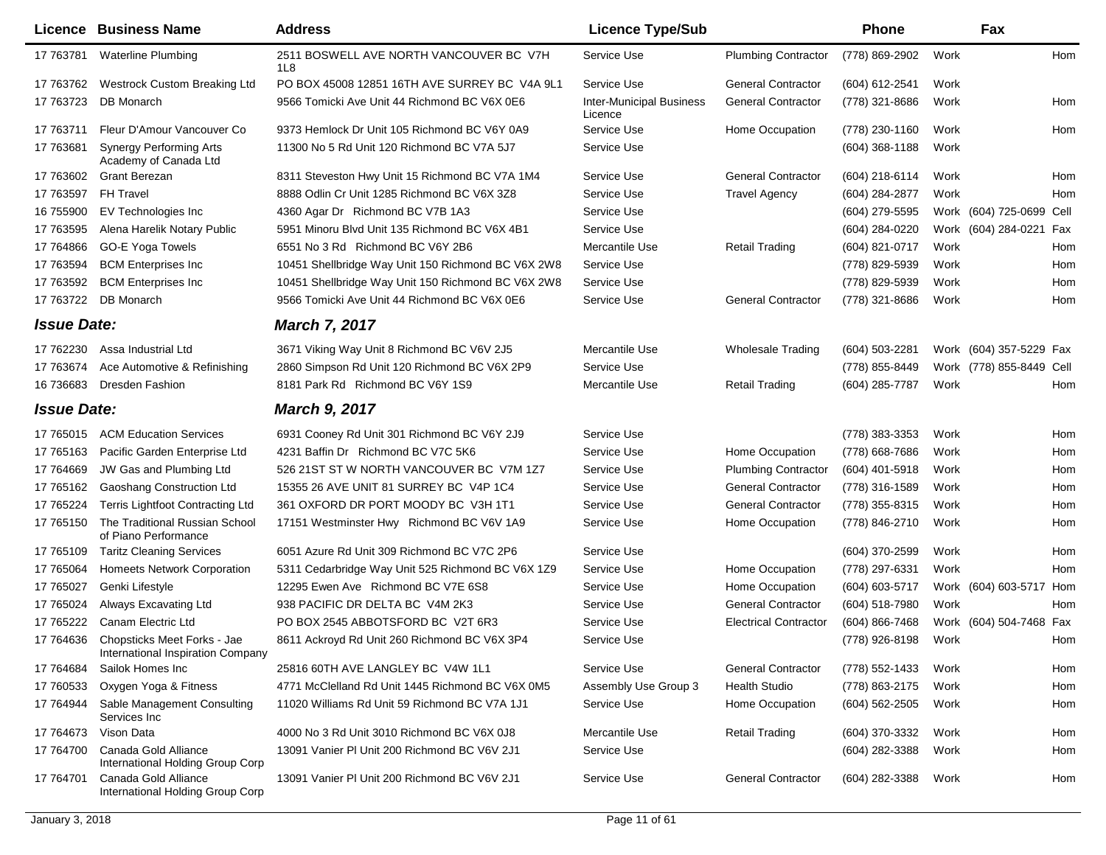|                    | Licence Business Name                                            | <b>Address</b>                                     | <b>Licence Type/Sub</b>                    |                              | Phone              |      | Fax                     |      |
|--------------------|------------------------------------------------------------------|----------------------------------------------------|--------------------------------------------|------------------------------|--------------------|------|-------------------------|------|
| 17 763781          | <b>Waterline Plumbing</b>                                        | 2511 BOSWELL AVE NORTH VANCOUVER BC V7H<br>1L8     | Service Use                                | <b>Plumbing Contractor</b>   | (778) 869-2902     | Work |                         | Hom  |
| 17 763762          | <b>Westrock Custom Breaking Ltd</b>                              | PO BOX 45008 12851 16TH AVE SURREY BC V4A 9L1      | Service Use                                | <b>General Contractor</b>    | (604) 612-2541     | Work |                         |      |
| 17 763723          | DB Monarch                                                       | 9566 Tomicki Ave Unit 44 Richmond BC V6X 0E6       | <b>Inter-Municipal Business</b><br>Licence | <b>General Contractor</b>    | (778) 321-8686     | Work |                         | Hom  |
| 17 763711          | Fleur D'Amour Vancouver Co                                       | 9373 Hemlock Dr Unit 105 Richmond BC V6Y 0A9       | Service Use                                | Home Occupation              | (778) 230-1160     | Work |                         | Hom  |
|                    | 17 763681 Synergy Performing Arts<br>Academy of Canada Ltd       | 11300 No 5 Rd Unit 120 Richmond BC V7A 5J7         | Service Use                                |                              | $(604)$ 368-1188   | Work |                         |      |
| 17 763602          | <b>Grant Berezan</b>                                             | 8311 Steveston Hwy Unit 15 Richmond BC V7A 1M4     | Service Use                                | <b>General Contractor</b>    | (604) 218-6114     | Work |                         | Hom  |
| 17 763597          | FH Travel                                                        | 8888 Odlin Cr Unit 1285 Richmond BC V6X 3Z8        | Service Use                                | <b>Travel Agency</b>         | (604) 284-2877     | Work |                         | Hom  |
| 16 755900          | EV Technologies Inc                                              | 4360 Agar Dr Richmond BC V7B 1A3                   | Service Use                                |                              | (604) 279-5595     |      | Work (604) 725-0699     | Cell |
| 17 763595          | Alena Harelik Notary Public                                      | 5951 Minoru Blvd Unit 135 Richmond BC V6X 4B1      | Service Use                                |                              | (604) 284-0220     |      | Work (604) 284-0221     | Fax  |
| 17 764866          | <b>GO-E Yoga Towels</b>                                          | 6551 No 3 Rd Richmond BC V6Y 2B6                   | Mercantile Use                             | <b>Retail Trading</b>        | (604) 821-0717     | Work |                         | Hom  |
| 17 763594          | <b>BCM Enterprises Inc</b>                                       | 10451 Shellbridge Way Unit 150 Richmond BC V6X 2W8 | Service Use                                |                              | (778) 829-5939     | Work |                         | Hom  |
| 17 763592          | <b>BCM Enterprises Inc</b>                                       | 10451 Shellbridge Way Unit 150 Richmond BC V6X 2W8 | Service Use                                |                              | (778) 829-5939     | Work |                         | Hom  |
| 17 763722          | DB Monarch                                                       | 9566 Tomicki Ave Unit 44 Richmond BC V6X 0E6       | Service Use                                | <b>General Contractor</b>    | (778) 321-8686     | Work |                         | Hom  |
| <b>Issue Date:</b> |                                                                  | <b>March 7, 2017</b>                               |                                            |                              |                    |      |                         |      |
| 17 762230          | Assa Industrial Ltd                                              | 3671 Viking Way Unit 8 Richmond BC V6V 2J5         | Mercantile Use                             | <b>Wholesale Trading</b>     | (604) 503-2281     |      | Work (604) 357-5229 Fax |      |
| 17 763674          | Ace Automotive & Refinishing                                     | 2860 Simpson Rd Unit 120 Richmond BC V6X 2P9       | Service Use                                |                              | (778) 855-8449     |      | Work (778) 855-8449     | Cell |
| 16 736683          | <b>Dresden Fashion</b>                                           | 8181 Park Rd Richmond BC V6Y 1S9                   | Mercantile Use                             | <b>Retail Trading</b>        | (604) 285-7787     | Work |                         | Hom  |
| <b>Issue Date:</b> |                                                                  | <b>March 9, 2017</b>                               |                                            |                              |                    |      |                         |      |
| 17 765015          | <b>ACM Education Services</b>                                    | 6931 Cooney Rd Unit 301 Richmond BC V6Y 2J9        | Service Use                                |                              | (778) 383-3353     | Work |                         | Hom  |
| 17 765163          | Pacific Garden Enterprise Ltd                                    | 4231 Baffin Dr Richmond BC V7C 5K6                 | Service Use                                | Home Occupation              | (778) 668-7686     | Work |                         | Hom  |
| 17 764669          | JW Gas and Plumbing Ltd                                          | 526 21ST ST W NORTH VANCOUVER BC V7M 1Z7           | Service Use                                | <b>Plumbing Contractor</b>   | (604) 401-5918     | Work |                         | Hom  |
| 17 765162          | <b>Gaoshang Construction Ltd</b>                                 | 15355 26 AVE UNIT 81 SURREY BC V4P 1C4             | Service Use                                | <b>General Contractor</b>    | (778) 316-1589     | Work |                         | Hom  |
| 17 765224          | <b>Terris Lightfoot Contracting Ltd</b>                          | 361 OXFORD DR PORT MOODY BC V3H 1T1                | Service Use                                | <b>General Contractor</b>    | (778) 355-8315     | Work |                         | Hom  |
| 17 765150          | The Traditional Russian School<br>of Piano Performance           | 17151 Westminster Hwy Richmond BC V6V 1A9          | Service Use                                | Home Occupation              | (778) 846-2710     | Work |                         | Hom  |
| 17 765109          | <b>Taritz Cleaning Services</b>                                  | 6051 Azure Rd Unit 309 Richmond BC V7C 2P6         | Service Use                                |                              | (604) 370-2599     | Work |                         | Hom  |
| 17 765064          | <b>Homeets Network Corporation</b>                               | 5311 Cedarbridge Way Unit 525 Richmond BC V6X 1Z9  | Service Use                                | Home Occupation              | (778) 297-6331     | Work |                         | Hom  |
| 17 765027          | Genki Lifestyle                                                  | 12295 Ewen Ave Richmond BC V7E 6S8                 | Service Use                                | Home Occupation              | (604) 603-5717     |      | Work (604) 603-5717     | Hom  |
| 17 765024          | Always Excavating Ltd                                            | 938 PACIFIC DR DELTA BC V4M 2K3                    | Service Use                                | <b>General Contractor</b>    | (604) 518-7980     | Work |                         | Hom  |
| 17 765222          | Canam Electric Ltd                                               | PO BOX 2545 ABBOTSFORD BC V2T 6R3                  | Service Use                                | <b>Electrical Contractor</b> | $(604) 866 - 7468$ |      | Work (604) 504-7468     | Fax  |
| 17 764636          | Chopsticks Meet Forks - Jae<br>International Inspiration Company | 8611 Ackroyd Rd Unit 260 Richmond BC V6X 3P4       | Service Use                                |                              | (778) 926-8198     | Work |                         | Hom  |
| 17 764684          | Sailok Homes Inc                                                 | 25816 60TH AVE LANGLEY BC V4W 1L1                  | Service Use                                | <b>General Contractor</b>    | (778) 552-1433     | Work |                         | Hom  |
| 17 760533          | Oxygen Yoga & Fitness                                            | 4771 McClelland Rd Unit 1445 Richmond BC V6X 0M5   | Assembly Use Group 3                       | <b>Health Studio</b>         | (778) 863-2175     | Work |                         | Hom  |
| 17 764944          | Sable Management Consulting<br>Services Inc                      | 11020 Williams Rd Unit 59 Richmond BC V7A 1J1      | Service Use                                | Home Occupation              | $(604) 562 - 2505$ | Work |                         | Hom  |
| 17 764673          | Vison Data                                                       | 4000 No 3 Rd Unit 3010 Richmond BC V6X 0J8         | Mercantile Use                             | <b>Retail Trading</b>        | (604) 370-3332     | Work |                         | Hom  |
| 17 764700          | Canada Gold Alliance<br>International Holding Group Corp         | 13091 Vanier PI Unit 200 Richmond BC V6V 2J1       | Service Use                                |                              | (604) 282-3388     | Work |                         | Hom  |
| 17 764701          | Canada Gold Alliance<br>International Holding Group Corp         | 13091 Vanier PI Unit 200 Richmond BC V6V 2J1       | Service Use                                | <b>General Contractor</b>    | (604) 282-3388     | Work |                         | Hom  |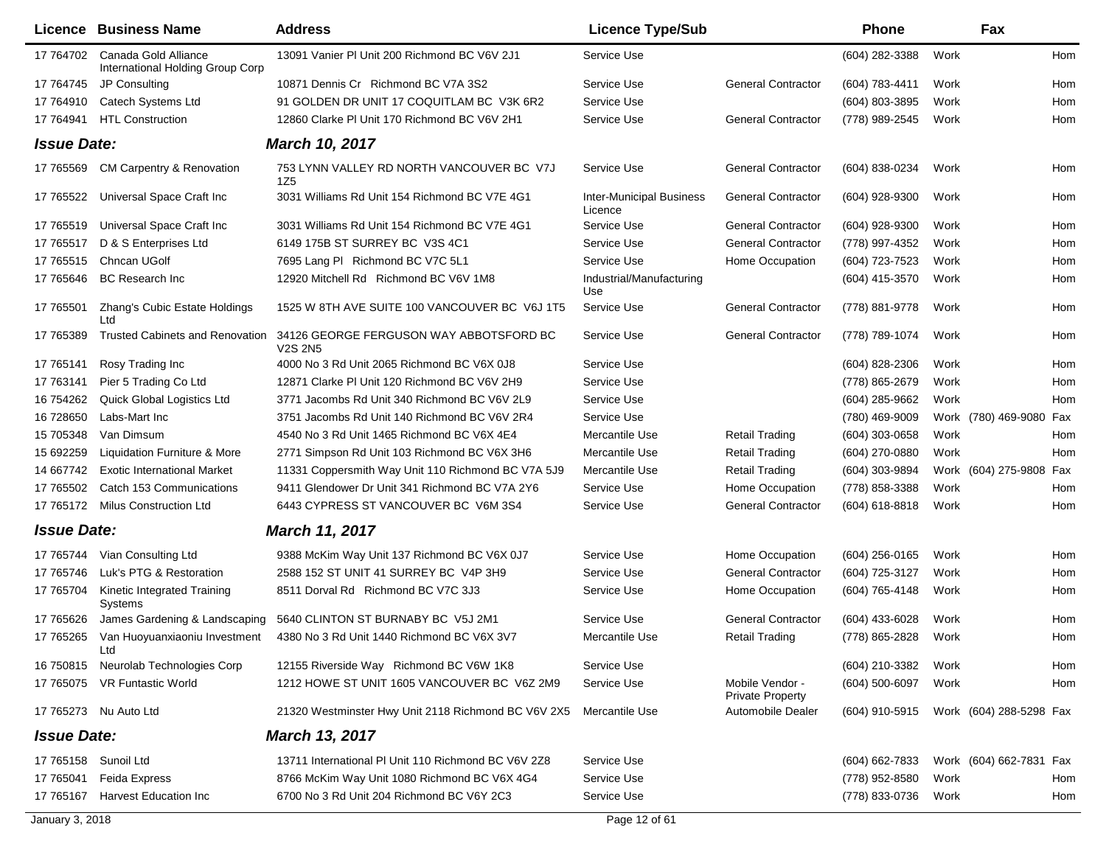|                    | <b>Licence Business Name</b>                             | <b>Address</b>                                                              | <b>Licence Type/Sub</b>                    |                                            | <b>Phone</b>       |      | Fax                     |            |
|--------------------|----------------------------------------------------------|-----------------------------------------------------------------------------|--------------------------------------------|--------------------------------------------|--------------------|------|-------------------------|------------|
| 17 764702          | Canada Gold Alliance<br>International Holding Group Corp | 13091 Vanier PI Unit 200 Richmond BC V6V 2J1                                | Service Use                                |                                            | (604) 282-3388     | Work |                         | <b>Hom</b> |
| 17 764745          | JP Consulting                                            | 10871 Dennis Cr Richmond BC V7A 3S2                                         | Service Use                                | <b>General Contractor</b>                  | (604) 783-4411     | Work |                         | Hom        |
| 17 764910          | <b>Catech Systems Ltd</b>                                | 91 GOLDEN DR UNIT 17 COQUITLAM BC V3K 6R2                                   | Service Use                                |                                            | (604) 803-3895     | Work |                         | Hom        |
| 17 764941          | <b>HTL Construction</b>                                  | 12860 Clarke PI Unit 170 Richmond BC V6V 2H1                                | Service Use                                | <b>General Contractor</b>                  | (778) 989-2545     | Work |                         | Hom        |
| <b>Issue Date:</b> |                                                          | March 10, 2017                                                              |                                            |                                            |                    |      |                         |            |
| 17 765569          | <b>CM Carpentry &amp; Renovation</b>                     | 753 LYNN VALLEY RD NORTH VANCOUVER BC V7J<br>1Z5                            | Service Use                                | <b>General Contractor</b>                  | (604) 838-0234     | Work |                         | Hom        |
| 17 765522          | Universal Space Craft Inc                                | 3031 Williams Rd Unit 154 Richmond BC V7E 4G1                               | <b>Inter-Municipal Business</b><br>Licence | <b>General Contractor</b>                  | (604) 928-9300     | Work |                         | Hom        |
| 17 765519          | Universal Space Craft Inc                                | 3031 Williams Rd Unit 154 Richmond BC V7E 4G1                               | Service Use                                | <b>General Contractor</b>                  | (604) 928-9300     | Work |                         | Hom        |
| 17 765517          | D & S Enterprises Ltd                                    | 6149 175B ST SURREY BC V3S 4C1                                              | Service Use                                | <b>General Contractor</b>                  | (778) 997-4352     | Work |                         | Hom        |
| 17 765515          | <b>Chncan UGolf</b>                                      | 7695 Lang PI Richmond BC V7C 5L1                                            | Service Use                                | Home Occupation                            | (604) 723-7523     | Work |                         | Hom        |
| 17 765646          | <b>BC Research Inc.</b>                                  | 12920 Mitchell Rd Richmond BC V6V 1M8                                       | Industrial/Manufacturing<br>Use            |                                            | (604) 415-3570     | Work |                         | Hom        |
| 17 765501          | Zhang's Cubic Estate Holdings<br>Ltd                     | 1525 W 8TH AVE SUITE 100 VANCOUVER BC V6J 1T5                               | Service Use                                | <b>General Contractor</b>                  | (778) 881-9778     | Work |                         | Hom        |
| 17 765389          | <b>Trusted Cabinets and Renovation</b>                   | 34126 GEORGE FERGUSON WAY ABBOTSFORD BC<br>V <sub>2</sub> S 2N <sub>5</sub> | Service Use                                | <b>General Contractor</b>                  | (778) 789-1074     | Work |                         | Hom        |
| 17 765141          | Rosy Trading Inc                                         | 4000 No 3 Rd Unit 2065 Richmond BC V6X 0J8                                  | Service Use                                |                                            | (604) 828-2306     | Work |                         | Hom        |
| 17 763141          | Pier 5 Trading Co Ltd                                    | 12871 Clarke PI Unit 120 Richmond BC V6V 2H9                                | Service Use                                |                                            | (778) 865-2679     | Work |                         | Hom        |
| 16 754262          | Quick Global Logistics Ltd                               | 3771 Jacombs Rd Unit 340 Richmond BC V6V 2L9                                | Service Use                                |                                            | $(604)$ 285-9662   | Work |                         | Hom        |
| 16 728650          | Labs-Mart Inc                                            | 3751 Jacombs Rd Unit 140 Richmond BC V6V 2R4                                | Service Use                                |                                            | (780) 469-9009     |      | Work (780) 469-9080     | Fax        |
| 15 705348          | Van Dimsum                                               | 4540 No 3 Rd Unit 1465 Richmond BC V6X 4E4                                  | Mercantile Use                             | <b>Retail Trading</b>                      | (604) 303-0658     | Work |                         | Hom        |
| 15 692259          | Liquidation Furniture & More                             | 2771 Simpson Rd Unit 103 Richmond BC V6X 3H6                                | Mercantile Use                             | <b>Retail Trading</b>                      | (604) 270-0880     | Work |                         | Hom        |
| 14 667742          | <b>Exotic International Market</b>                       | 11331 Coppersmith Way Unit 110 Richmond BC V7A 5J9                          | Mercantile Use                             | <b>Retail Trading</b>                      | (604) 303-9894     |      | Work (604) 275-9808 Fax |            |
| 17 765502          | Catch 153 Communications                                 | 9411 Glendower Dr Unit 341 Richmond BC V7A 2Y6                              | Service Use                                | Home Occupation                            | (778) 858-3388     | Work |                         | Hom        |
| 17 765172          | Milus Construction Ltd                                   | 6443 CYPRESS ST VANCOUVER BC V6M 3S4                                        | Service Use                                | <b>General Contractor</b>                  | (604) 618-8818     | Work |                         | Hom        |
| <b>Issue Date:</b> |                                                          | <b>March 11, 2017</b>                                                       |                                            |                                            |                    |      |                         |            |
| 17 765744          | Vian Consulting Ltd                                      | 9388 McKim Way Unit 137 Richmond BC V6X 0J7                                 | Service Use                                | Home Occupation                            | $(604)$ 256-0165   | Work |                         | Hom        |
| 17 765746          | Luk's PTG & Restoration                                  | 2588 152 ST UNIT 41 SURREY BC V4P 3H9                                       | Service Use                                | <b>General Contractor</b>                  | (604) 725-3127     | Work |                         | Hom        |
| 17 765704          | Kinetic Integrated Training<br>Systems                   | 8511 Dorval Rd Richmond BC V7C 3J3                                          | Service Use                                | Home Occupation                            | (604) 765-4148     | Work |                         | Hom        |
| 17 765626          | James Gardening & Landscaping                            | 5640 CLINTON ST BURNABY BC V5J 2M1                                          | Service Use                                | <b>General Contractor</b>                  | (604) 433-6028     | Work |                         | Hom        |
| 17 765265          | Van Huoyuanxiaoniu Investment<br>Ltd                     | 4380 No 3 Rd Unit 1440 Richmond BC V6X 3V7                                  | Mercantile Use                             | <b>Retail Trading</b>                      | (778) 865-2828     | Work |                         | Hom        |
| 16 750815          | Neurolab Technologies Corp                               | 12155 Riverside Way Richmond BC V6W 1K8                                     | Service Use                                |                                            | (604) 210-3382     | Work |                         | Hom        |
| 17 765075          | <b>VR Funtastic World</b>                                | 1212 HOWE ST UNIT 1605 VANCOUVER BC V6Z 2M9                                 | Service Use                                | Mobile Vendor -<br><b>Private Property</b> | (604) 500-6097     | Work |                         | Hom        |
|                    | 17 765273 Nu Auto Ltd                                    | 21320 Westminster Hwy Unit 2118 Richmond BC V6V 2X5                         | Mercantile Use                             | <b>Automobile Dealer</b>                   | (604) 910-5915     |      | Work (604) 288-5298 Fax |            |
| <b>Issue Date:</b> |                                                          | <b>March 13, 2017</b>                                                       |                                            |                                            |                    |      |                         |            |
|                    | 17 765158 Sunoil Ltd                                     | 13711 International PI Unit 110 Richmond BC V6V 2Z8                         | Service Use                                |                                            | $(604) 662 - 7833$ |      | Work (604) 662-7831 Fax |            |
| 17 765041          | Feida Express                                            | 8766 McKim Way Unit 1080 Richmond BC V6X 4G4                                | Service Use                                |                                            | (778) 952-8580     | Work |                         | Hom        |
| 17 765167          | <b>Harvest Education Inc</b>                             | 6700 No 3 Rd Unit 204 Richmond BC V6Y 2C3                                   | Service Use                                |                                            | (778) 833-0736     | Work |                         | Hom        |
| January 3, 2018    |                                                          |                                                                             | Page 12 of 61                              |                                            |                    |      |                         |            |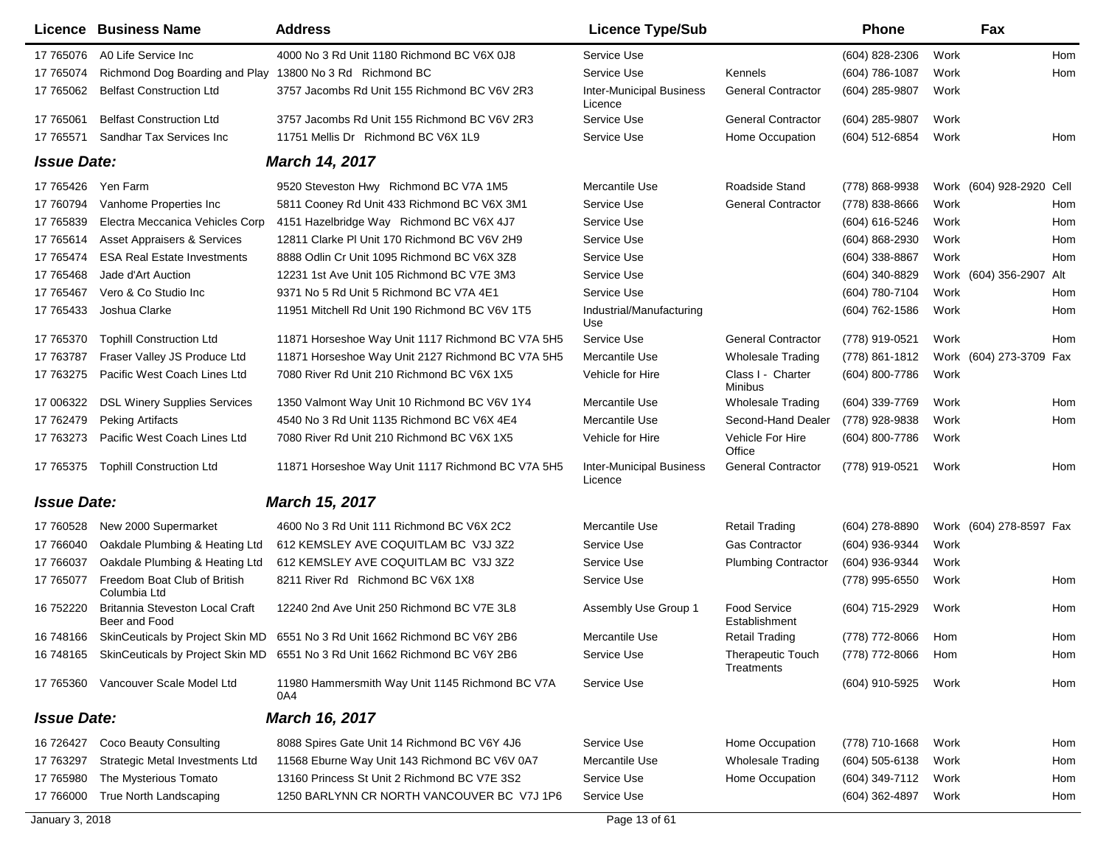|                    | Licence Business Name                                    | <b>Address</b>                                                                        | <b>Licence Type/Sub</b>                    |                                      | <b>Phone</b>   |      | Fax                      |     |
|--------------------|----------------------------------------------------------|---------------------------------------------------------------------------------------|--------------------------------------------|--------------------------------------|----------------|------|--------------------------|-----|
| 17 765076          | A0 Life Service Inc                                      | 4000 No 3 Rd Unit 1180 Richmond BC V6X 0J8                                            | Service Use                                |                                      | (604) 828-2306 | Work |                          | Hom |
| 17 765074          | Richmond Dog Boarding and Play 13800 No 3 Rd Richmond BC |                                                                                       | Service Use                                | Kennels                              | (604) 786-1087 | Work |                          | Hom |
| 17 765062          | <b>Belfast Construction Ltd</b>                          | 3757 Jacombs Rd Unit 155 Richmond BC V6V 2R3                                          | <b>Inter-Municipal Business</b><br>Licence | <b>General Contractor</b>            | (604) 285-9807 | Work |                          |     |
| 17 765061          | <b>Belfast Construction Ltd</b>                          | 3757 Jacombs Rd Unit 155 Richmond BC V6V 2R3                                          | Service Use                                | <b>General Contractor</b>            | (604) 285-9807 | Work |                          |     |
| 17 765571          | Sandhar Tax Services Inc                                 | 11751 Mellis Dr Richmond BC V6X 1L9                                                   | Service Use                                | Home Occupation                      | (604) 512-6854 | Work |                          | Hom |
| <b>Issue Date:</b> |                                                          | <b>March 14, 2017</b>                                                                 |                                            |                                      |                |      |                          |     |
| 17 765426          | Yen Farm                                                 | 9520 Steveston Hwy Richmond BC V7A 1M5                                                | Mercantile Use                             | Roadside Stand                       | (778) 868-9938 |      | Work (604) 928-2920 Cell |     |
| 17 760794          | Vanhome Properties Inc                                   | 5811 Cooney Rd Unit 433 Richmond BC V6X 3M1                                           | Service Use                                | <b>General Contractor</b>            | (778) 838-8666 | Work |                          | Hom |
| 17 765839          | Electra Meccanica Vehicles Corp                          | 4151 Hazelbridge Way Richmond BC V6X 4J7                                              | Service Use                                |                                      | (604) 616-5246 | Work |                          | Hom |
| 17 765614          | <b>Asset Appraisers &amp; Services</b>                   | 12811 Clarke PI Unit 170 Richmond BC V6V 2H9                                          | Service Use                                |                                      | (604) 868-2930 | Work |                          | Hom |
| 17 765474          | <b>ESA Real Estate Investments</b>                       | 8888 Odlin Cr Unit 1095 Richmond BC V6X 3Z8                                           | Service Use                                |                                      | (604) 338-8867 | Work |                          | Hom |
| 17 765468          | Jade d'Art Auction                                       | 12231 1st Ave Unit 105 Richmond BC V7E 3M3                                            | Service Use                                |                                      | (604) 340-8829 |      | Work (604) 356-2907 Alt  |     |
| 17 765467          | Vero & Co Studio Inc                                     | 9371 No 5 Rd Unit 5 Richmond BC V7A 4E1                                               | Service Use                                |                                      | (604) 780-7104 | Work |                          | Hom |
| 17 765433          | Joshua Clarke                                            | 11951 Mitchell Rd Unit 190 Richmond BC V6V 1T5                                        | Industrial/Manufacturing<br>Use            |                                      | (604) 762-1586 | Work |                          | Hom |
| 17 765370          | <b>Tophill Construction Ltd</b>                          | 11871 Horseshoe Way Unit 1117 Richmond BC V7A 5H5                                     | Service Use                                | <b>General Contractor</b>            | (778) 919-0521 | Work |                          | Hom |
| 17 763787          | Fraser Valley JS Produce Ltd                             | 11871 Horseshoe Way Unit 2127 Richmond BC V7A 5H5                                     | Mercantile Use                             | <b>Wholesale Trading</b>             | (778) 861-1812 |      | Work (604) 273-3709 Fax  |     |
| 17 763275          | Pacific West Coach Lines Ltd                             | 7080 River Rd Unit 210 Richmond BC V6X 1X5                                            | Vehicle for Hire                           | Class I - Charter<br>Minibus         | (604) 800-7786 | Work |                          |     |
| 17 006322          | <b>DSL Winery Supplies Services</b>                      | 1350 Valmont Way Unit 10 Richmond BC V6V 1Y4                                          | Mercantile Use                             | <b>Wholesale Trading</b>             | (604) 339-7769 | Work |                          | Hom |
| 17 762479          | <b>Peking Artifacts</b>                                  | 4540 No 3 Rd Unit 1135 Richmond BC V6X 4E4                                            | Mercantile Use                             | Second-Hand Dealer                   | (778) 928-9838 | Work |                          | Hom |
| 17 763273          | Pacific West Coach Lines Ltd                             | 7080 River Rd Unit 210 Richmond BC V6X 1X5                                            | Vehicle for Hire                           | Vehicle For Hire<br>Office           | (604) 800-7786 | Work |                          |     |
| 17 765375          | <b>Tophill Construction Ltd</b>                          | 11871 Horseshoe Way Unit 1117 Richmond BC V7A 5H5                                     | <b>Inter-Municipal Business</b><br>Licence | <b>General Contractor</b>            | (778) 919-0521 | Work |                          | Hom |
| <b>Issue Date:</b> |                                                          | <b>March 15, 2017</b>                                                                 |                                            |                                      |                |      |                          |     |
| 17 760528          | New 2000 Supermarket                                     | 4600 No 3 Rd Unit 111 Richmond BC V6X 2C2                                             | Mercantile Use                             | <b>Retail Trading</b>                | (604) 278-8890 |      | Work (604) 278-8597 Fax  |     |
| 17 766040          | Oakdale Plumbing & Heating Ltd                           | 612 KEMSLEY AVE COQUITLAM BC V3J 3Z2                                                  | Service Use                                | <b>Gas Contractor</b>                | (604) 936-9344 | Work |                          |     |
| 17 766037          | Oakdale Plumbing & Heating Ltd                           | 612 KEMSLEY AVE COQUITLAM BC V3J 3Z2                                                  | Service Use                                | <b>Plumbing Contractor</b>           | (604) 936-9344 | Work |                          |     |
| 17 765077          | Freedom Boat Club of British<br>Columbia Ltd             | 8211 River Rd Richmond BC V6X 1X8                                                     | Service Use                                |                                      | (778) 995-6550 | Work |                          | Hom |
| 16 752220          | <b>Britannia Steveston Local Craft</b><br>Beer and Food  | 12240 2nd Ave Unit 250 Richmond BC V7E 3L8                                            | Assembly Use Group 1                       | <b>Food Service</b><br>Establishment | (604) 715-2929 | Work |                          | Hom |
| 16 748166          |                                                          | SkinCeuticals by Project Skin MD 6551 No 3 Rd Unit 1662 Richmond BC V6Y 2B6           | Mercantile Use                             | <b>Retail Trading</b>                | (778) 772-8066 | Hom  |                          | Hom |
|                    |                                                          | 16 748165 SkinCeuticals by Project Skin MD 6551 No 3 Rd Unit 1662 Richmond BC V6Y 2B6 | Service Use                                | Therapeutic Touch<br>Treatments      | (778) 772-8066 | Hom  |                          | Hom |
| 17 765360          | Vancouver Scale Model Ltd                                | 11980 Hammersmith Way Unit 1145 Richmond BC V7A<br>0A4                                | Service Use                                |                                      | (604) 910-5925 | Work |                          | Hom |
| <b>Issue Date:</b> |                                                          | March 16, 2017                                                                        |                                            |                                      |                |      |                          |     |
| 16 726427          | <b>Coco Beauty Consulting</b>                            | 8088 Spires Gate Unit 14 Richmond BC V6Y 4J6                                          | Service Use                                | Home Occupation                      | (778) 710-1668 | Work |                          | Hom |
| 17 763297          | Strategic Metal Investments Ltd                          | 11568 Eburne Way Unit 143 Richmond BC V6V 0A7                                         | Mercantile Use                             | <b>Wholesale Trading</b>             | (604) 505-6138 | Work |                          | Hom |
| 17 765980          | The Mysterious Tomato                                    | 13160 Princess St Unit 2 Richmond BC V7E 3S2                                          | Service Use                                | Home Occupation                      | (604) 349-7112 | Work |                          | Hom |
| 17 766000          | True North Landscaping                                   | 1250 BARLYNN CR NORTH VANCOUVER BC V7J 1P6                                            | Service Use                                |                                      | (604) 362-4897 | Work |                          | Hom |
| January 3, 2018    |                                                          |                                                                                       | Page 13 of 61                              |                                      |                |      |                          |     |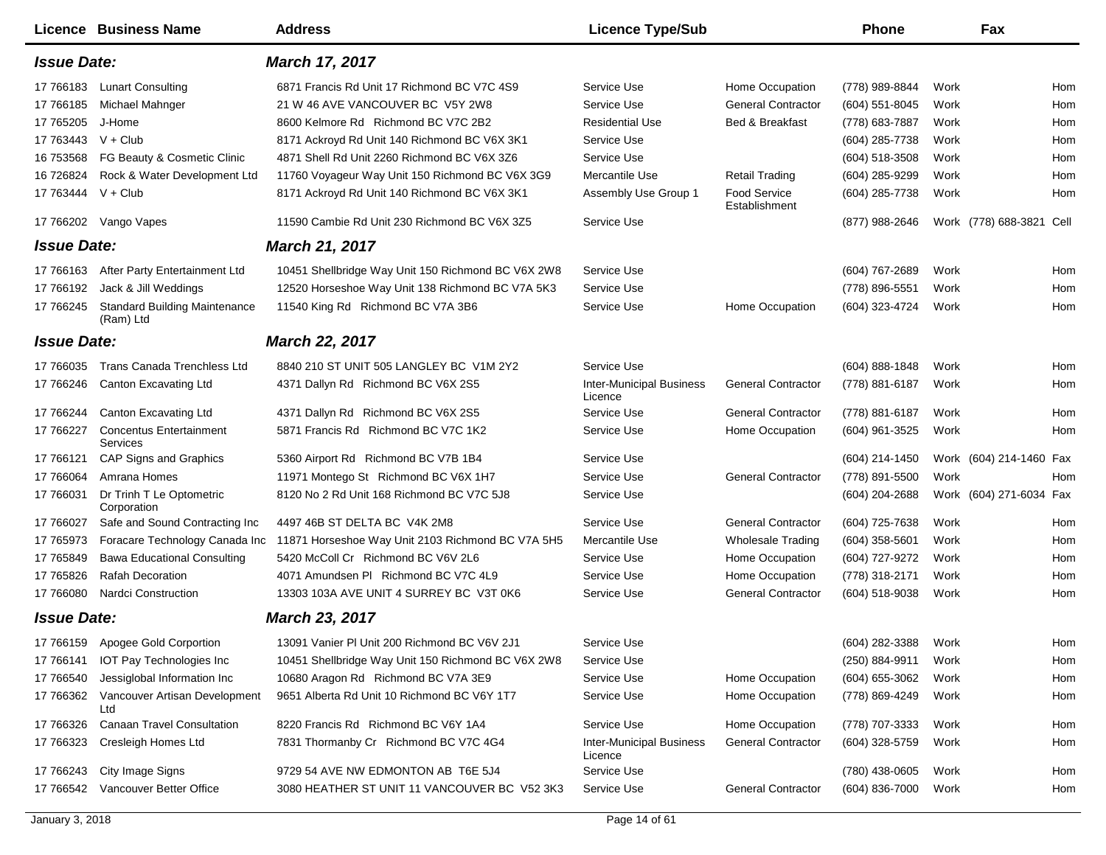|                    | Licence Business Name                             | <b>Address</b>                                     | <b>Licence Type/Sub</b>                    |                               | <b>Phone</b>     |      | Fax                      |     |
|--------------------|---------------------------------------------------|----------------------------------------------------|--------------------------------------------|-------------------------------|------------------|------|--------------------------|-----|
| <b>Issue Date:</b> |                                                   | <b>March 17, 2017</b>                              |                                            |                               |                  |      |                          |     |
|                    | 17 766183 Lunart Consulting                       | 6871 Francis Rd Unit 17 Richmond BC V7C 4S9        | Service Use                                | Home Occupation               | (778) 989-8844   | Work |                          | Hom |
| 17 766185          | Michael Mahnger                                   | 21 W 46 AVE VANCOUVER BC V5Y 2W8                   | Service Use                                | <b>General Contractor</b>     | (604) 551-8045   | Work |                          | Hom |
| 17 765205          | J-Home                                            | 8600 Kelmore Rd Richmond BC V7C 2B2                | <b>Residential Use</b>                     | Bed & Breakfast               | (778) 683-7887   | Work |                          | Hom |
| 17 763443          | $V + Club$                                        | 8171 Ackroyd Rd Unit 140 Richmond BC V6X 3K1       | Service Use                                |                               | (604) 285-7738   | Work |                          | Hom |
| 16 753568          | FG Beauty & Cosmetic Clinic                       | 4871 Shell Rd Unit 2260 Richmond BC V6X 3Z6        | Service Use                                |                               | (604) 518-3508   | Work |                          | Hom |
| 16 726824          | Rock & Water Development Ltd                      | 11760 Voyageur Way Unit 150 Richmond BC V6X 3G9    | Mercantile Use                             | <b>Retail Trading</b>         | (604) 285-9299   | Work |                          | Hom |
| 17 763444          | $V + Club$                                        | 8171 Ackroyd Rd Unit 140 Richmond BC V6X 3K1       | Assembly Use Group 1                       | Food Service<br>Establishment | (604) 285-7738   | Work |                          | Hom |
|                    | 17 766202 Vango Vapes                             | 11590 Cambie Rd Unit 230 Richmond BC V6X 3Z5       | Service Use                                |                               | (877) 988-2646   |      | Work (778) 688-3821 Cell |     |
| <b>Issue Date:</b> |                                                   | <b>March 21, 2017</b>                              |                                            |                               |                  |      |                          |     |
| 17 766163          | After Party Entertainment Ltd                     | 10451 Shellbridge Way Unit 150 Richmond BC V6X 2W8 | Service Use                                |                               | (604) 767-2689   | Work |                          | Hom |
| 17 766192          | Jack & Jill Weddings                              | 12520 Horseshoe Way Unit 138 Richmond BC V7A 5K3   | Service Use                                |                               | (778) 896-5551   | Work |                          | Hom |
| 17 766245          | <b>Standard Building Maintenance</b><br>(Ram) Ltd | 11540 King Rd Richmond BC V7A 3B6                  | Service Use                                | Home Occupation               | (604) 323-4724   | Work |                          | Hom |
| <b>Issue Date:</b> |                                                   | <b>March 22, 2017</b>                              |                                            |                               |                  |      |                          |     |
| 17 766035          | <b>Trans Canada Trenchless Ltd</b>                | 8840 210 ST UNIT 505 LANGLEY BC V1M 2Y2            | Service Use                                |                               | $(604)$ 888-1848 | Work |                          | Hom |
| 17 766246          | Canton Excavating Ltd                             | 4371 Dallyn Rd Richmond BC V6X 2S5                 | <b>Inter-Municipal Business</b><br>Licence | <b>General Contractor</b>     | (778) 881-6187   | Work |                          | Hom |
| 17 766244          | Canton Excavating Ltd                             | 4371 Dallyn Rd Richmond BC V6X 2S5                 | Service Use                                | <b>General Contractor</b>     | (778) 881-6187   | Work |                          | Hom |
| 17 766227          | <b>Concentus Entertainment</b><br>Services        | 5871 Francis Rd Richmond BC V7C 1K2                | Service Use                                | Home Occupation               | (604) 961-3525   | Work |                          | Hom |
| 17 766121          | CAP Signs and Graphics                            | 5360 Airport Rd Richmond BC V7B 1B4                | Service Use                                |                               | (604) 214-1450   |      | Work (604) 214-1460 Fax  |     |
| 17 766064          | Amrana Homes                                      | 11971 Montego St Richmond BC V6X 1H7               | Service Use                                | <b>General Contractor</b>     | (778) 891-5500   | Work |                          | Hom |
| 17 766031          | Dr Trinh T Le Optometric<br>Corporation           | 8120 No 2 Rd Unit 168 Richmond BC V7C 5J8          | Service Use                                |                               | (604) 204-2688   |      | Work (604) 271-6034 Fax  |     |
| 17 766027          | Safe and Sound Contracting Inc                    | 4497 46B ST DELTA BC V4K 2M8                       | Service Use                                | <b>General Contractor</b>     | (604) 725-7638   | Work |                          | Hom |
| 17 765973          | Foracare Technology Canada Inc                    | 11871 Horseshoe Way Unit 2103 Richmond BC V7A 5H5  | Mercantile Use                             | <b>Wholesale Trading</b>      | $(604)$ 358-5601 | Work |                          | Hom |
| 17 765849          | <b>Bawa Educational Consulting</b>                | 5420 McColl Cr Richmond BC V6V 2L6                 | Service Use                                | Home Occupation               | (604) 727-9272   | Work |                          | Hom |
| 17 765826          | <b>Rafah Decoration</b>                           | 4071 Amundsen PI Richmond BC V7C 4L9               | Service Use                                | Home Occupation               | (778) 318-2171   | Work |                          | Hom |
| 17 766080          | <b>Nardci Construction</b>                        | 13303 103A AVE UNIT 4 SURREY BC V3T 0K6            | Service Use                                | <b>General Contractor</b>     | (604) 518-9038   | Work |                          | Hom |
| <b>Issue Date:</b> |                                                   | <b>March 23, 2017</b>                              |                                            |                               |                  |      |                          |     |
| 17 766159          | Apogee Gold Corportion                            | 13091 Vanier PI Unit 200 Richmond BC V6V 2J1       | Service Use                                |                               | (604) 282-3388   | Work |                          | Hom |
| 17 766141          | IOT Pay Technologies Inc                          | 10451 Shellbridge Way Unit 150 Richmond BC V6X 2W8 | Service Use                                |                               | (250) 884-9911   | Work |                          | Hom |
| 17 766540          | Jessiglobal Information Inc                       | 10680 Aragon Rd Richmond BC V7A 3E9                | Service Use                                | Home Occupation               | (604) 655-3062   | Work |                          | Hom |
| 17 766362          | Vancouver Artisan Development<br>Ltd              | 9651 Alberta Rd Unit 10 Richmond BC V6Y 1T7        | Service Use                                | Home Occupation               | (778) 869-4249   | Work |                          | Hom |
| 17 766326          | <b>Canaan Travel Consultation</b>                 | 8220 Francis Rd Richmond BC V6Y 1A4                | Service Use                                | Home Occupation               | (778) 707-3333   | Work |                          | Hom |
| 17 766323          | Cresleigh Homes Ltd                               | 7831 Thormanby Cr Richmond BC V7C 4G4              | <b>Inter-Municipal Business</b><br>Licence | <b>General Contractor</b>     | (604) 328-5759   | Work |                          | Hom |
| 17 766243          | City Image Signs                                  | 9729 54 AVE NW EDMONTON AB T6E 5J4                 | Service Use                                |                               | (780) 438-0605   | Work |                          | Hom |
| 17 766542          | Vancouver Better Office                           | 3080 HEATHER ST UNIT 11 VANCOUVER BC V52 3K3       | Service Use                                | <b>General Contractor</b>     | $(604)$ 836-7000 | Work |                          | Hom |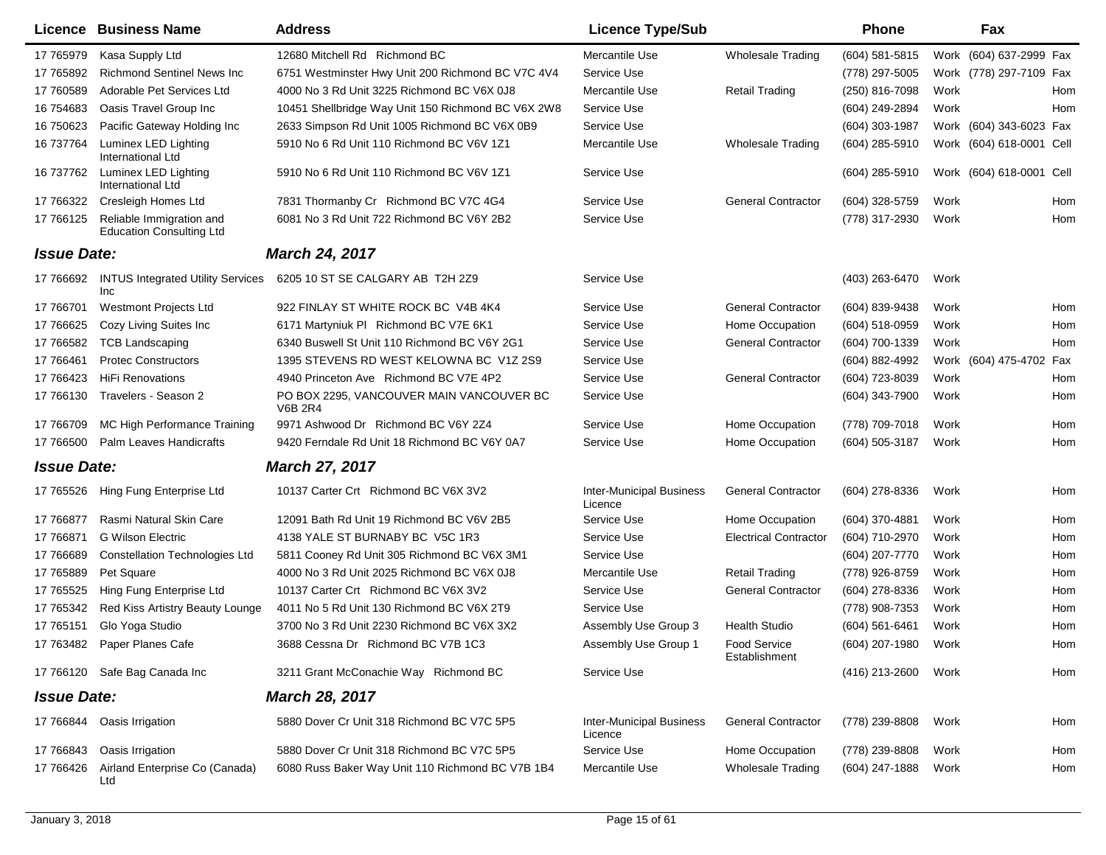|                    | Licence Business Name                                       | <b>Address</b>                                             | <b>Licence Type/Sub</b>                    |                               | <b>Phone</b>        |      | Fax                        |
|--------------------|-------------------------------------------------------------|------------------------------------------------------------|--------------------------------------------|-------------------------------|---------------------|------|----------------------------|
| 17 765979          | Kasa Supply Ltd                                             | 12680 Mitchell Rd Richmond BC                              | Mercantile Use                             | <b>Wholesale Trading</b>      | (604) 581-5815      |      | Work (604) 637-2999 Fax    |
| 17 765892          | <b>Richmond Sentinel News Inc.</b>                          | 6751 Westminster Hwy Unit 200 Richmond BC V7C 4V4          | Service Use                                |                               | (778) 297-5005      |      | Work (778) 297-7109 Fax    |
| 17 760589          | Adorable Pet Services Ltd                                   | 4000 No 3 Rd Unit 3225 Richmond BC V6X 0J8                 | Mercantile Use                             | <b>Retail Trading</b>         | (250) 816-7098      | Work | Hom                        |
| 16 754 683         | Oasis Travel Group Inc                                      | 10451 Shellbridge Way Unit 150 Richmond BC V6X 2W8         | Service Use                                |                               | (604) 249-2894      | Work | Hom                        |
| 16 750623          | Pacific Gateway Holding Inc                                 | 2633 Simpson Rd Unit 1005 Richmond BC V6X 0B9              | Service Use                                |                               | (604) 303-1987      |      | Work (604) 343-6023 Fax    |
| 16 737764          | Luminex LED Lighting<br>International Ltd                   | 5910 No 6 Rd Unit 110 Richmond BC V6V 1Z1                  | Mercantile Use                             | <b>Wholesale Trading</b>      | (604) 285-5910      |      | Work (604) 618-0001 Cell   |
| 16 737762          | Luminex LED Lighting<br>International Ltd                   | 5910 No 6 Rd Unit 110 Richmond BC V6V 1Z1                  | Service Use                                |                               | $(604)$ 285-5910    |      | Work (604) 618-0001 Cell   |
| 17 766322          | Cresleigh Homes Ltd                                         | 7831 Thormanby Cr Richmond BC V7C 4G4                      | Service Use                                | <b>General Contractor</b>     | (604) 328-5759      | Work | Hom                        |
| 17 766125          | Reliable Immigration and<br><b>Education Consulting Ltd</b> | 6081 No 3 Rd Unit 722 Richmond BC V6Y 2B2                  | Service Use                                |                               | (778) 317-2930      | Work | Hom                        |
| <b>Issue Date:</b> |                                                             | <b>March 24, 2017</b>                                      |                                            |                               |                     |      |                            |
| 17 766692          | <b>INTUS Integrated Utility Services</b><br>Inc             | 6205 10 ST SE CALGARY AB T2H 2Z9                           | Service Use                                |                               | (403) 263-6470      | Work |                            |
| 17 766701          | <b>Westmont Projects Ltd</b>                                | 922 FINLAY ST WHITE ROCK BC V4B 4K4                        | Service Use                                | <b>General Contractor</b>     | (604) 839-9438      | Work | Hom                        |
| 17 766625          | Cozy Living Suites Inc.                                     | 6171 Martyniuk PI Richmond BC V7E 6K1                      | Service Use                                | Home Occupation               | (604) 518-0959      | Work | Hom                        |
| 17 766582          | <b>TCB Landscaping</b>                                      | 6340 Buswell St Unit 110 Richmond BC V6Y 2G1               | Service Use                                | <b>General Contractor</b>     | (604) 700-1339      | Work | Hom                        |
| 17 76 64 61        | <b>Protec Constructors</b>                                  | 1395 STEVENS RD WEST KELOWNA BC V1Z 2S9                    | Service Use                                |                               | (604) 882-4992      |      | Work (604) 475-4702<br>Fax |
| 17 766423          | <b>HiFi Renovations</b>                                     | 4940 Princeton Ave Richmond BC V7E 4P2                     | Service Use                                | <b>General Contractor</b>     | (604) 723-8039      | Work | Hom                        |
| 17 766130          | Travelers - Season 2                                        | PO BOX 2295, VANCOUVER MAIN VANCOUVER BC<br><b>V6B 2R4</b> | Service Use                                |                               | (604) 343-7900      | Work | Hom                        |
| 17 766709          | MC High Performance Training                                | 9971 Ashwood Dr Richmond BC V6Y 2Z4                        | Service Use                                | Home Occupation               | (778) 709-7018      | Work | Hom                        |
| 17 766500          | Palm Leaves Handicrafts                                     | 9420 Ferndale Rd Unit 18 Richmond BC V6Y 0A7               | Service Use                                | Home Occupation               | (604) 505-3187      | Work | Hom                        |
| <b>Issue Date:</b> |                                                             | <b>March 27, 2017</b>                                      |                                            |                               |                     |      |                            |
| 17 765526          | Hing Fung Enterprise Ltd                                    | 10137 Carter Crt Richmond BC V6X 3V2                       | <b>Inter-Municipal Business</b><br>Licence | <b>General Contractor</b>     | (604) 278-8336      | Work | Hom                        |
| 17 76 6877         | Rasmi Natural Skin Care                                     | 12091 Bath Rd Unit 19 Richmond BC V6V 2B5                  | Service Use                                | Home Occupation               | (604) 370-4881      | Work | Hom                        |
| 17 76 6871         | <b>G Wilson Electric</b>                                    | 4138 YALE ST BURNABY BC V5C 1R3                            | Service Use                                | <b>Electrical Contractor</b>  | (604) 710-2970      | Work | Hom                        |
| 17 76 6689         | Constellation Technologies Ltd                              | 5811 Cooney Rd Unit 305 Richmond BC V6X 3M1                | Service Use                                |                               | (604) 207-7770      | Work | Hom                        |
| 17 765889          | Pet Square                                                  | 4000 No 3 Rd Unit 2025 Richmond BC V6X 0J8                 | Mercantile Use                             | <b>Retail Trading</b>         | (778) 926-8759      | Work | Hom                        |
| 17 765525          | Hing Fung Enterprise Ltd                                    | 10137 Carter Crt Richmond BC V6X 3V2                       | Service Use                                | <b>General Contractor</b>     | (604) 278-8336      | Work | Hom                        |
| 17 765342          | Red Kiss Artistry Beauty Lounge                             | 4011 No 5 Rd Unit 130 Richmond BC V6X 2T9                  | Service Use                                |                               | (778) 908-7353      | Work | Hom                        |
| 17 765151          | Glo Yoga Studio                                             | 3700 No 3 Rd Unit 2230 Richmond BC V6X 3X2                 | Assembly Use Group 3                       | <b>Health Studio</b>          | $(604)$ 561-6461    | Work | Hom                        |
|                    | 17 763482 Paper Planes Cafe                                 | 3688 Cessna Dr Richmond BC V7B 1C3                         | Assembly Use Group 1                       | Food Service<br>Establishment | (604) 207-1980      | Work | Hom                        |
|                    | 17 766120 Safe Bag Canada Inc                               | 3211 Grant McConachie Way Richmond BC                      | Service Use                                |                               | (416) 213-2600 Work |      | Hom                        |
| <b>Issue Date:</b> |                                                             | <b>March 28, 2017</b>                                      |                                            |                               |                     |      |                            |
|                    | 17 766844 Oasis Irrigation                                  | 5880 Dover Cr Unit 318 Richmond BC V7C 5P5                 | <b>Inter-Municipal Business</b><br>Licence | <b>General Contractor</b>     | (778) 239-8808      | Work | Hom                        |
| 17 766843          | Oasis Irrigation                                            | 5880 Dover Cr Unit 318 Richmond BC V7C 5P5                 | Service Use                                | Home Occupation               | (778) 239-8808      | Work | Hom                        |
| 17 766426          | Airland Enterprise Co (Canada)<br>Ltd                       | 6080 Russ Baker Way Unit 110 Richmond BC V7B 1B4           | Mercantile Use                             | <b>Wholesale Trading</b>      | (604) 247-1888      | Work | Hom                        |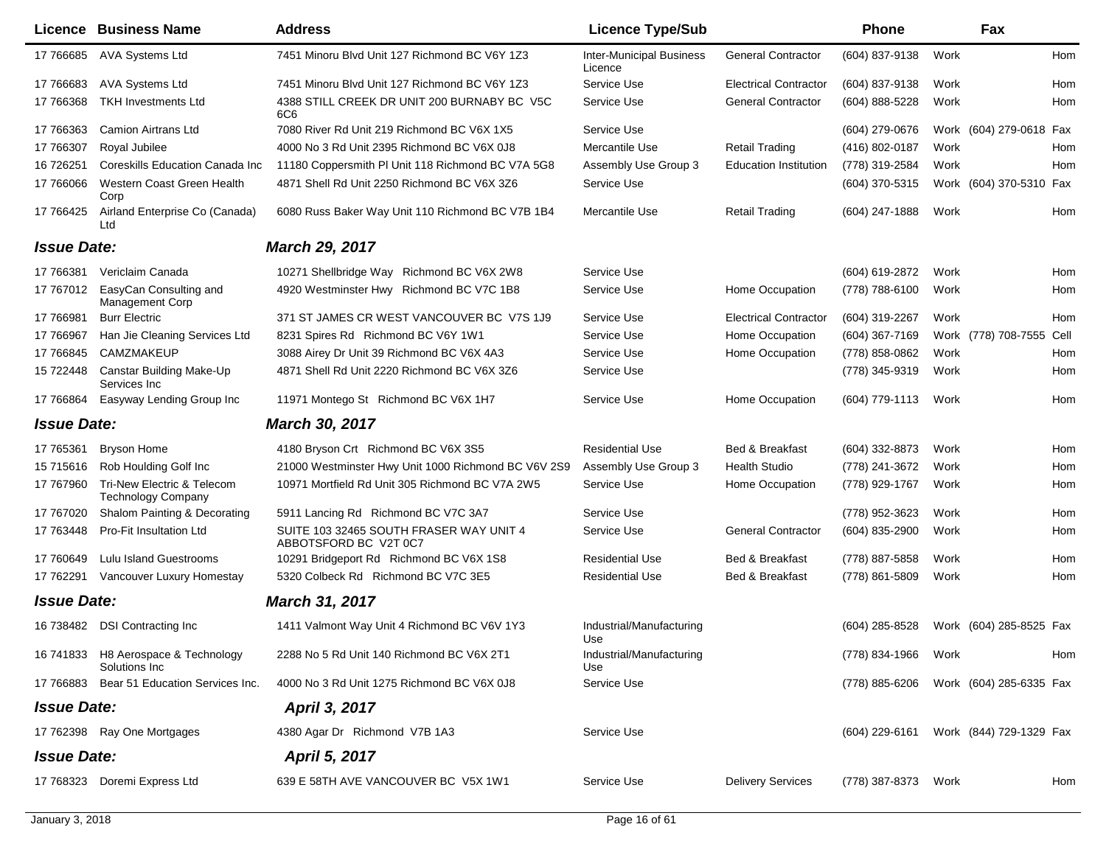|                    | Licence Business Name                                   | <b>Address</b>                                                   | <b>Licence Type/Sub</b>                    |                              | Phone            |      | Fax                      |     |
|--------------------|---------------------------------------------------------|------------------------------------------------------------------|--------------------------------------------|------------------------------|------------------|------|--------------------------|-----|
| 17 76 6685         | AVA Systems Ltd                                         | 7451 Minoru Blvd Unit 127 Richmond BC V6Y 1Z3                    | <b>Inter-Municipal Business</b><br>Licence | <b>General Contractor</b>    | (604) 837-9138   | Work |                          | Hom |
| 17 76 6683         | <b>AVA Systems Ltd</b>                                  | 7451 Minoru Blvd Unit 127 Richmond BC V6Y 1Z3                    | Service Use                                | <b>Electrical Contractor</b> | (604) 837-9138   | Work |                          | Hom |
| 17 766368          | <b>TKH Investments Ltd</b>                              | 4388 STILL CREEK DR UNIT 200 BURNABY BC V5C<br>6C6               | Service Use                                | <b>General Contractor</b>    | (604) 888-5228   | Work |                          | Hom |
| 17 766363          | <b>Camion Airtrans Ltd</b>                              | 7080 River Rd Unit 219 Richmond BC V6X 1X5                       | Service Use                                |                              | (604) 279-0676   |      | Work (604) 279-0618 Fax  |     |
| 17 766307          | Royal Jubilee                                           | 4000 No 3 Rd Unit 2395 Richmond BC V6X 0J8                       | Mercantile Use                             | <b>Retail Trading</b>        | (416) 802-0187   | Work |                          | Hom |
| 16 726251          | Coreskills Education Canada Inc                         | 11180 Coppersmith PI Unit 118 Richmond BC V7A 5G8                | Assembly Use Group 3                       | <b>Education Institution</b> | (778) 319-2584   | Work |                          | Hom |
| 17 766066          | Western Coast Green Health<br>Corp                      | 4871 Shell Rd Unit 2250 Richmond BC V6X 3Z6                      | Service Use                                |                              | (604) 370-5315   |      | Work (604) 370-5310 Fax  |     |
| 17 766425          | Airland Enterprise Co (Canada)<br>Ltd                   | 6080 Russ Baker Way Unit 110 Richmond BC V7B 1B4                 | Mercantile Use                             | <b>Retail Trading</b>        | (604) 247-1888   | Work |                          | Hom |
| <b>Issue Date:</b> |                                                         | <b>March 29, 2017</b>                                            |                                            |                              |                  |      |                          |     |
| 17 766381          | Vericlaim Canada                                        | 10271 Shellbridge Way Richmond BC V6X 2W8                        | Service Use                                |                              | (604) 619-2872   | Work |                          | Hom |
| 17 767012          | EasyCan Consulting and<br><b>Management Corp</b>        | 4920 Westminster Hwy Richmond BC V7C 1B8                         | Service Use                                | Home Occupation              | (778) 788-6100   | Work |                          | Hom |
| 17 76 6981         | <b>Burr Electric</b>                                    | 371 ST JAMES CR WEST VANCOUVER BC V7S 1J9                        | Service Use                                | <b>Electrical Contractor</b> | (604) 319-2267   | Work |                          | Hom |
| 17 766967          | Han Jie Cleaning Services Ltd                           | 8231 Spires Rd Richmond BC V6Y 1W1                               | Service Use                                | Home Occupation              | (604) 367-7169   |      | Work (778) 708-7555 Cell |     |
| 17 766845          | <b>CAMZMAKEUP</b>                                       | 3088 Airey Dr Unit 39 Richmond BC V6X 4A3                        | Service Use                                | Home Occupation              | (778) 858-0862   | Work |                          | Hom |
| 15 722448          | Canstar Building Make-Up<br>Services Inc                | 4871 Shell Rd Unit 2220 Richmond BC V6X 3Z6                      | Service Use                                |                              | (778) 345-9319   | Work |                          | Hom |
| 17 766864          | Easyway Lending Group Inc                               | 11971 Montego St Richmond BC V6X 1H7                             | Service Use                                | Home Occupation              | (604) 779-1113   | Work |                          | Hom |
| <b>Issue Date:</b> |                                                         | <b>March 30, 2017</b>                                            |                                            |                              |                  |      |                          |     |
| 17 765361          | <b>Bryson Home</b>                                      | 4180 Bryson Crt Richmond BC V6X 3S5                              | <b>Residential Use</b>                     | Bed & Breakfast              | (604) 332-8873   | Work |                          | Hom |
| 15 715616          | Rob Houlding Golf Inc                                   | 21000 Westminster Hwy Unit 1000 Richmond BC V6V 2S9              | Assembly Use Group 3                       | <b>Health Studio</b>         | (778) 241-3672   | Work |                          | Hom |
| 17 767960          | Tri-New Electric & Telecom<br><b>Technology Company</b> | 10971 Mortfield Rd Unit 305 Richmond BC V7A 2W5                  | Service Use                                | Home Occupation              | (778) 929-1767   | Work |                          | Hom |
| 17 767020          | Shalom Painting & Decorating                            | 5911 Lancing Rd Richmond BC V7C 3A7                              | Service Use                                |                              | (778) 952-3623   | Work |                          | Hom |
| 17 763448          | Pro-Fit Insultation Ltd                                 | SUITE 103 32465 SOUTH FRASER WAY UNIT 4<br>ABBOTSFORD BC V2T 0C7 | Service Use                                | <b>General Contractor</b>    | (604) 835-2900   | Work |                          | Hom |
| 17 760649          | Lulu Island Guestrooms                                  | 10291 Bridgeport Rd Richmond BC V6X 1S8                          | <b>Residential Use</b>                     | Bed & Breakfast              | (778) 887-5858   | Work |                          | Hom |
| 17 762291          | Vancouver Luxury Homestay                               | 5320 Colbeck Rd Richmond BC V7C 3E5                              | <b>Residential Use</b>                     | Bed & Breakfast              | (778) 861-5809   | Work |                          | Hom |
| <b>Issue Date:</b> |                                                         | <b>March 31, 2017</b>                                            |                                            |                              |                  |      |                          |     |
| 16 738482          | <b>DSI Contracting Inc</b>                              | 1411 Valmont Way Unit 4 Richmond BC V6V 1Y3                      | Industrial/Manufacturing<br>Use            |                              | $(604)$ 285-8528 |      | Work (604) 285-8525 Fax  |     |
|                    | 16 741833 H8 Aerospace & Technology<br>Solutions Inc    | 2288 No 5 Rd Unit 140 Richmond BC V6X 2T1                        | Industrial/Manufacturing<br>Use            |                              | (778) 834-1966   | Work |                          | Hom |
| 17 766883          | Bear 51 Education Services Inc.                         | 4000 No 3 Rd Unit 1275 Richmond BC V6X 0J8                       | Service Use                                |                              | (778) 885-6206   |      | Work (604) 285-6335 Fax  |     |
| <b>Issue Date:</b> |                                                         | April 3, 2017                                                    |                                            |                              |                  |      |                          |     |
|                    | 17 762398 Ray One Mortgages                             | 4380 Agar Dr Richmond V7B 1A3                                    | Service Use                                |                              | (604) 229-6161   |      | Work (844) 729-1329 Fax  |     |
| <b>Issue Date:</b> |                                                         | <b>April 5, 2017</b>                                             |                                            |                              |                  |      |                          |     |
|                    | 17 768323 Doremi Express Ltd                            | 639 E 58TH AVE VANCOUVER BC V5X 1W1                              | Service Use                                | <b>Delivery Services</b>     | (778) 387-8373   | Work |                          | Hom |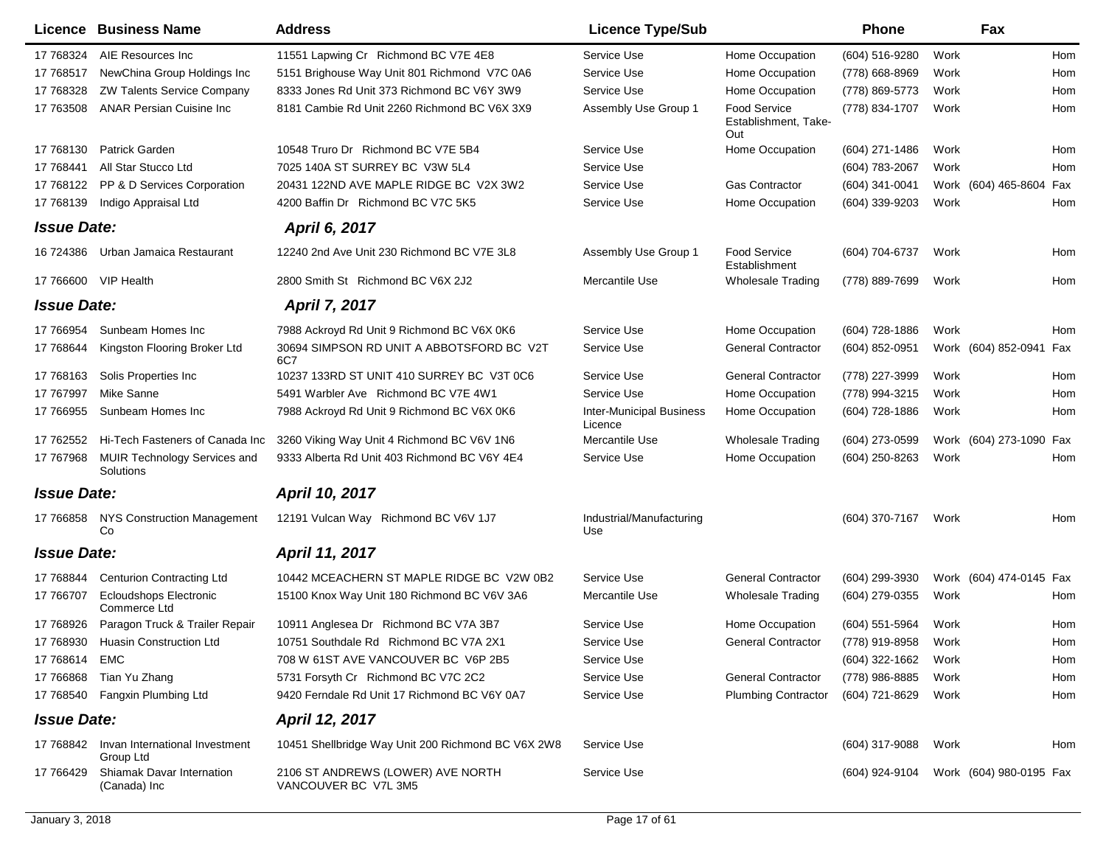|                    | Licence Business Name                         | <b>Address</b>                                            | <b>Licence Type/Sub</b>                    |                                                    | <b>Phone</b>        | Fax                     |     |
|--------------------|-----------------------------------------------|-----------------------------------------------------------|--------------------------------------------|----------------------------------------------------|---------------------|-------------------------|-----|
| 17 768324          | AIE Resources Inc                             | 11551 Lapwing Cr Richmond BC V7E 4E8                      | Service Use                                | Home Occupation                                    | (604) 516-9280      | Work                    | Hom |
| 17 768517          | NewChina Group Holdings Inc                   | 5151 Brighouse Way Unit 801 Richmond V7C 0A6              | Service Use                                | Home Occupation                                    | (778) 668-8969      | Work                    | Hom |
| 17 768328          | <b>ZW Talents Service Company</b>             | 8333 Jones Rd Unit 373 Richmond BC V6Y 3W9                | Service Use                                | Home Occupation                                    | (778) 869-5773      | Work                    | Hom |
| 17 763508          | <b>ANAR Persian Cuisine Inc.</b>              | 8181 Cambie Rd Unit 2260 Richmond BC V6X 3X9              | Assembly Use Group 1                       | <b>Food Service</b><br>Establishment, Take-<br>Out | (778) 834-1707      | Work                    | Hom |
| 17 768130          | Patrick Garden                                | 10548 Truro Dr Richmond BC V7E 5B4                        | Service Use                                | Home Occupation                                    | $(604)$ 271-1486    | Work                    | Hom |
| 17 768441          | All Star Stucco Ltd                           | 7025 140A ST SURREY BC V3W 5L4                            | Service Use                                |                                                    | (604) 783-2067      | Work                    | Hom |
| 17 768122          | PP & D Services Corporation                   | 20431 122ND AVE MAPLE RIDGE BC V2X 3W2                    | Service Use                                | <b>Gas Contractor</b>                              | (604) 341-0041      | Work (604) 465-8604     | Fax |
| 17 768139          | Indigo Appraisal Ltd                          | 4200 Baffin Dr Richmond BC V7C 5K5                        | Service Use                                | Home Occupation                                    | (604) 339-9203      | Work                    | Hom |
| <b>Issue Date:</b> |                                               | April 6, 2017                                             |                                            |                                                    |                     |                         |     |
| 16 724386          | Urban Jamaica Restaurant                      | 12240 2nd Ave Unit 230 Richmond BC V7E 3L8                | Assembly Use Group 1                       | <b>Food Service</b><br>Establishment               | (604) 704-6737      | Work                    | Hom |
|                    | 17 766600 VIP Health                          | 2800 Smith St Richmond BC V6X 2J2                         | Mercantile Use                             | <b>Wholesale Trading</b>                           | (778) 889-7699      | Work                    | Hom |
| <b>Issue Date:</b> |                                               | April 7, 2017                                             |                                            |                                                    |                     |                         |     |
| 17 766954          | Sunbeam Homes Inc                             | 7988 Ackroyd Rd Unit 9 Richmond BC V6X 0K6                | Service Use                                | Home Occupation                                    | (604) 728-1886      | Work                    | Hom |
| 17 768644          | Kingston Flooring Broker Ltd                  | 30694 SIMPSON RD UNIT A ABBOTSFORD BC V2T<br>6C7          | Service Use                                | <b>General Contractor</b>                          | (604) 852-0951      | Work (604) 852-0941     | Fax |
| 17 768163          | Solis Properties Inc                          | 10237 133RD ST UNIT 410 SURREY BC V3T 0C6                 | Service Use                                | <b>General Contractor</b>                          | (778) 227-3999      | Work                    | Hom |
| 17 767997          | Mike Sanne                                    | 5491 Warbler Ave Richmond BC V7E 4W1                      | Service Use                                | Home Occupation                                    | (778) 994-3215      | Work                    | Hom |
| 17 766955          | Sunbeam Homes Inc                             | 7988 Ackroyd Rd Unit 9 Richmond BC V6X 0K6                | <b>Inter-Municipal Business</b><br>Licence | Home Occupation                                    | (604) 728-1886      | Work                    | Hom |
| 17 762552          | Hi-Tech Fasteners of Canada Inc               | 3260 Viking Way Unit 4 Richmond BC V6V 1N6                | Mercantile Use                             | <b>Wholesale Trading</b>                           | (604) 273-0599      | Work (604) 273-1090     | Fax |
| 17 767968          | MUIR Technology Services and<br>Solutions     | 9333 Alberta Rd Unit 403 Richmond BC V6Y 4E4              | Service Use                                | Home Occupation                                    | (604) 250-8263      | Work                    | Hom |
| <b>Issue Date:</b> |                                               | April 10, 2017                                            |                                            |                                                    |                     |                         |     |
| 17 766858          | <b>NYS Construction Management</b><br>Co      | 12191 Vulcan Way Richmond BC V6V 1J7                      | Industrial/Manufacturing<br>Use            |                                                    | (604) 370-7167      | Work                    | Hom |
| <b>Issue Date:</b> |                                               | April 11, 2017                                            |                                            |                                                    |                     |                         |     |
| 17 768844          | <b>Centurion Contracting Ltd</b>              | 10442 MCEACHERN ST MAPLE RIDGE BC V2W 0B2                 | Service Use                                | <b>General Contractor</b>                          | (604) 299-3930      | Work (604) 474-0145 Fax |     |
| 17 766707          | <b>Ecloudshops Electronic</b><br>Commerce Ltd | 15100 Knox Way Unit 180 Richmond BC V6V 3A6               | Mercantile Use                             | <b>Wholesale Trading</b>                           | (604) 279-0355      | Work                    | Hom |
| 17 768926          | Paragon Truck & Trailer Repair                | 10911 Anglesea Dr Richmond BC V7A 3B7                     | Service Use                                | Home Occupation                                    | (604) 551-5964      | Work                    | Hom |
| 17 768930          | Huasin Construction Ltd                       | 10751 Southdale Rd Richmond BC V7A 2X1                    | Service Use                                | General Contractor                                 | (778) 919-8958      | Work                    | Hom |
| 17 768614 EMC      |                                               | 708 W 61ST AVE VANCOUVER BC V6P 2B5                       | Service Use                                |                                                    | (604) 322-1662 Work |                         | Hom |
|                    | 17 766868 Tian Yu Zhang                       | 5731 Forsyth Cr Richmond BC V7C 2C2                       | Service Use                                | <b>General Contractor</b>                          | (778) 986-8885      | Work                    | Hom |
|                    | 17 768540 Fangxin Plumbing Ltd                | 9420 Ferndale Rd Unit 17 Richmond BC V6Y 0A7              | Service Use                                | <b>Plumbing Contractor</b>                         | (604) 721-8629      | Work                    | Hom |
| <b>Issue Date:</b> |                                               | April 12, 2017                                            |                                            |                                                    |                     |                         |     |
| 17 768842          | Invan International Investment<br>Group Ltd   | 10451 Shellbridge Way Unit 200 Richmond BC V6X 2W8        | Service Use                                |                                                    | (604) 317-9088      | Work                    | Hom |
| 17 766429          | Shiamak Davar Internation<br>(Canada) Inc     | 2106 ST ANDREWS (LOWER) AVE NORTH<br>VANCOUVER BC V7L 3M5 | Service Use                                |                                                    | (604) 924-9104      | Work (604) 980-0195 Fax |     |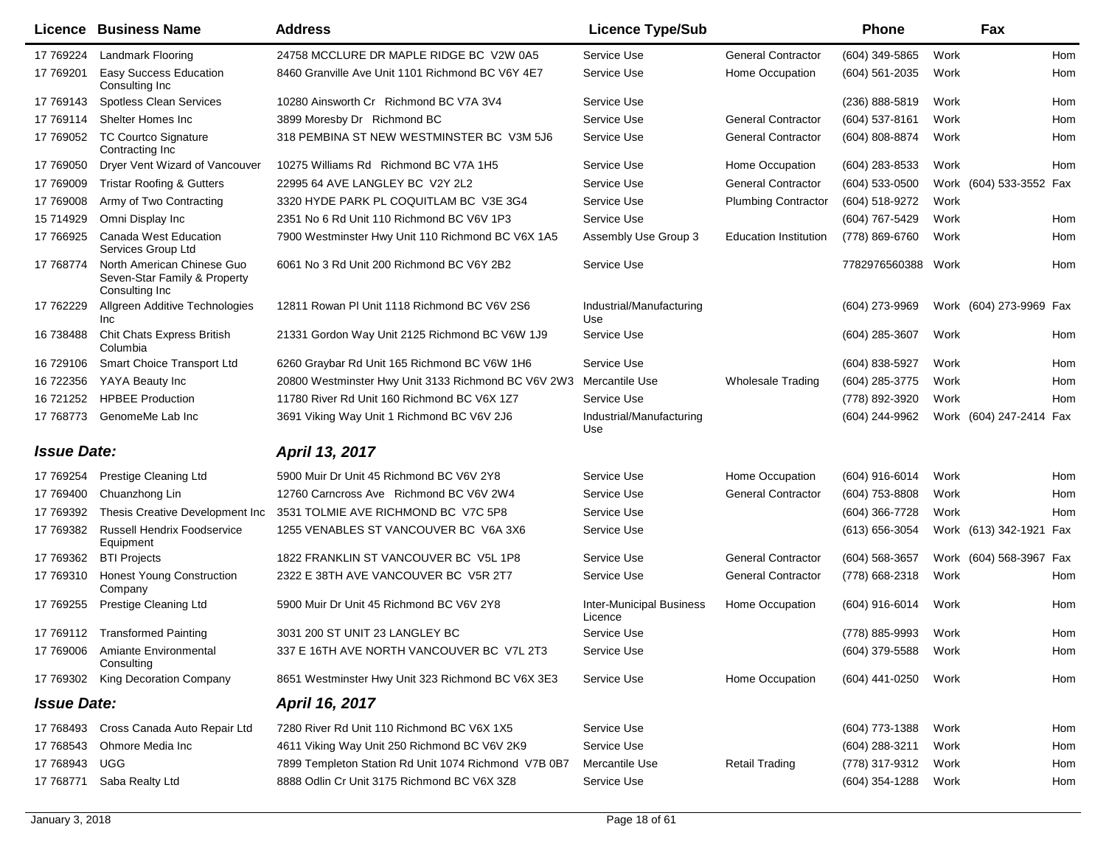|                    | <b>Licence Business Name</b>                                                 | <b>Address</b>                                                     | <b>Licence Type/Sub</b>                    |                              | <b>Phone</b>        | Fax                     |     |
|--------------------|------------------------------------------------------------------------------|--------------------------------------------------------------------|--------------------------------------------|------------------------------|---------------------|-------------------------|-----|
| 17 769224          | <b>Landmark Flooring</b>                                                     | 24758 MCCLURE DR MAPLE RIDGE BC V2W 0A5                            | Service Use                                | <b>General Contractor</b>    | (604) 349-5865      | Work                    | Hom |
| 17 769201          | <b>Easy Success Education</b><br>Consulting Inc                              | 8460 Granville Ave Unit 1101 Richmond BC V6Y 4E7                   | Service Use                                | Home Occupation              | (604) 561-2035      | Work                    | Hom |
| 17 769143          | <b>Spotless Clean Services</b>                                               | 10280 Ainsworth Cr Richmond BC V7A 3V4                             | Service Use                                |                              | (236) 888-5819      | Work                    | Hom |
| 17 769114          | Shelter Homes Inc                                                            | 3899 Moresby Dr Richmond BC                                        | Service Use                                | <b>General Contractor</b>    | (604) 537-8161      | Work                    | Hom |
| 17 769052          | <b>TC Courtco Signature</b><br>Contracting Inc                               | 318 PEMBINA ST NEW WESTMINSTER BC V3M 5J6                          | Service Use                                | <b>General Contractor</b>    | (604) 808-8874      | Work                    | Hom |
| 17 769050          | Dryer Vent Wizard of Vancouver                                               | 10275 Williams Rd Richmond BC V7A 1H5                              | Service Use                                | Home Occupation              | (604) 283-8533      | Work                    | Hom |
| 17 769009          | <b>Tristar Roofing &amp; Gutters</b>                                         | 22995 64 AVE LANGLEY BC V2Y 2L2                                    | Service Use                                | <b>General Contractor</b>    | (604) 533-0500      | Work (604) 533-3552 Fax |     |
| 17 769008          | Army of Two Contracting                                                      | 3320 HYDE PARK PL COQUITLAM BC V3E 3G4                             | Service Use                                | <b>Plumbing Contractor</b>   | (604) 518-9272      | Work                    |     |
| 15 714929          | Omni Display Inc                                                             | 2351 No 6 Rd Unit 110 Richmond BC V6V 1P3                          | Service Use                                |                              | (604) 767-5429      | Work                    | Hom |
| 17 766925          | Canada West Education<br>Services Group Ltd                                  | 7900 Westminster Hwy Unit 110 Richmond BC V6X 1A5                  | Assembly Use Group 3                       | <b>Education Institution</b> | (778) 869-6760      | Work                    | Hom |
| 17 768774          | North American Chinese Guo<br>Seven-Star Family & Property<br>Consulting Inc | 6061 No 3 Rd Unit 200 Richmond BC V6Y 2B2                          | Service Use                                |                              | 7782976560388 Work  |                         | Hom |
| 17 762229          | Allgreen Additive Technologies<br>Inc                                        | 12811 Rowan PI Unit 1118 Richmond BC V6V 2S6                       | Industrial/Manufacturing<br>Use            |                              | (604) 273-9969      | Work (604) 273-9969 Fax |     |
| 16 738488          | Chit Chats Express British<br>Columbia                                       | 21331 Gordon Way Unit 2125 Richmond BC V6W 1J9                     | Service Use                                |                              | (604) 285-3607      | Work                    | Hom |
| 16 729106          | Smart Choice Transport Ltd                                                   | 6260 Graybar Rd Unit 165 Richmond BC V6W 1H6                       | Service Use                                |                              | (604) 838-5927      | Work                    | Hom |
| 16 722356          | YAYA Beauty Inc                                                              | 20800 Westminster Hwy Unit 3133 Richmond BC V6V 2W3 Mercantile Use |                                            | <b>Wholesale Trading</b>     | (604) 285-3775      | Work                    | Hom |
| 16 721252          | <b>HPBEE Production</b>                                                      | 11780 River Rd Unit 160 Richmond BC V6X 1Z7                        | Service Use                                |                              | (778) 892-3920      | Work                    | Hom |
| 17 768773          | GenomeMe Lab Inc                                                             | 3691 Viking Way Unit 1 Richmond BC V6V 2J6                         | Industrial/Manufacturing<br>Use            |                              | (604) 244-9962      | Work (604) 247-2414 Fax |     |
| <b>Issue Date:</b> |                                                                              | April 13, 2017                                                     |                                            |                              |                     |                         |     |
| 17 769254          | Prestige Cleaning Ltd                                                        | 5900 Muir Dr Unit 45 Richmond BC V6V 2Y8                           | Service Use                                | Home Occupation              | (604) 916-6014      | Work                    | Hom |
| 17 769400          | Chuanzhong Lin                                                               | 12760 Carncross Ave Richmond BC V6V 2W4                            | Service Use                                | <b>General Contractor</b>    | (604) 753-8808      | Work                    | Hom |
| 17 769392          | Thesis Creative Development Inc                                              | 3531 TOLMIE AVE RICHMOND BC V7C 5P8                                | Service Use                                |                              | (604) 366-7728      | Work                    | Hom |
| 17 769382          | <b>Russell Hendrix Foodservice</b><br>Equipment                              | 1255 VENABLES ST VANCOUVER BC V6A 3X6                              | Service Use                                |                              | (613) 656-3054      | Work (613) 342-1921 Fax |     |
| 17 769362          | <b>BTI Projects</b>                                                          | 1822 FRANKLIN ST VANCOUVER BC V5L 1P8                              | Service Use                                | <b>General Contractor</b>    | (604) 568-3657      | Work (604) 568-3967 Fax |     |
| 17 769310          | <b>Honest Young Construction</b><br>Company                                  | 2322 E 38TH AVE VANCOUVER BC V5R 2T7                               | Service Use                                | <b>General Contractor</b>    | (778) 668-2318      | Work                    | Hom |
| 17 769255          | Prestige Cleaning Ltd                                                        | 5900 Muir Dr Unit 45 Richmond BC V6V 2Y8                           | <b>Inter-Municipal Business</b><br>Licence | Home Occupation              | (604) 916-6014      | Work                    | Hom |
|                    | 17 769112 Transformed Painting                                               | 3031 200 ST UNIT 23 LANGLEY BC                                     | Service Use                                |                              | (778) 885-9993      | Work                    | Hom |
| 17 769006          | Amiante Environmental<br>Consulting                                          | 337 E 16TH AVE NORTH VANCOUVER BC V7L 2T3                          | Service Use                                |                              | (604) 379-5588 Work |                         | Hom |
| 17 769302          | King Decoration Company                                                      | 8651 Westminster Hwy Unit 323 Richmond BC V6X 3E3                  | Service Use                                | Home Occupation              | (604) 441-0250      | Work                    | Hom |
| <b>Issue Date:</b> |                                                                              | April 16, 2017                                                     |                                            |                              |                     |                         |     |
| 17 768493          | Cross Canada Auto Repair Ltd                                                 | 7280 River Rd Unit 110 Richmond BC V6X 1X5                         | Service Use                                |                              | (604) 773-1388      | Work                    | Hom |
| 17 768543          | Ohmore Media Inc                                                             | 4611 Viking Way Unit 250 Richmond BC V6V 2K9                       | Service Use                                |                              | (604) 288-3211      | Work                    | Hom |
| 17 768943          | <b>UGG</b>                                                                   | 7899 Templeton Station Rd Unit 1074 Richmond V7B 0B7               | Mercantile Use                             | <b>Retail Trading</b>        | (778) 317-9312      | Work                    | Hom |
| 17 768771          | Saba Realty Ltd                                                              | 8888 Odlin Cr Unit 3175 Richmond BC V6X 3Z8                        | Service Use                                |                              | (604) 354-1288      | Work                    | Hom |
|                    |                                                                              |                                                                    |                                            |                              |                     |                         |     |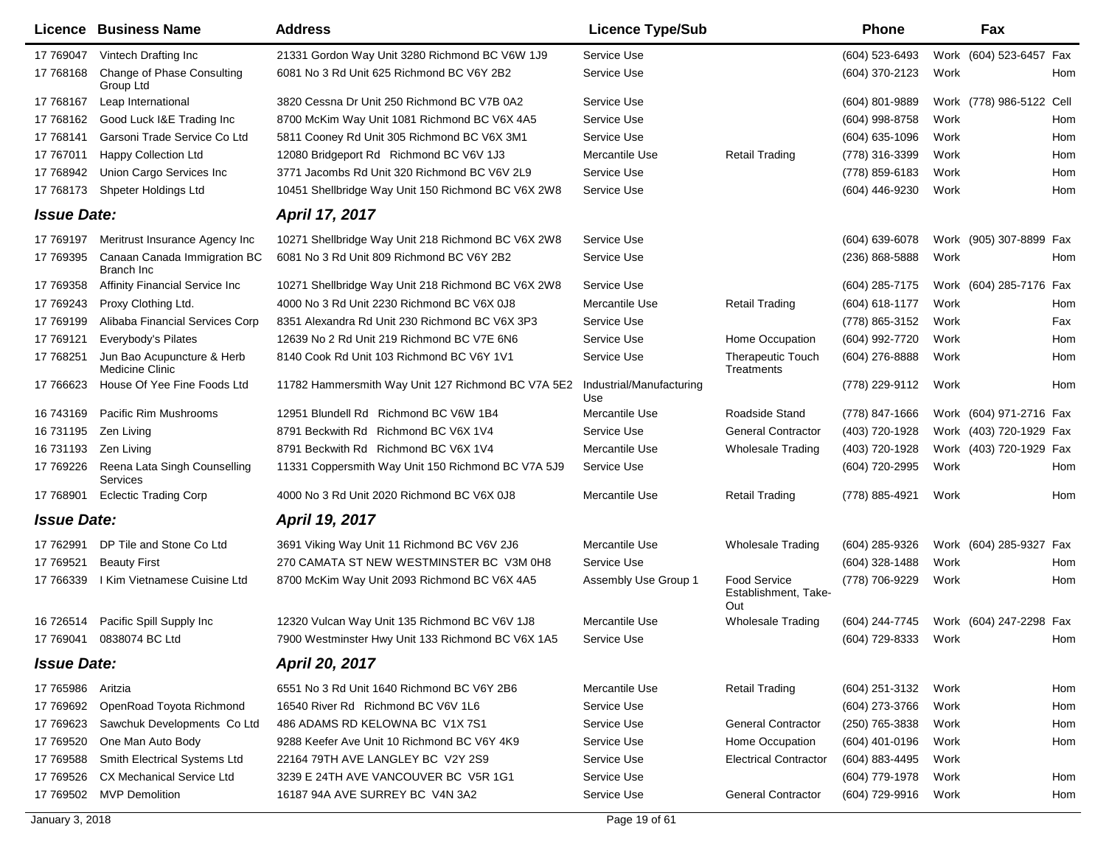|                    | <b>Licence Business Name</b>                  | <b>Address</b>                                     | <b>Licence Type/Sub</b>         |                                             | <b>Phone</b>     |      | Fax                      |     |
|--------------------|-----------------------------------------------|----------------------------------------------------|---------------------------------|---------------------------------------------|------------------|------|--------------------------|-----|
| 17 769047          | Vintech Drafting Inc                          | 21331 Gordon Way Unit 3280 Richmond BC V6W 1J9     | Service Use                     |                                             | (604) 523-6493   |      | Work (604) 523-6457 Fax  |     |
| 17 768168          | Change of Phase Consulting<br>Group Ltd       | 6081 No 3 Rd Unit 625 Richmond BC V6Y 2B2          | Service Use                     |                                             | (604) 370-2123   | Work |                          | Hom |
| 17 768167          | Leap International                            | 3820 Cessna Dr Unit 250 Richmond BC V7B 0A2        | Service Use                     |                                             | (604) 801-9889   |      | Work (778) 986-5122 Cell |     |
| 17 768162          | Good Luck I&E Trading Inc                     | 8700 McKim Way Unit 1081 Richmond BC V6X 4A5       | Service Use                     |                                             | (604) 998-8758   | Work |                          | Hom |
| 17 768141          | Garsoni Trade Service Co Ltd                  | 5811 Cooney Rd Unit 305 Richmond BC V6X 3M1        | Service Use                     |                                             | $(604)$ 635-1096 | Work |                          | Hom |
| 17 767011          | Happy Collection Ltd                          | 12080 Bridgeport Rd Richmond BC V6V 1J3            | Mercantile Use                  | <b>Retail Trading</b>                       | (778) 316-3399   | Work |                          | Hom |
| 17 768942          | Union Cargo Services Inc                      | 3771 Jacombs Rd Unit 320 Richmond BC V6V 2L9       | Service Use                     |                                             | (778) 859-6183   | Work |                          | Hom |
| 17 768173          | Shpeter Holdings Ltd                          | 10451 Shellbridge Way Unit 150 Richmond BC V6X 2W8 | Service Use                     |                                             | (604) 446-9230   | Work |                          | Hom |
| <b>Issue Date:</b> |                                               | April 17, 2017                                     |                                 |                                             |                  |      |                          |     |
| 17 769197          | Meritrust Insurance Agency Inc                | 10271 Shellbridge Way Unit 218 Richmond BC V6X 2W8 | Service Use                     |                                             | (604) 639-6078   |      | Work (905) 307-8899 Fax  |     |
| 17 769395          | Canaan Canada Immigration BC<br>Branch Inc    | 6081 No 3 Rd Unit 809 Richmond BC V6Y 2B2          | Service Use                     |                                             | $(236)$ 868-5888 | Work |                          | Hom |
| 17 769358          | <b>Affinity Financial Service Inc</b>         | 10271 Shellbridge Way Unit 218 Richmond BC V6X 2W8 | Service Use                     |                                             | (604) 285-7175   |      | Work (604) 285-7176 Fax  |     |
| 17 769243          | Proxy Clothing Ltd.                           | 4000 No 3 Rd Unit 2230 Richmond BC V6X 0J8         | Mercantile Use                  | <b>Retail Trading</b>                       | (604) 618-1177   | Work |                          | Hom |
| 17 769199          | Alibaba Financial Services Corp               | 8351 Alexandra Rd Unit 230 Richmond BC V6X 3P3     | Service Use                     |                                             | (778) 865-3152   | Work |                          | Fax |
| 17 769121          | Everybody's Pilates                           | 12639 No 2 Rd Unit 219 Richmond BC V7E 6N6         | Service Use                     | Home Occupation                             | (604) 992-7720   | Work |                          | Hom |
| 17 768251          | Jun Bao Acupuncture & Herb<br>Medicine Clinic | 8140 Cook Rd Unit 103 Richmond BC V6Y 1V1          | Service Use                     | Therapeutic Touch<br>Treatments             | (604) 276-8888   | Work |                          | Hom |
| 17 766623          | House Of Yee Fine Foods Ltd                   | 11782 Hammersmith Way Unit 127 Richmond BC V7A 5E2 | Industrial/Manufacturing<br>Use |                                             | (778) 229-9112   | Work |                          | Hom |
| 16 743169          | Pacific Rim Mushrooms                         | 12951 Blundell Rd Richmond BC V6W 1B4              | Mercantile Use                  | Roadside Stand                              | (778) 847-1666   |      | Work (604) 971-2716 Fax  |     |
| 16 731195          | Zen Living                                    | 8791 Beckwith Rd Richmond BC V6X 1V4               | Service Use                     | <b>General Contractor</b>                   | (403) 720-1928   |      | Work (403) 720-1929 Fax  |     |
| 16 731193          | Zen Living                                    | 8791 Beckwith Rd Richmond BC V6X 1V4               | Mercantile Use                  | <b>Wholesale Trading</b>                    | (403) 720-1928   |      | Work (403) 720-1929 Fax  |     |
| 17 769226          | Reena Lata Singh Counselling<br>Services      | 11331 Coppersmith Way Unit 150 Richmond BC V7A 5J9 | Service Use                     |                                             | (604) 720-2995   | Work |                          | Hom |
| 17 768901          | <b>Eclectic Trading Corp</b>                  | 4000 No 3 Rd Unit 2020 Richmond BC V6X 0J8         | Mercantile Use                  | Retail Trading                              | (778) 885-4921   | Work |                          | Hom |
| <b>Issue Date:</b> |                                               | April 19, 2017                                     |                                 |                                             |                  |      |                          |     |
| 17 762991          | DP Tile and Stone Co Ltd                      | 3691 Viking Way Unit 11 Richmond BC V6V 2J6        | Mercantile Use                  | <b>Wholesale Trading</b>                    | (604) 285-9326   |      | Work (604) 285-9327 Fax  |     |
| 17 769521          | <b>Beauty First</b>                           | 270 CAMATA ST NEW WESTMINSTER BC V3M 0H8           | Service Use                     |                                             | (604) 328-1488   | Work |                          | Hom |
| 17 766339          | I Kim Vietnamese Cuisine Ltd                  | 8700 McKim Way Unit 2093 Richmond BC V6X 4A5       | Assembly Use Group 1            | Food Service<br>Establishment, Take-<br>Out | (778) 706-9229   | Work |                          | Hom |
| 16 72 6514         | Pacific Spill Supply Inc                      | 12320 Vulcan Way Unit 135 Richmond BC V6V 1J8      | Mercantile Use                  | Wholesale Trading                           | (604) 244-7745   |      | Work (604) 247-2298 Fax  |     |
| 17 769041          | 0838074 BC Ltd                                | 7900 Westminster Hwy Unit 133 Richmond BC V6X 1A5  | Service Use                     |                                             | (604) 729-8333   | Work |                          | Hom |
| <b>Issue Date:</b> |                                               | April 20, 2017                                     |                                 |                                             |                  |      |                          |     |
| 17 765986          | Aritzia                                       | 6551 No 3 Rd Unit 1640 Richmond BC V6Y 2B6         | Mercantile Use                  | <b>Retail Trading</b>                       | (604) 251-3132   | Work |                          | Hom |
| 17 769692          | OpenRoad Toyota Richmond                      | 16540 River Rd Richmond BC V6V 1L6                 | Service Use                     |                                             | (604) 273-3766   | Work |                          | Hom |
| 17 769623          | Sawchuk Developments Co Ltd                   | 486 ADAMS RD KELOWNA BC V1X 7S1                    | Service Use                     | <b>General Contractor</b>                   | (250) 765-3838   | Work |                          | Hom |
| 17 769520          | One Man Auto Body                             | 9288 Keefer Ave Unit 10 Richmond BC V6Y 4K9        | Service Use                     | Home Occupation                             | (604) 401-0196   | Work |                          | Hom |
| 17 769588          | Smith Electrical Systems Ltd                  | 22164 79TH AVE LANGLEY BC V2Y 2S9                  | Service Use                     | <b>Electrical Contractor</b>                | (604) 883-4495   | Work |                          |     |
| 17 769526          | <b>CX Mechanical Service Ltd</b>              | 3239 E 24TH AVE VANCOUVER BC V5R 1G1               | Service Use                     |                                             | (604) 779-1978   | Work |                          | Hom |
| 17 769502          | <b>MVP Demolition</b>                         | 16187 94A AVE SURREY BC V4N 3A2                    | Service Use                     | <b>General Contractor</b>                   | (604) 729-9916   | Work |                          | Hom |
| January 3, 2018    |                                               |                                                    | Page 19 of 61                   |                                             |                  |      |                          |     |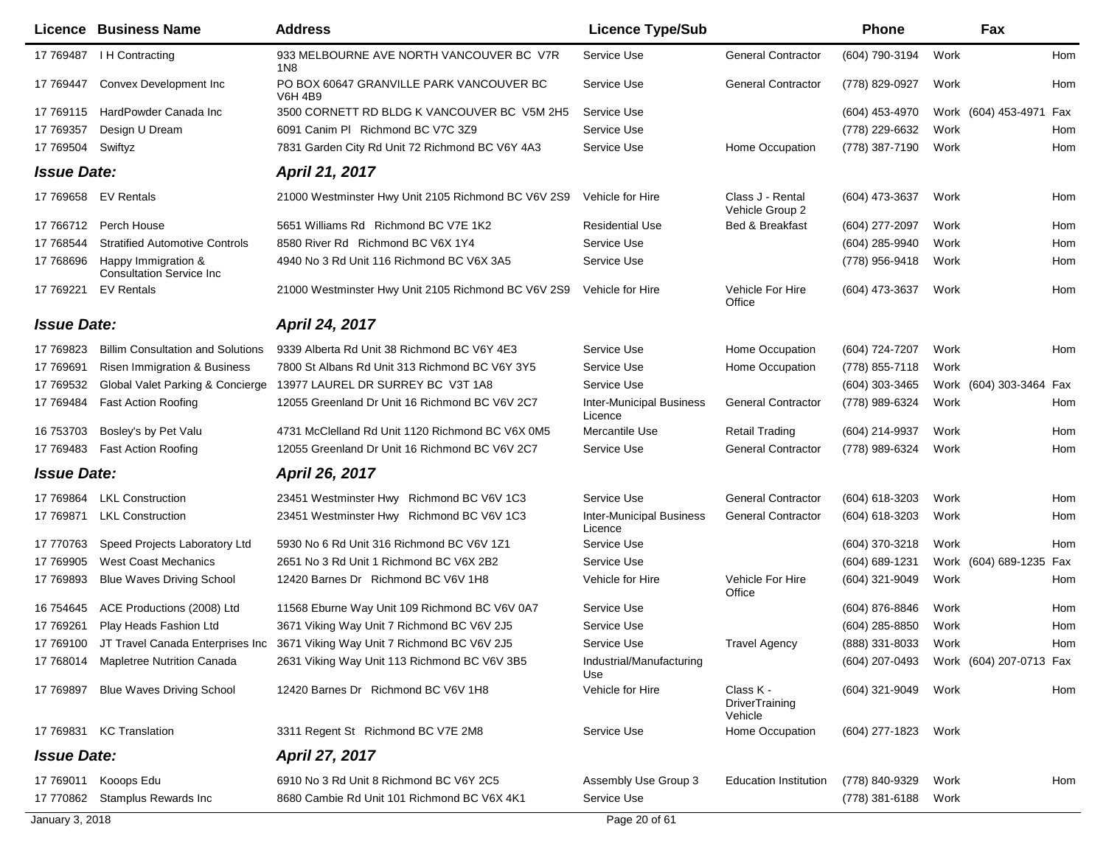| Licence            | <b>Business Name</b>                                   | <b>Address</b>                                                                        | <b>Licence Type/Sub</b>                    |                                        | <b>Phone</b>                           |      | Fax                     |     |
|--------------------|--------------------------------------------------------|---------------------------------------------------------------------------------------|--------------------------------------------|----------------------------------------|----------------------------------------|------|-------------------------|-----|
| 17 769487          | I H Contracting                                        | 933 MELBOURNE AVE NORTH VANCOUVER BC V7R<br>1N <sub>8</sub>                           | Service Use                                | <b>General Contractor</b>              | (604) 790-3194                         | Work |                         | Hom |
| 17 769447          | Convex Development Inc                                 | PO BOX 60647 GRANVILLE PARK VANCOUVER BC<br>V6H 4B9                                   | Service Use                                | <b>General Contractor</b>              | (778) 829-0927                         | Work |                         | Hom |
| 17 769115          | HardPowder Canada Inc                                  | 3500 CORNETT RD BLDG K VANCOUVER BC V5M 2H5                                           | Service Use                                |                                        | (604) 453-4970                         |      | Work (604) 453-4971     | Fax |
| 17 769357          | Design U Dream                                         | 6091 Canim PI Richmond BC V7C 3Z9                                                     | Service Use                                |                                        | (778) 229-6632                         | Work |                         | Hom |
| 17 769504          | Swiftyz                                                | 7831 Garden City Rd Unit 72 Richmond BC V6Y 4A3                                       | Service Use                                | Home Occupation                        | (778) 387-7190                         | Work |                         | Hom |
| <b>Issue Date:</b> |                                                        | April 21, 2017                                                                        |                                            |                                        |                                        |      |                         |     |
| 17 769658          | <b>EV Rentals</b>                                      | 21000 Westminster Hwy Unit 2105 Richmond BC V6V 2S9                                   | Vehicle for Hire                           | Class J - Rental<br>Vehicle Group 2    | (604) 473-3637                         | Work |                         | Hom |
| 17 766712          | Perch House                                            | 5651 Williams Rd Richmond BC V7E 1K2                                                  | <b>Residential Use</b>                     | Bed & Breakfast                        | (604) 277-2097                         | Work |                         | Hom |
| 17 768544          | <b>Stratified Automotive Controls</b>                  | 8580 River Rd Richmond BC V6X 1Y4                                                     | Service Use                                |                                        | (604) 285-9940                         | Work |                         | Hom |
| 17 768696          | Happy Immigration &<br><b>Consultation Service Inc</b> | 4940 No 3 Rd Unit 116 Richmond BC V6X 3A5                                             | Service Use                                |                                        | (778) 956-9418                         | Work |                         | Hom |
| 17 769221          | <b>EV Rentals</b>                                      | 21000 Westminster Hwy Unit 2105 Richmond BC V6V 2S9                                   | Vehicle for Hire                           | Vehicle For Hire<br>Office             | (604) 473-3637                         | Work |                         | Hom |
| <b>Issue Date:</b> |                                                        | April 24, 2017                                                                        |                                            |                                        |                                        |      |                         |     |
| 17 769823          | <b>Billim Consultation and Solutions</b>               | 9339 Alberta Rd Unit 38 Richmond BC V6Y 4E3                                           | Service Use                                | Home Occupation                        | (604) 724-7207                         | Work |                         | Hom |
| 17 769691          | <b>Risen Immigration &amp; Business</b>                | 7800 St Albans Rd Unit 313 Richmond BC V6Y 3Y5                                        | Service Use                                | Home Occupation                        | (778) 855-7118                         | Work |                         |     |
| 17 769532          | Global Valet Parking & Concierge                       | 13977 LAUREL DR SURREY BC V3T 1A8                                                     | Service Use                                |                                        | (604) 303-3465                         |      | Work (604) 303-3464 Fax |     |
| 17 769484          | <b>Fast Action Roofing</b>                             | 12055 Greenland Dr Unit 16 Richmond BC V6V 2C7                                        | <b>Inter-Municipal Business</b><br>Licence | <b>General Contractor</b>              | (778) 989-6324                         | Work |                         | Hom |
| 16 753703          | Bosley's by Pet Valu                                   | 4731 McClelland Rd Unit 1120 Richmond BC V6X 0M5                                      | Mercantile Use                             | <b>Retail Trading</b>                  | (604) 214-9937                         | Work |                         | Hom |
| 17 769483          | <b>Fast Action Roofing</b>                             | 12055 Greenland Dr Unit 16 Richmond BC V6V 2C7                                        | Service Use                                | <b>General Contractor</b>              | (778) 989-6324                         | Work |                         | Hom |
| <b>Issue Date:</b> |                                                        | April 26, 2017                                                                        |                                            |                                        |                                        |      |                         |     |
| 17 769864          | <b>LKL Construction</b>                                | 23451 Westminster Hwy Richmond BC V6V 1C3                                             | Service Use                                | <b>General Contractor</b>              | (604) 618-3203                         | Work |                         | Hom |
| 17 769871          | <b>LKL Construction</b>                                | 23451 Westminster Hwy Richmond BC V6V 1C3                                             | <b>Inter-Municipal Business</b><br>Licence | <b>General Contractor</b>              | (604) 618-3203                         | Work |                         | Hom |
| 17 770763          | Speed Projects Laboratory Ltd                          | 5930 No 6 Rd Unit 316 Richmond BC V6V 1Z1                                             | Service Use                                |                                        | (604) 370-3218                         | Work |                         | Hom |
| 17 769905          | <b>West Coast Mechanics</b>                            | 2651 No 3 Rd Unit 1 Richmond BC V6X 2B2                                               | Service Use                                |                                        | (604) 689-1231                         |      | Work (604) 689-1235 Fax |     |
| 17 769893          | <b>Blue Waves Driving School</b>                       | 12420 Barnes Dr Richmond BC V6V 1H8                                                   | Vehicle for Hire                           | Vehicle For Hire<br>Office             | (604) 321-9049                         | Work |                         | Hom |
| 16 754645          | ACE Productions (2008) Ltd                             | 11568 Eburne Way Unit 109 Richmond BC V6V 0A7                                         | Service Use                                |                                        | (604) 876-8846                         | Work |                         | Hom |
| 17 769261          | Play Heads Fashion Ltd                                 | 3671 Viking Way Unit 7 Richmond BC V6V 2J5                                            | Service Use                                |                                        | (604) 285-8850                         | Work |                         | Hom |
|                    |                                                        | 17 769100 JT Travel Canada Enterprises Inc 3671 Viking Way Unit 7 Richmond BC V6V 2J5 | Service Use                                | <b>Travel Agency</b>                   | (888) 331-8033                         | Work |                         | Hom |
|                    | 17 768014 Mapletree Nutrition Canada                   | 2631 Viking Way Unit 113 Richmond BC V6V 3B5                                          | Industrial/Manufacturing<br>Use            |                                        | (604) 207-0493 Work (604) 207-0713 Fax |      |                         |     |
| 17 769897          | <b>Blue Waves Driving School</b>                       | 12420 Barnes Dr Richmond BC V6V 1H8                                                   | Vehicle for Hire                           | Class K -<br>DriverTraining<br>Vehicle | (604) 321-9049                         | Work |                         | Hom |
|                    | 17 769831 KC Translation                               | 3311 Regent St Richmond BC V7E 2M8                                                    | Service Use                                | Home Occupation                        | (604) 277-1823 Work                    |      |                         |     |
| <b>Issue Date:</b> |                                                        | <b>April 27, 2017</b>                                                                 |                                            |                                        |                                        |      |                         |     |
|                    | 17 769011 Kooops Edu                                   | 6910 No 3 Rd Unit 8 Richmond BC V6Y 2C5                                               | Assembly Use Group 3                       | <b>Education Institution</b>           | (778) 840-9329                         | Work |                         | Hom |
|                    | 17 770862 Stamplus Rewards Inc                         | 8680 Cambie Rd Unit 101 Richmond BC V6X 4K1                                           | Service Use                                |                                        | (778) 381-6188                         | Work |                         |     |
| January 3, 2018    |                                                        |                                                                                       | Page 20 of 61                              |                                        |                                        |      |                         |     |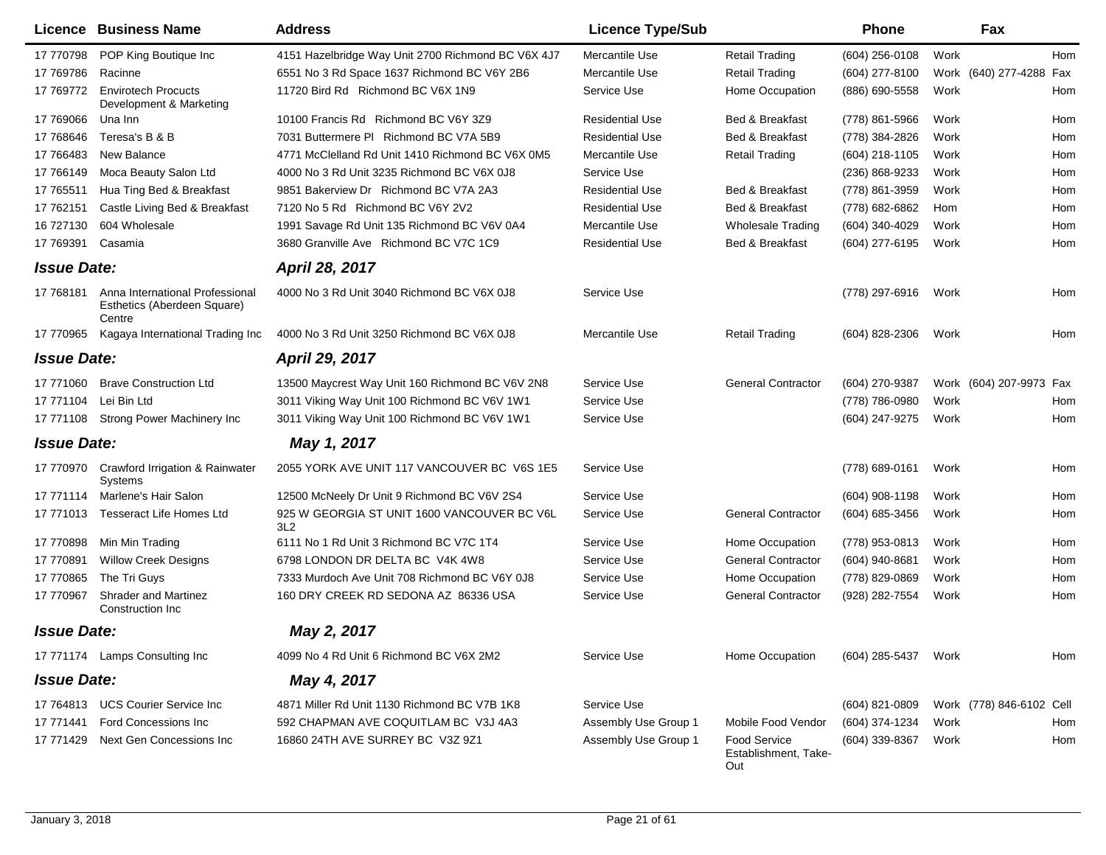|                    | <b>Licence Business Name</b>                                             | <b>Address</b>                                     | <b>Licence Type/Sub</b> |                                                    | Phone               | Fax                      |     |
|--------------------|--------------------------------------------------------------------------|----------------------------------------------------|-------------------------|----------------------------------------------------|---------------------|--------------------------|-----|
| 17 770798          | POP King Boutique Inc                                                    | 4151 Hazelbridge Way Unit 2700 Richmond BC V6X 4J7 | Mercantile Use          | <b>Retail Trading</b>                              | $(604)$ 256-0108    | Work                     | Hom |
| 17 769786          | Racinne                                                                  | 6551 No 3 Rd Space 1637 Richmond BC V6Y 2B6        | Mercantile Use          | <b>Retail Trading</b>                              | (604) 277-8100      | Work (640) 277-4288 Fax  |     |
| 17 769772          | <b>Envirotech Procucts</b><br>Development & Marketing                    | 11720 Bird Rd Richmond BC V6X 1N9                  | Service Use             | Home Occupation                                    | (886) 690-5558      | Work                     | Hom |
| 17 769066          | Una Inn                                                                  | 10100 Francis Rd Richmond BC V6Y 3Z9               | <b>Residential Use</b>  | Bed & Breakfast                                    | (778) 861-5966      | Work                     | Hom |
| 17 768646          | Teresa's B & B                                                           | 7031 Buttermere PI Richmond BC V7A 5B9             | <b>Residential Use</b>  | Bed & Breakfast                                    | (778) 384-2826      | Work                     | Hom |
| 17 76 6483         | New Balance                                                              | 4771 McClelland Rd Unit 1410 Richmond BC V6X 0M5   | Mercantile Use          | <b>Retail Trading</b>                              | (604) 218-1105      | Work                     | Hom |
| 17 766149          | Moca Beauty Salon Ltd                                                    | 4000 No 3 Rd Unit 3235 Richmond BC V6X 0J8         | Service Use             |                                                    | (236) 868-9233      | Work                     | Hom |
| 17 765511          | Hua Ting Bed & Breakfast                                                 | 9851 Bakerview Dr Richmond BC V7A 2A3              | <b>Residential Use</b>  | Bed & Breakfast                                    | (778) 861-3959      | Work                     | Hom |
| 17 762151          | Castle Living Bed & Breakfast                                            | 7120 No 5 Rd Richmond BC V6Y 2V2                   | <b>Residential Use</b>  | Bed & Breakfast                                    | (778) 682-6862      | Hom                      | Hom |
| 16 727130          | 604 Wholesale                                                            | 1991 Savage Rd Unit 135 Richmond BC V6V 0A4        | Mercantile Use          | <b>Wholesale Trading</b>                           | (604) 340-4029      | Work                     | Hom |
| 17 769391          | Casamia                                                                  | 3680 Granville Ave Richmond BC V7C 1C9             | <b>Residential Use</b>  | Bed & Breakfast                                    | (604) 277-6195      | Work                     | Hom |
| <b>Issue Date:</b> |                                                                          | April 28, 2017                                     |                         |                                                    |                     |                          |     |
| 17 768181          | Anna International Professional<br>Esthetics (Aberdeen Square)<br>Centre | 4000 No 3 Rd Unit 3040 Richmond BC V6X 0J8         | Service Use             |                                                    | (778) 297-6916      | Work                     | Hom |
| 17 770965          | Kagaya International Trading Inc                                         | 4000 No 3 Rd Unit 3250 Richmond BC V6X 0J8         | Mercantile Use          | <b>Retail Trading</b>                              | (604) 828-2306      | Work                     | Hom |
| <b>Issue Date:</b> |                                                                          | April 29, 2017                                     |                         |                                                    |                     |                          |     |
| 17 771060          | <b>Brave Construction Ltd</b>                                            | 13500 Maycrest Way Unit 160 Richmond BC V6V 2N8    | Service Use             | <b>General Contractor</b>                          | (604) 270-9387      | Work (604) 207-9973 Fax  |     |
| 17 771104          | Lei Bin Ltd                                                              | 3011 Viking Way Unit 100 Richmond BC V6V 1W1       | Service Use             |                                                    | (778) 786-0980      | Work                     | Hom |
| 17 771108          | Strong Power Machinery Inc                                               | 3011 Viking Way Unit 100 Richmond BC V6V 1W1       | Service Use             |                                                    | (604) 247-9275      | Work                     | Hom |
| <b>Issue Date:</b> |                                                                          | May 1, 2017                                        |                         |                                                    |                     |                          |     |
| 17 770970          | Crawford Irrigation & Rainwater<br>Systems                               | 2055 YORK AVE UNIT 117 VANCOUVER BC V6S 1E5        | Service Use             |                                                    | (778) 689-0161      | Work                     | Hom |
| 17 771114          | Marlene's Hair Salon                                                     | 12500 McNeely Dr Unit 9 Richmond BC V6V 2S4        | Service Use             |                                                    | (604) 908-1198      | Work                     | Hom |
| 17 771013          | <b>Tesseract Life Homes Ltd</b>                                          | 925 W GEORGIA ST UNIT 1600 VANCOUVER BC V6L<br>3L2 | Service Use             | <b>General Contractor</b>                          | (604) 685-3456      | Work                     | Hom |
| 17 770898          | Min Min Trading                                                          | 6111 No 1 Rd Unit 3 Richmond BC V7C 1T4            | Service Use             | Home Occupation                                    | (778) 953-0813      | Work                     | Hom |
| 17 770891          | <b>Willow Creek Designs</b>                                              | 6798 LONDON DR DELTA BC V4K 4W8                    | Service Use             | <b>General Contractor</b>                          | (604) 940-8681      | Work                     | Hom |
| 17 770865          | The Tri Guys                                                             | 7333 Murdoch Ave Unit 708 Richmond BC V6Y 0J8      | Service Use             | Home Occupation                                    | (778) 829-0869      | Work                     | Hom |
| 17 770967          | <b>Shrader and Martinez</b><br>Construction Inc                          | 160 DRY CREEK RD SEDONA AZ 86336 USA               | Service Use             | <b>General Contractor</b>                          | (928) 282-7554      | Work                     | Hom |
| <b>Issue Date:</b> |                                                                          | May 2, 2017                                        |                         |                                                    |                     |                          |     |
|                    | 17 771174 Lamps Consulting Inc                                           | 4099 No 4 Rd Unit 6 Richmond BC V6X 2M2            | Service Use             | Home Occupation                                    | (604) 285-5437 Work |                          | Hom |
| <b>Issue Date:</b> |                                                                          | May 4, 2017                                        |                         |                                                    |                     |                          |     |
|                    | 17 764813 UCS Courier Service Inc                                        | 4871 Miller Rd Unit 1130 Richmond BC V7B 1K8       | Service Use             |                                                    | (604) 821-0809      | Work (778) 846-6102 Cell |     |
| 17 771441          | Ford Concessions Inc.                                                    | 592 CHAPMAN AVE COQUITLAM BC V3J 4A3               | Assembly Use Group 1    | Mobile Food Vendor                                 | (604) 374-1234      | Work                     | Hom |
| 17 771429          | Next Gen Concessions Inc                                                 | 16860 24TH AVE SURREY BC V3Z 9Z1                   | Assembly Use Group 1    | <b>Food Service</b><br>Establishment, Take-<br>Out | (604) 339-8367      | Work                     | Hom |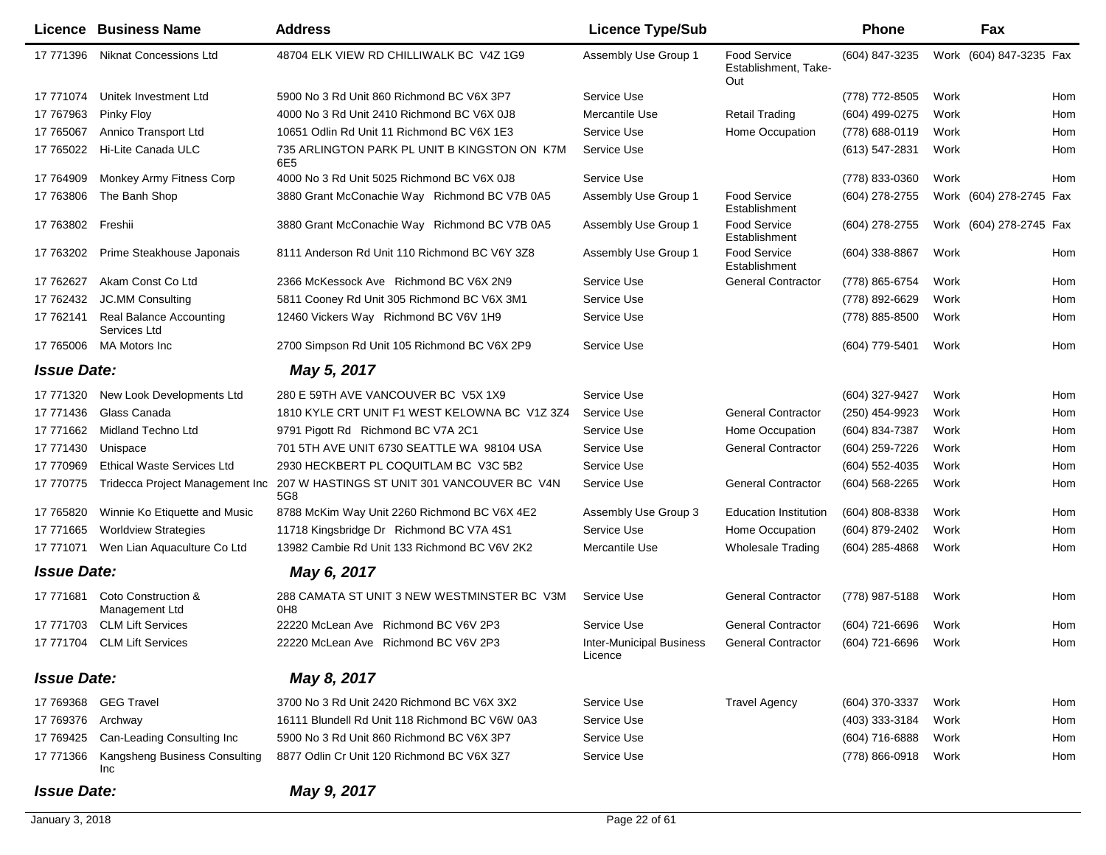| Licence            | <b>Business Name</b>                           | <b>Address</b>                                                 | <b>Licence Type/Sub</b>                    |                                                    | <b>Phone</b>     |      | Fax                     |     |
|--------------------|------------------------------------------------|----------------------------------------------------------------|--------------------------------------------|----------------------------------------------------|------------------|------|-------------------------|-----|
| 17 771396          | <b>Niknat Concessions Ltd</b>                  | 48704 ELK VIEW RD CHILLIWALK BC V4Z 1G9                        | Assembly Use Group 1                       | <b>Food Service</b><br>Establishment, Take-<br>Out | (604) 847-3235   |      | Work (604) 847-3235 Fax |     |
| 17 771074          | Unitek Investment Ltd                          | 5900 No 3 Rd Unit 860 Richmond BC V6X 3P7                      | Service Use                                |                                                    | (778) 772-8505   | Work |                         | Hom |
| 17 767963          | Pinky Floy                                     | 4000 No 3 Rd Unit 2410 Richmond BC V6X 0J8                     | Mercantile Use                             | <b>Retail Trading</b>                              | (604) 499-0275   | Work |                         | Hom |
| 17 765067          | Annico Transport Ltd                           | 10651 Odlin Rd Unit 11 Richmond BC V6X 1E3                     | Service Use                                | Home Occupation                                    | (778) 688-0119   | Work |                         | Hom |
| 17 765022          | Hi-Lite Canada ULC                             | 735 ARLINGTON PARK PL UNIT B KINGSTON ON K7M<br>6E5            | Service Use                                |                                                    | (613) 547-2831   | Work |                         | Hom |
| 17 764909          | <b>Monkey Army Fitness Corp</b>                | 4000 No 3 Rd Unit 5025 Richmond BC V6X 0J8                     | Service Use                                |                                                    | (778) 833-0360   | Work |                         | Hom |
| 17 763806          | The Banh Shop                                  | 3880 Grant McConachie Way Richmond BC V7B 0A5                  | Assembly Use Group 1                       | <b>Food Service</b><br>Establishment               | (604) 278-2755   |      | Work (604) 278-2745 Fax |     |
| 17 763802          | Freshii                                        | 3880 Grant McConachie Way Richmond BC V7B 0A5                  | Assembly Use Group 1                       | <b>Food Service</b><br>Establishment               | (604) 278-2755   |      | Work (604) 278-2745 Fax |     |
| 17 763202          | Prime Steakhouse Japonais                      | 8111 Anderson Rd Unit 110 Richmond BC V6Y 3Z8                  | Assembly Use Group 1                       | <b>Food Service</b><br>Establishment               | (604) 338-8867   | Work |                         | Hom |
| 17 762627          | Akam Const Co Ltd                              | 2366 McKessock Ave Richmond BC V6X 2N9                         | Service Use                                | <b>General Contractor</b>                          | (778) 865-6754   | Work |                         | Hom |
| 17 762432          | <b>JC.MM Consulting</b>                        | 5811 Cooney Rd Unit 305 Richmond BC V6X 3M1                    | Service Use                                |                                                    | (778) 892-6629   | Work |                         | Hom |
| 17 762141          | <b>Real Balance Accounting</b><br>Services Ltd | 12460 Vickers Way Richmond BC V6V 1H9                          | Service Use                                |                                                    | (778) 885-8500   | Work |                         | Hom |
| 17 765006          | MA Motors Inc                                  | 2700 Simpson Rd Unit 105 Richmond BC V6X 2P9                   | Service Use                                |                                                    | (604) 779-5401   | Work |                         | Hom |
| <b>Issue Date:</b> |                                                | May 5, 2017                                                    |                                            |                                                    |                  |      |                         |     |
| 17 771320          | New Look Developments Ltd                      | 280 E 59TH AVE VANCOUVER BC V5X 1X9                            | Service Use                                |                                                    | (604) 327-9427   | Work |                         | Hom |
| 17 771436          | Glass Canada                                   | 1810 KYLE CRT UNIT F1 WEST KELOWNA BC V1Z 3Z4                  | Service Use                                | <b>General Contractor</b>                          | (250) 454-9923   | Work |                         | Hom |
| 17 771 662         | Midland Techno Ltd                             | 9791 Pigott Rd Richmond BC V7A 2C1                             | Service Use                                | Home Occupation                                    | (604) 834-7387   | Work |                         | Hom |
| 17 771430          | Unispace                                       | 701 5TH AVE UNIT 6730 SEATTLE WA 98104 USA                     | Service Use                                | <b>General Contractor</b>                          | (604) 259-7226   | Work |                         | Hom |
| 17 770969          | <b>Ethical Waste Services Ltd</b>              | 2930 HECKBERT PL COQUITLAM BC V3C 5B2                          | Service Use                                |                                                    | (604) 552-4035   | Work |                         | Hom |
| 17 770775          | Tridecca Project Management Inc                | 207 W HASTINGS ST UNIT 301 VANCOUVER BC V4N<br>5G8             | Service Use                                | <b>General Contractor</b>                          | (604) 568-2265   | Work |                         | Hom |
| 17 765820          | Winnie Ko Etiquette and Music                  | 8788 McKim Way Unit 2260 Richmond BC V6X 4E2                   | Assembly Use Group 3                       | <b>Education Institution</b>                       | (604) 808-8338   | Work |                         | Hom |
| 17 771665          | <b>Worldview Strategies</b>                    | 11718 Kingsbridge Dr Richmond BC V7A 4S1                       | Service Use                                | Home Occupation                                    | (604) 879-2402   | Work |                         | Hom |
| 17 771071          | Wen Lian Aquaculture Co Ltd                    | 13982 Cambie Rd Unit 133 Richmond BC V6V 2K2                   | Mercantile Use                             | <b>Wholesale Trading</b>                           | $(604)$ 285-4868 | Work |                         | Hom |
| <b>Issue Date:</b> |                                                | May 6, 2017                                                    |                                            |                                                    |                  |      |                         |     |
| 17 771681          | Coto Construction &<br>Management Ltd          | 288 CAMATA ST UNIT 3 NEW WESTMINSTER BC V3M<br>0H <sub>8</sub> | Service Use                                | <b>General Contractor</b>                          | (778) 987-5188   | Work |                         | Hom |
| 17 771703          | <b>CLM Lift Services</b>                       | 22220 McLean Ave Richmond BC V6V 2P3                           | Service Use                                | <b>General Contractor</b>                          | (604) 721-6696   | Work |                         | Hom |
| 17 771704          | <b>CLM Lift Services</b>                       | 22220 McLean Ave Richmond BC V6V 2P3                           | <b>Inter-Municipal Business</b><br>Licence | <b>General Contractor</b>                          | (604) 721-6696   | Work |                         | Hom |
| <b>Issue Date:</b> |                                                | May 8, 2017                                                    |                                            |                                                    |                  |      |                         |     |
| 17 769368          | <b>GEG Travel</b>                              | 3700 No 3 Rd Unit 2420 Richmond BC V6X 3X2                     | Service Use                                | <b>Travel Agency</b>                               | (604) 370-3337   | Work |                         | Hom |
| 17 769376          | Archway                                        | 16111 Blundell Rd Unit 118 Richmond BC V6W 0A3                 | Service Use                                |                                                    | (403) 333-3184   | Work |                         | Hom |
| 17 769425          | Can-Leading Consulting Inc                     | 5900 No 3 Rd Unit 860 Richmond BC V6X 3P7                      | Service Use                                |                                                    | (604) 716-6888   | Work |                         | Hom |
| 17 771366          | Kangsheng Business Consulting<br>Inc           | 8877 Odlin Cr Unit 120 Richmond BC V6X 3Z7                     | Service Use                                |                                                    | (778) 866-0918   | Work |                         | Hom |
| <b>Issue Date:</b> |                                                | May 9, 2017                                                    |                                            |                                                    |                  |      |                         |     |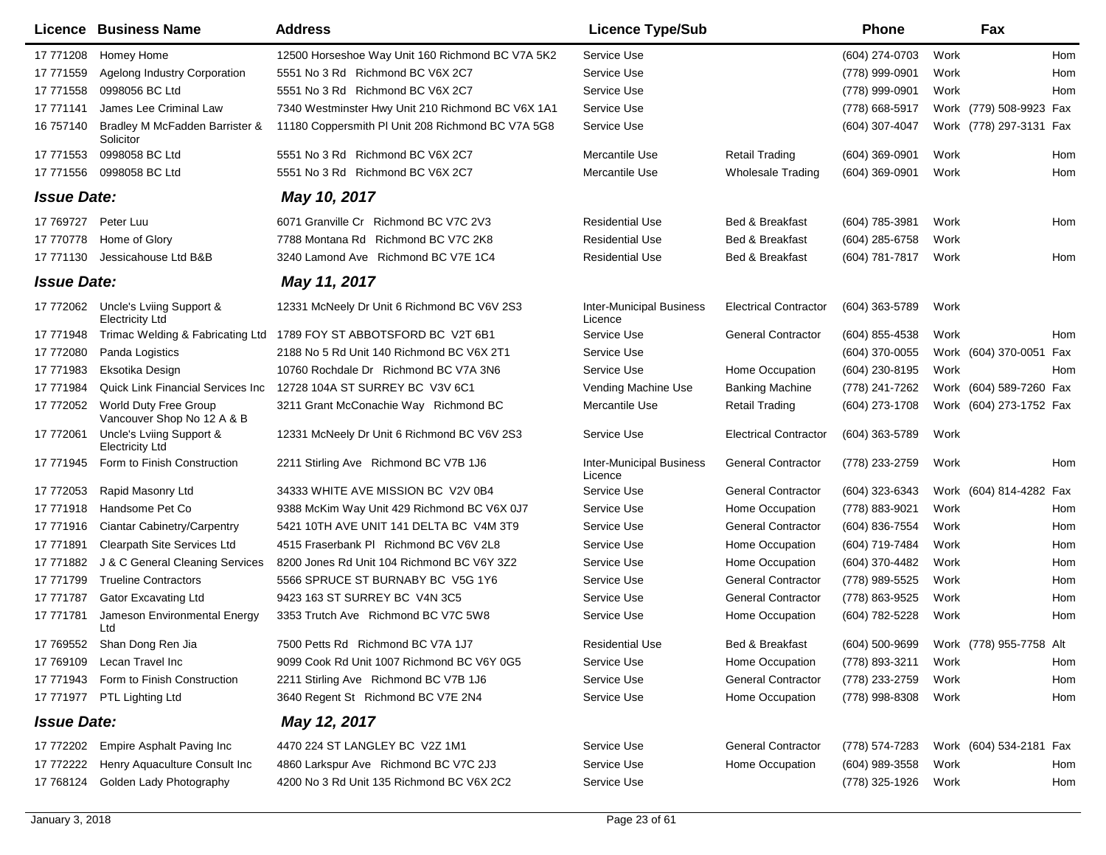|                    | Licence Business Name                                        | <b>Address</b>                                                     | <b>Licence Type/Sub</b>                    |                              | <b>Phone</b>     |      | Fax                     |     |
|--------------------|--------------------------------------------------------------|--------------------------------------------------------------------|--------------------------------------------|------------------------------|------------------|------|-------------------------|-----|
| 17 771208          | Homey Home                                                   | 12500 Horseshoe Way Unit 160 Richmond BC V7A 5K2                   | Service Use                                |                              | (604) 274-0703   | Work |                         | Hom |
| 17 771559          | Agelong Industry Corporation                                 | 5551 No 3 Rd Richmond BC V6X 2C7                                   | Service Use                                |                              | (778) 999-0901   | Work |                         | Hom |
| 17 771558          | 0998056 BC Ltd                                               | 5551 No 3 Rd Richmond BC V6X 2C7                                   | Service Use                                |                              | (778) 999-0901   | Work |                         | Hom |
| 17 771141          | James Lee Criminal Law                                       | 7340 Westminster Hwy Unit 210 Richmond BC V6X 1A1                  | Service Use                                |                              | (778) 668-5917   |      | Work (779) 508-9923 Fax |     |
| 16 757140          | Bradley M McFadden Barrister &<br>Solicitor                  | 11180 Coppersmith PI Unit 208 Richmond BC V7A 5G8                  | Service Use                                |                              | (604) 307-4047   |      | Work (778) 297-3131 Fax |     |
| 17 771553          | 0998058 BC Ltd                                               | 5551 No 3 Rd Richmond BC V6X 2C7                                   | Mercantile Use                             | <b>Retail Trading</b>        | $(604)$ 369-0901 | Work |                         | Hom |
| 17 771556          | 0998058 BC Ltd                                               | 5551 No 3 Rd Richmond BC V6X 2C7                                   | Mercantile Use                             | <b>Wholesale Trading</b>     | $(604)$ 369-0901 | Work |                         | Hom |
| <b>Issue Date:</b> |                                                              | May 10, 2017                                                       |                                            |                              |                  |      |                         |     |
| 17 769727          | Peter Luu                                                    | 6071 Granville Cr Richmond BC V7C 2V3                              | <b>Residential Use</b>                     | Bed & Breakfast              | (604) 785-3981   | Work |                         | Hom |
| 17 770778          | Home of Glory                                                | 7788 Montana Rd Richmond BC V7C 2K8                                | <b>Residential Use</b>                     | <b>Bed &amp; Breakfast</b>   | $(604)$ 285-6758 | Work |                         |     |
| 17 771130          | Jessicahouse Ltd B&B                                         | 3240 Lamond Ave Richmond BC V7E 1C4                                | <b>Residential Use</b>                     | Bed & Breakfast              | (604) 781-7817   | Work |                         | Hom |
| <b>Issue Date:</b> |                                                              | May 11, 2017                                                       |                                            |                              |                  |      |                         |     |
|                    | 17 772062 Uncle's Lviing Support &<br><b>Electricity Ltd</b> | 12331 McNeely Dr Unit 6 Richmond BC V6V 2S3                        | <b>Inter-Municipal Business</b><br>Licence | <b>Electrical Contractor</b> | $(604)$ 363-5789 | Work |                         |     |
| 17 771948          |                                                              | Trimac Welding & Fabricating Ltd 1789 FOY ST ABBOTSFORD BC V2T 6B1 | Service Use                                | <b>General Contractor</b>    | $(604)$ 855-4538 | Work |                         | Hom |
| 17 772080          | Panda Logistics                                              | 2188 No 5 Rd Unit 140 Richmond BC V6X 2T1                          | Service Use                                |                              | (604) 370-0055   |      | Work (604) 370-0051 Fax |     |
| 17 771983          | Eksotika Design                                              | 10760 Rochdale Dr Richmond BC V7A 3N6                              | Service Use                                | Home Occupation              | (604) 230-8195   | Work |                         | Hom |
| 17 771984          | <b>Quick Link Financial Services Inc.</b>                    | 12728 104A ST SURREY BC V3V 6C1                                    | Vending Machine Use                        | <b>Banking Machine</b>       | (778) 241-7262   |      | Work (604) 589-7260 Fax |     |
| 17 772052          | <b>World Duty Free Group</b><br>Vancouver Shop No 12 A & B   | 3211 Grant McConachie Way Richmond BC                              | Mercantile Use                             | Retail Trading               | (604) 273-1708   |      | Work (604) 273-1752 Fax |     |
| 17 772061          | Uncle's Lviing Support &<br><b>Electricity Ltd</b>           | 12331 McNeely Dr Unit 6 Richmond BC V6V 2S3                        | Service Use                                | <b>Electrical Contractor</b> | $(604)$ 363-5789 | Work |                         |     |
| 17 771945          | Form to Finish Construction                                  | 2211 Stirling Ave Richmond BC V7B 1J6                              | <b>Inter-Municipal Business</b><br>Licence | <b>General Contractor</b>    | (778) 233-2759   | Work |                         | Hom |
| 17 772053          | Rapid Masonry Ltd                                            | 34333 WHITE AVE MISSION BC V2V 0B4                                 | Service Use                                | <b>General Contractor</b>    | (604) 323-6343   |      | Work (604) 814-4282 Fax |     |
| 17 771918          | Handsome Pet Co                                              | 9388 McKim Way Unit 429 Richmond BC V6X 0J7                        | Service Use                                | Home Occupation              | (778) 883-9021   | Work |                         | Hom |
| 17 771916          | Ciantar Cabinetry/Carpentry                                  | 5421 10TH AVE UNIT 141 DELTA BC V4M 3T9                            | Service Use                                | <b>General Contractor</b>    | (604) 836-7554   | Work |                         | Hom |
| 17 771891          | Clearpath Site Services Ltd                                  | 4515 Fraserbank PI Richmond BC V6V 2L8                             | Service Use                                | Home Occupation              | (604) 719-7484   | Work |                         | Hom |
| 17 771882          | J & C General Cleaning Services                              | 8200 Jones Rd Unit 104 Richmond BC V6Y 3Z2                         | Service Use                                | Home Occupation              | (604) 370-4482   | Work |                         | Hom |
| 17 771799          | <b>Trueline Contractors</b>                                  | 5566 SPRUCE ST BURNABY BC V5G 1Y6                                  | Service Use                                | <b>General Contractor</b>    | (778) 989-5525   | Work |                         | Hom |
| 17 771787          | <b>Gator Excavating Ltd</b>                                  | 9423 163 ST SURREY BC V4N 3C5                                      | Service Use                                | <b>General Contractor</b>    | (778) 863-9525   | Work |                         | Hom |
| 17 771781          | Jameson Environmental Energy<br>Ltd                          | 3353 Trutch Ave Richmond BC V7C 5W8                                | Service Use                                | Home Occupation              | (604) 782-5228   | Work |                         | Hom |
|                    | 17 769552 Shan Dong Ren Jia                                  | 7500 Petts Rd Richmond BC V7A 1J7                                  | Residential Use                            | Bed & Breakfast              | (604) 500-9699   |      | Work (778) 955-7758 Alt |     |
| 17 769109          | Lecan Travel Inc                                             | 9099 Cook Rd Unit 1007 Richmond BC V6Y 0G5                         | Service Use                                | Home Occupation              | (778) 893-3211   | Work |                         | Hom |
| 17 771943          | Form to Finish Construction                                  | 2211 Stirling Ave Richmond BC V7B 1J6                              | Service Use                                | <b>General Contractor</b>    | (778) 233-2759   | Work |                         | Hom |
|                    | 17 771977 PTL Lighting Ltd                                   | 3640 Regent St Richmond BC V7E 2N4                                 | Service Use                                | Home Occupation              | (778) 998-8308   | Work |                         | Hom |
| <b>Issue Date:</b> |                                                              | May 12, 2017                                                       |                                            |                              |                  |      |                         |     |
| 17 772202          | <b>Empire Asphalt Paving Inc</b>                             | 4470 224 ST LANGLEY BC V2Z 1M1                                     | Service Use                                | <b>General Contractor</b>    | (778) 574-7283   |      | Work (604) 534-2181 Fax |     |
| 17 772222          | Henry Aquaculture Consult Inc                                | 4860 Larkspur Ave Richmond BC V7C 2J3                              | Service Use                                | Home Occupation              | (604) 989-3558   | Work |                         | Hom |
| 17 768124          | Golden Lady Photography                                      | 4200 No 3 Rd Unit 135 Richmond BC V6X 2C2                          | Service Use                                |                              | (778) 325-1926   | Work |                         | Hom |
|                    |                                                              |                                                                    |                                            |                              |                  |      |                         |     |

 $\overline{\phantom{0}}$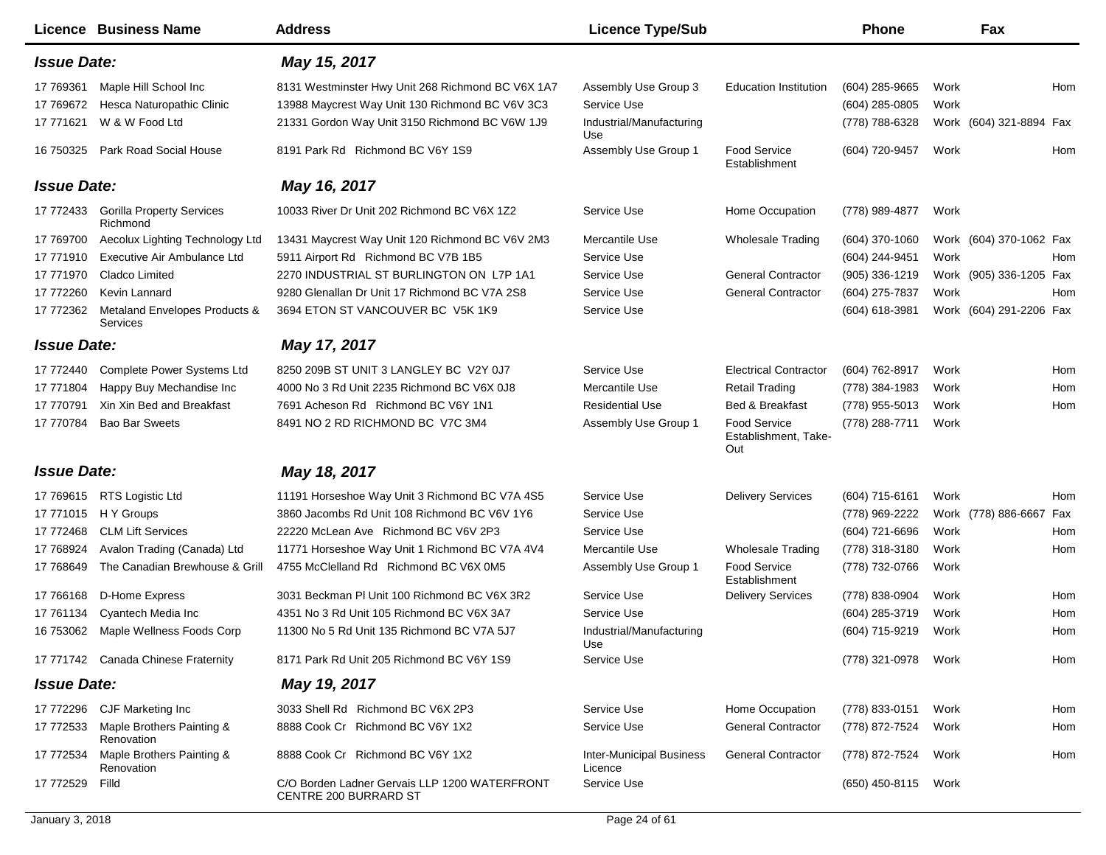|                    | Licence Business Name                           | <b>Address</b>                                                         | <b>Licence Type/Sub</b>                    |                                             | <b>Phone</b>     |      | Fax                     |     |
|--------------------|-------------------------------------------------|------------------------------------------------------------------------|--------------------------------------------|---------------------------------------------|------------------|------|-------------------------|-----|
| <b>Issue Date:</b> |                                                 | May 15, 2017                                                           |                                            |                                             |                  |      |                         |     |
| 17 769361          | Maple Hill School Inc                           | 8131 Westminster Hwy Unit 268 Richmond BC V6X 1A7                      | Assembly Use Group 3                       | <b>Education Institution</b>                | $(604)$ 285-9665 | Work |                         | Hom |
| 17 769672          | Hesca Naturopathic Clinic                       | 13988 Maycrest Way Unit 130 Richmond BC V6V 3C3                        | Service Use                                |                                             | (604) 285-0805   | Work |                         |     |
| 17 771621          | W & W Food Ltd                                  | 21331 Gordon Way Unit 3150 Richmond BC V6W 1J9                         | Industrial/Manufacturing<br>Use            |                                             | (778) 788-6328   |      | Work (604) 321-8894 Fax |     |
| 16 750325          | Park Road Social House                          | 8191 Park Rd Richmond BC V6Y 1S9                                       | Assembly Use Group 1                       | <b>Food Service</b><br>Establishment        | (604) 720-9457   | Work |                         | Hom |
| <b>Issue Date:</b> |                                                 | May 16, 2017                                                           |                                            |                                             |                  |      |                         |     |
|                    | 17 772433 Gorilla Property Services<br>Richmond | 10033 River Dr Unit 202 Richmond BC V6X 1Z2                            | Service Use                                | Home Occupation                             | (778) 989-4877   | Work |                         |     |
| 17 769700          | Aecolux Lighting Technology Ltd                 | 13431 Maycrest Way Unit 120 Richmond BC V6V 2M3                        | Mercantile Use                             | <b>Wholesale Trading</b>                    | $(604)$ 370-1060 |      | Work (604) 370-1062 Fax |     |
| 17 771910          | Executive Air Ambulance Ltd                     | 5911 Airport Rd Richmond BC V7B 1B5                                    | Service Use                                |                                             | (604) 244-9451   | Work |                         | Hom |
| 17 771970          | Cladco Limited                                  | 2270 INDUSTRIAL ST BURLINGTON ON L7P 1A1                               | Service Use                                | <b>General Contractor</b>                   | $(905)$ 336-1219 |      | Work (905) 336-1205 Fax |     |
| 17 772260          | Kevin Lannard                                   | 9280 Glenallan Dr Unit 17 Richmond BC V7A 2S8                          | Service Use                                | <b>General Contractor</b>                   | (604) 275-7837   | Work |                         | Hom |
| 17 772362          | Metaland Envelopes Products &<br>Services       | 3694 ETON ST VANCOUVER BC V5K 1K9                                      | Service Use                                |                                             | (604) 618-3981   |      | Work (604) 291-2206 Fax |     |
| <b>Issue Date:</b> |                                                 | May 17, 2017                                                           |                                            |                                             |                  |      |                         |     |
| 17 772440          | Complete Power Systems Ltd                      | 8250 209B ST UNIT 3 LANGLEY BC V2Y 0J7                                 | Service Use                                | <b>Electrical Contractor</b>                | (604) 762-8917   | Work |                         | Hom |
| 17 771804          | Happy Buy Mechandise Inc                        | 4000 No 3 Rd Unit 2235 Richmond BC V6X 0J8                             | Mercantile Use                             | <b>Retail Trading</b>                       | (778) 384-1983   | Work |                         | Hom |
| 17 770791          | Xin Xin Bed and Breakfast                       | 7691 Acheson Rd Richmond BC V6Y 1N1                                    | <b>Residential Use</b>                     | Bed & Breakfast                             | (778) 955-5013   | Work |                         | Hom |
| 17 770784          | <b>Bao Bar Sweets</b>                           | 8491 NO 2 RD RICHMOND BC V7C 3M4                                       | Assembly Use Group 1                       | Food Service<br>Establishment, Take-<br>Out | (778) 288-7711   | Work |                         |     |
| <b>Issue Date:</b> |                                                 | May 18, 2017                                                           |                                            |                                             |                  |      |                         |     |
| 17 769615          | <b>RTS Logistic Ltd</b>                         | 11191 Horseshoe Way Unit 3 Richmond BC V7A 4S5                         | Service Use                                | <b>Delivery Services</b>                    | (604) 715-6161   | Work |                         | Hom |
| 17 771015          | H Y Groups                                      | 3860 Jacombs Rd Unit 108 Richmond BC V6V 1Y6                           | Service Use                                |                                             | (778) 969-2222   |      | Work (778) 886-6667 Fax |     |
| 17 772468          | <b>CLM Lift Services</b>                        | 22220 McLean Ave Richmond BC V6V 2P3                                   | Service Use                                |                                             | (604) 721-6696   | Work |                         | Hom |
| 17 768924          | Avalon Trading (Canada) Ltd                     | 11771 Horseshoe Way Unit 1 Richmond BC V7A 4V4                         | Mercantile Use                             | <b>Wholesale Trading</b>                    | (778) 318-3180   | Work |                         | Hom |
| 17 768649          | The Canadian Brewhouse & Grill                  | 4755 McClelland Rd Richmond BC V6X 0M5                                 | Assembly Use Group 1                       | <b>Food Service</b><br>Establishment        | (778) 732-0766   | Work |                         |     |
| 17 766168          | D-Home Express                                  | 3031 Beckman PI Unit 100 Richmond BC V6X 3R2                           | Service Use                                | <b>Delivery Services</b>                    | (778) 838-0904   | Work |                         | Hom |
| 17 761134          | Cyantech Media Inc                              | 4351 No 3 Rd Unit 105 Richmond BC V6X 3A7                              | Service Use                                |                                             | (604) 285-3719   | Work |                         | Hom |
| 16 753062          | Maple Wellness Foods Corp                       | 11300 No 5 Rd Unit 135 Richmond BC V7A 5J7                             | Industrial/Manufacturing<br>Use            |                                             | (604) 715-9219   | Work |                         | Hom |
|                    | 17 771742 Canada Chinese Fraternity             | 8171 Park Rd Unit 205 Richmond BC V6Y 1S9                              | Service Use                                |                                             | (778) 321-0978   | Work |                         | Hom |
| <b>Issue Date:</b> |                                                 | May 19, 2017                                                           |                                            |                                             |                  |      |                         |     |
| 17 772296          | CJF Marketing Inc                               | 3033 Shell Rd Richmond BC V6X 2P3                                      | Service Use                                | Home Occupation                             | (778) 833-0151   | Work |                         | Hom |
| 17 772533          | Maple Brothers Painting &<br>Renovation         | 8888 Cook Cr Richmond BC V6Y 1X2                                       | Service Use                                | <b>General Contractor</b>                   | (778) 872-7524   | Work |                         | Hom |
| 17 772534          | Maple Brothers Painting &<br>Renovation         | 8888 Cook Cr Richmond BC V6Y 1X2                                       | <b>Inter-Municipal Business</b><br>Licence | <b>General Contractor</b>                   | (778) 872-7524   | Work |                         | Hom |
| 17 772529 Filld    |                                                 | C/O Borden Ladner Gervais LLP 1200 WATERFRONT<br>CENTRE 200 BURRARD ST | Service Use                                |                                             | (650) 450-8115   | Work |                         |     |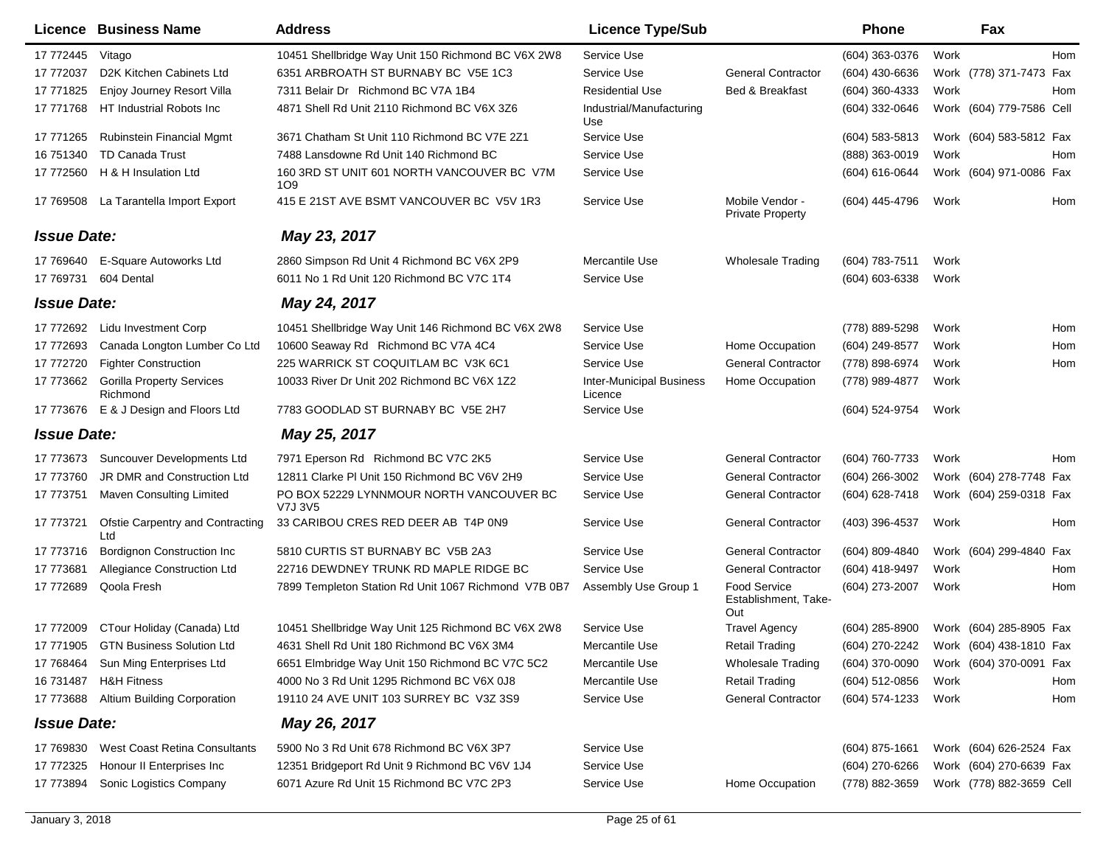|                    | Licence Business Name                        | <b>Address</b>                                       | <b>Licence Type/Sub</b>                    |                                                    | <b>Phone</b>                           |      | Fax                      |     |
|--------------------|----------------------------------------------|------------------------------------------------------|--------------------------------------------|----------------------------------------------------|----------------------------------------|------|--------------------------|-----|
| 17 772445          | Vitago                                       | 10451 Shellbridge Way Unit 150 Richmond BC V6X 2W8   | Service Use                                |                                                    | (604) 363-0376                         | Work |                          | Hom |
| 17 772037          | D2K Kitchen Cabinets Ltd                     | 6351 ARBROATH ST BURNABY BC V5E 1C3                  | Service Use                                | <b>General Contractor</b>                          | (604) 430-6636                         |      | Work (778) 371-7473      | Fax |
| 17 771825          | <b>Enjoy Journey Resort Villa</b>            | 7311 Belair Dr Richmond BC V7A 1B4                   | <b>Residential Use</b>                     | Bed & Breakfast                                    | (604) 360-4333                         | Work |                          | Hom |
| 17 771768          | HT Industrial Robots Inc                     | 4871 Shell Rd Unit 2110 Richmond BC V6X 3Z6          | Industrial/Manufacturing<br>Use            |                                                    | (604) 332-0646                         |      | Work (604) 779-7586 Cell |     |
| 17 771265          | Rubinstein Financial Mgmt                    | 3671 Chatham St Unit 110 Richmond BC V7E 2Z1         | Service Use                                |                                                    | (604) 583-5813                         |      | Work (604) 583-5812 Fax  |     |
| 16 751340          | <b>TD Canada Trust</b>                       | 7488 Lansdowne Rd Unit 140 Richmond BC               | Service Use                                |                                                    | (888) 363-0019                         | Work |                          | Hom |
| 17 772560          | H & H Insulation Ltd                         | 160 3RD ST UNIT 601 NORTH VANCOUVER BC V7M<br>109    | Service Use                                |                                                    | (604) 616-0644                         |      | Work (604) 971-0086 Fax  |     |
| 17 769508          | La Tarantella Import Export                  | 415 E 21ST AVE BSMT VANCOUVER BC V5V 1R3             | Service Use                                | Mobile Vendor -<br><b>Private Property</b>         | (604) 445-4796                         | Work |                          | Hom |
| <b>Issue Date:</b> |                                              | May 23, 2017                                         |                                            |                                                    |                                        |      |                          |     |
| 17 769640          | E-Square Autoworks Ltd                       | 2860 Simpson Rd Unit 4 Richmond BC V6X 2P9           | Mercantile Use                             | <b>Wholesale Trading</b>                           | (604) 783-7511                         | Work |                          |     |
| 17 769731          | 604 Dental                                   | 6011 No 1 Rd Unit 120 Richmond BC V7C 1T4            | Service Use                                |                                                    | (604) 603-6338                         | Work |                          |     |
| <b>Issue Date:</b> |                                              | May 24, 2017                                         |                                            |                                                    |                                        |      |                          |     |
|                    | 17 772692 Lidu Investment Corp               | 10451 Shellbridge Way Unit 146 Richmond BC V6X 2W8   | Service Use                                |                                                    | (778) 889-5298                         | Work |                          | Hom |
| 17 772693          | Canada Longton Lumber Co Ltd                 | 10600 Seaway Rd Richmond BC V7A 4C4                  | Service Use                                | Home Occupation                                    | (604) 249-8577                         | Work |                          | Hom |
| 17 772720          | <b>Fighter Construction</b>                  | 225 WARRICK ST COQUITLAM BC V3K 6C1                  | Service Use                                | <b>General Contractor</b>                          | (778) 898-6974                         | Work |                          | Hom |
| 17 773662          | <b>Gorilla Property Services</b><br>Richmond | 10033 River Dr Unit 202 Richmond BC V6X 1Z2          | <b>Inter-Municipal Business</b><br>Licence | Home Occupation                                    | (778) 989-4877                         | Work |                          |     |
| 17 773676          | E & J Design and Floors Ltd                  | 7783 GOODLAD ST BURNABY BC V5E 2H7                   | Service Use                                |                                                    | (604) 524-9754                         | Work |                          |     |
| <b>Issue Date:</b> |                                              | May 25, 2017                                         |                                            |                                                    |                                        |      |                          |     |
| 17 773673          | Suncouver Developments Ltd                   | 7971 Eperson Rd Richmond BC V7C 2K5                  | Service Use                                | <b>General Contractor</b>                          | (604) 760-7733                         | Work |                          | Hom |
| 17 773760          | JR DMR and Construction Ltd                  | 12811 Clarke PI Unit 150 Richmond BC V6V 2H9         | Service Use                                | <b>General Contractor</b>                          | (604) 266-3002                         |      | Work (604) 278-7748 Fax  |     |
| 17 773751          | <b>Maven Consulting Limited</b>              | PO BOX 52229 LYNNMOUR NORTH VANCOUVER BC<br>V7J 3V5  | Service Use                                | <b>General Contractor</b>                          | (604) 628-7418                         |      | Work (604) 259-0318 Fax  |     |
| 17 773721          | Ofstie Carpentry and Contracting<br>Ltd      | 33 CARIBOU CRES RED DEER AB T4P 0N9                  | Service Use                                | <b>General Contractor</b>                          | (403) 396-4537                         | Work |                          | Hom |
| 17 773716          | <b>Bordignon Construction Inc</b>            | 5810 CURTIS ST BURNABY BC V5B 2A3                    | Service Use                                | <b>General Contractor</b>                          | (604) 809-4840                         |      | Work (604) 299-4840      | Fax |
| 17 773681          | Allegiance Construction Ltd                  | 22716 DEWDNEY TRUNK RD MAPLE RIDGE BC                | Service Use                                | <b>General Contractor</b>                          | (604) 418-9497                         | Work |                          | Hom |
| 17 772689          | Qoola Fresh                                  | 7899 Templeton Station Rd Unit 1067 Richmond V7B 0B7 | Assembly Use Group 1                       | <b>Food Service</b><br>Establishment, Take-<br>Out | (604) 273-2007                         | Work |                          | Hom |
|                    | 17 772009 CTour Holiday (Canada) Ltd         | 10451 Shellbridge Way Unit 125 Richmond BC V6X 2W8   | Service Use                                | <b>Travel Agency</b>                               | (604) 285-8900 Work (604) 285-8905 Fax |      |                          |     |
|                    | 17 771905 GTN Business Solution Ltd          | 4631 Shell Rd Unit 180 Richmond BC V6X 3M4           | Mercantile Use                             | <b>Retail Trading</b>                              | (604) 270-2242 Work (604) 438-1810 Fax |      |                          |     |
| 17 768464          | Sun Ming Enterprises Ltd                     | 6651 Elmbridge Way Unit 150 Richmond BC V7C 5C2      | Mercantile Use                             | <b>Wholesale Trading</b>                           | $(604)$ 370-0090                       |      | Work (604) 370-0091 Fax  |     |
| 16 731487          | <b>H&amp;H Fitness</b>                       | 4000 No 3 Rd Unit 1295 Richmond BC V6X 0J8           | Mercantile Use                             | <b>Retail Trading</b>                              | (604) 512-0856                         | Work |                          | Hom |
| 17 773688          | <b>Altium Building Corporation</b>           | 19110 24 AVE UNIT 103 SURREY BC V3Z 3S9              | Service Use                                | <b>General Contractor</b>                          | (604) 574-1233                         | Work |                          | Hom |
| <b>Issue Date:</b> |                                              | May 26, 2017                                         |                                            |                                                    |                                        |      |                          |     |
| 17 769830          | West Coast Retina Consultants                | 5900 No 3 Rd Unit 678 Richmond BC V6X 3P7            | Service Use                                |                                                    | $(604)$ 875-1661                       |      | Work (604) 626-2524 Fax  |     |
| 17 772325          | Honour II Enterprises Inc                    | 12351 Bridgeport Rd Unit 9 Richmond BC V6V 1J4       | Service Use                                |                                                    | (604) 270-6266                         |      | Work (604) 270-6639 Fax  |     |
| 17 773894          | Sonic Logistics Company                      | 6071 Azure Rd Unit 15 Richmond BC V7C 2P3            | Service Use                                | Home Occupation                                    | (778) 882-3659                         |      | Work (778) 882-3659 Cell |     |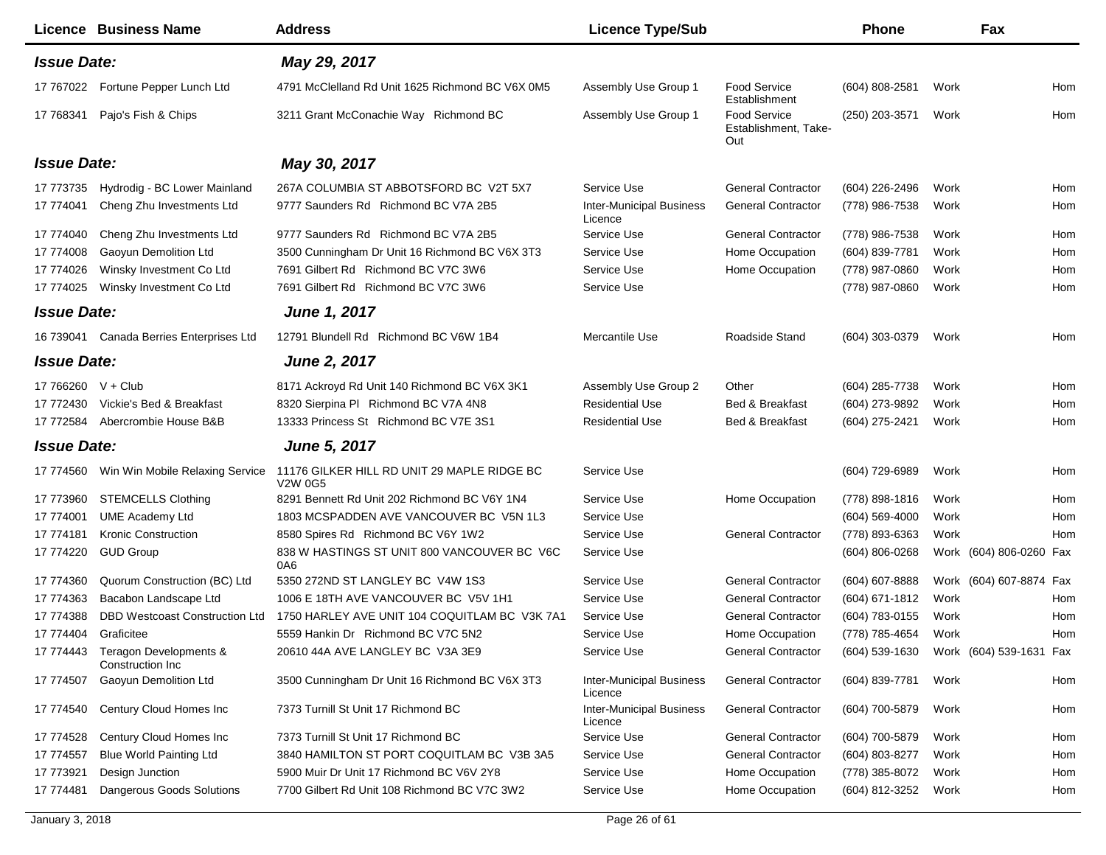| <b>Licence Business Name</b>                         | <b>Address</b>                                         | <b>Licence Type/Sub</b>                    |                                                    | <b>Phone</b>     |      | Fax                     |     |
|------------------------------------------------------|--------------------------------------------------------|--------------------------------------------|----------------------------------------------------|------------------|------|-------------------------|-----|
| <b>Issue Date:</b>                                   | May 29, 2017                                           |                                            |                                                    |                  |      |                         |     |
| Fortune Pepper Lunch Ltd<br>17 767022                | 4791 McClelland Rd Unit 1625 Richmond BC V6X 0M5       | Assembly Use Group 1                       | <b>Food Service</b><br>Establishment               | (604) 808-2581   | Work |                         | Hom |
| Pajo's Fish & Chips<br>17 768341                     | 3211 Grant McConachie Way Richmond BC                  | Assembly Use Group 1                       | <b>Food Service</b><br>Establishment, Take-<br>Out | (250) 203-3571   | Work |                         | Hom |
| <b>Issue Date:</b>                                   | May 30, 2017                                           |                                            |                                                    |                  |      |                         |     |
| 17 773735<br>Hydrodig - BC Lower Mainland            | 267A COLUMBIA ST ABBOTSFORD BC V2T 5X7                 | Service Use                                | <b>General Contractor</b>                          | (604) 226-2496   | Work |                         | Hom |
| 17 774041<br>Cheng Zhu Investments Ltd               | 9777 Saunders Rd Richmond BC V7A 2B5                   | <b>Inter-Municipal Business</b><br>Licence | <b>General Contractor</b>                          | (778) 986-7538   | Work |                         | Hom |
| 17 774040<br>Cheng Zhu Investments Ltd               | 9777 Saunders Rd Richmond BC V7A 2B5                   | Service Use                                | <b>General Contractor</b>                          | (778) 986-7538   | Work |                         | Hom |
| <b>Gaoyun Demolition Ltd</b><br>17 774008            | 3500 Cunningham Dr Unit 16 Richmond BC V6X 3T3         | Service Use                                | Home Occupation                                    | (604) 839-7781   | Work |                         | Hom |
| Winsky Investment Co Ltd<br>17 774026                | 7691 Gilbert Rd Richmond BC V7C 3W6                    | Service Use                                | Home Occupation                                    | (778) 987-0860   | Work |                         | Hom |
| 17 774025<br>Winsky Investment Co Ltd                | 7691 Gilbert Rd Richmond BC V7C 3W6                    | Service Use                                |                                                    | (778) 987-0860   | Work |                         | Hom |
| <b>Issue Date:</b>                                   | June 1, 2017                                           |                                            |                                                    |                  |      |                         |     |
| 16 739041<br>Canada Berries Enterprises Ltd          | 12791 Blundell Rd Richmond BC V6W 1B4                  | Mercantile Use                             | Roadside Stand                                     | (604) 303-0379   | Work |                         | Hom |
| <b>Issue Date:</b>                                   | <b>June 2, 2017</b>                                    |                                            |                                                    |                  |      |                         |     |
| 17 766260 V + Club                                   | 8171 Ackroyd Rd Unit 140 Richmond BC V6X 3K1           | Assembly Use Group 2                       | Other                                              | (604) 285-7738   | Work |                         | Hom |
| Vickie's Bed & Breakfast<br>17 772430                | 8320 Sierpina PI Richmond BC V7A 4N8                   | <b>Residential Use</b>                     | Bed & Breakfast                                    | (604) 273-9892   | Work |                         | Hom |
| 17 772584<br>Abercrombie House B&B                   | 13333 Princess St Richmond BC V7E 3S1                  | <b>Residential Use</b>                     | Bed & Breakfast                                    | (604) 275-2421   | Work |                         | Hom |
| <b>Issue Date:</b>                                   | June 5, 2017                                           |                                            |                                                    |                  |      |                         |     |
| Win Win Mobile Relaxing Service<br>17 774560         | 11176 GILKER HILL RD UNIT 29 MAPLE RIDGE BC<br>V2W 0G5 | Service Use                                |                                                    | (604) 729-6989   | Work |                         | Hom |
| <b>STEMCELLS Clothing</b><br>17 773960               | 8291 Bennett Rd Unit 202 Richmond BC V6Y 1N4           | Service Use                                | Home Occupation                                    | (778) 898-1816   | Work |                         | Hom |
| 17 774001<br><b>UME Academy Ltd</b>                  | 1803 MCSPADDEN AVE VANCOUVER BC V5N 1L3                | Service Use                                |                                                    | (604) 569-4000   | Work |                         | Hom |
| 17 774181<br><b>Kronic Construction</b>              | 8580 Spires Rd Richmond BC V6Y 1W2                     | Service Use                                | <b>General Contractor</b>                          | (778) 893-6363   | Work |                         | Hom |
| 17 774220<br><b>GUD Group</b>                        | 838 W HASTINGS ST UNIT 800 VANCOUVER BC V6C<br>0A6     | Service Use                                |                                                    | (604) 806-0268   |      | Work (604) 806-0260 Fax |     |
| 17 774360<br>Quorum Construction (BC) Ltd            | 5350 272ND ST LANGLEY BC V4W 1S3                       | Service Use                                | <b>General Contractor</b>                          | (604) 607-8888   |      | Work (604) 607-8874 Fax |     |
| 17 774363<br>Bacabon Landscape Ltd                   | 1006 E 18TH AVE VANCOUVER BC V5V 1H1                   | Service Use                                | <b>General Contractor</b>                          | (604) 671-1812   | Work |                         | Hom |
| 17 774388<br><b>DBD Westcoast Construction Ltd</b>   | 1750 HARLEY AVE UNIT 104 COQUITLAM BC V3K 7A1          | Service Use                                | <b>General Contractor</b>                          | (604) 783-0155   | Work |                         | Hom |
| 17 774404<br>Graficitee                              | 5559 Hankin Dr Richmond BC V7C 5N2                     | Service Use                                | Home Occupation                                    | (778) 785-4654   | Work |                         | Hom |
| 17 774443 Teragon Developments &<br>Construction Inc | 20610 44A AVE LANGLEY BC V3A 3E9                       | Service Use                                | <b>General Contractor</b>                          | $(604)$ 539-1630 |      | Work (604) 539-1631 Fax |     |
| Gaoyun Demolition Ltd<br>17 774507                   | 3500 Cunningham Dr Unit 16 Richmond BC V6X 3T3         | <b>Inter-Municipal Business</b><br>Licence | <b>General Contractor</b>                          | (604) 839-7781   | Work |                         | Hom |
| Century Cloud Homes Inc<br>17 774540                 | 7373 Turnill St Unit 17 Richmond BC                    | <b>Inter-Municipal Business</b><br>Licence | <b>General Contractor</b>                          | (604) 700-5879   | Work |                         | Hom |
| Century Cloud Homes Inc<br>17 774528                 | 7373 Turnill St Unit 17 Richmond BC                    | Service Use                                | <b>General Contractor</b>                          | (604) 700-5879   | Work |                         | Hom |
| <b>Blue World Painting Ltd</b><br>17 774557          | 3840 HAMILTON ST PORT COQUITLAM BC V3B 3A5             | Service Use                                | <b>General Contractor</b>                          | (604) 803-8277   | Work |                         | Hom |
| 17 773921<br>Design Junction                         | 5900 Muir Dr Unit 17 Richmond BC V6V 2Y8               | Service Use                                | Home Occupation                                    | (778) 385-8072   | Work |                         | Hom |
| Dangerous Goods Solutions<br>17 774481               | 7700 Gilbert Rd Unit 108 Richmond BC V7C 3W2           | Service Use                                | Home Occupation                                    | (604) 812-3252   | Work |                         | Hom |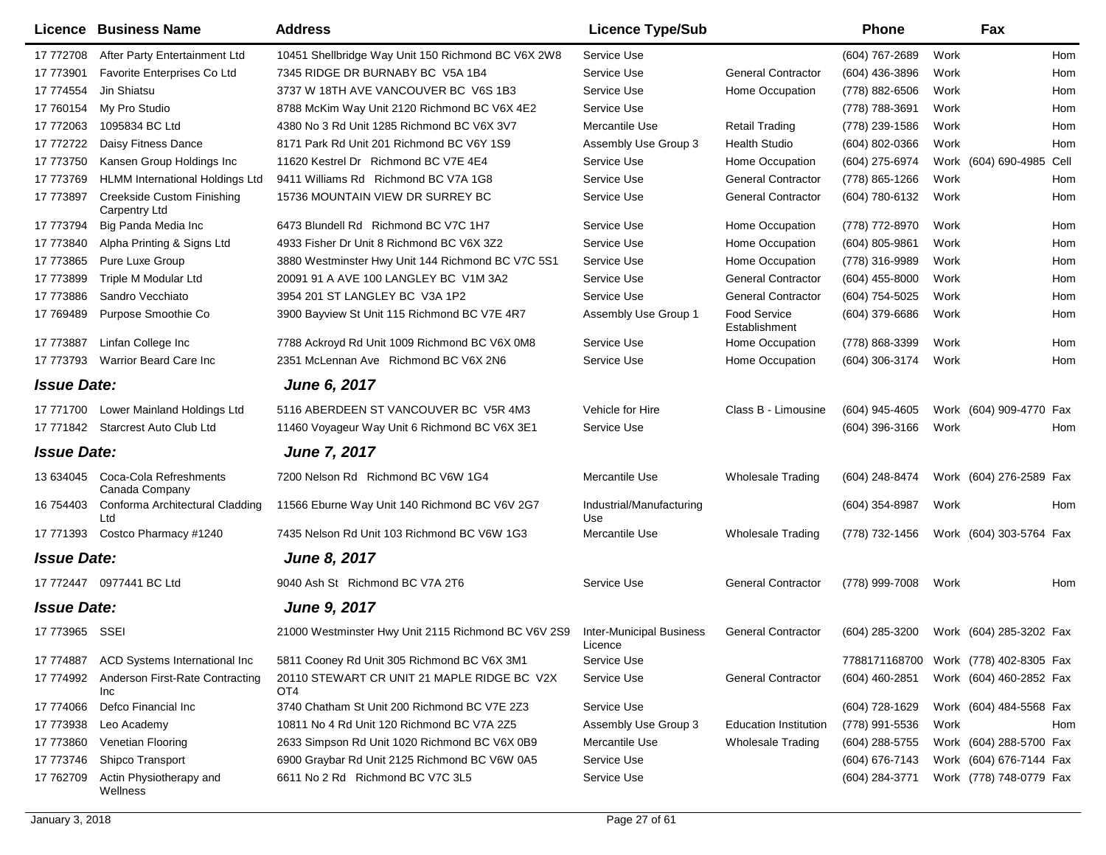|                    | Licence Business Name                              | <b>Address</b>                                                               | <b>Licence Type/Sub</b>         |                                      | <b>Phone</b>     |      | Fax                     |      |
|--------------------|----------------------------------------------------|------------------------------------------------------------------------------|---------------------------------|--------------------------------------|------------------|------|-------------------------|------|
| 17 772708          | After Party Entertainment Ltd                      | 10451 Shellbridge Way Unit 150 Richmond BC V6X 2W8                           | Service Use                     |                                      | (604) 767-2689   | Work |                         | Hom  |
| 17 773901          | Favorite Enterprises Co Ltd                        | 7345 RIDGE DR BURNABY BC V5A 1B4                                             | Service Use                     | <b>General Contractor</b>            | (604) 436-3896   | Work |                         | Hom  |
| 17 774554          | Jin Shiatsu                                        | 3737 W 18TH AVE VANCOUVER BC V6S 1B3                                         | Service Use                     | Home Occupation                      | (778) 882-6506   | Work |                         | Hom  |
| 17 760154          | My Pro Studio                                      | 8788 McKim Way Unit 2120 Richmond BC V6X 4E2                                 | Service Use                     |                                      | (778) 788-3691   | Work |                         | Hom  |
| 17 772063          | 1095834 BC Ltd                                     | 4380 No 3 Rd Unit 1285 Richmond BC V6X 3V7                                   | Mercantile Use                  | <b>Retail Trading</b>                | (778) 239-1586   | Work |                         | Hom  |
| 17 772722          | Daisy Fitness Dance                                | 8171 Park Rd Unit 201 Richmond BC V6Y 1S9                                    | Assembly Use Group 3            | <b>Health Studio</b>                 | (604) 802-0366   | Work |                         | Hom  |
| 17 773750          | Kansen Group Holdings Inc                          | 11620 Kestrel Dr Richmond BC V7E 4E4                                         | Service Use                     | Home Occupation                      | (604) 275-6974   |      | Work (604) 690-4985     | Cell |
| 17 773769          | <b>HLMM International Holdings Ltd</b>             | 9411 Williams Rd Richmond BC V7A 1G8                                         | Service Use                     | <b>General Contractor</b>            | (778) 865-1266   | Work |                         | Hom  |
| 17 773897          | <b>Creekside Custom Finishing</b><br>Carpentry Ltd | 15736 MOUNTAIN VIEW DR SURREY BC                                             | Service Use                     | <b>General Contractor</b>            | (604) 780-6132   | Work |                         | Hom  |
| 17 773794          | Big Panda Media Inc                                | 6473 Blundell Rd Richmond BC V7C 1H7                                         | Service Use                     | Home Occupation                      | (778) 772-8970   | Work |                         | Hom  |
| 17 773840          | Alpha Printing & Signs Ltd                         | 4933 Fisher Dr Unit 8 Richmond BC V6X 3Z2                                    | Service Use                     | Home Occupation                      | (604) 805-9861   | Work |                         | Hom  |
| 17 773865          | Pure Luxe Group                                    | 3880 Westminster Hwy Unit 144 Richmond BC V7C 5S1                            | Service Use                     | Home Occupation                      | (778) 316-9989   | Work |                         | Hom  |
| 17 773899          | Triple M Modular Ltd                               | 20091 91 A AVE 100 LANGLEY BC V1M 3A2                                        | Service Use                     | <b>General Contractor</b>            | $(604)$ 455-8000 | Work |                         | Hom  |
| 17 773886          | Sandro Vecchiato                                   | 3954 201 ST LANGLEY BC V3A 1P2                                               | Service Use                     | <b>General Contractor</b>            | (604) 754-5025   | Work |                         | Hom  |
| 17 769489          | Purpose Smoothie Co                                | 3900 Bayview St Unit 115 Richmond BC V7E 4R7                                 | Assembly Use Group 1            | <b>Food Service</b><br>Establishment | (604) 379-6686   | Work |                         | Hom  |
| 17 773887          | Linfan College Inc                                 | 7788 Ackroyd Rd Unit 1009 Richmond BC V6X 0M8                                | Service Use                     | Home Occupation                      | (778) 868-3399   | Work |                         | Hom  |
| 17 773793          | Warrior Beard Care Inc                             | 2351 McLennan Ave Richmond BC V6X 2N6                                        | Service Use                     | Home Occupation                      | (604) 306-3174   | Work |                         | Hom  |
| <b>Issue Date:</b> |                                                    | June 6, 2017                                                                 |                                 |                                      |                  |      |                         |      |
| 17 771700          | Lower Mainland Holdings Ltd                        | 5116 ABERDEEN ST VANCOUVER BC V5R 4M3                                        | Vehicle for Hire                | Class B - Limousine                  | (604) 945-4605   |      | Work (604) 909-4770     | Fax  |
| 17 771842          | Starcrest Auto Club Ltd                            | 11460 Voyageur Way Unit 6 Richmond BC V6X 3E1                                | Service Use                     |                                      | (604) 396-3166   | Work |                         | Hom  |
| <b>Issue Date:</b> |                                                    | <b>June 7, 2017</b>                                                          |                                 |                                      |                  |      |                         |      |
| 13 634045          | Coca-Cola Refreshments<br>Canada Company           | 7200 Nelson Rd Richmond BC V6W 1G4                                           | Mercantile Use                  | <b>Wholesale Trading</b>             | (604) 248-8474   |      | Work (604) 276-2589 Fax |      |
| 16 754403          | Conforma Architectural Cladding<br>Ltd             | 11566 Eburne Way Unit 140 Richmond BC V6V 2G7                                | Industrial/Manufacturing<br>Use |                                      | (604) 354-8987   | Work |                         | Hom  |
| 17 771393          | Costco Pharmacy #1240                              | 7435 Nelson Rd Unit 103 Richmond BC V6W 1G3                                  | Mercantile Use                  | <b>Wholesale Trading</b>             | (778) 732-1456   |      | Work (604) 303-5764 Fax |      |
| <b>Issue Date:</b> |                                                    | <b>June 8, 2017</b>                                                          |                                 |                                      |                  |      |                         |      |
|                    | 17 772447 0977441 BC Ltd                           | 9040 Ash St Richmond BC V7A 2T6                                              | Service Use                     | <b>General Contractor</b>            | (778) 999-7008   | Work |                         | Hom  |
| <b>Issue Date:</b> |                                                    | June 9, 2017                                                                 |                                 |                                      |                  |      |                         |      |
| 17 773965 SSEI     |                                                    | 21000 Westminster Hwy Unit 2115 Richmond BC V6V 2S9 Inter-Municipal Business | Licence                         | <b>General Contractor</b>            | (604) 285-3200   |      | Work (604) 285-3202 Fax |      |
| 17 774887          | ACD Systems International Inc                      | 5811 Cooney Rd Unit 305 Richmond BC V6X 3M1                                  | Service Use                     |                                      | 7788171168700    |      | Work (778) 402-8305 Fax |      |
| 17 774992          | Anderson First-Rate Contracting<br>Inc             | 20110 STEWART CR UNIT 21 MAPLE RIDGE BC V2X<br>OT <sub>4</sub>               | Service Use                     | <b>General Contractor</b>            | $(604)$ 460-2851 |      | Work (604) 460-2852 Fax |      |
| 17 774066          | Defco Financial Inc                                | 3740 Chatham St Unit 200 Richmond BC V7E 2Z3                                 | Service Use                     |                                      | (604) 728-1629   |      | Work (604) 484-5568 Fax |      |
| 17 773938          | Leo Academy                                        | 10811 No 4 Rd Unit 120 Richmond BC V7A 2Z5                                   | Assembly Use Group 3            | <b>Education Institution</b>         | (778) 991-5536   | Work |                         | Hom  |
| 17 773860          | Venetian Flooring                                  | 2633 Simpson Rd Unit 1020 Richmond BC V6X 0B9                                | Mercantile Use                  | <b>Wholesale Trading</b>             | (604) 288-5755   |      | Work (604) 288-5700 Fax |      |
| 17 773746          | Shipco Transport                                   | 6900 Graybar Rd Unit 2125 Richmond BC V6W 0A5                                | Service Use                     |                                      | (604) 676-7143   |      | Work (604) 676-7144 Fax |      |
| 17 762709          | Actin Physiotherapy and<br>Wellness                | 6611 No 2 Rd Richmond BC V7C 3L5                                             | Service Use                     |                                      | (604) 284-3771   |      | Work (778) 748-0779 Fax |      |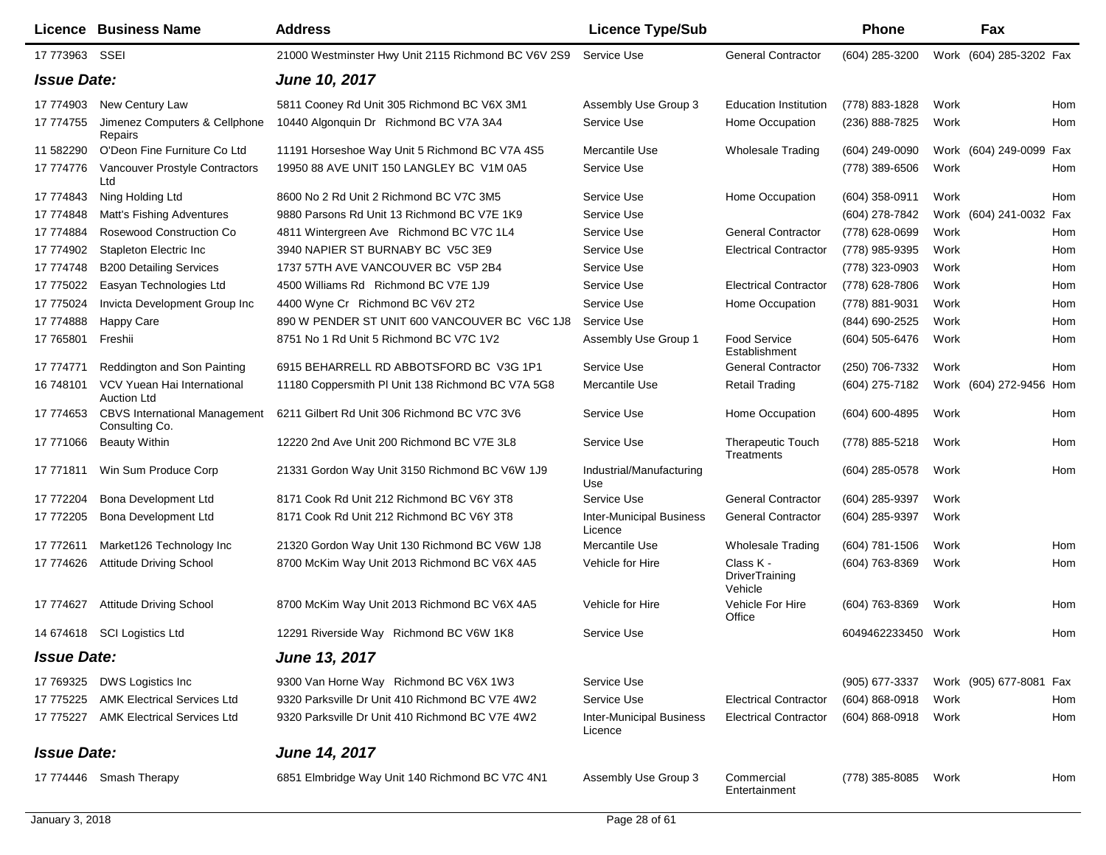|                           | Licence Business Name                                  | <b>Address</b>                                      | <b>Licence Type/Sub</b>                    |                                               | <b>Phone</b>       |      | Fax                     |     |
|---------------------------|--------------------------------------------------------|-----------------------------------------------------|--------------------------------------------|-----------------------------------------------|--------------------|------|-------------------------|-----|
| 17 773963 SSEI            |                                                        | 21000 Westminster Hwy Unit 2115 Richmond BC V6V 2S9 | Service Use                                | <b>General Contractor</b>                     | (604) 285-3200     |      | Work (604) 285-3202 Fax |     |
| <i><b>Issue Date:</b></i> |                                                        | June 10, 2017                                       |                                            |                                               |                    |      |                         |     |
| 17 774903                 | New Century Law                                        | 5811 Cooney Rd Unit 305 Richmond BC V6X 3M1         | Assembly Use Group 3                       | <b>Education Institution</b>                  | (778) 883-1828     | Work |                         | Hom |
| 17 774755                 | Jimenez Computers & Cellphone<br>Repairs               | 10440 Algonquin Dr Richmond BC V7A 3A4              | Service Use                                | Home Occupation                               | (236) 888-7825     | Work |                         | Hom |
| 11 582290                 | O'Deon Fine Furniture Co Ltd                           | 11191 Horseshoe Way Unit 5 Richmond BC V7A 4S5      | Mercantile Use                             | <b>Wholesale Trading</b>                      | (604) 249-0090     |      | Work (604) 249-0099 Fax |     |
| 17 774776                 | Vancouver Prostyle Contractors<br>Ltd                  | 19950 88 AVE UNIT 150 LANGLEY BC V1M 0A5            | Service Use                                |                                               | (778) 389-6506     | Work |                         | Hom |
| 17 774843                 | Ning Holding Ltd                                       | 8600 No 2 Rd Unit 2 Richmond BC V7C 3M5             | Service Use                                | Home Occupation                               | (604) 358-0911     | Work |                         | Hom |
| 17 774848                 | Matt's Fishing Adventures                              | 9880 Parsons Rd Unit 13 Richmond BC V7E 1K9         | Service Use                                |                                               | (604) 278-7842     |      | Work (604) 241-0032 Fax |     |
| 17 774884                 | Rosewood Construction Co                               | 4811 Wintergreen Ave Richmond BC V7C 1L4            | Service Use                                | <b>General Contractor</b>                     | (778) 628-0699     | Work |                         | Hom |
| 17 774902                 | Stapleton Electric Inc                                 | 3940 NAPIER ST BURNABY BC V5C 3E9                   | Service Use                                | <b>Electrical Contractor</b>                  | (778) 985-9395     | Work |                         | Hom |
| 17 774748                 | <b>B200 Detailing Services</b>                         | 1737 57TH AVE VANCOUVER BC V5P 2B4                  | Service Use                                |                                               | (778) 323-0903     | Work |                         | Hom |
| 17 775022                 | Easyan Technologies Ltd                                | 4500 Williams Rd Richmond BC V7E 1J9                | Service Use                                | <b>Electrical Contractor</b>                  | (778) 628-7806     | Work |                         | Hom |
| 17 775024                 | Invicta Development Group Inc                          | 4400 Wyne Cr Richmond BC V6V 2T2                    | Service Use                                | Home Occupation                               | (778) 881-9031     | Work |                         | Hom |
| 17 774888                 | Happy Care                                             | 890 W PENDER ST UNIT 600 VANCOUVER BC V6C 1J8       | Service Use                                |                                               | (844) 690-2525     | Work |                         | Hom |
| 17 765801                 | Freshii                                                | 8751 No 1 Rd Unit 5 Richmond BC V7C 1V2             | Assembly Use Group 1                       | <b>Food Service</b><br>Establishment          | (604) 505-6476     | Work |                         | Hom |
| 17 77 4771                | Reddington and Son Painting                            | 6915 BEHARRELL RD ABBOTSFORD BC V3G 1P1             | Service Use                                | <b>General Contractor</b>                     | (250) 706-7332     | Work |                         | Hom |
| 16 748101                 | VCV Yuean Hai International<br><b>Auction Ltd</b>      | 11180 Coppersmith PI Unit 138 Richmond BC V7A 5G8   | Mercantile Use                             | <b>Retail Trading</b>                         | (604) 275-7182     |      | Work (604) 272-9456 Hom |     |
| 17 774653                 | <b>CBVS International Management</b><br>Consulting Co. | 6211 Gilbert Rd Unit 306 Richmond BC V7C 3V6        | Service Use                                | Home Occupation                               | (604) 600-4895     | Work |                         | Hom |
| 17 771066                 | <b>Beauty Within</b>                                   | 12220 2nd Ave Unit 200 Richmond BC V7E 3L8          | Service Use                                | <b>Therapeutic Touch</b><br>Treatments        | (778) 885-5218     | Work |                         | Hom |
| 17 771811                 | Win Sum Produce Corp                                   | 21331 Gordon Way Unit 3150 Richmond BC V6W 1J9      | Industrial/Manufacturing<br>Use            |                                               | $(604)$ 285-0578   | Work |                         | Hom |
| 17 772204                 | <b>Bona Development Ltd</b>                            | 8171 Cook Rd Unit 212 Richmond BC V6Y 3T8           | Service Use                                | <b>General Contractor</b>                     | (604) 285-9397     | Work |                         |     |
| 17 772205                 | Bona Development Ltd                                   | 8171 Cook Rd Unit 212 Richmond BC V6Y 3T8           | <b>Inter-Municipal Business</b><br>Licence | <b>General Contractor</b>                     | (604) 285-9397     | Work |                         |     |
| 17 772611                 | Market126 Technology Inc                               | 21320 Gordon Way Unit 130 Richmond BC V6W 1J8       | Mercantile Use                             | <b>Wholesale Trading</b>                      | (604) 781-1506     | Work |                         | Hom |
| 17 774626                 | <b>Attitude Driving School</b>                         | 8700 McKim Way Unit 2013 Richmond BC V6X 4A5        | Vehicle for Hire                           | Class K -<br><b>DriverTraining</b><br>Vehicle | (604) 763-8369     | Work |                         | Hom |
| 17 774627                 | <b>Attitude Driving School</b>                         | 8700 McKim Way Unit 2013 Richmond BC V6X 4A5        | Vehicle for Hire                           | Vehicle For Hire<br>Office                    | (604) 763-8369     | Work |                         | Hom |
| 14 674618                 | <b>SCI Logistics Ltd</b>                               | 12291 Riverside Way Richmond BC V6W 1K8             | Service Use                                |                                               | 6049462233450 Work |      |                         | Hom |
| <b>Issue Date:</b>        |                                                        | June 13, 2017                                       |                                            |                                               |                    |      |                         |     |
| 17 769325                 | DWS Logistics Inc                                      | 9300 Van Horne Way Richmond BC V6X 1W3              | Service Use                                |                                               | (905) 677-3337     |      | Work (905) 677-8081 Fax |     |
| 17 775225                 | <b>AMK Electrical Services Ltd</b>                     | 9320 Parksville Dr Unit 410 Richmond BC V7E 4W2     | Service Use                                | <b>Electrical Contractor</b>                  | $(604) 868 - 0918$ | Work |                         | Hom |
| 17 775227                 | <b>AMK Electrical Services Ltd</b>                     | 9320 Parksville Dr Unit 410 Richmond BC V7E 4W2     | <b>Inter-Municipal Business</b><br>Licence | <b>Electrical Contractor</b>                  | $(604) 868 - 0918$ | Work |                         | Hom |
| <b>Issue Date:</b>        |                                                        | June 14, 2017                                       |                                            |                                               |                    |      |                         |     |
|                           | 17 774446 Smash Therapy                                | 6851 Elmbridge Way Unit 140 Richmond BC V7C 4N1     | Assembly Use Group 3                       | Commercial<br>Entertainment                   | (778) 385-8085     | Work |                         | Hom |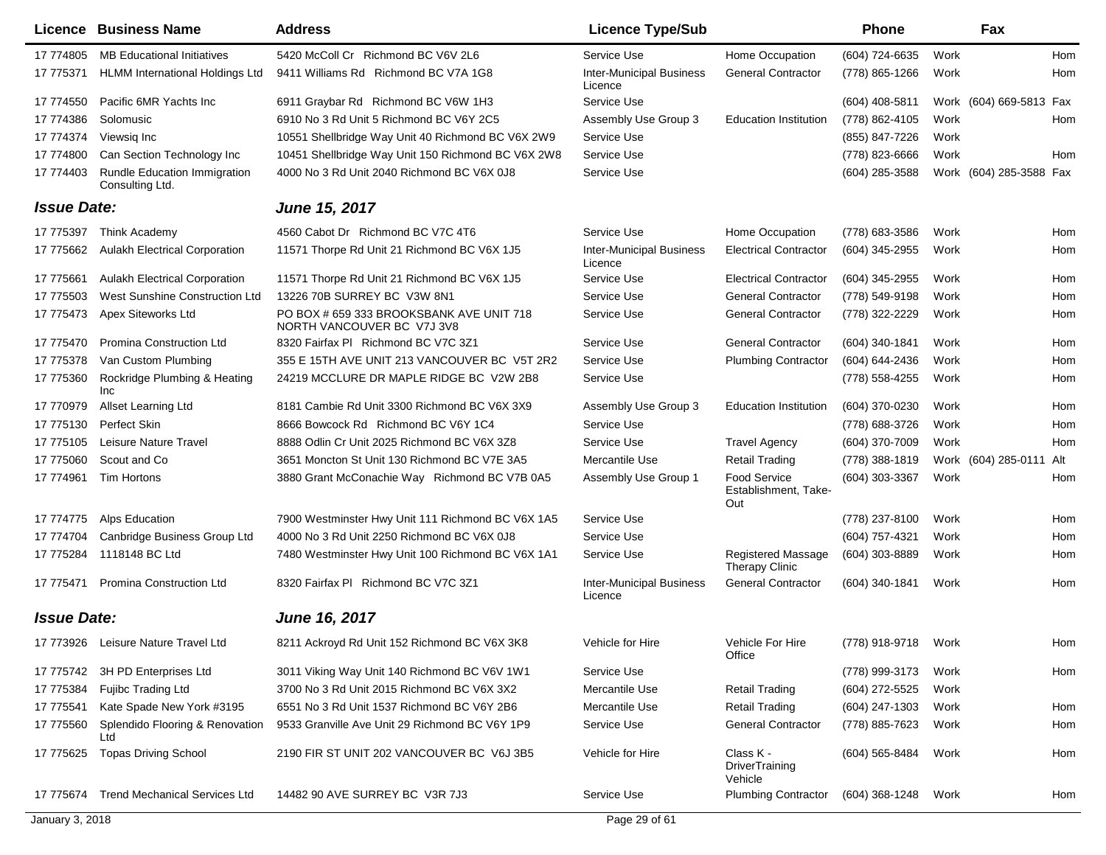|                    | Licence Business Name                                  | <b>Address</b>                                                         | <b>Licence Type/Sub</b>                    |                                                    | <b>Phone</b>        | Fax                     |     |
|--------------------|--------------------------------------------------------|------------------------------------------------------------------------|--------------------------------------------|----------------------------------------------------|---------------------|-------------------------|-----|
| 17 774805          | <b>MB Educational Initiatives</b>                      | 5420 McColl Cr Richmond BC V6V 2L6                                     | Service Use                                | Home Occupation                                    | (604) 724-6635      | Work                    | Hom |
| 17 775371          | <b>HLMM International Holdings Ltd</b>                 | 9411 Williams Rd Richmond BC V7A 1G8                                   | <b>Inter-Municipal Business</b><br>Licence | <b>General Contractor</b>                          | (778) 865-1266      | Work                    | Hom |
| 17 774550          | Pacific 6MR Yachts Inc                                 | 6911 Graybar Rd Richmond BC V6W 1H3                                    | Service Use                                |                                                    | (604) 408-5811      | Work (604) 669-5813 Fax |     |
| 17 774386          | Solomusic                                              | 6910 No 3 Rd Unit 5 Richmond BC V6Y 2C5                                | Assembly Use Group 3                       | <b>Education Institution</b>                       | (778) 862-4105      | Work                    | Hom |
| 17 774374          | Viewsig Inc                                            | 10551 Shellbridge Way Unit 40 Richmond BC V6X 2W9                      | Service Use                                |                                                    | (855) 847-7226      | Work                    |     |
| 17 774800          | Can Section Technology Inc                             | 10451 Shellbridge Way Unit 150 Richmond BC V6X 2W8                     | Service Use                                |                                                    | (778) 823-6666      | Work                    | Hom |
| 17 774403          | <b>Rundle Education Immigration</b><br>Consulting Ltd. | 4000 No 3 Rd Unit 2040 Richmond BC V6X 0J8                             | Service Use                                |                                                    | $(604)$ 285-3588    | Work (604) 285-3588 Fax |     |
| <b>Issue Date:</b> |                                                        | <b>June 15, 2017</b>                                                   |                                            |                                                    |                     |                         |     |
| 17 775397          | Think Academy                                          | 4560 Cabot Dr Richmond BC V7C 4T6                                      | Service Use                                | Home Occupation                                    | (778) 683-3586      | Work                    | Hom |
| 17 775662          | <b>Aulakh Electrical Corporation</b>                   | 11571 Thorpe Rd Unit 21 Richmond BC V6X 1J5                            | <b>Inter-Municipal Business</b><br>Licence | <b>Electrical Contractor</b>                       | (604) 345-2955      | Work                    | Hom |
| 17 775661          | <b>Aulakh Electrical Corporation</b>                   | 11571 Thorpe Rd Unit 21 Richmond BC V6X 1J5                            | Service Use                                | <b>Electrical Contractor</b>                       | $(604)$ 345-2955    | Work                    | Hom |
| 17 775503          | West Sunshine Construction Ltd                         | 13226 70B SURREY BC V3W 8N1                                            | Service Use                                | <b>General Contractor</b>                          | (778) 549-9198      | Work                    | Hom |
| 17 775473          | Apex Siteworks Ltd                                     | PO BOX # 659 333 BROOKSBANK AVE UNIT 718<br>NORTH VANCOUVER BC V7J 3V8 | Service Use                                | <b>General Contractor</b>                          | (778) 322-2229      | Work                    | Hom |
| 17 775470          | <b>Promina Construction Ltd</b>                        | 8320 Fairfax PI Richmond BC V7C 3Z1                                    | Service Use                                | <b>General Contractor</b>                          | (604) 340-1841      | Work                    | Hom |
| 17 775378          | Van Custom Plumbing                                    | 355 E 15TH AVE UNIT 213 VANCOUVER BC V5T 2R2                           | Service Use                                | <b>Plumbing Contractor</b>                         | (604) 644-2436      | Work                    | Hom |
| 17 775360          | Rockridge Plumbing & Heating<br>Inc                    | 24219 MCCLURE DR MAPLE RIDGE BC V2W 2B8                                | Service Use                                |                                                    | (778) 558-4255      | Work                    | Hom |
| 17 770979          | Allset Learning Ltd                                    | 8181 Cambie Rd Unit 3300 Richmond BC V6X 3X9                           | Assembly Use Group 3                       | <b>Education Institution</b>                       | (604) 370-0230      | Work                    | Hom |
| 17 775130          | Perfect Skin                                           | 8666 Bowcock Rd Richmond BC V6Y 1C4                                    | Service Use                                |                                                    | (778) 688-3726      | Work                    | Hom |
| 17 775105          | Leisure Nature Travel                                  | 8888 Odlin Cr Unit 2025 Richmond BC V6X 3Z8                            | Service Use                                | <b>Travel Agency</b>                               | (604) 370-7009      | Work                    | Hom |
| 17 775060          | Scout and Co.                                          | 3651 Moncton St Unit 130 Richmond BC V7E 3A5                           | Mercantile Use                             | <b>Retail Trading</b>                              | (778) 388-1819      | Work (604) 285-0111 Alt |     |
| 17 774961          | Tim Hortons                                            | 3880 Grant McConachie Way Richmond BC V7B 0A5                          | Assembly Use Group 1                       | <b>Food Service</b><br>Establishment, Take-<br>Out | (604) 303-3367      | Work                    | Hom |
| 17 774775          | Alps Education                                         | 7900 Westminster Hwy Unit 111 Richmond BC V6X 1A5                      | Service Use                                |                                                    | (778) 237-8100      | Work                    | Hom |
| 17 774704          | Canbridge Business Group Ltd                           | 4000 No 3 Rd Unit 2250 Richmond BC V6X 0J8                             | Service Use                                |                                                    | (604) 757-4321      | Work                    | Hom |
| 17 775284          | 1118148 BC Ltd                                         | 7480 Westminster Hwy Unit 100 Richmond BC V6X 1A1                      | Service Use                                | Registered Massage<br><b>Therapy Clinic</b>        | (604) 303-8889      | Work                    | Hom |
| 17 775471          | <b>Promina Construction Ltd</b>                        | 8320 Fairfax PI Richmond BC V7C 3Z1                                    | <b>Inter-Municipal Business</b><br>Licence | <b>General Contractor</b>                          | (604) 340-1841      | Work                    | Hom |
| <b>Issue Date:</b> |                                                        | June 16, 2017                                                          |                                            |                                                    |                     |                         |     |
|                    | 17 773926 Leisure Nature Travel Ltd                    | 8211 Ackroyd Rd Unit 152 Richmond BC V6X 3K8                           | Vehicle for Hire                           | Vehicle For Hire<br>Office                         | (778) 918-9718 Work |                         | Hom |
| 17 775742          | 3H PD Enterprises Ltd                                  | 3011 Viking Way Unit 140 Richmond BC V6V 1W1                           | Service Use                                |                                                    | (778) 999-3173      | Work                    | Hom |
| 17 775384          | <b>Fujibc Trading Ltd</b>                              | 3700 No 3 Rd Unit 2015 Richmond BC V6X 3X2                             | Mercantile Use                             | <b>Retail Trading</b>                              | (604) 272-5525      | Work                    |     |
| 17 775541          | Kate Spade New York #3195                              | 6551 No 3 Rd Unit 1537 Richmond BC V6Y 2B6                             | Mercantile Use                             | <b>Retail Trading</b>                              | (604) 247-1303      | Work                    | Hom |
| 17 775560          | Splendido Flooring & Renovation<br>Ltd                 | 9533 Granville Ave Unit 29 Richmond BC V6Y 1P9                         | Service Use                                | <b>General Contractor</b>                          | (778) 885-7623      | Work                    | Hom |
| 17 775625          | <b>Topas Driving School</b>                            | 2190 FIR ST UNIT 202 VANCOUVER BC V6J 3B5                              | Vehicle for Hire                           | Class K -<br>DriverTraining<br>Vehicle             | (604) 565-8484      | Work                    | Hom |
|                    | 17 775674 Trend Mechanical Services Ltd                | 14482 90 AVE SURREY BC V3R 7J3                                         | Service Use                                | <b>Plumbing Contractor</b>                         | (604) 368-1248      | Work                    | Hom |
| January 3, 2018    |                                                        |                                                                        | Page 29 of 61                              |                                                    |                     |                         |     |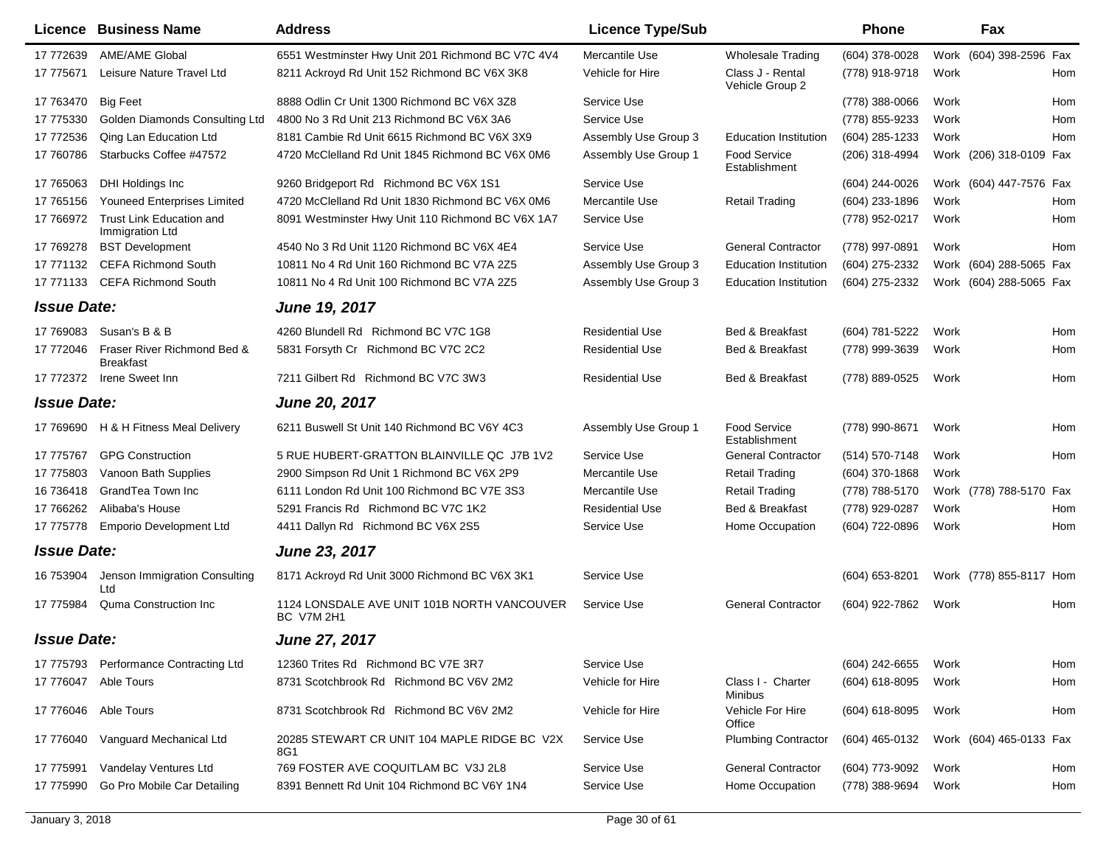|                    | Licence Business Name                           | <b>Address</b>                                                   | <b>Licence Type/Sub</b> |                                      | Phone            |      | Fax                     |     |
|--------------------|-------------------------------------------------|------------------------------------------------------------------|-------------------------|--------------------------------------|------------------|------|-------------------------|-----|
| 17 772639          | <b>AME/AME Global</b>                           | 6551 Westminster Hwy Unit 201 Richmond BC V7C 4V4                | Mercantile Use          | <b>Wholesale Trading</b>             | (604) 378-0028   |      | Work (604) 398-2596 Fax |     |
| 17 775671          | Leisure Nature Travel Ltd                       | 8211 Ackroyd Rd Unit 152 Richmond BC V6X 3K8                     | Vehicle for Hire        | Class J - Rental<br>Vehicle Group 2  | (778) 918-9718   | Work |                         | Hom |
| 17 763470          | <b>Big Feet</b>                                 | 8888 Odlin Cr Unit 1300 Richmond BC V6X 3Z8                      | Service Use             |                                      | $(778)$ 388-0066 | Work |                         | Hom |
| 17 775330          | Golden Diamonds Consulting Ltd                  | 4800 No 3 Rd Unit 213 Richmond BC V6X 3A6                        | Service Use             |                                      | (778) 855-9233   | Work |                         | Hom |
| 17 772536          | Qing Lan Education Ltd                          | 8181 Cambie Rd Unit 6615 Richmond BC V6X 3X9                     | Assembly Use Group 3    | <b>Education Institution</b>         | (604) 285-1233   | Work |                         | Hom |
| 17 760786          | Starbucks Coffee #47572                         | 4720 McClelland Rd Unit 1845 Richmond BC V6X 0M6                 | Assembly Use Group 1    | Food Service<br>Establishment        | (206) 318-4994   |      | Work (206) 318-0109 Fax |     |
| 17 765063          | DHI Holdings Inc                                | 9260 Bridgeport Rd Richmond BC V6X 1S1                           | Service Use             |                                      | (604) 244-0026   |      | Work (604) 447-7576 Fax |     |
| 17 765156          | <b>Youneed Enterprises Limited</b>              | 4720 McClelland Rd Unit 1830 Richmond BC V6X 0M6                 | Mercantile Use          | <b>Retail Trading</b>                | (604) 233-1896   | Work |                         | Hom |
| 17 766972          | Trust Link Education and<br>Immigration Ltd     | 8091 Westminster Hwy Unit 110 Richmond BC V6X 1A7                | Service Use             |                                      | (778) 952-0217   | Work |                         | Hom |
| 17 769278          | <b>BST Development</b>                          | 4540 No 3 Rd Unit 1120 Richmond BC V6X 4E4                       | Service Use             | <b>General Contractor</b>            | (778) 997-0891   | Work |                         | Hom |
| 17 771132          | <b>CEFA Richmond South</b>                      | 10811 No 4 Rd Unit 160 Richmond BC V7A 2Z5                       | Assembly Use Group 3    | <b>Education Institution</b>         | (604) 275-2332   |      | Work (604) 288-5065 Fax |     |
| 17 771133          | <b>CEFA Richmond South</b>                      | 10811 No 4 Rd Unit 100 Richmond BC V7A 2Z5                       | Assembly Use Group 3    | <b>Education Institution</b>         | (604) 275-2332   |      | Work (604) 288-5065 Fax |     |
| <b>Issue Date:</b> |                                                 | June 19, 2017                                                    |                         |                                      |                  |      |                         |     |
| 17 769083          | Susan's B & B                                   | 4260 Blundell Rd Richmond BC V7C 1G8                             | <b>Residential Use</b>  | Bed & Breakfast                      | (604) 781-5222   | Work |                         | Hom |
| 17 772046          | Fraser River Richmond Bed &<br><b>Breakfast</b> | 5831 Forsyth Cr Richmond BC V7C 2C2                              | <b>Residential Use</b>  | Bed & Breakfast                      | (778) 999-3639   | Work |                         | Hom |
|                    | 17 772372 Irene Sweet Inn                       | 7211 Gilbert Rd Richmond BC V7C 3W3                              | <b>Residential Use</b>  | Bed & Breakfast                      | (778) 889-0525   | Work |                         | Hom |
| <b>Issue Date:</b> |                                                 | <b>June 20, 2017</b>                                             |                         |                                      |                  |      |                         |     |
| 17 769690          | H & H Fitness Meal Delivery                     | 6211 Buswell St Unit 140 Richmond BC V6Y 4C3                     | Assembly Use Group 1    | <b>Food Service</b><br>Establishment | (778) 990-8671   | Work |                         | Hom |
| 17 775767          | <b>GPG Construction</b>                         | 5 RUE HUBERT-GRATTON BLAINVILLE QC J7B 1V2                       | Service Use             | <b>General Contractor</b>            | (514) 570-7148   | Work |                         | Hom |
| 17 775803          | Vanoon Bath Supplies                            | 2900 Simpson Rd Unit 1 Richmond BC V6X 2P9                       | Mercantile Use          | <b>Retail Trading</b>                | (604) 370-1868   | Work |                         |     |
| 16 73 6418         | GrandTea Town Inc                               | 6111 London Rd Unit 100 Richmond BC V7E 3S3                      | Mercantile Use          | <b>Retail Trading</b>                | (778) 788-5170   |      | Work (778) 788-5170     | Fax |
| 17 766262          | Alibaba's House                                 | 5291 Francis Rd Richmond BC V7C 1K2                              | <b>Residential Use</b>  | Bed & Breakfast                      | (778) 929-0287   | Work |                         | Hom |
| 17 775778          | <b>Emporio Development Ltd</b>                  | 4411 Dallyn Rd Richmond BC V6X 2S5                               | Service Use             | Home Occupation                      | (604) 722-0896   | Work |                         | Hom |
| <b>Issue Date:</b> |                                                 | <b>June 23, 2017</b>                                             |                         |                                      |                  |      |                         |     |
| 16 753904          | Jenson Immigration Consulting<br>Ltd            | 8171 Ackroyd Rd Unit 3000 Richmond BC V6X 3K1                    | Service Use             |                                      | $(604)$ 653-8201 |      | Work (778) 855-8117 Hom |     |
| 17 775984          | <b>Quma Construction Inc.</b>                   | 1124 LONSDALE AVE UNIT 101B NORTH VANCOUVER<br><b>BC V7M 2H1</b> | Service Use             | <b>General Contractor</b>            | (604) 922-7862   | Work |                         | Hom |
| <b>Issue Date:</b> |                                                 | <b>June 27, 2017</b>                                             |                         |                                      |                  |      |                         |     |
|                    | 17 775793 Performance Contracting Ltd           | 12360 Trites Rd Richmond BC V7E 3R7                              | Service Use             |                                      | (604) 242-6655   | Work |                         | Hom |
|                    | 17 776047 Able Tours                            | 8731 Scotchbrook Rd Richmond BC V6V 2M2                          | Vehicle for Hire        | Class I - Charter<br>Minibus         | (604) 618-8095   | Work |                         | Hom |
| 17 776046          | Able Tours                                      | 8731 Scotchbrook Rd Richmond BC V6V 2M2                          | Vehicle for Hire        | Vehicle For Hire<br>Office           | (604) 618-8095   | Work |                         | Hom |
| 17 776040          | Vanguard Mechanical Ltd                         | 20285 STEWART CR UNIT 104 MAPLE RIDGE BC V2X<br>8G1              | Service Use             | <b>Plumbing Contractor</b>           | (604) 465-0132   |      | Work (604) 465-0133 Fax |     |
| 17 775991          | Vandelay Ventures Ltd                           | 769 FOSTER AVE COQUITLAM BC V3J 2L8                              | Service Use             | <b>General Contractor</b>            | (604) 773-9092   | Work |                         | Hom |
| 17 775990          | Go Pro Mobile Car Detailing                     | 8391 Bennett Rd Unit 104 Richmond BC V6Y 1N4                     | Service Use             | Home Occupation                      | (778) 388-9694   | Work |                         | Hom |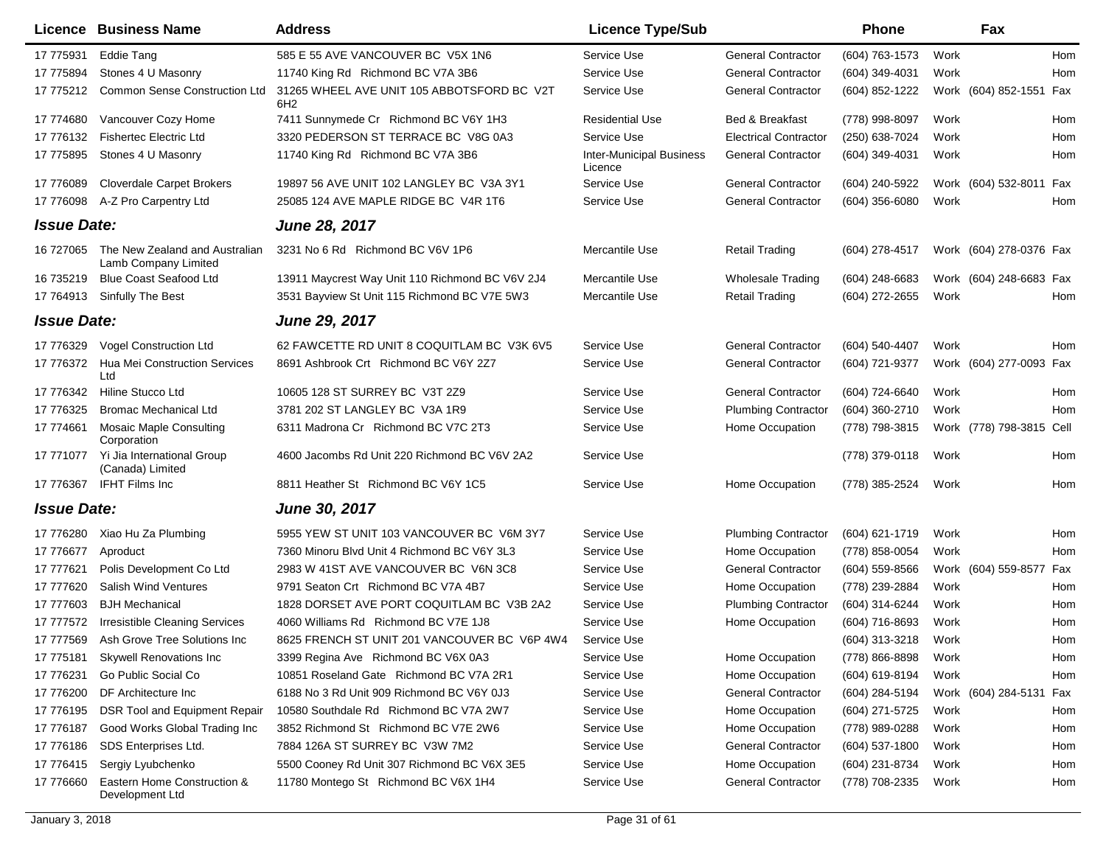|                    | Licence Business Name                                  | <b>Address</b>                                                | <b>Licence Type/Sub</b>                    |                              | <b>Phone</b>     |      | Fax                      |     |
|--------------------|--------------------------------------------------------|---------------------------------------------------------------|--------------------------------------------|------------------------------|------------------|------|--------------------------|-----|
| 17 775931          | <b>Eddie Tang</b>                                      | 585 E 55 AVE VANCOUVER BC V5X 1N6                             | Service Use                                | <b>General Contractor</b>    | (604) 763-1573   | Work |                          | Hom |
| 17 775894          | Stones 4 U Masonry                                     | 11740 King Rd Richmond BC V7A 3B6                             | Service Use                                | <b>General Contractor</b>    | (604) 349-4031   | Work |                          | Hom |
| 17 775212          | <b>Common Sense Construction Ltd</b>                   | 31265 WHEEL AVE UNIT 105 ABBOTSFORD BC V2T<br>6H <sub>2</sub> | Service Use                                | <b>General Contractor</b>    | (604) 852-1222   |      | Work (604) 852-1551 Fax  |     |
| 17 774680          | Vancouver Cozy Home                                    | 7411 Sunnymede Cr Richmond BC V6Y 1H3                         | <b>Residential Use</b>                     | Bed & Breakfast              | (778) 998-8097   | Work |                          | Hom |
| 17 776132          | <b>Fishertec Electric Ltd</b>                          | 3320 PEDERSON ST TERRACE BC V8G 0A3                           | Service Use                                | <b>Electrical Contractor</b> | (250) 638-7024   | Work |                          | Hom |
| 17 775895          | Stones 4 U Masonry                                     | 11740 King Rd Richmond BC V7A 3B6                             | <b>Inter-Municipal Business</b><br>Licence | <b>General Contractor</b>    | (604) 349-4031   | Work |                          | Hom |
| 17 776089          | <b>Cloverdale Carpet Brokers</b>                       | 19897 56 AVE UNIT 102 LANGLEY BC V3A 3Y1                      | Service Use                                | <b>General Contractor</b>    | (604) 240-5922   |      | Work (604) 532-8011 Fax  |     |
| 17 776098          | A-Z Pro Carpentry Ltd                                  | 25085 124 AVE MAPLE RIDGE BC V4R 1T6                          | Service Use                                | <b>General Contractor</b>    | $(604)$ 356-6080 | Work |                          | Hom |
| <b>Issue Date:</b> |                                                        | June 28, 2017                                                 |                                            |                              |                  |      |                          |     |
| 16 727065          | The New Zealand and Australian<br>Lamb Company Limited | 3231 No 6 Rd Richmond BC V6V 1P6                              | Mercantile Use                             | <b>Retail Trading</b>        | (604) 278-4517   |      | Work (604) 278-0376 Fax  |     |
| 16 735219          | <b>Blue Coast Seafood Ltd</b>                          | 13911 Maycrest Way Unit 110 Richmond BC V6V 2J4               | Mercantile Use                             | <b>Wholesale Trading</b>     | $(604)$ 248-6683 |      | Work (604) 248-6683 Fax  |     |
|                    | 17 764913 Sinfully The Best                            | 3531 Bayview St Unit 115 Richmond BC V7E 5W3                  | Mercantile Use                             | <b>Retail Trading</b>        | (604) 272-2655   | Work |                          | Hom |
| <b>Issue Date:</b> |                                                        | June 29, 2017                                                 |                                            |                              |                  |      |                          |     |
| 17 77 6329         | <b>Vogel Construction Ltd</b>                          | 62 FAWCETTE RD UNIT 8 COQUITLAM BC V3K 6V5                    | Service Use                                | <b>General Contractor</b>    | (604) 540-4407   | Work |                          | Hom |
| 17 776372          | Hua Mei Construction Services<br>Ltd                   | 8691 Ashbrook Crt Richmond BC V6Y 2Z7                         | Service Use                                | <b>General Contractor</b>    | (604) 721-9377   |      | Work (604) 277-0093 Fax  |     |
| 17 776342          | Hiline Stucco Ltd                                      | 10605 128 ST SURREY BC V3T 2Z9                                | Service Use                                | <b>General Contractor</b>    | (604) 724-6640   | Work |                          | Hom |
| 17 77 6325         | <b>Bromac Mechanical Ltd</b>                           | 3781 202 ST LANGLEY BC V3A 1R9                                | Service Use                                | <b>Plumbing Contractor</b>   | (604) 360-2710   | Work |                          | Hom |
| 17 774661          | <b>Mosaic Maple Consulting</b><br>Corporation          | 6311 Madrona Cr Richmond BC V7C 2T3                           | Service Use                                | Home Occupation              | (778) 798-3815   |      | Work (778) 798-3815 Cell |     |
| 17 771077          | Yi Jia International Group<br>(Canada) Limited         | 4600 Jacombs Rd Unit 220 Richmond BC V6V 2A2                  | Service Use                                |                              | (778) 379-0118   | Work |                          | Hom |
| 17 776367          | <b>IFHT Films Inc</b>                                  | 8811 Heather St Richmond BC V6Y 1C5                           | Service Use                                | Home Occupation              | (778) 385-2524   | Work |                          | Hom |
| <b>Issue Date:</b> |                                                        | June 30, 2017                                                 |                                            |                              |                  |      |                          |     |
| 17 776280          | Xiao Hu Za Plumbing                                    | 5955 YEW ST UNIT 103 VANCOUVER BC V6M 3Y7                     | Service Use                                | <b>Plumbing Contractor</b>   | (604) 621-1719   | Work |                          | Hom |
| 17 77 6677         | Aproduct                                               | 7360 Minoru Blvd Unit 4 Richmond BC V6Y 3L3                   | Service Use                                | Home Occupation              | (778) 858-0054   | Work |                          | Hom |
| 17 777621          | Polis Development Co Ltd                               | 2983 W 41ST AVE VANCOUVER BC V6N 3C8                          | Service Use                                | <b>General Contractor</b>    | $(604)$ 559-8566 |      | Work (604) 559-8577 Fax  |     |
| 17 777620          | <b>Salish Wind Ventures</b>                            | 9791 Seaton Crt Richmond BC V7A 4B7                           | Service Use                                | Home Occupation              | (778) 239-2884   | Work |                          | Hom |
| 17 777603          | <b>BJH Mechanical</b>                                  | 1828 DORSET AVE PORT COQUITLAM BC V3B 2A2                     | Service Use                                | <b>Plumbing Contractor</b>   | (604) 314-6244   | Work |                          | Hom |
| 17 777572          | <b>Irresistible Cleaning Services</b>                  | 4060 Williams Rd Richmond BC V7E 1J8                          | Service Use                                | Home Occupation              | (604) 716-8693   | Work |                          | Hom |
| 17 777569          | Ash Grove Tree Solutions Inc                           | 8625 FRENCH ST UNIT 201 VANCOUVER BC V6P 4W4                  | Service Use                                |                              | (604) 313-3218   | Work |                          | Hom |
| 17 775181          | Skywell Renovations Inc                                | 3399 Regina Ave Richmond BC V6X 0A3                           | Service Use                                | Home Occupation              | (778) 866-8898   | Work |                          | Hom |
| 17 776231          | Go Public Social Co                                    | 10851 Roseland Gate Richmond BC V7A 2R1                       | Service Use                                | Home Occupation              | (604) 619-8194   | Work |                          | Hom |
| 17 776200          | DF Architecture Inc                                    | 6188 No 3 Rd Unit 909 Richmond BC V6Y 0J3                     | Service Use                                | <b>General Contractor</b>    | (604) 284-5194   |      | Work (604) 284-5131 Fax  |     |
| 17 776195          | DSR Tool and Equipment Repair                          | 10580 Southdale Rd Richmond BC V7A 2W7                        | Service Use                                | Home Occupation              | (604) 271-5725   | Work |                          | Hom |
| 17 776187          | Good Works Global Trading Inc                          | 3852 Richmond St Richmond BC V7E 2W6                          | Service Use                                | Home Occupation              | (778) 989-0288   | Work |                          | Hom |
| 17 776186          | SDS Enterprises Ltd.                                   | 7884 126A ST SURREY BC V3W 7M2                                | Service Use                                | <b>General Contractor</b>    | $(604)$ 537-1800 | Work |                          | Hom |
| 17 776415          | Sergiy Lyubchenko                                      | 5500 Cooney Rd Unit 307 Richmond BC V6X 3E5                   | Service Use                                | Home Occupation              | (604) 231-8734   | Work |                          | Hom |
| 17 776660          | Eastern Home Construction &<br>Development Ltd         | 11780 Montego St Richmond BC V6X 1H4                          | Service Use                                | <b>General Contractor</b>    | (778) 708-2335   | Work |                          | Hom |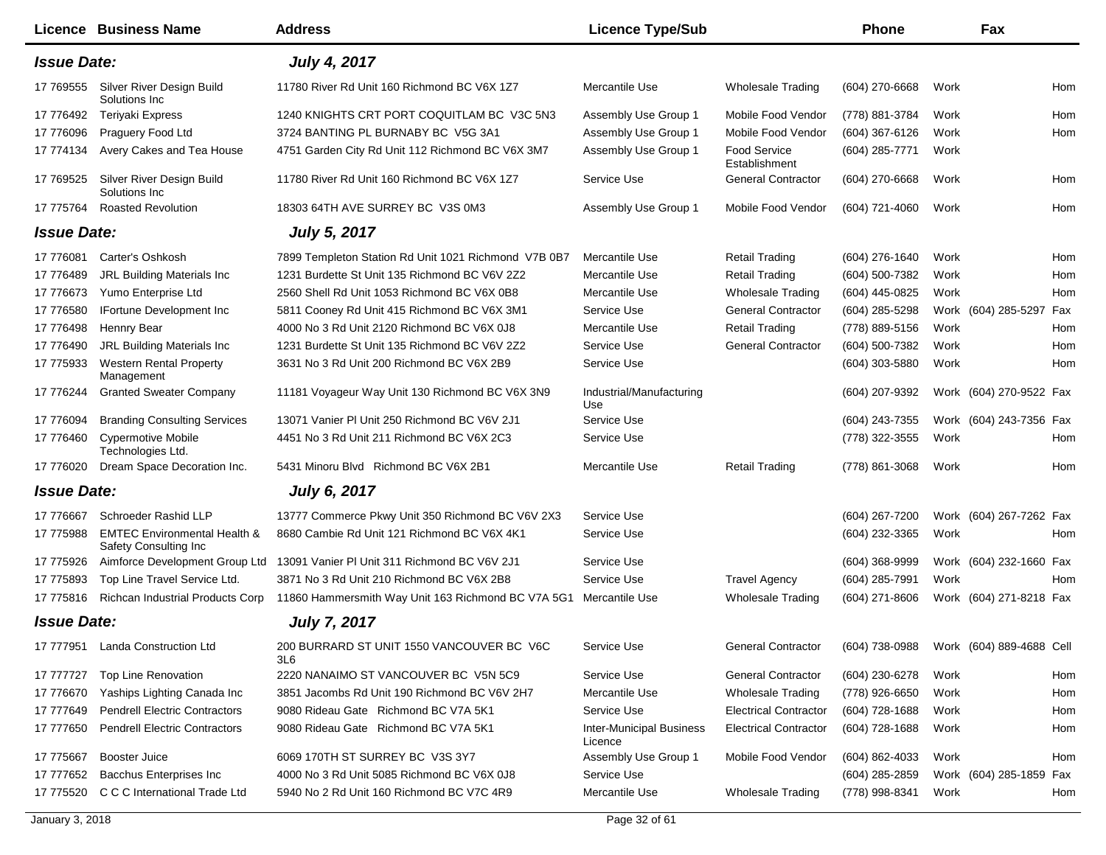|                    | Licence Business Name                                                    | <b>Address</b>                                                    | <b>Licence Type/Sub</b>                    |                                      | <b>Phone</b>     |      | Fax                      |     |
|--------------------|--------------------------------------------------------------------------|-------------------------------------------------------------------|--------------------------------------------|--------------------------------------|------------------|------|--------------------------|-----|
| <b>Issue Date:</b> |                                                                          | <b>July 4, 2017</b>                                               |                                            |                                      |                  |      |                          |     |
| 17 769555          | Silver River Design Build<br>Solutions Inc.                              | 11780 River Rd Unit 160 Richmond BC V6X 127                       | Mercantile Use                             | <b>Wholesale Trading</b>             | (604) 270-6668   | Work |                          | Hom |
| 17 77 64 92        | Teriyaki Express                                                         | 1240 KNIGHTS CRT PORT COQUITLAM BC V3C 5N3                        | Assembly Use Group 1                       | Mobile Food Vendor                   | (778) 881-3784   | Work |                          | Hom |
| 17 776096          | Praguery Food Ltd                                                        | 3724 BANTING PL BURNABY BC V5G 3A1                                | Assembly Use Group 1                       | Mobile Food Vendor                   | (604) 367-6126   | Work |                          | Hom |
| 17 774134          | Avery Cakes and Tea House                                                | 4751 Garden City Rd Unit 112 Richmond BC V6X 3M7                  | Assembly Use Group 1                       | <b>Food Service</b><br>Establishment | (604) 285-7771   | Work |                          |     |
| 17 769525          | Silver River Design Build<br>Solutions Inc                               | 11780 River Rd Unit 160 Richmond BC V6X 127                       | Service Use                                | <b>General Contractor</b>            | (604) 270-6668   | Work |                          | Hom |
| 17 775764          | <b>Roasted Revolution</b>                                                | 18303 64TH AVE SURREY BC V3S 0M3                                  | Assembly Use Group 1                       | Mobile Food Vendor                   | (604) 721-4060   | Work |                          | Hom |
| <b>Issue Date:</b> |                                                                          | <b>July 5, 2017</b>                                               |                                            |                                      |                  |      |                          |     |
| 17 776081          | Carter's Oshkosh                                                         | 7899 Templeton Station Rd Unit 1021 Richmond V7B 0B7              | Mercantile Use                             | <b>Retail Trading</b>                | (604) 276-1640   | Work |                          | Hom |
| 17 77 6489         | <b>JRL Building Materials Inc.</b>                                       | 1231 Burdette St Unit 135 Richmond BC V6V 2Z2                     | Mercantile Use                             | <b>Retail Trading</b>                | (604) 500-7382   | Work |                          | Hom |
| 17 77 6673         | Yumo Enterprise Ltd                                                      | 2560 Shell Rd Unit 1053 Richmond BC V6X 0B8                       | Mercantile Use                             | <b>Wholesale Trading</b>             | (604) 445-0825   | Work |                          | Hom |
| 17 77 6580         | <b>IFortune Development Inc</b>                                          | 5811 Cooney Rd Unit 415 Richmond BC V6X 3M1                       | Service Use                                | <b>General Contractor</b>            | (604) 285-5298   |      | Work (604) 285-5297      | Fax |
| 17 77 64 98        | <b>Hennry Bear</b>                                                       | 4000 No 3 Rd Unit 2120 Richmond BC V6X 0J8                        | Mercantile Use                             | <b>Retail Trading</b>                | (778) 889-5156   | Work |                          | Hom |
| 17 77 6490         | <b>JRL Building Materials Inc.</b>                                       | 1231 Burdette St Unit 135 Richmond BC V6V 2Z2                     | Service Use                                | <b>General Contractor</b>            | (604) 500-7382   | Work |                          | Hom |
| 17 775933          | <b>Western Rental Property</b><br>Management                             | 3631 No 3 Rd Unit 200 Richmond BC V6X 2B9                         | Service Use                                |                                      | (604) 303-5880   | Work |                          | Hom |
| 17 77 6244         | <b>Granted Sweater Company</b>                                           | 11181 Voyageur Way Unit 130 Richmond BC V6X 3N9                   | Industrial/Manufacturing<br>Use            |                                      | (604) 207-9392   |      | Work (604) 270-9522 Fax  |     |
| 17 776094          | <b>Branding Consulting Services</b>                                      | 13071 Vanier PI Unit 250 Richmond BC V6V 2J1                      | Service Use                                |                                      | (604) 243-7355   |      | Work (604) 243-7356 Fax  |     |
| 17 77 6460         | <b>Cypermotive Mobile</b><br>Technologies Ltd.                           | 4451 No 3 Rd Unit 211 Richmond BC V6X 2C3                         | Service Use                                |                                      | (778) 322-3555   | Work |                          | Hom |
| 17 776020          | Dream Space Decoration Inc.                                              | 5431 Minoru Blvd Richmond BC V6X 2B1                              | Mercantile Use                             | <b>Retail Trading</b>                | (778) 861-3068   | Work |                          | Hom |
| <b>Issue Date:</b> |                                                                          | <b>July 6, 2017</b>                                               |                                            |                                      |                  |      |                          |     |
| 17 77 6667         | Schroeder Rashid LLP                                                     | 13777 Commerce Pkwy Unit 350 Richmond BC V6V 2X3                  | Service Use                                |                                      | (604) 267-7200   |      | Work (604) 267-7262 Fax  |     |
| 17 775988          | <b>EMTEC Environmental Health &amp;</b><br><b>Safety Consulting Inc.</b> | 8680 Cambie Rd Unit 121 Richmond BC V6X 4K1                       | Service Use                                |                                      | (604) 232-3365   | Work |                          | Hom |
| 17 775926          | Aimforce Development Group Ltd                                           | 13091 Vanier PI Unit 311 Richmond BC V6V 2J1                      | Service Use                                |                                      | (604) 368-9999   |      | Work (604) 232-1660 Fax  |     |
| 17 775893          | Top Line Travel Service Ltd.                                             | 3871 No 3 Rd Unit 210 Richmond BC V6X 2B8                         | Service Use                                | <b>Travel Agency</b>                 | (604) 285-7991   | Work |                          | Hom |
| 17 775816          | <b>Richcan Industrial Products Corp</b>                                  | 11860 Hammersmith Way Unit 163 Richmond BC V7A 5G1 Mercantile Use |                                            | <b>Wholesale Trading</b>             | (604) 271-8606   |      | Work (604) 271-8218 Fax  |     |
| <b>Issue Date:</b> |                                                                          | <b>July 7, 2017</b>                                               |                                            |                                      |                  |      |                          |     |
| 17 777951          | Landa Construction Ltd                                                   | 200 BURRARD ST UNIT 1550 VANCOUVER BC V6C<br>3L6                  | Service Use                                | <b>General Contractor</b>            | (604) 738-0988   |      | Work (604) 889-4688 Cell |     |
| 17 777727          | <b>Top Line Renovation</b>                                               | 2220 NANAIMO ST VANCOUVER BC V5N 5C9                              | Service Use                                | <b>General Contractor</b>            | (604) 230-6278   | Work |                          | Hom |
| 17 776670          | Yaships Lighting Canada Inc                                              | 3851 Jacombs Rd Unit 190 Richmond BC V6V 2H7                      | Mercantile Use                             | <b>Wholesale Trading</b>             | (778) 926-6650   | Work |                          | Hom |
| 17 777649          | <b>Pendrell Electric Contractors</b>                                     | 9080 Rideau Gate Richmond BC V7A 5K1                              | Service Use                                | <b>Electrical Contractor</b>         | (604) 728-1688   | Work |                          | Hom |
| 17 777650          | <b>Pendrell Electric Contractors</b>                                     | 9080 Rideau Gate Richmond BC V7A 5K1                              | <b>Inter-Municipal Business</b><br>Licence | <b>Electrical Contractor</b>         | $(604)$ 728-1688 | Work |                          | Hom |
| 17 775667          | Booster Juice                                                            | 6069 170TH ST SURREY BC V3S 3Y7                                   | Assembly Use Group 1                       | Mobile Food Vendor                   | (604) 862-4033   | Work |                          | Hom |
| 17 777652          | Bacchus Enterprises Inc                                                  | 4000 No 3 Rd Unit 5085 Richmond BC V6X 0J8                        | Service Use                                |                                      | (604) 285-2859   |      | Work (604) 285-1859      | Fax |
| 17 775520          | C C C International Trade Ltd                                            | 5940 No 2 Rd Unit 160 Richmond BC V7C 4R9                         | Mercantile Use                             | <b>Wholesale Trading</b>             | (778) 998-8341   | Work |                          | Hom |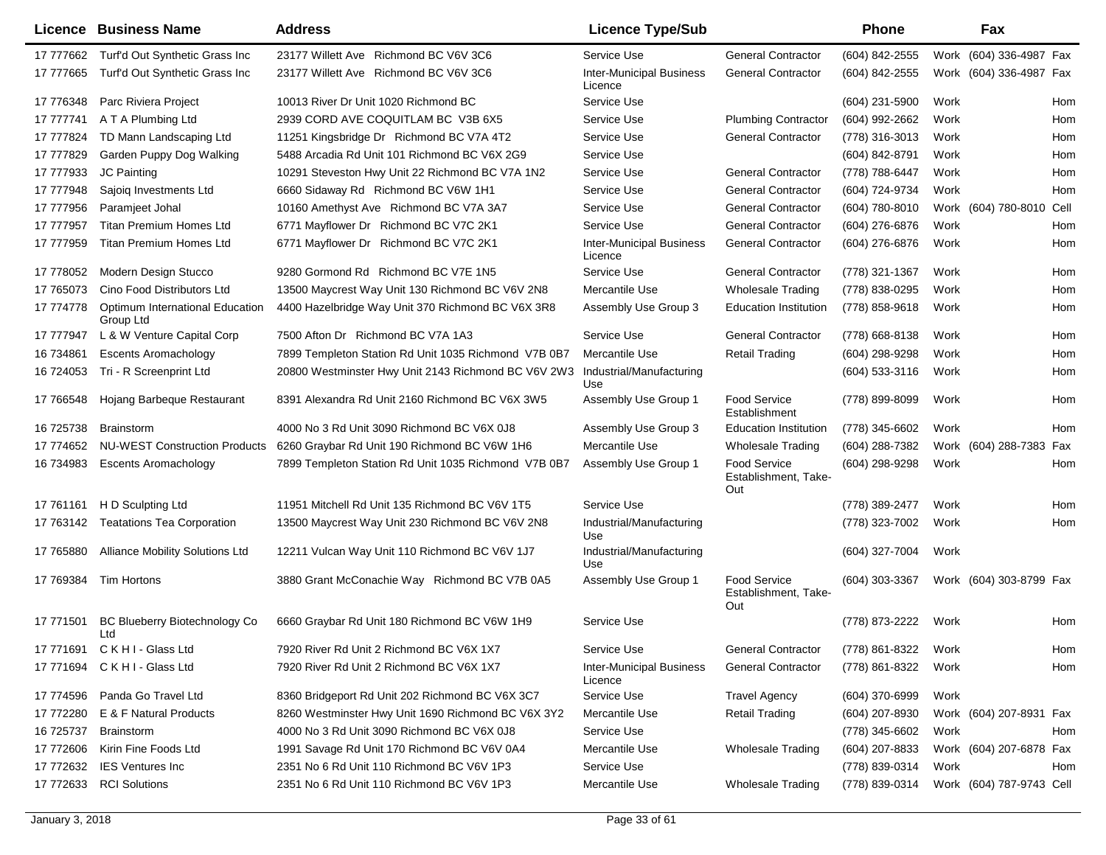|            | Licence Business Name                        | <b>Address</b>                                       | <b>Licence Type/Sub</b>                    |                                                    | <b>Phone</b>     | Fax                      |      |
|------------|----------------------------------------------|------------------------------------------------------|--------------------------------------------|----------------------------------------------------|------------------|--------------------------|------|
| 17 777662  | Turf'd Out Synthetic Grass Inc               | 23177 Willett Ave Richmond BC V6V 3C6                | Service Use                                | <b>General Contractor</b>                          | (604) 842-2555   | Work (604) 336-4987 Fax  |      |
| 17 777665  | Turf'd Out Synthetic Grass Inc               | 23177 Willett Ave Richmond BC V6V 3C6                | <b>Inter-Municipal Business</b><br>Licence | <b>General Contractor</b>                          | (604) 842-2555   | Work (604) 336-4987 Fax  |      |
| 17 776348  | Parc Riviera Project                         | 10013 River Dr Unit 1020 Richmond BC                 | Service Use                                |                                                    | (604) 231-5900   | Work                     | Hom  |
| 17 777741  | A T A Plumbing Ltd                           | 2939 CORD AVE COQUITLAM BC V3B 6X5                   | Service Use                                | <b>Plumbing Contractor</b>                         | (604) 992-2662   | Work                     | Hom  |
| 17 777824  | TD Mann Landscaping Ltd                      | 11251 Kingsbridge Dr Richmond BC V7A 4T2             | Service Use                                | <b>General Contractor</b>                          | (778) 316-3013   | Work                     | Hom  |
| 17 777829  | Garden Puppy Dog Walking                     | 5488 Arcadia Rd Unit 101 Richmond BC V6X 2G9         | Service Use                                |                                                    | (604) 842-8791   | Work                     | Hom  |
| 17 777933  | JC Painting                                  | 10291 Steveston Hwy Unit 22 Richmond BC V7A 1N2      | Service Use                                | <b>General Contractor</b>                          | (778) 788-6447   | Work                     | Hom  |
| 17 777948  | Sajoig Investments Ltd                       | 6660 Sidaway Rd Richmond BC V6W 1H1                  | Service Use                                | <b>General Contractor</b>                          | (604) 724-9734   | Work                     | Hom  |
| 17 777956  | Paramjeet Johal                              | 10160 Amethyst Ave Richmond BC V7A 3A7               | Service Use                                | <b>General Contractor</b>                          | (604) 780-8010   | Work (604) 780-8010      | Cell |
| 17 777957  | <b>Titan Premium Homes Ltd</b>               | 6771 Mayflower Dr Richmond BC V7C 2K1                | Service Use                                | <b>General Contractor</b>                          | (604) 276-6876   | Work                     | Hom  |
| 17 777959  | <b>Titan Premium Homes Ltd</b>               | 6771 Mayflower Dr Richmond BC V7C 2K1                | <b>Inter-Municipal Business</b><br>Licence | <b>General Contractor</b>                          | (604) 276-6876   | Work                     | Hom  |
| 17 778052  | Modern Design Stucco                         | 9280 Gormond Rd Richmond BC V7E 1N5                  | Service Use                                | <b>General Contractor</b>                          | (778) 321-1367   | Work                     | Hom  |
| 17 765073  | Cino Food Distributors Ltd                   | 13500 Maycrest Way Unit 130 Richmond BC V6V 2N8      | Mercantile Use                             | <b>Wholesale Trading</b>                           | (778) 838-0295   | Work                     | Hom  |
| 17 774778  | Optimum International Education<br>Group Ltd | 4400 Hazelbridge Way Unit 370 Richmond BC V6X 3R8    | Assembly Use Group 3                       | <b>Education Institution</b>                       | (778) 858-9618   | Work                     | Hom  |
| 17 777947  | L & W Venture Capital Corp                   | 7500 Afton Dr Richmond BC V7A 1A3                    | Service Use                                | <b>General Contractor</b>                          | (778) 668-8138   | Work                     | Hom  |
| 16 734861  | <b>Escents Aromachology</b>                  | 7899 Templeton Station Rd Unit 1035 Richmond V7B 0B7 | Mercantile Use                             | <b>Retail Trading</b>                              | (604) 298-9298   | Work                     | Hom  |
| 16 724053  | Tri - R Screenprint Ltd                      | 20800 Westminster Hwy Unit 2143 Richmond BC V6V 2W3  | Industrial/Manufacturing<br>Use            |                                                    | (604) 533-3116   | Work                     | Hom  |
| 17 766548  | Hojang Barbeque Restaurant                   | 8391 Alexandra Rd Unit 2160 Richmond BC V6X 3W5      | Assembly Use Group 1                       | <b>Food Service</b><br>Establishment               | (778) 899-8099   | Work                     | Hom  |
| 16 725738  | <b>Brainstorm</b>                            | 4000 No 3 Rd Unit 3090 Richmond BC V6X 0J8           | Assembly Use Group 3                       | <b>Education Institution</b>                       | (778) 345-6602   | Work                     | Hom  |
| 17 774652  | <b>NU-WEST Construction Products</b>         | 6260 Graybar Rd Unit 190 Richmond BC V6W 1H6         | Mercantile Use                             | <b>Wholesale Trading</b>                           | (604) 288-7382   | Work (604) 288-7383      | Fax  |
| 16 734983  | <b>Escents Aromachology</b>                  | 7899 Templeton Station Rd Unit 1035 Richmond V7B 0B7 | Assembly Use Group 1                       | Food Service<br>Establishment, Take-<br>Out        | (604) 298-9298   | Work                     | Hom  |
| 17 761 161 | H D Sculpting Ltd                            | 11951 Mitchell Rd Unit 135 Richmond BC V6V 1T5       | Service Use                                |                                                    | (778) 389-2477   | Work                     | Hom  |
| 17 763142  | <b>Teatations Tea Corporation</b>            | 13500 Maycrest Way Unit 230 Richmond BC V6V 2N8      | Industrial/Manufacturing<br>Use            |                                                    | (778) 323-7002   | Work                     | Hom  |
| 17 765880  | Alliance Mobility Solutions Ltd              | 12211 Vulcan Way Unit 110 Richmond BC V6V 1J7        | Industrial/Manufacturing<br>Use            |                                                    | (604) 327-7004   | Work                     |      |
| 17 769384  | Tim Hortons                                  | 3880 Grant McConachie Way Richmond BC V7B 0A5        | Assembly Use Group 1                       | <b>Food Service</b><br>Establishment, Take-<br>Out | $(604)$ 303-3367 | Work (604) 303-8799 Fax  |      |
| 17 771501  | <b>BC Blueberry Biotechnology Co</b><br>Ltd  | 6660 Graybar Rd Unit 180 Richmond BC V6W 1H9         | Service Use                                |                                                    | (778) 873-2222   | Work                     | Hom  |
| 17 771691  | CKHI-Glass Ltd                               | 7920 River Rd Unit 2 Richmond BC V6X 1X7             | Service Use                                | <b>General Contractor</b>                          | (778) 861-8322   | Work                     | Hom  |
|            | 17 771694 CKHI-Glass Ltd                     | 7920 River Rd Unit 2 Richmond BC V6X 1X7             | <b>Inter-Municipal Business</b><br>Licence | <b>General Contractor</b>                          | (778) 861-8322   | Work                     | Hom  |
| 17 774596  | Panda Go Travel Ltd                          | 8360 Bridgeport Rd Unit 202 Richmond BC V6X 3C7      | Service Use                                | <b>Travel Agency</b>                               | (604) 370-6999   | Work                     |      |
| 17 772280  | E & F Natural Products                       | 8260 Westminster Hwy Unit 1690 Richmond BC V6X 3Y2   | Mercantile Use                             | <b>Retail Trading</b>                              | (604) 207-8930   | Work (604) 207-8931 Fax  |      |
| 16 725737  | <b>Brainstorm</b>                            | 4000 No 3 Rd Unit 3090 Richmond BC V6X 0J8           | Service Use                                |                                                    | (778) 345-6602   | Work                     | Hom  |
| 17 772606  | Kirin Fine Foods Ltd                         | 1991 Savage Rd Unit 170 Richmond BC V6V 0A4          | Mercantile Use                             | <b>Wholesale Trading</b>                           | (604) 207-8833   | Work (604) 207-6878 Fax  |      |
| 17 772632  | <b>IES Ventures Inc</b>                      | 2351 No 6 Rd Unit 110 Richmond BC V6V 1P3            | Service Use                                |                                                    | (778) 839-0314   | Work                     | Hom  |
| 17 772633  | <b>RCI Solutions</b>                         | 2351 No 6 Rd Unit 110 Richmond BC V6V 1P3            | Mercantile Use                             | <b>Wholesale Trading</b>                           | (778) 839-0314   | Work (604) 787-9743 Cell |      |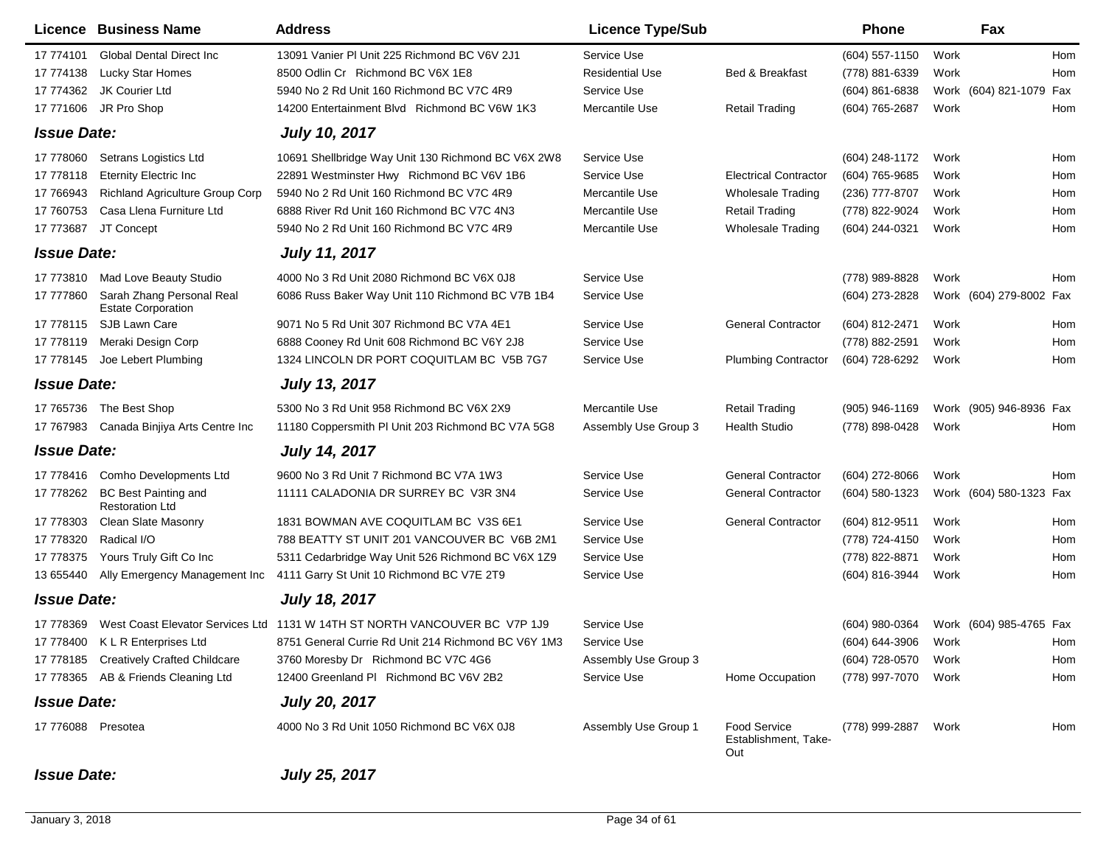|                    | Licence Business Name                                  | <b>Address</b>                                                             | <b>Licence Type/Sub</b> |                                                    | <b>Phone</b>        |      | Fax                        |
|--------------------|--------------------------------------------------------|----------------------------------------------------------------------------|-------------------------|----------------------------------------------------|---------------------|------|----------------------------|
| 17 774101          | <b>Global Dental Direct Inc.</b>                       | 13091 Vanier PI Unit 225 Richmond BC V6V 2J1                               | Service Use             |                                                    | $(604)$ 557-1150    | Work | Hom                        |
| 17 774138          | Lucky Star Homes                                       | 8500 Odlin Cr Richmond BC V6X 1E8                                          | <b>Residential Use</b>  | Bed & Breakfast                                    | (778) 881-6339      | Work | Hom                        |
| 17 774362          | JK Courier Ltd                                         | 5940 No 2 Rd Unit 160 Richmond BC V7C 4R9                                  | Service Use             |                                                    | (604) 861-6838      |      | Work (604) 821-1079<br>Fax |
| 17 771606          | JR Pro Shop                                            | 14200 Entertainment Blvd Richmond BC V6W 1K3                               | Mercantile Use          | <b>Retail Trading</b>                              | (604) 765-2687      | Work | Hom                        |
| <b>Issue Date:</b> |                                                        | <b>July 10, 2017</b>                                                       |                         |                                                    |                     |      |                            |
| 17 778060          | Setrans Logistics Ltd                                  | 10691 Shellbridge Way Unit 130 Richmond BC V6X 2W8                         | Service Use             |                                                    | (604) 248-1172      | Work | Hom                        |
| 17 778118          | <b>Eternity Electric Inc</b>                           | 22891 Westminster Hwy Richmond BC V6V 1B6                                  | Service Use             | <b>Electrical Contractor</b>                       | (604) 765-9685      | Work | Hom                        |
| 17 766943          | <b>Richland Agriculture Group Corp</b>                 | 5940 No 2 Rd Unit 160 Richmond BC V7C 4R9                                  | Mercantile Use          | <b>Wholesale Trading</b>                           | (236) 777-8707      | Work | Hom                        |
| 17 760753          | Casa Llena Furniture Ltd                               | 6888 River Rd Unit 160 Richmond BC V7C 4N3                                 | Mercantile Use          | <b>Retail Trading</b>                              | (778) 822-9024      | Work | Hom                        |
| 17 773687          | JT Concept                                             | 5940 No 2 Rd Unit 160 Richmond BC V7C 4R9                                  | Mercantile Use          | <b>Wholesale Trading</b>                           | (604) 244-0321      | Work | Hom                        |
| <b>Issue Date:</b> |                                                        | <b>July 11, 2017</b>                                                       |                         |                                                    |                     |      |                            |
| 17 773810          | Mad Love Beauty Studio                                 | 4000 No 3 Rd Unit 2080 Richmond BC V6X 0J8                                 | Service Use             |                                                    | (778) 989-8828      | Work | Hom                        |
| 17 777860          | Sarah Zhang Personal Real<br><b>Estate Corporation</b> | 6086 Russ Baker Way Unit 110 Richmond BC V7B 1B4                           | Service Use             |                                                    | (604) 273-2828      |      | Work (604) 279-8002 Fax    |
| 17 778115          | SJB Lawn Care                                          | 9071 No 5 Rd Unit 307 Richmond BC V7A 4E1                                  | Service Use             | <b>General Contractor</b>                          | (604) 812-2471      | Work | Hom                        |
| 17 778119          | Meraki Design Corp                                     | 6888 Cooney Rd Unit 608 Richmond BC V6Y 2J8                                | Service Use             |                                                    | (778) 882-2591      | Work | Hom                        |
| 17 778145          | Joe Lebert Plumbing                                    | 1324 LINCOLN DR PORT COQUITLAM BC V5B 7G7                                  | Service Use             | <b>Plumbing Contractor</b>                         | (604) 728-6292      | Work | Hom                        |
| <b>Issue Date:</b> |                                                        | <b>July 13, 2017</b>                                                       |                         |                                                    |                     |      |                            |
| 17 765736          | The Best Shop                                          | 5300 No 3 Rd Unit 958 Richmond BC V6X 2X9                                  | Mercantile Use          | <b>Retail Trading</b>                              | (905) 946-1169      |      | Work (905) 946-8936 Fax    |
| 17 767983          | Canada Binjiya Arts Centre Inc                         | 11180 Coppersmith PI Unit 203 Richmond BC V7A 5G8                          | Assembly Use Group 3    | <b>Health Studio</b>                               | (778) 898-0428      | Work | Hom                        |
| <b>Issue Date:</b> |                                                        | <b>July 14, 2017</b>                                                       |                         |                                                    |                     |      |                            |
| 17 778416          | Comho Developments Ltd                                 | 9600 No 3 Rd Unit 7 Richmond BC V7A 1W3                                    | Service Use             | <b>General Contractor</b>                          | $(604)$ 272-8066    | Work | Hom                        |
| 17 778262          | <b>BC Best Painting and</b><br><b>Restoration Ltd</b>  | 11111 CALADONIA DR SURREY BC V3R 3N4                                       | Service Use             | <b>General Contractor</b>                          | (604) 580-1323      |      | Work (604) 580-1323<br>Fax |
| 17 778303          | <b>Clean Slate Masonry</b>                             | 1831 BOWMAN AVE COQUITLAM BC V3S 6E1                                       | Service Use             | <b>General Contractor</b>                          | (604) 812-9511      | Work | Hom                        |
| 17 778320          | Radical I/O                                            | 788 BEATTY ST UNIT 201 VANCOUVER BC V6B 2M1                                | Service Use             |                                                    | (778) 724-4150      | Work | Hom                        |
| 17 778375          | Yours Truly Gift Co Inc                                | 5311 Cedarbridge Way Unit 526 Richmond BC V6X 1Z9                          | Service Use             |                                                    | (778) 822-8871      | Work | Hom                        |
| 13 655440          | Ally Emergency Management Inc                          | 4111 Garry St Unit 10 Richmond BC V7E 2T9                                  | Service Use             |                                                    | (604) 816-3944      | Work | Hom                        |
| <b>Issue Date:</b> |                                                        | <b>July 18, 2017</b>                                                       |                         |                                                    |                     |      |                            |
| 17 778369          |                                                        | West Coast Elevator Services Ltd 1131 W 14TH ST NORTH VANCOUVER BC V7P 1J9 | Service Use             |                                                    | (604) 980-0364      |      | Work (604) 985-4765 Fax    |
|                    | 17 778400 K L R Enterprises Ltd                        | 8751 General Currie Rd Unit 214 Richmond BC V6Y 1M3                        | Service Use             |                                                    | (604) 644-3906      | Work | Hom                        |
|                    | 17 778185 Creatively Crafted Childcare                 | 3760 Moresby Dr Richmond BC V7C 4G6                                        | Assembly Use Group 3    |                                                    | (604) 728-0570      | Work | Hom                        |
|                    | 17 778365 AB & Friends Cleaning Ltd                    | 12400 Greenland PI Richmond BC V6V 2B2                                     | Service Use             | Home Occupation                                    | (778) 997-7070      | Work | Hom                        |
| <b>Issue Date:</b> |                                                        | <b>July 20, 2017</b>                                                       |                         |                                                    |                     |      |                            |
| 17 776088 Presotea |                                                        | 4000 No 3 Rd Unit 1050 Richmond BC V6X 0J8                                 | Assembly Use Group 1    | <b>Food Service</b><br>Establishment, Take-<br>Out | (778) 999-2887 Work |      | Hom                        |
| <b>Issue Date:</b> |                                                        | <b>July 25, 2017</b>                                                       |                         |                                                    |                     |      |                            |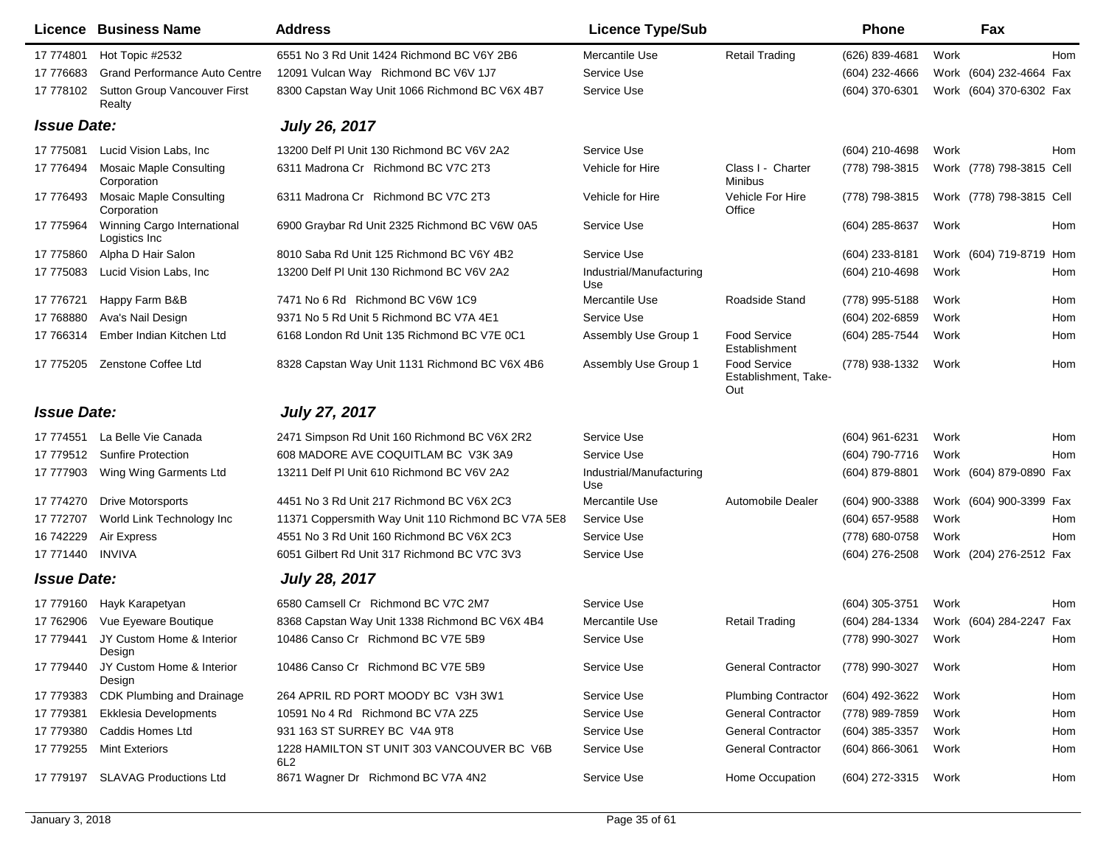|                    | Licence Business Name                         | <b>Address</b>                                     | <b>Licence Type/Sub</b>         |                                                    | <b>Phone</b>       |      | Fax                      |            |
|--------------------|-----------------------------------------------|----------------------------------------------------|---------------------------------|----------------------------------------------------|--------------------|------|--------------------------|------------|
| 17 774801          | Hot Topic #2532                               | 6551 No 3 Rd Unit 1424 Richmond BC V6Y 2B6         | Mercantile Use                  | <b>Retail Trading</b>                              | (626) 839-4681     | Work |                          | Hom        |
| 17 77 6683         | <b>Grand Performance Auto Centre</b>          | 12091 Vulcan Way Richmond BC V6V 1J7               | Service Use                     |                                                    | $(604)$ 232-4666   |      | Work (604) 232-4664 Fax  |            |
| 17 778102          | Sutton Group Vancouver First<br>Realty        | 8300 Capstan Way Unit 1066 Richmond BC V6X 4B7     | Service Use                     |                                                    | (604) 370-6301     |      | Work (604) 370-6302 Fax  |            |
| <b>Issue Date:</b> |                                               | <b>July 26, 2017</b>                               |                                 |                                                    |                    |      |                          |            |
| 17 775081          | Lucid Vision Labs, Inc.                       | 13200 Delf PI Unit 130 Richmond BC V6V 2A2         | Service Use                     |                                                    | $(604)$ 210-4698   | Work |                          | Hom        |
| 17 776494          | <b>Mosaic Maple Consulting</b><br>Corporation | 6311 Madrona Cr Richmond BC V7C 2T3                | Vehicle for Hire                | Class I - Charter<br><b>Minibus</b>                | (778) 798-3815     |      | Work (778) 798-3815 Cell |            |
| 17 776493          | <b>Mosaic Maple Consulting</b><br>Corporation | 6311 Madrona Cr Richmond BC V7C 2T3                | Vehicle for Hire                | Vehicle For Hire<br>Office                         | (778) 798-3815     |      | Work (778) 798-3815 Cell |            |
| 17 775964          | Winning Cargo International<br>Logistics Inc  | 6900 Graybar Rd Unit 2325 Richmond BC V6W 0A5      | Service Use                     |                                                    | (604) 285-8637     | Work |                          | Hom        |
| 17 775860          | Alpha D Hair Salon                            | 8010 Saba Rd Unit 125 Richmond BC V6Y 4B2          | Service Use                     |                                                    | (604) 233-8181     |      | Work (604) 719-8719 Hom  |            |
| 17 775083          | Lucid Vision Labs, Inc                        | 13200 Delf PI Unit 130 Richmond BC V6V 2A2         | Industrial/Manufacturing<br>Use |                                                    | (604) 210-4698     | Work |                          | Hom        |
| 17 776721          | Happy Farm B&B                                | 7471 No 6 Rd Richmond BC V6W 1C9                   | Mercantile Use                  | Roadside Stand                                     | (778) 995-5188     | Work |                          | Hom        |
| 17 768880          | Ava's Nail Design                             | 9371 No 5 Rd Unit 5 Richmond BC V7A 4E1            | Service Use                     |                                                    | (604) 202-6859     | Work |                          | Hom        |
| 17 766314          | Ember Indian Kitchen Ltd                      | 6168 London Rd Unit 135 Richmond BC V7E 0C1        | Assembly Use Group 1            | <b>Food Service</b><br>Establishment               | (604) 285-7544     | Work |                          | Hom        |
|                    | 17 775205 Zenstone Coffee Ltd                 | 8328 Capstan Way Unit 1131 Richmond BC V6X 4B6     | Assembly Use Group 1            | <b>Food Service</b><br>Establishment, Take-<br>Out | (778) 938-1332     | Work |                          | Hom        |
| <b>Issue Date:</b> |                                               | <b>July 27, 2017</b>                               |                                 |                                                    |                    |      |                          |            |
| 17 774551          | La Belle Vie Canada                           | 2471 Simpson Rd Unit 160 Richmond BC V6X 2R2       | Service Use                     |                                                    | (604) 961-6231     | Work |                          | Hom        |
| 17 779512          | <b>Sunfire Protection</b>                     | 608 MADORE AVE COQUITLAM BC V3K 3A9                | Service Use                     |                                                    | (604) 790-7716     | Work |                          | <b>Hom</b> |
| 17 777903          | Wing Wing Garments Ltd                        | 13211 Delf PI Unit 610 Richmond BC V6V 2A2         | Industrial/Manufacturing<br>Use |                                                    | (604) 879-8801     |      | Work (604) 879-0890 Fax  |            |
| 17 774270          | <b>Drive Motorsports</b>                      | 4451 No 3 Rd Unit 217 Richmond BC V6X 2C3          | Mercantile Use                  | Automobile Dealer                                  | (604) 900-3388     |      | Work (604) 900-3399 Fax  |            |
| 17 772707          | World Link Technology Inc                     | 11371 Coppersmith Way Unit 110 Richmond BC V7A 5E8 | Service Use                     |                                                    | (604) 657-9588     | Work |                          | Hom        |
| 16 742229          | Air Express                                   | 4551 No 3 Rd Unit 160 Richmond BC V6X 2C3          | Service Use                     |                                                    | (778) 680-0758     | Work |                          | Hom        |
| 17 771440          | <b>INVIVA</b>                                 | 6051 Gilbert Rd Unit 317 Richmond BC V7C 3V3       | Service Use                     |                                                    | $(604)$ 276-2508   |      | Work (204) 276-2512 Fax  |            |
| <b>Issue Date:</b> |                                               | <b>July 28, 2017</b>                               |                                 |                                                    |                    |      |                          |            |
| 17 779160          | Hayk Karapetyan                               | 6580 Camsell Cr Richmond BC V7C 2M7                | Service Use                     |                                                    | $(604)$ 305-3751   | Work |                          | Hom        |
| 17 762906          | Vue Eyeware Boutique                          | 8368 Capstan Way Unit 1338 Richmond BC V6X 4B4     | Mercantile Use                  | <b>Retail Trading</b>                              | (604) 284-1334     |      | Work (604) 284-2247      | Fax        |
| 17 779441          | JY Custom Home & Interior<br>Design           | 10486 Canso Cr Richmond BC V7E 5B9                 | Service Use                     |                                                    | (778) 990-3027     | Work |                          | Hom        |
| 17 779440          | JY Custom Home & Interior<br>Design           | 10486 Canso Cr Richmond BC V7E 5B9                 | Service Use                     | <b>General Contractor</b>                          | (778) 990-3027     | Work |                          | Hom        |
| 17 779383          | CDK Plumbing and Drainage                     | 264 APRIL RD PORT MOODY BC V3H 3W1                 | Service Use                     | <b>Plumbing Contractor</b>                         | (604) 492-3622     | Work |                          | Hom        |
| 17 779381          | <b>Ekklesia Developments</b>                  | 10591 No 4 Rd Richmond BC V7A 2Z5                  | Service Use                     | <b>General Contractor</b>                          | (778) 989-7859     | Work |                          | Hom        |
| 17 779380          | Caddis Homes Ltd                              | 931 163 ST SURREY BC V4A 9T8                       | Service Use                     | <b>General Contractor</b>                          | (604) 385-3357     | Work |                          | Hom        |
| 17 779255          | <b>Mint Exteriors</b>                         | 1228 HAMILTON ST UNIT 303 VANCOUVER BC V6B<br>6L2  | Service Use                     | <b>General Contractor</b>                          | $(604) 866 - 3061$ | Work |                          | Hom        |
| 17 779197          | <b>SLAVAG Productions Ltd</b>                 | 8671 Wagner Dr Richmond BC V7A 4N2                 | Service Use                     | Home Occupation                                    | (604) 272-3315     | Work |                          | Hom        |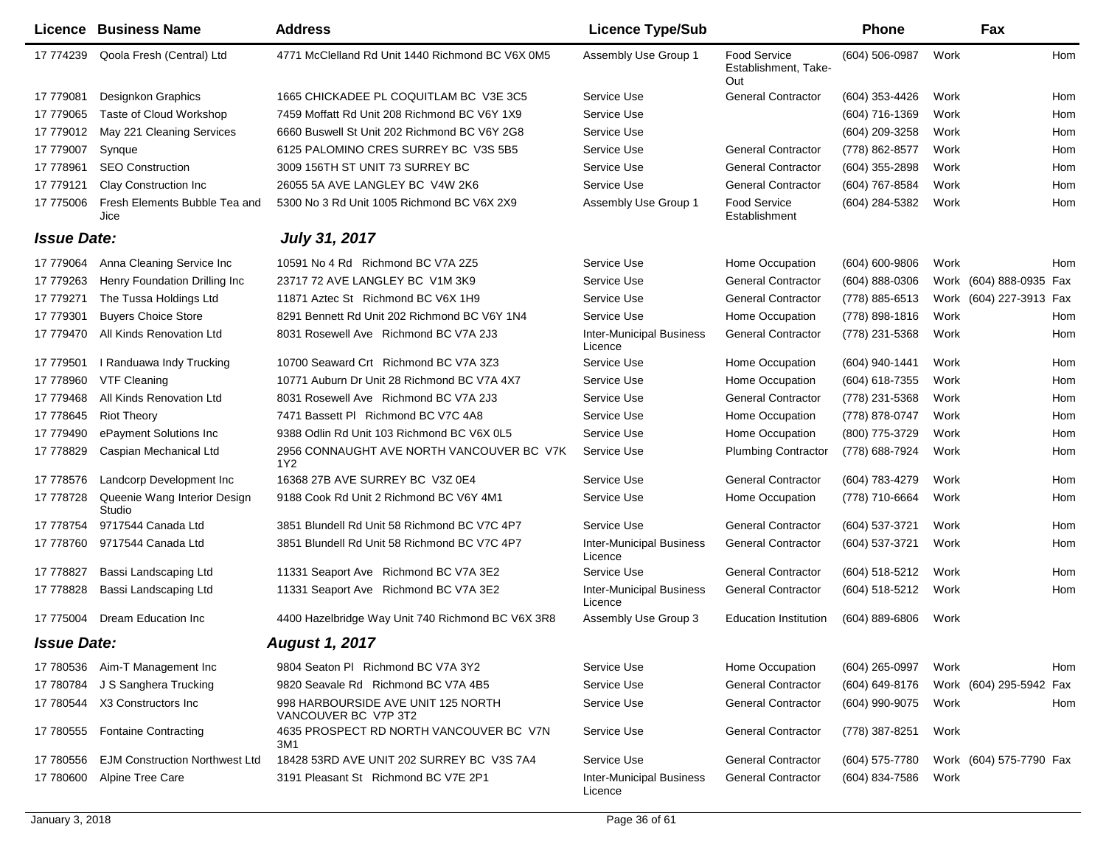|                    | Licence Business Name                  | <b>Address</b>                                             | <b>Licence Type/Sub</b>                    |                                                    | <b>Phone</b>     |      | Fax                     |            |
|--------------------|----------------------------------------|------------------------------------------------------------|--------------------------------------------|----------------------------------------------------|------------------|------|-------------------------|------------|
| 17 774239          | Qoola Fresh (Central) Ltd              | 4771 McClelland Rd Unit 1440 Richmond BC V6X 0M5           | Assembly Use Group 1                       | <b>Food Service</b><br>Establishment, Take-<br>Out | (604) 506-0987   | Work |                         | <b>Hom</b> |
| 17 779081          | Designkon Graphics                     | 1665 CHICKADEE PL COQUITLAM BC V3E 3C5                     | Service Use                                | <b>General Contractor</b>                          | (604) 353-4426   | Work |                         | Hom        |
| 17 779065          | Taste of Cloud Workshop                | 7459 Moffatt Rd Unit 208 Richmond BC V6Y 1X9               | Service Use                                |                                                    | (604) 716-1369   | Work |                         | Hom        |
| 17 779012          | May 221 Cleaning Services              | 6660 Buswell St Unit 202 Richmond BC V6Y 2G8               | Service Use                                |                                                    | (604) 209-3258   | Work |                         | Hom        |
| 17 779007          | Syngue                                 | 6125 PALOMINO CRES SURREY BC V3S 5B5                       | Service Use                                | <b>General Contractor</b>                          | (778) 862-8577   | Work |                         | Hom        |
| 17 778961          | <b>SEO Construction</b>                | 3009 156TH ST UNIT 73 SURREY BC                            | Service Use                                | <b>General Contractor</b>                          | (604) 355-2898   | Work |                         | Hom        |
| 17 779121          | Clay Construction Inc                  | 26055 5A AVE LANGLEY BC V4W 2K6                            | Service Use                                | <b>General Contractor</b>                          | (604) 767-8584   | Work |                         | Hom        |
| 17 775006          | Fresh Elements Bubble Tea and<br>Jice  | 5300 No 3 Rd Unit 1005 Richmond BC V6X 2X9                 | Assembly Use Group 1                       | <b>Food Service</b><br>Establishment               | (604) 284-5382   | Work |                         | Hom        |
| <b>Issue Date:</b> |                                        | <b>July 31, 2017</b>                                       |                                            |                                                    |                  |      |                         |            |
| 17 779064          | Anna Cleaning Service Inc              | 10591 No 4 Rd Richmond BC V7A 2Z5                          | Service Use                                | Home Occupation                                    | (604) 600-9806   | Work |                         | Hom        |
| 17 779263          | Henry Foundation Drilling Inc          | 23717 72 AVE LANGLEY BC V1M 3K9                            | Service Use                                | <b>General Contractor</b>                          | $(604)$ 888-0306 |      | Work (604) 888-0935 Fax |            |
| 17 779271          | The Tussa Holdings Ltd                 | 11871 Aztec St Richmond BC V6X 1H9                         | Service Use                                | <b>General Contractor</b>                          | (778) 885-6513   |      | Work (604) 227-3913 Fax |            |
| 17 779301          | <b>Buvers Choice Store</b>             | 8291 Bennett Rd Unit 202 Richmond BC V6Y 1N4               | Service Use                                | Home Occupation                                    | (778) 898-1816   | Work |                         | Hom        |
| 17 779470          | All Kinds Renovation Ltd               | 8031 Rosewell Ave Richmond BC V7A 2J3                      | <b>Inter-Municipal Business</b><br>Licence | <b>General Contractor</b>                          | (778) 231-5368   | Work |                         | Hom        |
| 17 779501          | I Randuawa Indy Trucking               | 10700 Seaward Crt Richmond BC V7A 3Z3                      | Service Use                                | Home Occupation                                    | (604) 940-1441   | Work |                         | Hom        |
| 17 778960          | <b>VTF Cleaning</b>                    | 10771 Auburn Dr Unit 28 Richmond BC V7A 4X7                | Service Use                                | Home Occupation                                    | (604) 618-7355   | Work |                         | Hom        |
| 17 779468          | All Kinds Renovation Ltd               | 8031 Rosewell Ave Richmond BC V7A 2J3                      | Service Use                                | <b>General Contractor</b>                          | (778) 231-5368   | Work |                         | Hom        |
| 17 778645          | <b>Riot Theory</b>                     | 7471 Bassett PI Richmond BC V7C 4A8                        | Service Use                                | Home Occupation                                    | (778) 878-0747   | Work |                         | Hom        |
| 17 779490          | ePayment Solutions Inc                 | 9388 Odlin Rd Unit 103 Richmond BC V6X 0L5                 | Service Use                                | Home Occupation                                    | (800) 775-3729   | Work |                         | Hom        |
| 17 778829          | Caspian Mechanical Ltd                 | 2956 CONNAUGHT AVE NORTH VANCOUVER BC V7K<br>1Y2           | Service Use                                | <b>Plumbing Contractor</b>                         | (778) 688-7924   | Work |                         | Hom        |
| 17 778576          | Landcorp Development Inc               | 16368 27B AVE SURREY BC V3Z 0E4                            | Service Use                                | <b>General Contractor</b>                          | (604) 783-4279   | Work |                         | Hom        |
| 17 778728          | Queenie Wang Interior Design<br>Studio | 9188 Cook Rd Unit 2 Richmond BC V6Y 4M1                    | Service Use                                | Home Occupation                                    | (778) 710-6664   | Work |                         | Hom        |
| 17 77 8754         | 9717544 Canada Ltd                     | 3851 Blundell Rd Unit 58 Richmond BC V7C 4P7               | Service Use                                | <b>General Contractor</b>                          | (604) 537-3721   | Work |                         | Hom        |
| 17 778760          | 9717544 Canada Ltd                     | 3851 Blundell Rd Unit 58 Richmond BC V7C 4P7               | <b>Inter-Municipal Business</b><br>Licence | <b>General Contractor</b>                          | (604) 537-3721   | Work |                         | Hom        |
| 17 778827          | Bassi Landscaping Ltd                  | 11331 Seaport Ave Richmond BC V7A 3E2                      | Service Use                                | <b>General Contractor</b>                          | (604) 518-5212   | Work |                         | Hom        |
| 17 778828          | Bassi Landscaping Ltd                  | 11331 Seaport Ave Richmond BC V7A 3E2                      | <b>Inter-Municipal Business</b><br>Licence | <b>General Contractor</b>                          | (604) 518-5212   | Work |                         | Hom        |
| 17 775004          | Dream Education Inc.                   | 4400 Hazelbridge Way Unit 740 Richmond BC V6X 3R8          | Assembly Use Group 3                       | <b>Education Institution</b>                       | $(604)$ 889-6806 | Work |                         |            |
| <b>Issue Date:</b> |                                        | <b>August 1, 2017</b>                                      |                                            |                                                    |                  |      |                         |            |
|                    | 17 780536 Aim-T Management Inc         | 9804 Seaton PI Richmond BC V7A 3Y2                         | Service Use                                | Home Occupation                                    | $(604)$ 265-0997 | Work |                         | Hom        |
| 17 780784          | J S Sanghera Trucking                  | 9820 Seavale Rd Richmond BC V7A 4B5                        | Service Use                                | <b>General Contractor</b>                          | (604) 649-8176   |      | Work (604) 295-5942 Fax |            |
| 17 780544          | X3 Constructors Inc                    | 998 HARBOURSIDE AVE UNIT 125 NORTH<br>VANCOUVER BC V7P 3T2 | Service Use                                | <b>General Contractor</b>                          | (604) 990-9075   | Work |                         | Hom        |
| 17 780555          | <b>Fontaine Contracting</b>            | 4635 PROSPECT RD NORTH VANCOUVER BC V7N<br>3M1             | Service Use                                | <b>General Contractor</b>                          | (778) 387-8251   | Work |                         |            |
| 17 780556          | <b>EJM Construction Northwest Ltd</b>  | 18428 53RD AVE UNIT 202 SURREY BC V3S 7A4                  | Service Use                                | <b>General Contractor</b>                          | (604) 575-7780   |      | Work (604) 575-7790 Fax |            |
| 17 780600          | Alpine Tree Care                       | 3191 Pleasant St Richmond BC V7E 2P1                       | <b>Inter-Municipal Business</b><br>Licence | <b>General Contractor</b>                          | (604) 834-7586   | Work |                         |            |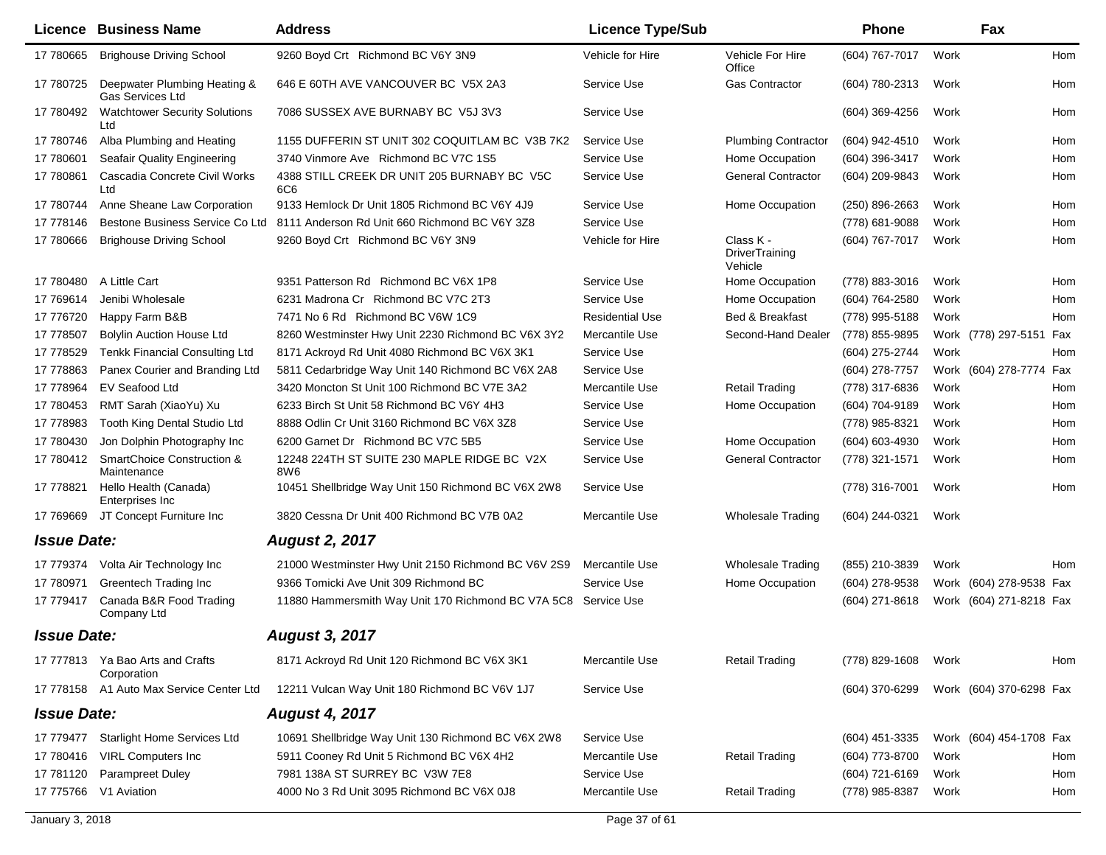|                    | Licence Business Name                                | <b>Address</b>                                                 | <b>Licence Type/Sub</b> |                                               | <b>Phone</b>     |      | Fax                     |     |
|--------------------|------------------------------------------------------|----------------------------------------------------------------|-------------------------|-----------------------------------------------|------------------|------|-------------------------|-----|
| 17 780665          | <b>Brighouse Driving School</b>                      | 9260 Boyd Crt Richmond BC V6Y 3N9                              | Vehicle for Hire        | Vehicle For Hire<br>Office                    | (604) 767-7017   | Work |                         | Hom |
| 17 780725          | Deepwater Plumbing Heating &<br>Gas Services Ltd     | 646 E 60TH AVE VANCOUVER BC V5X 2A3                            | Service Use             | <b>Gas Contractor</b>                         | (604) 780-2313   | Work |                         | Hom |
| 17 780492          | <b>Watchtower Security Solutions</b><br>Ltd          | 7086 SUSSEX AVE BURNABY BC V5J 3V3                             | Service Use             |                                               | (604) 369-4256   | Work |                         | Hom |
| 17 780746          | Alba Plumbing and Heating                            | 1155 DUFFERIN ST UNIT 302 COQUITLAM BC V3B 7K2                 | Service Use             | <b>Plumbing Contractor</b>                    | (604) 942-4510   | Work |                         | Hom |
| 17 780601          | Seafair Quality Engineering                          | 3740 Vinmore Ave Richmond BC V7C 1S5                           | Service Use             | Home Occupation                               | (604) 396-3417   | Work |                         | Hom |
| 17 780861          | Cascadia Concrete Civil Works<br>Ltd                 | 4388 STILL CREEK DR UNIT 205 BURNABY BC V5C<br>6C6             | Service Use             | <b>General Contractor</b>                     | (604) 209-9843   | Work |                         | Hom |
| 17 780744          | Anne Sheane Law Corporation                          | 9133 Hemlock Dr Unit 1805 Richmond BC V6Y 4J9                  | Service Use             | Home Occupation                               | (250) 896-2663   | Work |                         | Hom |
| 17 778146          | Bestone Business Service Co Ltd                      | 8111 Anderson Rd Unit 660 Richmond BC V6Y 3Z8                  | Service Use             |                                               | (778) 681-9088   | Work |                         | Hom |
| 17 780666          | <b>Brighouse Driving School</b>                      | 9260 Boyd Crt Richmond BC V6Y 3N9                              | Vehicle for Hire        | Class K -<br><b>DriverTraining</b><br>Vehicle | (604) 767-7017   | Work |                         | Hom |
| 17 780480          | A Little Cart                                        | 9351 Patterson Rd Richmond BC V6X 1P8                          | Service Use             | Home Occupation                               | (778) 883-3016   | Work |                         | Hom |
| 17 769614          | Jenibi Wholesale                                     | 6231 Madrona Cr Richmond BC V7C 2T3                            | Service Use             | Home Occupation                               | (604) 764-2580   | Work |                         | Hom |
| 17 77 6720         | Happy Farm B&B                                       | 7471 No 6 Rd Richmond BC V6W 1C9                               | <b>Residential Use</b>  | Bed & Breakfast                               | (778) 995-5188   | Work |                         | Hom |
| 17 778507          | <b>Bolylin Auction House Ltd</b>                     | 8260 Westminster Hwy Unit 2230 Richmond BC V6X 3Y2             | Mercantile Use          | Second-Hand Dealer                            | (778) 855-9895   |      | Work (778) 297-5151 Fax |     |
| 17 778529          | <b>Tenkk Financial Consulting Ltd</b>                | 8171 Ackroyd Rd Unit 4080 Richmond BC V6X 3K1                  | Service Use             |                                               | (604) 275-2744   | Work |                         | Hom |
| 17 778863          | Panex Courier and Branding Ltd                       | 5811 Cedarbridge Way Unit 140 Richmond BC V6X 2A8              | Service Use             |                                               | (604) 278-7757   |      | Work (604) 278-7774 Fax |     |
| 17 778964          | EV Seafood Ltd                                       | 3420 Moncton St Unit 100 Richmond BC V7E 3A2                   | Mercantile Use          | <b>Retail Trading</b>                         | (778) 317-6836   | Work |                         | Hom |
| 17 780453          | RMT Sarah (XiaoYu) Xu                                | 6233 Birch St Unit 58 Richmond BC V6Y 4H3                      | Service Use             | Home Occupation                               | (604) 704-9189   | Work |                         | Hom |
| 17 778983          | Tooth King Dental Studio Ltd                         | 8888 Odlin Cr Unit 3160 Richmond BC V6X 3Z8                    | Service Use             |                                               | (778) 985-8321   | Work |                         | Hom |
| 17 780430          | Jon Dolphin Photography Inc                          | 6200 Garnet Dr Richmond BC V7C 5B5                             | Service Use             | Home Occupation                               | (604) 603-4930   | Work |                         | Hom |
| 17 780412          | <b>SmartChoice Construction &amp;</b><br>Maintenance | 12248 224TH ST SUITE 230 MAPLE RIDGE BC V2X<br>8W6             | Service Use             | <b>General Contractor</b>                     | (778) 321-1571   | Work |                         | Hom |
| 17 778821          | Hello Health (Canada)<br>Enterprises Inc.            | 10451 Shellbridge Way Unit 150 Richmond BC V6X 2W8             | Service Use             |                                               | (778) 316-7001   | Work |                         | Hom |
| 17 769669          | JT Concept Furniture Inc                             | 3820 Cessna Dr Unit 400 Richmond BC V7B 0A2                    | Mercantile Use          | <b>Wholesale Trading</b>                      | $(604)$ 244-0321 | Work |                         |     |
| <b>Issue Date:</b> |                                                      | <b>August 2, 2017</b>                                          |                         |                                               |                  |      |                         |     |
| 17 779374          | Volta Air Technology Inc                             | 21000 Westminster Hwy Unit 2150 Richmond BC V6V 2S9            | Mercantile Use          | <b>Wholesale Trading</b>                      | (855) 210-3839   | Work |                         | Hom |
| 17 780971          | <b>Greentech Trading Inc</b>                         | 9366 Tomicki Ave Unit 309 Richmond BC                          | Service Use             | Home Occupation                               | (604) 278-9538   |      | Work (604) 278-9538 Fax |     |
| 17 779417          | Canada B&R Food Trading<br>Company Ltd               | 11880 Hammersmith Way Unit 170 Richmond BC V7A 5C8 Service Use |                         |                                               | (604) 271-8618   |      | Work (604) 271-8218 Fax |     |
| <b>Issue Date:</b> |                                                      | <b>August 3, 2017</b>                                          |                         |                                               |                  |      |                         |     |
|                    | 17 777813 Ya Bao Arts and Crafts<br>Corporation      | 8171 Ackroyd Rd Unit 120 Richmond BC V6X 3K1                   | Mercantile Use          | <b>Retail Trading</b>                         | (778) 829-1608   | Work |                         | Hom |
|                    | 17 778158 A1 Auto Max Service Center Ltd             | 12211 Vulcan Way Unit 180 Richmond BC V6V 1J7                  | Service Use             |                                               | (604) 370-6299   |      | Work (604) 370-6298 Fax |     |
| <b>Issue Date:</b> |                                                      | <b>August 4, 2017</b>                                          |                         |                                               |                  |      |                         |     |
| 17 779477          | <b>Starlight Home Services Ltd</b>                   | 10691 Shellbridge Way Unit 130 Richmond BC V6X 2W8             | Service Use             |                                               | (604) 451-3335   |      | Work (604) 454-1708 Fax |     |
| 17 780416          | <b>VIRL Computers Inc</b>                            | 5911 Cooney Rd Unit 5 Richmond BC V6X 4H2                      | Mercantile Use          | <b>Retail Trading</b>                         | (604) 773-8700   | Work |                         | Hom |
| 17 781120          | <b>Parampreet Duley</b>                              | 7981 138A ST SURREY BC V3W 7E8                                 | Service Use             |                                               | (604) 721-6169   | Work |                         | Hom |
|                    | 17 775766 V1 Aviation                                | 4000 No 3 Rd Unit 3095 Richmond BC V6X 0J8                     | Mercantile Use          | <b>Retail Trading</b>                         | (778) 985-8387   | Work |                         | Hom |
| January 3, 2018    |                                                      |                                                                | Page 37 of 61           |                                               |                  |      |                         |     |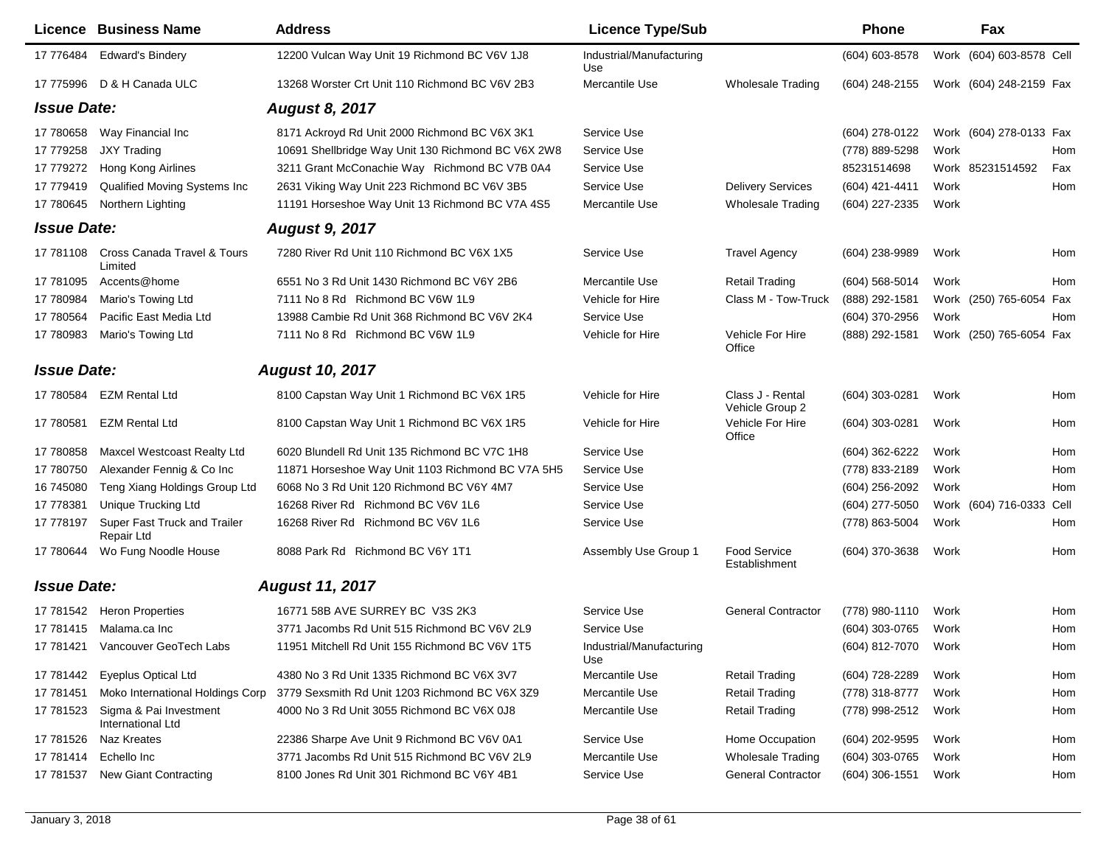|                    | <b>Licence Business Name</b>                | <b>Address</b>                                     | <b>Licence Type/Sub</b>         |                                      | Phone            |      | Fax                      |      |
|--------------------|---------------------------------------------|----------------------------------------------------|---------------------------------|--------------------------------------|------------------|------|--------------------------|------|
| 17 776484          | <b>Edward's Bindery</b>                     | 12200 Vulcan Way Unit 19 Richmond BC V6V 1J8       | Industrial/Manufacturing<br>Use |                                      | (604) 603-8578   |      | Work (604) 603-8578 Cell |      |
|                    | 17 775996 D & H Canada ULC                  | 13268 Worster Crt Unit 110 Richmond BC V6V 2B3     | Mercantile Use                  | Wholesale Trading                    | (604) 248-2155   |      | Work (604) 248-2159 Fax  |      |
| <b>Issue Date:</b> |                                             | <b>August 8, 2017</b>                              |                                 |                                      |                  |      |                          |      |
| 17 780658          | Way Financial Inc                           | 8171 Ackroyd Rd Unit 2000 Richmond BC V6X 3K1      | Service Use                     |                                      | (604) 278-0122   |      | Work (604) 278-0133 Fax  |      |
| 17 779258          | <b>JXY Trading</b>                          | 10691 Shellbridge Way Unit 130 Richmond BC V6X 2W8 | Service Use                     |                                      | (778) 889-5298   | Work |                          | Hom  |
| 17 779272          | Hong Kong Airlines                          | 3211 Grant McConachie Way Richmond BC V7B 0A4      | Service Use                     |                                      | 85231514698      |      | Work 85231514592         | Fax  |
| 17 779419          | Qualified Moving Systems Inc                | 2631 Viking Way Unit 223 Richmond BC V6V 3B5       | Service Use                     | <b>Delivery Services</b>             | (604) 421-4411   | Work |                          | Hom  |
| 17 780645          | Northern Lighting                           | 11191 Horseshoe Way Unit 13 Richmond BC V7A 4S5    | Mercantile Use                  | <b>Wholesale Trading</b>             | (604) 227-2335   | Work |                          |      |
| <b>Issue Date:</b> |                                             | <b>August 9, 2017</b>                              |                                 |                                      |                  |      |                          |      |
| 17 781108          | Cross Canada Travel & Tours<br>Limited      | 7280 River Rd Unit 110 Richmond BC V6X 1X5         | Service Use                     | <b>Travel Agency</b>                 | (604) 238-9989   | Work |                          | Hom  |
| 17 781095          | Accents@home                                | 6551 No 3 Rd Unit 1430 Richmond BC V6Y 2B6         | Mercantile Use                  | <b>Retail Trading</b>                | $(604)$ 568-5014 | Work |                          | Hom  |
| 17 780984          | Mario's Towing Ltd                          | 7111 No 8 Rd Richmond BC V6W 1L9                   | Vehicle for Hire                | Class M - Tow-Truck                  | (888) 292-1581   |      | Work (250) 765-6054 Fax  |      |
| 17 780564          | Pacific East Media Ltd                      | 13988 Cambie Rd Unit 368 Richmond BC V6V 2K4       | Service Use                     |                                      | (604) 370-2956   | Work |                          | Hom  |
| 17 780983          | Mario's Towing Ltd                          | 7111 No 8 Rd Richmond BC V6W 1L9                   | Vehicle for Hire                | Vehicle For Hire<br>Office           | (888) 292-1581   |      | Work (250) 765-6054 Fax  |      |
| <b>Issue Date:</b> |                                             | <b>August 10, 2017</b>                             |                                 |                                      |                  |      |                          |      |
| 17 780584          | <b>EZM Rental Ltd</b>                       | 8100 Capstan Way Unit 1 Richmond BC V6X 1R5        | Vehicle for Hire                | Class J - Rental<br>Vehicle Group 2  | $(604)$ 303-0281 | Work |                          | Hom  |
| 17 780581          | <b>EZM Rental Ltd</b>                       | 8100 Capstan Way Unit 1 Richmond BC V6X 1R5        | Vehicle for Hire                | Vehicle For Hire<br>Office           | (604) 303-0281   | Work |                          | Hom  |
| 17 780858          | Maxcel Westcoast Realty Ltd                 | 6020 Blundell Rd Unit 135 Richmond BC V7C 1H8      | Service Use                     |                                      | (604) 362-6222   | Work |                          | Hom  |
| 17 780750          | Alexander Fennig & Co Inc                   | 11871 Horseshoe Way Unit 1103 Richmond BC V7A 5H5  | Service Use                     |                                      | (778) 833-2189   | Work |                          | Hom  |
| 16 745080          | Teng Xiang Holdings Group Ltd               | 6068 No 3 Rd Unit 120 Richmond BC V6Y 4M7          | Service Use                     |                                      | (604) 256-2092   | Work |                          | Hom  |
| 17 778381          | <b>Unique Trucking Ltd</b>                  | 16268 River Rd Richmond BC V6V 1L6                 | Service Use                     |                                      | (604) 277-5050   |      | Work (604) 716-0333      | Cell |
| 17 778197          | Super Fast Truck and Trailer<br>Repair Ltd  | 16268 River Rd Richmond BC V6V 1L6                 | Service Use                     |                                      | (778) 863-5004   | Work |                          | Hom  |
| 17 780644          | Wo Fung Noodle House                        | 8088 Park Rd Richmond BC V6Y 1T1                   | Assembly Use Group 1            | <b>Food Service</b><br>Establishment | (604) 370-3638   | Work |                          | Hom  |
| <b>Issue Date:</b> |                                             | <b>August 11, 2017</b>                             |                                 |                                      |                  |      |                          |      |
| 17 781542          | <b>Heron Properties</b>                     | 16771 58B AVE SURREY BC V3S 2K3                    | Service Use                     | <b>General Contractor</b>            | (778) 980-1110   | Work |                          | Hom  |
|                    | 17 781415 Malama.ca Inc                     | 3771 Jacombs Rd Unit 515 Richmond BC V6V 2L9       | Service Use                     |                                      | (604) 303-0765   | Work |                          | Hom  |
|                    | 17 781421 Vancouver GeoTech Labs            | 11951 Mitchell Rd Unit 155 Richmond BC V6V 1T5     | Industrial/Manufacturing<br>Use |                                      | (604) 812-7070   | Work |                          | Hom  |
| 17 781442          | <b>Eyeplus Optical Ltd</b>                  | 4380 No 3 Rd Unit 1335 Richmond BC V6X 3V7         | Mercantile Use                  | <b>Retail Trading</b>                | (604) 728-2289   | Work |                          | Hom  |
| 17 781451          | Moko International Holdings Corp            | 3779 Sexsmith Rd Unit 1203 Richmond BC V6X 3Z9     | Mercantile Use                  | <b>Retail Trading</b>                | (778) 318-8777   | Work |                          | Hom  |
| 17 781523          | Sigma & Pai Investment<br>International Ltd | 4000 No 3 Rd Unit 3055 Richmond BC V6X 0J8         | Mercantile Use                  | <b>Retail Trading</b>                | (778) 998-2512   | Work |                          | Hom  |
| 17 781526          | Naz Kreates                                 | 22386 Sharpe Ave Unit 9 Richmond BC V6V 0A1        | Service Use                     | Home Occupation                      | (604) 202-9595   | Work |                          | Hom  |
| 17 781414          | Echello Inc                                 | 3771 Jacombs Rd Unit 515 Richmond BC V6V 2L9       | Mercantile Use                  | <b>Wholesale Trading</b>             | (604) 303-0765   | Work |                          | Hom  |
| 17 781537          | New Giant Contracting                       | 8100 Jones Rd Unit 301 Richmond BC V6Y 4B1         | Service Use                     | <b>General Contractor</b>            | $(604)$ 306-1551 | Work |                          | Hom  |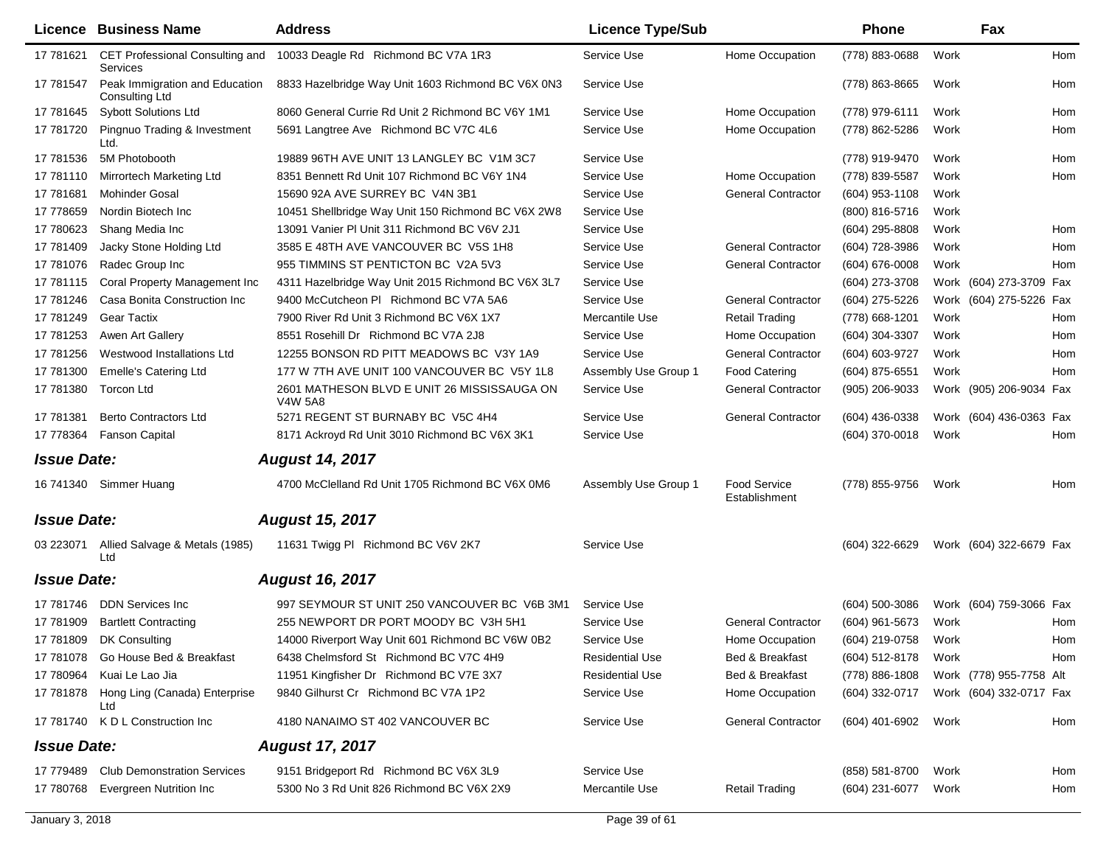|                    | Licence Business Name                            | <b>Address</b>                                                      | <b>Licence Type/Sub</b> |                                      | <b>Phone</b>       |      | Fax                     |            |
|--------------------|--------------------------------------------------|---------------------------------------------------------------------|-------------------------|--------------------------------------|--------------------|------|-------------------------|------------|
| 17 781621          | Services                                         | CET Professional Consulting and 10033 Deagle Rd Richmond BC V7A 1R3 | Service Use             | Home Occupation                      | (778) 883-0688     | Work |                         | <b>Hom</b> |
| 17 781547          | Peak Immigration and Education<br>Consulting Ltd | 8833 Hazelbridge Way Unit 1603 Richmond BC V6X 0N3                  | Service Use             |                                      | (778) 863-8665     | Work |                         | Hom        |
| 17 781645          | <b>Sybott Solutions Ltd</b>                      | 8060 General Currie Rd Unit 2 Richmond BC V6Y 1M1                   | Service Use             | Home Occupation                      | (778) 979-6111     | Work |                         | Hom        |
| 17 781720          | Pingnuo Trading & Investment<br>Ltd.             | 5691 Langtree Ave Richmond BC V7C 4L6                               | Service Use             | Home Occupation                      | (778) 862-5286     | Work |                         | Hom        |
| 17 781536          | 5M Photobooth                                    | 19889 96TH AVE UNIT 13 LANGLEY BC V1M 3C7                           | Service Use             |                                      | (778) 919-9470     | Work |                         | Hom        |
| 17 781110          | Mirrortech Marketing Ltd                         | 8351 Bennett Rd Unit 107 Richmond BC V6Y 1N4                        | Service Use             | Home Occupation                      | (778) 839-5587     | Work |                         | Hom        |
| 17 781681          | <b>Mohinder Gosal</b>                            | 15690 92A AVE SURREY BC V4N 3B1                                     | Service Use             | <b>General Contractor</b>            | (604) 953-1108     | Work |                         |            |
| 17 778659          | Nordin Biotech Inc                               | 10451 Shellbridge Way Unit 150 Richmond BC V6X 2W8                  | Service Use             |                                      | (800) 816-5716     | Work |                         |            |
| 17 780623          | Shang Media Inc                                  | 13091 Vanier PI Unit 311 Richmond BC V6V 2J1                        | Service Use             |                                      | $(604)$ 295-8808   | Work |                         | Hom        |
| 17 781409          | Jacky Stone Holding Ltd                          | 3585 E 48TH AVE VANCOUVER BC V5S 1H8                                | Service Use             | <b>General Contractor</b>            | (604) 728-3986     | Work |                         | Hom        |
| 17 781076          | Radec Group Inc                                  | 955 TIMMINS ST PENTICTON BC V2A 5V3                                 | Service Use             | <b>General Contractor</b>            | $(604) 676 - 0008$ | Work |                         | Hom        |
| 17 781115          | Coral Property Management Inc                    | 4311 Hazelbridge Way Unit 2015 Richmond BC V6X 3L7                  | Service Use             |                                      | (604) 273-3708     |      | Work (604) 273-3709 Fax |            |
| 17 781246          | Casa Bonita Construction Inc                     | 9400 McCutcheon PI Richmond BC V7A 5A6                              | Service Use             | <b>General Contractor</b>            | (604) 275-5226     |      | Work (604) 275-5226 Fax |            |
| 17 781249          | <b>Gear Tactix</b>                               | 7900 River Rd Unit 3 Richmond BC V6X 1X7                            | Mercantile Use          | <b>Retail Trading</b>                | (778) 668-1201     | Work |                         | Hom        |
| 17 781253          | Awen Art Gallery                                 | 8551 Rosehill Dr Richmond BC V7A 2J8                                | Service Use             | Home Occupation                      | (604) 304-3307     | Work |                         | Hom        |
| 17 781256          | Westwood Installations Ltd                       | 12255 BONSON RD PITT MEADOWS BC V3Y 1A9                             | Service Use             | <b>General Contractor</b>            | (604) 603-9727     | Work |                         | Hom        |
| 17 781300          | <b>Emelle's Catering Ltd</b>                     | 177 W 7TH AVE UNIT 100 VANCOUVER BC V5Y 1L8                         | Assembly Use Group 1    | <b>Food Catering</b>                 | (604) 875-6551     | Work |                         | Hom        |
| 17 781380          | <b>Torcon Ltd</b>                                | 2601 MATHESON BLVD E UNIT 26 MISSISSAUGA ON<br><b>V4W 5A8</b>       | Service Use             | <b>General Contractor</b>            | (905) 206-9033     |      | Work (905) 206-9034 Fax |            |
| 17 781381          | <b>Berto Contractors Ltd</b>                     | 5271 REGENT ST BURNABY BC V5C 4H4                                   | Service Use             | <b>General Contractor</b>            | (604) 436-0338     |      | Work (604) 436-0363 Fax |            |
| 17 778364          | <b>Fanson Capital</b>                            | 8171 Ackroyd Rd Unit 3010 Richmond BC V6X 3K1                       | Service Use             |                                      | (604) 370-0018     | Work |                         | Hom        |
| <b>Issue Date:</b> |                                                  | <b>August 14, 2017</b>                                              |                         |                                      |                    |      |                         |            |
|                    | 16 741340 Simmer Huang                           | 4700 McClelland Rd Unit 1705 Richmond BC V6X 0M6                    | Assembly Use Group 1    | <b>Food Service</b><br>Establishment | (778) 855-9756     | Work |                         | Hom        |
| <b>Issue Date:</b> |                                                  | <b>August 15, 2017</b>                                              |                         |                                      |                    |      |                         |            |
| 03 223071          | Allied Salvage & Metals (1985)<br>Ltd            | 11631 Twigg PI Richmond BC V6V 2K7                                  | Service Use             |                                      | (604) 322-6629     |      | Work (604) 322-6679 Fax |            |
| <b>Issue Date:</b> |                                                  | <b>August 16, 2017</b>                                              |                         |                                      |                    |      |                         |            |
| 17 781746          | <b>DDN Services Inc</b>                          | 997 SEYMOUR ST UNIT 250 VANCOUVER BC V6B 3M1                        | Service Use             |                                      | (604) 500-3086     |      | Work (604) 759-3066 Fax |            |
| 17 781909          | <b>Bartlett Contracting</b>                      | 255 NEWPORT DR PORT MOODY BC V3H 5H1                                | Service Use             | <b>General Contractor</b>            | (604) 961-5673     | Work |                         | Hom        |
| 17 781809          | DK Consulting                                    | 14000 Riverport Way Unit 601 Richmond BC V6W 0B2                    | Service Use             | Home Occupation                      | (604) 219-0758     | Work |                         | Hom        |
| 17 781078          | Go House Bed & Breakfast                         | 6438 Chelmsford St Richmond BC V7C 4H9                              | <b>Residential Use</b>  | Bed & Breakfast                      | (604) 512-8178     | Work |                         | Hom        |
| 17 780964          | Kuai Le Lao Jia                                  | 11951 Kingfisher Dr Richmond BC V7E 3X7                             | <b>Residential Use</b>  | Bed & Breakfast                      | (778) 886-1808     |      | Work (778) 955-7758 Alt |            |
| 17 781878          | Hong Ling (Canada) Enterprise<br>Ltd             | 9840 Gilhurst Cr Richmond BC V7A 1P2                                | Service Use             | Home Occupation                      | (604) 332-0717     |      | Work (604) 332-0717 Fax |            |
| 17 781740          | K D L Construction Inc                           | 4180 NANAIMO ST 402 VANCOUVER BC                                    | Service Use             | <b>General Contractor</b>            | (604) 401-6902     | Work |                         | Hom        |
| <b>Issue Date:</b> |                                                  | <b>August 17, 2017</b>                                              |                         |                                      |                    |      |                         |            |
| 17 779489          | <b>Club Demonstration Services</b>               | 9151 Bridgeport Rd Richmond BC V6X 3L9                              | Service Use             |                                      | (858) 581-8700     | Work |                         | Hom        |
| 17 780768          | Evergreen Nutrition Inc                          | 5300 No 3 Rd Unit 826 Richmond BC V6X 2X9                           | Mercantile Use          | <b>Retail Trading</b>                | (604) 231-6077     | Work |                         | Hom        |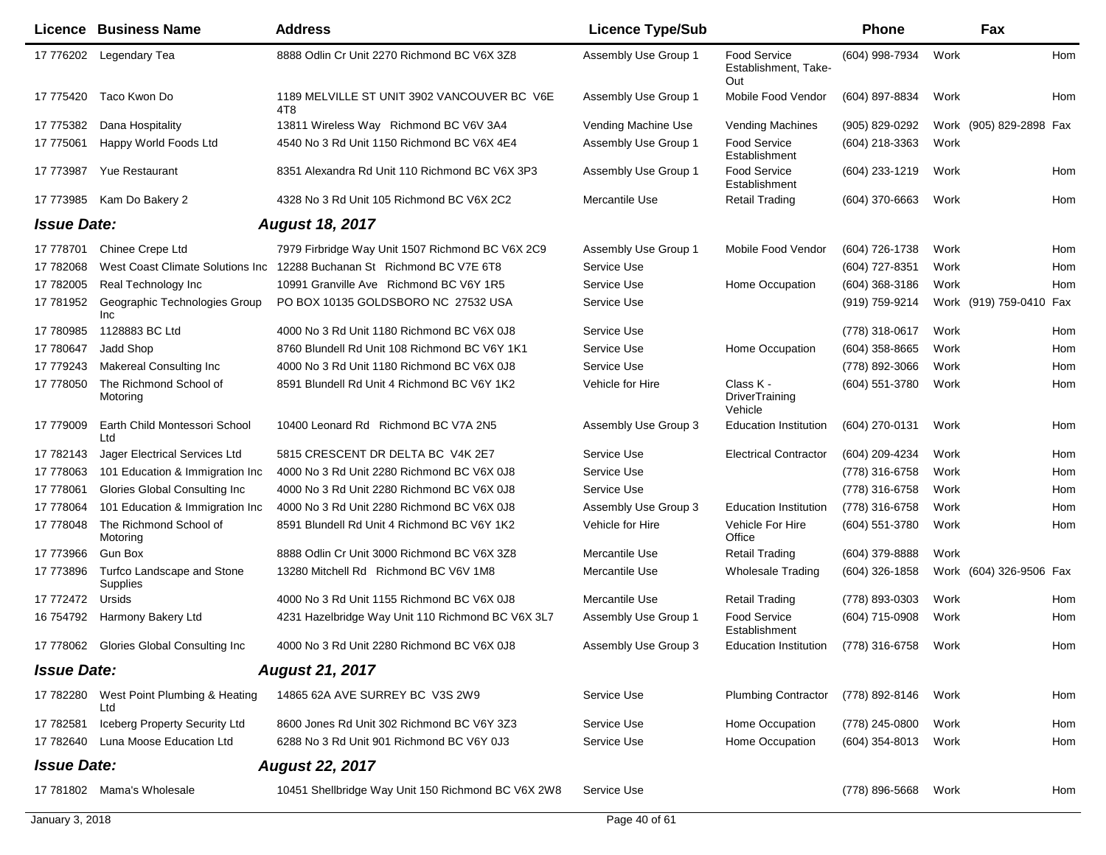|                    | Licence Business Name                          | <b>Address</b>                                                         | <b>Licence Type/Sub</b> |                                                    | Phone            |      | Fax                     |     |
|--------------------|------------------------------------------------|------------------------------------------------------------------------|-------------------------|----------------------------------------------------|------------------|------|-------------------------|-----|
| 17 776202          | Legendary Tea                                  | 8888 Odlin Cr Unit 2270 Richmond BC V6X 3Z8                            | Assembly Use Group 1    | <b>Food Service</b><br>Establishment, Take-<br>Out | (604) 998-7934   | Work |                         | Hom |
| 17 775420          | Taco Kwon Do                                   | 1189 MELVILLE ST UNIT 3902 VANCOUVER BC V6E<br>4T <sub>8</sub>         | Assembly Use Group 1    | Mobile Food Vendor                                 | (604) 897-8834   | Work |                         | Hom |
| 17 775382          | Dana Hospitality                               | 13811 Wireless Way Richmond BC V6V 3A4                                 | Vending Machine Use     | <b>Vending Machines</b>                            | (905) 829-0292   |      | Work (905) 829-2898 Fax |     |
| 17 775061          | Happy World Foods Ltd                          | 4540 No 3 Rd Unit 1150 Richmond BC V6X 4E4                             | Assembly Use Group 1    | <b>Food Service</b><br>Establishment               | (604) 218-3363   | Work |                         |     |
| 17 773987          | <b>Yue Restaurant</b>                          | 8351 Alexandra Rd Unit 110 Richmond BC V6X 3P3                         | Assembly Use Group 1    | Food Service<br>Establishment                      | (604) 233-1219   | Work |                         | Hom |
| 17 773985          | Kam Do Bakery 2                                | 4328 No 3 Rd Unit 105 Richmond BC V6X 2C2                              | Mercantile Use          | Retail Trading                                     | (604) 370-6663   | Work |                         | Hom |
| <b>Issue Date:</b> |                                                | <b>August 18, 2017</b>                                                 |                         |                                                    |                  |      |                         |     |
| 17 778701          | Chinee Crepe Ltd                               | 7979 Firbridge Way Unit 1507 Richmond BC V6X 2C9                       | Assembly Use Group 1    | Mobile Food Vendor                                 | (604) 726-1738   | Work |                         | Hom |
| 17 782068          |                                                | West Coast Climate Solutions Inc 12288 Buchanan St Richmond BC V7E 6T8 | Service Use             |                                                    | (604) 727-8351   | Work |                         | Hom |
| 17 782005          | Real Technology Inc                            | 10991 Granville Ave Richmond BC V6Y 1R5                                | Service Use             | Home Occupation                                    | $(604)$ 368-3186 | Work |                         | Hom |
| 17 781952          | Geographic Technologies Group<br><b>Inc</b>    | PO BOX 10135 GOLDSBORO NC 27532 USA                                    | Service Use             |                                                    | (919) 759-9214   |      | Work (919) 759-0410 Fax |     |
| 17 780985          | 1128883 BC Ltd                                 | 4000 No 3 Rd Unit 1180 Richmond BC V6X 0J8                             | Service Use             |                                                    | (778) 318-0617   | Work |                         | Hom |
| 17 780647          | Jadd Shop                                      | 8760 Blundell Rd Unit 108 Richmond BC V6Y 1K1                          | Service Use             | Home Occupation                                    | $(604)$ 358-8665 | Work |                         | Hom |
| 17 779243          | <b>Makereal Consulting Inc</b>                 | 4000 No 3 Rd Unit 1180 Richmond BC V6X 0J8                             | Service Use             |                                                    | (778) 892-3066   | Work |                         | Hom |
| 17 778050          | The Richmond School of<br>Motoring             | 8591 Blundell Rd Unit 4 Richmond BC V6Y 1K2                            | Vehicle for Hire        | Class K -<br><b>DriverTraining</b><br>Vehicle      | (604) 551-3780   | Work |                         | Hom |
| 17 779009          | Earth Child Montessori School<br>Ltd           | 10400 Leonard Rd Richmond BC V7A 2N5                                   | Assembly Use Group 3    | <b>Education Institution</b>                       | (604) 270-0131   | Work |                         | Hom |
| 17 782143          | Jager Electrical Services Ltd                  | 5815 CRESCENT DR DELTA BC V4K 2E7                                      | Service Use             | <b>Electrical Contractor</b>                       | (604) 209-4234   | Work |                         | Hom |
| 17 778063          | 101 Education & Immigration Inc                | 4000 No 3 Rd Unit 2280 Richmond BC V6X 0J8                             | Service Use             |                                                    | (778) 316-6758   | Work |                         | Hom |
| 17 778061          | Glories Global Consulting Inc                  | 4000 No 3 Rd Unit 2280 Richmond BC V6X 0J8                             | Service Use             |                                                    | (778) 316-6758   | Work |                         | Hom |
| 17 778064          | 101 Education & Immigration Inc                | 4000 No 3 Rd Unit 2280 Richmond BC V6X 0J8                             | Assembly Use Group 3    | <b>Education Institution</b>                       | (778) 316-6758   | Work |                         | Hom |
| 17 778048          | The Richmond School of<br>Motoring             | 8591 Blundell Rd Unit 4 Richmond BC V6Y 1K2                            | Vehicle for Hire        | Vehicle For Hire<br>Office                         | (604) 551-3780   | Work |                         | Hom |
| 17 773966          | Gun Box                                        | 8888 Odlin Cr Unit 3000 Richmond BC V6X 3Z8                            | Mercantile Use          | Retail Trading                                     | (604) 379-8888   | Work |                         |     |
| 17 773896          | Turfco Landscape and Stone<br>Supplies         | 13280 Mitchell Rd Richmond BC V6V 1M8                                  | Mercantile Use          | <b>Wholesale Trading</b>                           | (604) 326-1858   |      | Work (604) 326-9506 Fax |     |
| 17 772472          | Ursids                                         | 4000 No 3 Rd Unit 1155 Richmond BC V6X 0J8                             | Mercantile Use          | <b>Retail Trading</b>                              | (778) 893-0303   | Work |                         | Hom |
| 16 754792          | Harmony Bakery Ltd                             | 4231 Hazelbridge Way Unit 110 Richmond BC V6X 3L7                      | Assembly Use Group 1    | <b>Food Service</b><br>Establishment               | (604) 715-0908   | Work |                         | Hom |
|                    | 17 778062 Glories Global Consulting Inc        | 4000 No 3 Rd Unit 2280 Richmond BC V6X 0J8                             | Assembly Use Group 3    | Education Institution (778) 316-6758 Work          |                  |      |                         | Hom |
| <b>Issue Date:</b> |                                                | <b>August 21, 2017</b>                                                 |                         |                                                    |                  |      |                         |     |
|                    | 17 782280 West Point Plumbing & Heating<br>Ltd | 14865 62A AVE SURREY BC V3S 2W9                                        | Service Use             | <b>Plumbing Contractor</b>                         | (778) 892-8146   | Work |                         | Hom |
| 17 782581          | Iceberg Property Security Ltd                  | 8600 Jones Rd Unit 302 Richmond BC V6Y 3Z3                             | Service Use             | Home Occupation                                    | (778) 245-0800   | Work |                         | Hom |
| 17 782640          | Luna Moose Education Ltd                       | 6288 No 3 Rd Unit 901 Richmond BC V6Y 0J3                              | Service Use             | Home Occupation                                    | (604) 354-8013   | Work |                         | Hom |
| <b>Issue Date:</b> |                                                | <b>August 22, 2017</b>                                                 |                         |                                                    |                  |      |                         |     |
|                    | 17 781802 Mama's Wholesale                     | 10451 Shellbridge Way Unit 150 Richmond BC V6X 2W8                     | Service Use             |                                                    | (778) 896-5668   | Work |                         | Hom |
|                    |                                                |                                                                        |                         |                                                    |                  |      |                         |     |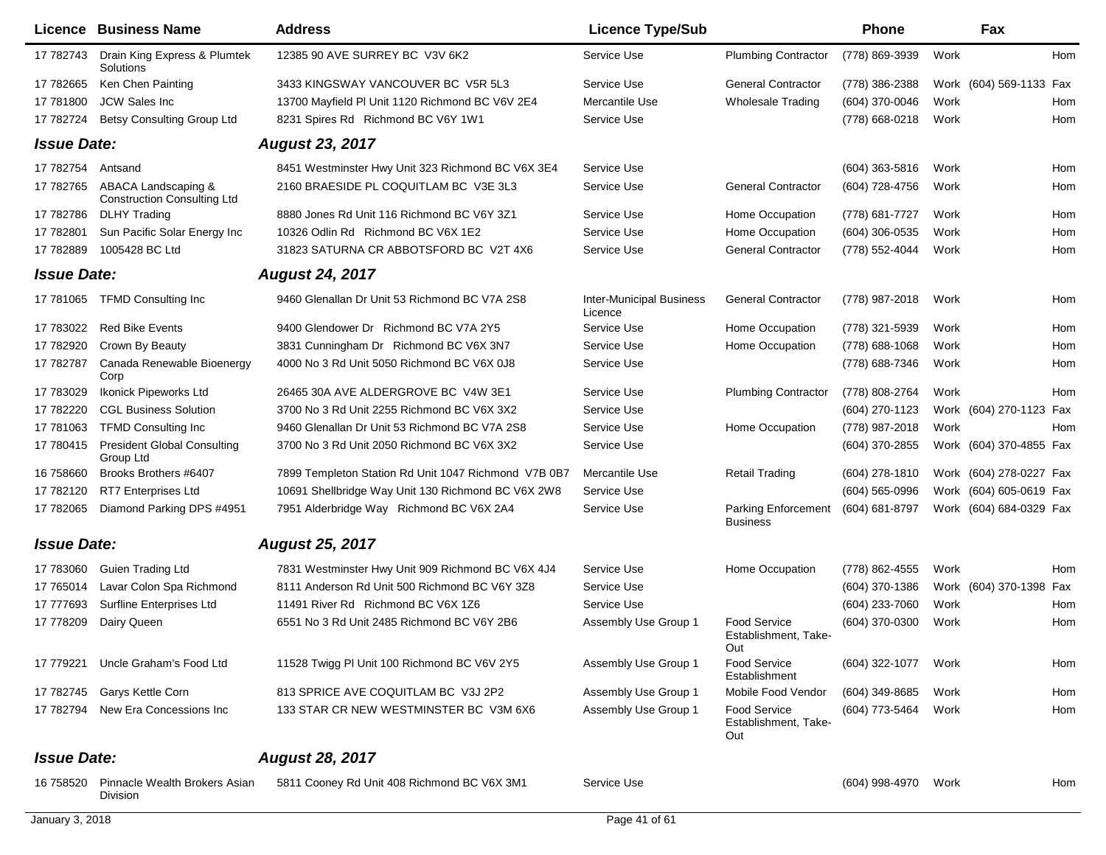|                    | <b>Licence Business Name</b>                              | <b>Address</b>                                       | <b>Licence Type/Sub</b>                    |                                                    | <b>Phone</b>     |      | Fax                     |     |
|--------------------|-----------------------------------------------------------|------------------------------------------------------|--------------------------------------------|----------------------------------------------------|------------------|------|-------------------------|-----|
|                    | 17 782743 Drain King Express & Plumtek<br>Solutions       | 12385 90 AVE SURREY BC V3V 6K2                       | Service Use                                | <b>Plumbing Contractor</b>                         | (778) 869-3939   | Work |                         | Hom |
| 17 782665          | Ken Chen Painting                                         | 3433 KINGSWAY VANCOUVER BC V5R 5L3                   | Service Use                                | <b>General Contractor</b>                          | (778) 386-2388   |      | Work (604) 569-1133 Fax |     |
| 17 781800          | <b>JCW Sales Inc.</b>                                     | 13700 Mayfield PI Unit 1120 Richmond BC V6V 2E4      | Mercantile Use                             | <b>Wholesale Trading</b>                           | (604) 370-0046   | Work |                         | Hom |
| 17 782724          | <b>Betsy Consulting Group Ltd</b>                         | 8231 Spires Rd Richmond BC V6Y 1W1                   | Service Use                                |                                                    | (778) 668-0218   | Work |                         | Hom |
| <b>Issue Date:</b> |                                                           | <b>August 23, 2017</b>                               |                                            |                                                    |                  |      |                         |     |
| 17 782754          | Antsand                                                   | 8451 Westminster Hwy Unit 323 Richmond BC V6X 3E4    | Service Use                                |                                                    | $(604)$ 363-5816 | Work |                         | Hom |
| 17 782765          | ABACA Landscaping &<br><b>Construction Consulting Ltd</b> | 2160 BRAESIDE PL COQUITLAM BC V3E 3L3                | Service Use                                | <b>General Contractor</b>                          | (604) 728-4756   | Work |                         | Hom |
| 17 782786          | <b>DLHY Trading</b>                                       | 8880 Jones Rd Unit 116 Richmond BC V6Y 3Z1           | Service Use                                | Home Occupation                                    | (778) 681-7727   | Work |                         | Hom |
| 17 782801          | Sun Pacific Solar Energy Inc                              | 10326 Odlin Rd Richmond BC V6X 1E2                   | Service Use                                | Home Occupation                                    | (604) 306-0535   | Work |                         | Hom |
| 17 782889          | 1005428 BC Ltd                                            | 31823 SATURNA CR ABBOTSFORD BC V2T 4X6               | Service Use                                | <b>General Contractor</b>                          | (778) 552-4044   | Work |                         | Hom |
| <b>Issue Date:</b> |                                                           | <b>August 24, 2017</b>                               |                                            |                                                    |                  |      |                         |     |
| 17 781065          | <b>TFMD Consulting Inc</b>                                | 9460 Glenallan Dr Unit 53 Richmond BC V7A 2S8        | <b>Inter-Municipal Business</b><br>Licence | <b>General Contractor</b>                          | (778) 987-2018   | Work |                         | Hom |
| 17 783022          | <b>Red Bike Events</b>                                    | 9400 Glendower Dr Richmond BC V7A 2Y5                | Service Use                                | Home Occupation                                    | (778) 321-5939   | Work |                         | Hom |
| 17 782920          | Crown By Beauty                                           | 3831 Cunningham Dr Richmond BC V6X 3N7               | Service Use                                | Home Occupation                                    | (778) 688-1068   | Work |                         | Hom |
| 17 782787          | Canada Renewable Bioenergy<br>Corp                        | 4000 No 3 Rd Unit 5050 Richmond BC V6X 0J8           | Service Use                                |                                                    | (778) 688-7346   | Work |                         | Hom |
| 17 783029          | Ikonick Pipeworks Ltd                                     | 26465 30A AVE ALDERGROVE BC V4W 3E1                  | Service Use                                | <b>Plumbing Contractor</b>                         | (778) 808-2764   | Work |                         | Hom |
| 17 782220          | <b>CGL Business Solution</b>                              | 3700 No 3 Rd Unit 2255 Richmond BC V6X 3X2           | Service Use                                |                                                    | (604) 270-1123   |      | Work (604) 270-1123 Fax |     |
| 17 781063          | <b>TFMD Consulting Inc</b>                                | 9460 Glenallan Dr Unit 53 Richmond BC V7A 2S8        | Service Use                                | Home Occupation                                    | (778) 987-2018   | Work |                         | Hom |
| 17 780415          | <b>President Global Consulting</b><br>Group Ltd           | 3700 No 3 Rd Unit 2050 Richmond BC V6X 3X2           | Service Use                                |                                                    | (604) 370-2855   |      | Work (604) 370-4855 Fax |     |
| 16 758660          | Brooks Brothers #6407                                     | 7899 Templeton Station Rd Unit 1047 Richmond V7B 0B7 | Mercantile Use                             | <b>Retail Trading</b>                              | (604) 278-1810   |      | Work (604) 278-0227 Fax |     |
| 17 782120          | <b>RT7 Enterprises Ltd</b>                                | 10691 Shellbridge Way Unit 130 Richmond BC V6X 2W8   | Service Use                                |                                                    | (604) 565-0996   |      | Work (604) 605-0619 Fax |     |
| 17 782065          | Diamond Parking DPS #4951                                 | 7951 Alderbridge Way Richmond BC V6X 2A4             | Service Use                                | <b>Parking Enforcement</b><br><b>Business</b>      | (604) 681-8797   |      | Work (604) 684-0329 Fax |     |
| <b>Issue Date:</b> |                                                           | <b>August 25, 2017</b>                               |                                            |                                                    |                  |      |                         |     |
| 17 783060          | <b>Guien Trading Ltd</b>                                  | 7831 Westminster Hwy Unit 909 Richmond BC V6X 4J4    | Service Use                                | Home Occupation                                    | (778) 862-4555   | Work |                         | Hom |
| 17 765014          | Lavar Colon Spa Richmond                                  | 8111 Anderson Rd Unit 500 Richmond BC V6Y 3Z8        | Service Use                                |                                                    | (604) 370-1386   |      | Work (604) 370-1398 Fax |     |
| 17 777693          | Surfline Enterprises Ltd                                  | 11491 River Rd Richmond BC V6X 1Z6                   | Service Use                                |                                                    | (604) 233-7060   | Work |                         | Hom |
| 17 778209          | Dairy Queen                                               | 6551 No 3 Rd Unit 2485 Richmond BC V6Y 2B6           | Assembly Use Group 1                       | <b>Food Service</b><br>Establishment. Take-<br>Out | (604) 370-0300   | Work |                         | Hom |
| 17 779221          | Uncle Graham's Food Ltd                                   | 11528 Twigg PI Unit 100 Richmond BC V6V 2Y5          | Assembly Use Group 1                       | <b>Food Service</b><br>Establishment               | (604) 322-1077   | Work |                         | Hom |
|                    | 17 782745 Garys Kettle Corn                               | 813 SPRICE AVE COQUITLAM BC V3J 2P2                  | Assembly Use Group 1                       | Mobile Food Vendor                                 | (604) 349-8685   | Work |                         | Hom |
|                    | 17 782794 New Era Concessions Inc                         | 133 STAR CR NEW WESTMINSTER BC V3M 6X6               | Assembly Use Group 1                       | Food Service<br>Establishment, Take-<br>Out        | (604) 773-5464   | Work |                         | Hom |
| <b>Issue Date:</b> |                                                           | <b>August 28, 2017</b>                               |                                            |                                                    |                  |      |                         |     |
| 16 758520          | Pinnacle Wealth Brokers Asian<br>Division                 | 5811 Cooney Rd Unit 408 Richmond BC V6X 3M1          | Service Use                                |                                                    | (604) 998-4970   | Work |                         | Hom |
| January 3, 2018    |                                                           |                                                      | Page 41 of 61                              |                                                    |                  |      |                         |     |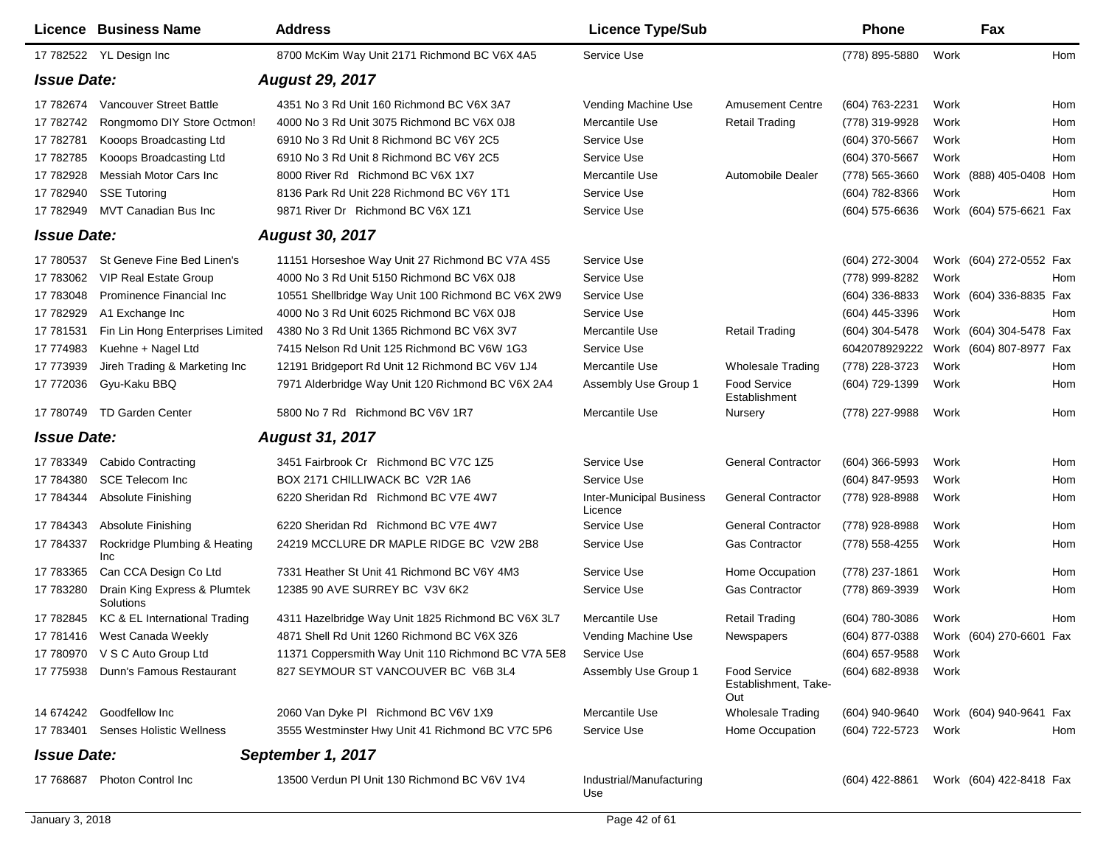| Licence Business Name                                  | <b>Address</b>                                     | <b>Licence Type/Sub</b>                    |                                                    | <b>Phone</b>     |      | Fax                     |            |
|--------------------------------------------------------|----------------------------------------------------|--------------------------------------------|----------------------------------------------------|------------------|------|-------------------------|------------|
| 17 782522 YL Design Inc                                | 8700 McKim Way Unit 2171 Richmond BC V6X 4A5       | Service Use                                |                                                    | (778) 895-5880   | Work |                         | Hom        |
| <b>Issue Date:</b>                                     | <b>August 29, 2017</b>                             |                                            |                                                    |                  |      |                         |            |
| <b>Vancouver Street Battle</b><br>17 782674            | 4351 No 3 Rd Unit 160 Richmond BC V6X 3A7          | Vending Machine Use                        | <b>Amusement Centre</b>                            | (604) 763-2231   | Work |                         | Hom        |
| 17 782742<br>Rongmomo DIY Store Octmon!                | 4000 No 3 Rd Unit 3075 Richmond BC V6X 0J8         | Mercantile Use                             | <b>Retail Trading</b>                              | (778) 319-9928   | Work |                         | Hom        |
| 17 782781<br>Kooops Broadcasting Ltd                   | 6910 No 3 Rd Unit 8 Richmond BC V6Y 2C5            | Service Use                                |                                                    | (604) 370-5667   | Work |                         | Hom        |
| 17 782785<br>Kooops Broadcasting Ltd                   | 6910 No 3 Rd Unit 8 Richmond BC V6Y 2C5            | Service Use                                |                                                    | (604) 370-5667   | Work |                         | Hom        |
| 17 782928<br>Messiah Motor Cars Inc                    | 8000 River Rd Richmond BC V6X 1X7                  | Mercantile Use                             | Automobile Dealer                                  | (778) 565-3660   | Work | (888) 405-0408 Hom      |            |
| 17 782940<br><b>SSE Tutoring</b>                       | 8136 Park Rd Unit 228 Richmond BC V6Y 1T1          | Service Use                                |                                                    | (604) 782-8366   | Work |                         | Hom        |
| 17 782949<br>MVT Canadian Bus Inc                      | 9871 River Dr Richmond BC V6X 1Z1                  | Service Use                                |                                                    | (604) 575-6636   |      | Work (604) 575-6621 Fax |            |
| <b>Issue Date:</b>                                     | <b>August 30, 2017</b>                             |                                            |                                                    |                  |      |                         |            |
| St Geneve Fine Bed Linen's<br>17 780537                | 11151 Horseshoe Way Unit 27 Richmond BC V7A 4S5    | Service Use                                |                                                    | (604) 272-3004   |      | Work (604) 272-0552 Fax |            |
| <b>VIP Real Estate Group</b><br>17 783062              | 4000 No 3 Rd Unit 5150 Richmond BC V6X 0J8         | Service Use                                |                                                    | (778) 999-8282   | Work |                         | Hom        |
| 17 783048<br>Prominence Financial Inc                  | 10551 Shellbridge Way Unit 100 Richmond BC V6X 2W9 | Service Use                                |                                                    | (604) 336-8833   |      | Work (604) 336-8835 Fax |            |
| 17 782929<br>A1 Exchange Inc                           | 4000 No 3 Rd Unit 6025 Richmond BC V6X 0J8         | Service Use                                |                                                    | (604) 445-3396   | Work |                         | Hom        |
| 17 781531<br>Fin Lin Hong Enterprises Limited          | 4380 No 3 Rd Unit 1365 Richmond BC V6X 3V7         | Mercantile Use                             | <b>Retail Trading</b>                              | (604) 304-5478   |      | Work (604) 304-5478 Fax |            |
| 17 774983<br>Kuehne + Nagel Ltd                        | 7415 Nelson Rd Unit 125 Richmond BC V6W 1G3        | Service Use                                |                                                    | 6042078929222    |      | Work (604) 807-8977 Fax |            |
| 17 773939<br>Jireh Trading & Marketing Inc             | 12191 Bridgeport Rd Unit 12 Richmond BC V6V 1J4    | Mercantile Use                             | <b>Wholesale Trading</b>                           | (778) 228-3723   | Work |                         | Hom        |
| 17 772036<br>Gyu-Kaku BBQ                              | 7971 Alderbridge Way Unit 120 Richmond BC V6X 2A4  | Assembly Use Group 1                       | <b>Food Service</b><br>Establishment               | (604) 729-1399   | Work |                         | Hom        |
| <b>TD Garden Center</b><br>17 780749                   | 5800 No 7 Rd Richmond BC V6V 1R7                   | Mercantile Use                             | Nursery                                            | (778) 227-9988   | Work |                         | Hom        |
| <b>Issue Date:</b>                                     | <b>August 31, 2017</b>                             |                                            |                                                    |                  |      |                         |            |
| 17 783349<br>Cabido Contracting                        | 3451 Fairbrook Cr Richmond BC V7C 1Z5              | Service Use                                | <b>General Contractor</b>                          | $(604)$ 366-5993 | Work |                         | Hom        |
| SCE Telecom Inc<br>17 784380                           | BOX 2171 CHILLIWACK BC V2R 1A6                     | Service Use                                |                                                    | (604) 847-9593   | Work |                         | Hom        |
| 17 784344<br><b>Absolute Finishing</b>                 | 6220 Sheridan Rd Richmond BC V7E 4W7               | <b>Inter-Municipal Business</b><br>Licence | <b>General Contractor</b>                          | (778) 928-8988   | Work |                         | Hom        |
| 17 784343<br><b>Absolute Finishing</b>                 | 6220 Sheridan Rd Richmond BC V7E 4W7               | Service Use                                | <b>General Contractor</b>                          | (778) 928-8988   | Work |                         | Hom        |
| 17 784337<br>Rockridge Plumbing & Heating<br>Inc       | 24219 MCCLURE DR MAPLE RIDGE BC V2W 2B8            | Service Use                                | <b>Gas Contractor</b>                              | (778) 558-4255   | Work |                         | Hom        |
| 17 783365<br>Can CCA Design Co Ltd                     | 7331 Heather St Unit 41 Richmond BC V6Y 4M3        | Service Use                                | Home Occupation                                    | (778) 237-1861   | Work |                         | Hom        |
| 17 783280<br>Drain King Express & Plumtek<br>Solutions | 12385 90 AVE SURREY BC V3V 6K2                     | Service Use                                | <b>Gas Contractor</b>                              | (778) 869-3939   | Work |                         | Hom        |
| KC & EL International Trading<br>17 782845             | 4311 Hazelbridge Way Unit 1825 Richmond BC V6X 3L7 | Mercantile Use                             | <b>Retail Trading</b>                              | (604) 780-3086   | Work |                         | <b>Hom</b> |
| West Canada Weekly<br>17 781416                        | 4871 Shell Rd Unit 1260 Richmond BC V6X 3Z6        | Vending Machine Use                        | <b>Newspapers</b>                                  | (604) 877-0388   |      | Work (604) 270-6601 Fax |            |
| 17 780970 V S C Auto Group Ltd                         | 11371 Coppersmith Way Unit 110 Richmond BC V7A 5E8 | Service Use                                |                                                    | (604) 657-9588   | Work |                         |            |
| Dunn's Famous Restaurant<br>17 775938                  | 827 SEYMOUR ST VANCOUVER BC V6B 3L4                | Assembly Use Group 1                       | <b>Food Service</b><br>Establishment, Take-<br>Out | (604) 682-8938   | Work |                         |            |
| 14 674242 Goodfellow Inc                               | 2060 Van Dyke PI Richmond BC V6V 1X9               | Mercantile Use                             | <b>Wholesale Trading</b>                           | (604) 940-9640   |      | Work (604) 940-9641 Fax |            |
| <b>Senses Holistic Wellness</b><br>17 783401           | 3555 Westminster Hwy Unit 41 Richmond BC V7C 5P6   | Service Use                                | Home Occupation                                    | (604) 722-5723   | Work |                         | Hom        |
| <b>Issue Date:</b>                                     | September 1, 2017                                  |                                            |                                                    |                  |      |                         |            |
| 17 768687<br>Photon Control Inc                        | 13500 Verdun PI Unit 130 Richmond BC V6V 1V4       | Industrial/Manufacturing<br>Use            |                                                    | (604) 422-8861   |      | Work (604) 422-8418 Fax |            |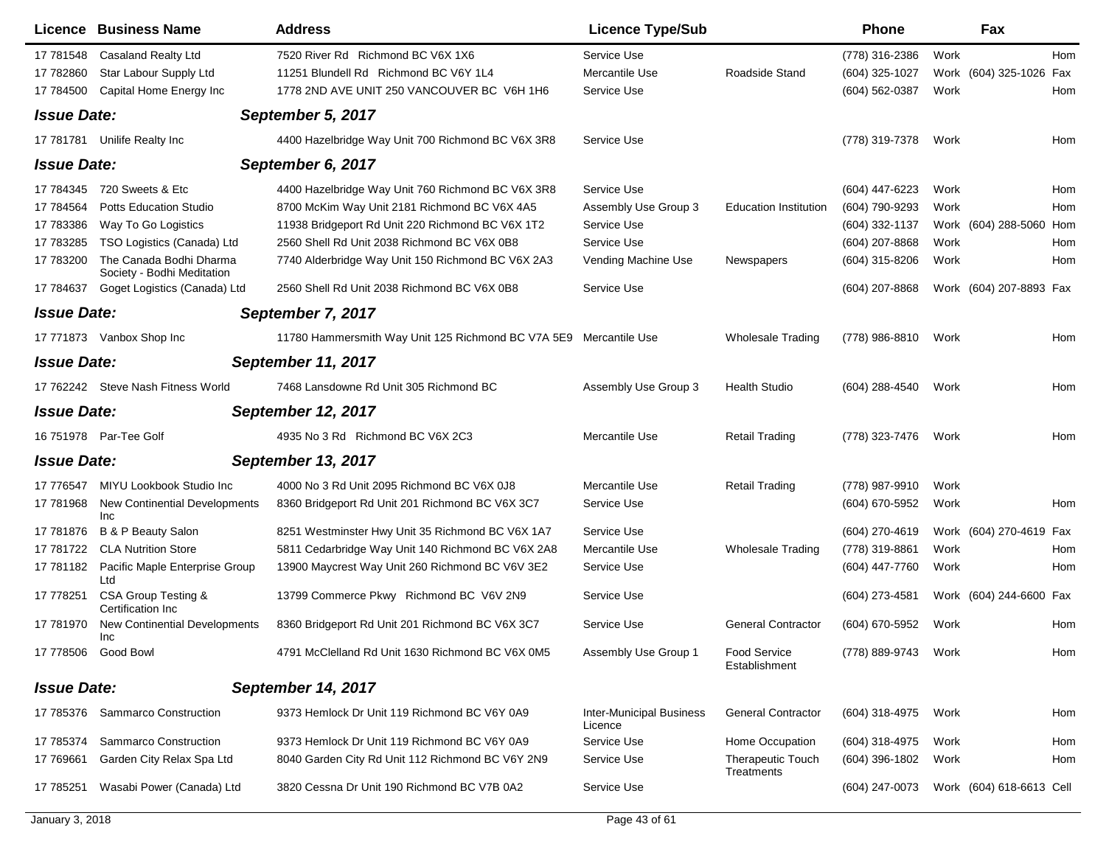|                    | <b>Licence Business Name</b>                          | <b>Address</b>                                                    | <b>Licence Type/Sub</b>                    |                                      | Phone               |      | Fax                      |     |
|--------------------|-------------------------------------------------------|-------------------------------------------------------------------|--------------------------------------------|--------------------------------------|---------------------|------|--------------------------|-----|
| 17 781548          | <b>Casaland Realty Ltd</b>                            | 7520 River Rd Richmond BC V6X 1X6                                 | Service Use                                |                                      | (778) 316-2386      | Work |                          | Hom |
| 17 782860          | Star Labour Supply Ltd                                | 11251 Blundell Rd Richmond BC V6Y 1L4                             | Mercantile Use                             | Roadside Stand                       | (604) 325-1027      |      | Work (604) 325-1026      | Fax |
| 17 784500          | Capital Home Energy Inc                               | 1778 2ND AVE UNIT 250 VANCOUVER BC V6H 1H6                        | Service Use                                |                                      | (604) 562-0387      | Work |                          | Hom |
| <b>Issue Date:</b> |                                                       | September 5, 2017                                                 |                                            |                                      |                     |      |                          |     |
| 17 781781          | Unilife Realty Inc                                    | 4400 Hazelbridge Way Unit 700 Richmond BC V6X 3R8                 | Service Use                                |                                      | (778) 319-7378      | Work |                          | Hom |
| <b>Issue Date:</b> |                                                       | September 6, 2017                                                 |                                            |                                      |                     |      |                          |     |
| 17 784345          | 720 Sweets & Etc                                      | 4400 Hazelbridge Way Unit 760 Richmond BC V6X 3R8                 | Service Use                                |                                      | (604) 447-6223      | Work |                          | Hom |
| 17 784564          | <b>Potts Education Studio</b>                         | 8700 McKim Way Unit 2181 Richmond BC V6X 4A5                      | Assembly Use Group 3                       | <b>Education Institution</b>         | (604) 790-9293      | Work |                          | Hom |
| 17 783386          | Way To Go Logistics                                   | 11938 Bridgeport Rd Unit 220 Richmond BC V6X 1T2                  | Service Use                                |                                      | (604) 332-1137      |      | Work (604) 288-5060      | Hom |
| 17 783285          | TSO Logistics (Canada) Ltd                            | 2560 Shell Rd Unit 2038 Richmond BC V6X 0B8                       | Service Use                                |                                      | (604) 207-8868      | Work |                          | Hom |
| 17 783200          | The Canada Bodhi Dharma<br>Society - Bodhi Meditation | 7740 Alderbridge Way Unit 150 Richmond BC V6X 2A3                 | Vending Machine Use                        | Newspapers                           | (604) 315-8206      | Work |                          | Hom |
| 17 784637          | Goget Logistics (Canada) Ltd                          | 2560 Shell Rd Unit 2038 Richmond BC V6X 0B8                       | Service Use                                |                                      | (604) 207-8868      |      | Work (604) 207-8893 Fax  |     |
| <b>Issue Date:</b> |                                                       | September 7, 2017                                                 |                                            |                                      |                     |      |                          |     |
|                    | 17 771873 Vanbox Shop Inc                             | 11780 Hammersmith Way Unit 125 Richmond BC V7A 5E9 Mercantile Use |                                            | <b>Wholesale Trading</b>             | (778) 986-8810      | Work |                          | Hom |
| <b>Issue Date:</b> |                                                       | September 11, 2017                                                |                                            |                                      |                     |      |                          |     |
|                    | 17 762242 Steve Nash Fitness World                    | 7468 Lansdowne Rd Unit 305 Richmond BC                            | Assembly Use Group 3                       | <b>Health Studio</b>                 | (604) 288-4540      | Work |                          | Hom |
| <b>Issue Date:</b> |                                                       | September 12, 2017                                                |                                            |                                      |                     |      |                          |     |
|                    | 16 751978 Par-Tee Golf                                | 4935 No 3 Rd Richmond BC V6X 2C3                                  | Mercantile Use                             | <b>Retail Trading</b>                | (778) 323-7476      | Work |                          | Hom |
| <b>Issue Date:</b> |                                                       | <b>September 13, 2017</b>                                         |                                            |                                      |                     |      |                          |     |
| 17 77 6547         | MIYU Lookbook Studio Inc                              | 4000 No 3 Rd Unit 2095 Richmond BC V6X 0J8                        | Mercantile Use                             | <b>Retail Trading</b>                | (778) 987-9910      | Work |                          |     |
| 17 781968          | New Continential Developments<br>Inc                  | 8360 Bridgeport Rd Unit 201 Richmond BC V6X 3C7                   | Service Use                                |                                      | (604) 670-5952      | Work |                          | Hom |
| 17 781876          | B & P Beauty Salon                                    | 8251 Westminster Hwy Unit 35 Richmond BC V6X 1A7                  | Service Use                                |                                      | (604) 270-4619      |      | Work (604) 270-4619 Fax  |     |
| 17 781722          | <b>CLA Nutrition Store</b>                            | 5811 Cedarbridge Way Unit 140 Richmond BC V6X 2A8                 | Mercantile Use                             | Wholesale Trading                    | (778) 319-8861      | Work |                          | Hom |
| 17 781182          | Pacific Maple Enterprise Group<br>Ltd                 | 13900 Maycrest Way Unit 260 Richmond BC V6V 3E2                   | Service Use                                |                                      | (604) 447-7760      | Work |                          | Hom |
| 17 778251          | CSA Group Testing &<br>Certification Inc              | 13799 Commerce Pkwy Richmond BC V6V 2N9                           | Service Use                                |                                      | (604) 273-4581      |      | Work (604) 244-6600 Fax  |     |
| 17 781970          | <b>New Continential Developments</b><br>Inc           | 8360 Bridgeport Rd Unit 201 Richmond BC V6X 3C7                   | Service Use                                | <b>General Contractor</b>            | (604) 670-5952      | Work |                          | Hom |
|                    | 17 778506 Good Bowl                                   | 4791 McClelland Rd Unit 1630 Richmond BC V6X 0M5                  | Assembly Use Group 1                       | <b>Food Service</b><br>Establishment | (778) 889-9743 Work |      |                          | Hom |
| <b>Issue Date:</b> |                                                       | September 14, 2017                                                |                                            |                                      |                     |      |                          |     |
| 17 785376          | <b>Sammarco Construction</b>                          | 9373 Hemlock Dr Unit 119 Richmond BC V6Y 0A9                      | <b>Inter-Municipal Business</b><br>Licence | <b>General Contractor</b>            | (604) 318-4975      | Work |                          | Hom |
| 17 785374          | Sammarco Construction                                 | 9373 Hemlock Dr Unit 119 Richmond BC V6Y 0A9                      | Service Use                                | Home Occupation                      | (604) 318-4975      | Work |                          | Hom |
| 17 769661          | Garden City Relax Spa Ltd                             | 8040 Garden City Rd Unit 112 Richmond BC V6Y 2N9                  | Service Use                                | Therapeutic Touch<br>Treatments      | (604) 396-1802      | Work |                          | Hom |
| 17 785251          | Wasabi Power (Canada) Ltd                             | 3820 Cessna Dr Unit 190 Richmond BC V7B 0A2                       | Service Use                                |                                      | (604) 247-0073      |      | Work (604) 618-6613 Cell |     |
| January 3, 2018    |                                                       |                                                                   | Page 43 of 61                              |                                      |                     |      |                          |     |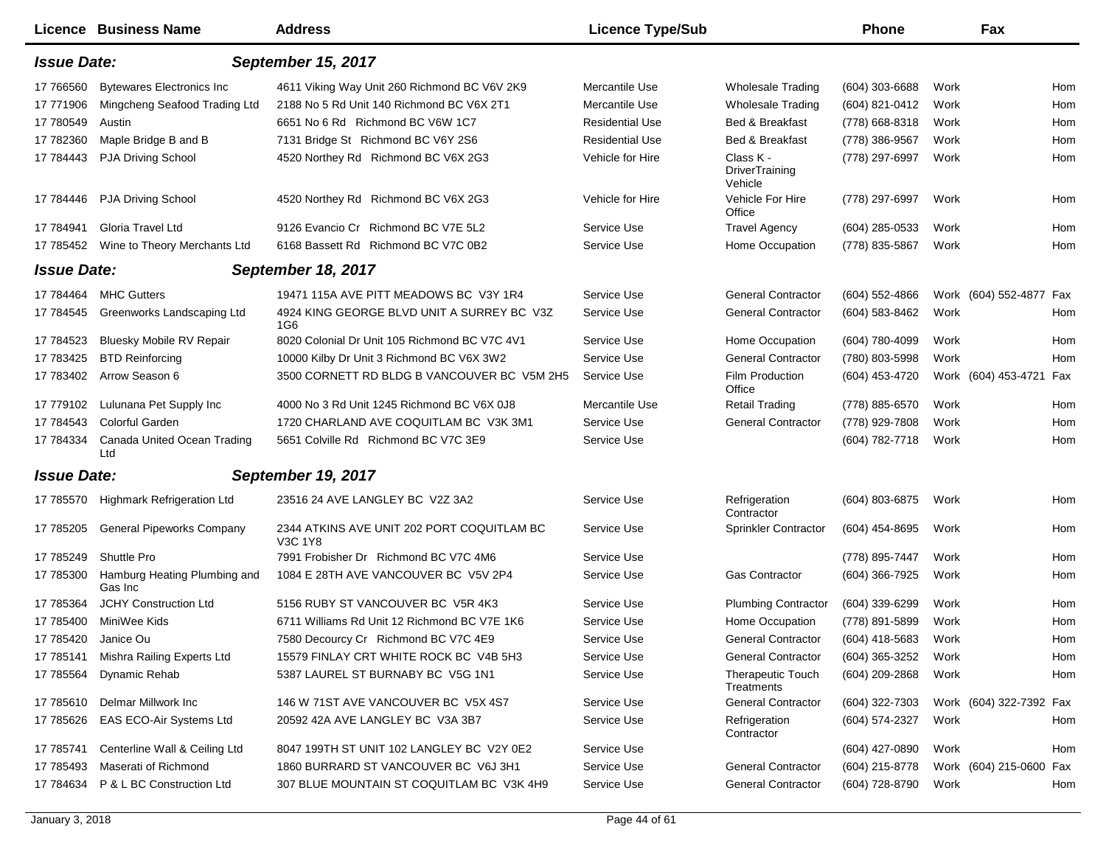|                    | <b>Licence Business Name</b>            | <b>Address</b>                                        | <b>Licence Type/Sub</b> |                                        | <b>Phone</b>     |      | Fax                     |     |
|--------------------|-----------------------------------------|-------------------------------------------------------|-------------------------|----------------------------------------|------------------|------|-------------------------|-----|
| <b>Issue Date:</b> |                                         | <b>September 15, 2017</b>                             |                         |                                        |                  |      |                         |     |
| 17 766560          | <b>Bytewares Electronics Inc</b>        | 4611 Viking Way Unit 260 Richmond BC V6V 2K9          | Mercantile Use          | <b>Wholesale Trading</b>               | $(604)$ 303-6688 | Work |                         | Hom |
| 17 771906          | Mingcheng Seafood Trading Ltd           | 2188 No 5 Rd Unit 140 Richmond BC V6X 2T1             | Mercantile Use          | <b>Wholesale Trading</b>               | (604) 821-0412   | Work |                         | Hom |
| 17 780549          | Austin                                  | 6651 No 6 Rd Richmond BC V6W 1C7                      | <b>Residential Use</b>  | Bed & Breakfast                        | (778) 668-8318   | Work |                         | Hom |
| 17 782360          | Maple Bridge B and B                    | 7131 Bridge St Richmond BC V6Y 2S6                    | <b>Residential Use</b>  | Bed & Breakfast                        | (778) 386-9567   | Work |                         | Hom |
| 17 784443          | <b>PJA Driving School</b>               | 4520 Northey Rd Richmond BC V6X 2G3                   | Vehicle for Hire        | Class K -<br>DriverTraining<br>Vehicle | (778) 297-6997   | Work |                         | Hom |
| 17 784446          | <b>PJA Driving School</b>               | 4520 Northey Rd Richmond BC V6X 2G3                   | Vehicle for Hire        | Vehicle For Hire<br>Office             | (778) 297-6997   | Work |                         | Hom |
| 17 784941          | Gloria Travel Ltd                       | 9126 Evancio Cr Richmond BC V7E 5L2                   | Service Use             | <b>Travel Agency</b>                   | $(604)$ 285-0533 | Work |                         | Hom |
| 17 785452          | Wine to Theory Merchants Ltd            | 6168 Bassett Rd Richmond BC V7C 0B2                   | Service Use             | Home Occupation                        | (778) 835-5867   | Work |                         | Hom |
| <b>Issue Date:</b> |                                         | September 18, 2017                                    |                         |                                        |                  |      |                         |     |
| 17 784464          | <b>MHC Gutters</b>                      | 19471 115A AVE PITT MEADOWS BC V3Y 1R4                | Service Use             | <b>General Contractor</b>              | $(604)$ 552-4866 |      | Work (604) 552-4877 Fax |     |
| 17 784545          | Greenworks Landscaping Ltd              | 4924 KING GEORGE BLVD UNIT A SURREY BC V3Z<br>1G6     | Service Use             | <b>General Contractor</b>              | (604) 583-8462   | Work |                         | Hom |
| 17 784523          | <b>Bluesky Mobile RV Repair</b>         | 8020 Colonial Dr Unit 105 Richmond BC V7C 4V1         | Service Use             | Home Occupation                        | (604) 780-4099   | Work |                         | Hom |
| 17 783425          | <b>BTD Reinforcing</b>                  | 10000 Kilby Dr Unit 3 Richmond BC V6X 3W2             | Service Use             | <b>General Contractor</b>              | (780) 803-5998   | Work |                         | Hom |
| 17 783402          | Arrow Season 6                          | 3500 CORNETT RD BLDG B VANCOUVER BC V5M 2H5           | Service Use             | <b>Film Production</b><br>Office       | (604) 453-4720   |      | Work (604) 453-4721     | Fax |
| 17 779102          | Lulunana Pet Supply Inc                 | 4000 No 3 Rd Unit 1245 Richmond BC V6X 0J8            | Mercantile Use          | <b>Retail Trading</b>                  | (778) 885-6570   | Work |                         | Hom |
| 17 784543          | Colorful Garden                         | 1720 CHARLAND AVE COQUITLAM BC V3K 3M1                | Service Use             | <b>General Contractor</b>              | (778) 929-7808   | Work |                         | Hom |
| 17 784334          | Canada United Ocean Trading<br>Ltd      | 5651 Colville Rd Richmond BC V7C 3E9                  | Service Use             |                                        | (604) 782-7718   | Work |                         | Hom |
| <b>Issue Date:</b> |                                         | September 19, 2017                                    |                         |                                        |                  |      |                         |     |
| 17 785570          | Highmark Refrigeration Ltd              | 23516 24 AVE LANGLEY BC V2Z 3A2                       | Service Use             | Refrigeration<br>Contractor            | (604) 803-6875   | Work |                         | Hom |
| 17 785205          | <b>General Pipeworks Company</b>        | 2344 ATKINS AVE UNIT 202 PORT COQUITLAM BC<br>V3C 1Y8 | Service Use             | <b>Sprinkler Contractor</b>            | $(604)$ 454-8695 | Work |                         | Hom |
| 17 785249          | <b>Shuttle Pro</b>                      | 7991 Frobisher Dr Richmond BC V7C 4M6                 | Service Use             |                                        | (778) 895-7447   | Work |                         | Hom |
| 17 785300          | Hamburg Heating Plumbing and<br>Gas Inc | 1084 E 28TH AVE VANCOUVER BC V5V 2P4                  | Service Use             | <b>Gas Contractor</b>                  | (604) 366-7925   | Work |                         | Hom |
| 17 785364          | <b>JCHY Construction Ltd</b>            | 5156 RUBY ST VANCOUVER BC V5R 4K3                     | Service Use             | <b>Plumbing Contractor</b>             | $(604)$ 339-6299 | Work |                         | Hom |
| 17 785400          | MiniWee Kids                            | 6711 Williams Rd Unit 12 Richmond BC V7E 1K6          | Service Use             | Home Occupation                        | (778) 891-5899   | Work |                         | Hom |
|                    | 17 785420 Janice Ou                     | 7580 Decourcy Cr Richmond BC V7C 4E9                  | Service Use             | <b>General Contractor</b>              | (604) 418-5683   | Work |                         | Hom |
| 17 785141          | Mishra Railing Experts Ltd              | 15579 FINLAY CRT WHITE ROCK BC V4B 5H3                | Service Use             | <b>General Contractor</b>              | $(604)$ 365-3252 | Work |                         | Hom |
| 17 785564          | Dynamic Rehab                           | 5387 LAUREL ST BURNABY BC V5G 1N1                     | Service Use             | Therapeutic Touch<br>Treatments        | (604) 209-2868   | Work |                         | Hom |
| 17 785610          | Delmar Millwork Inc                     | 146 W 71ST AVE VANCOUVER BC V5X 4S7                   | Service Use             | <b>General Contractor</b>              | (604) 322-7303   |      | Work (604) 322-7392 Fax |     |
| 17 785626          | EAS ECO-Air Systems Ltd                 | 20592 42A AVE LANGLEY BC V3A 3B7                      | Service Use             | Refrigeration<br>Contractor            | (604) 574-2327   | Work |                         | Hom |
| 17 785741          | Centerline Wall & Ceiling Ltd           | 8047 199TH ST UNIT 102 LANGLEY BC V2Y 0E2             | Service Use             |                                        | (604) 427-0890   | Work |                         | Hom |
| 17 785493          | Maserati of Richmond                    | 1860 BURRARD ST VANCOUVER BC V6J 3H1                  | Service Use             | <b>General Contractor</b>              | (604) 215-8778   |      | Work (604) 215-0600     | Fax |
| 17 784634          | P & L BC Construction Ltd               | 307 BLUE MOUNTAIN ST COQUITLAM BC V3K 4H9             | Service Use             | <b>General Contractor</b>              | (604) 728-8790   | Work |                         | Hom |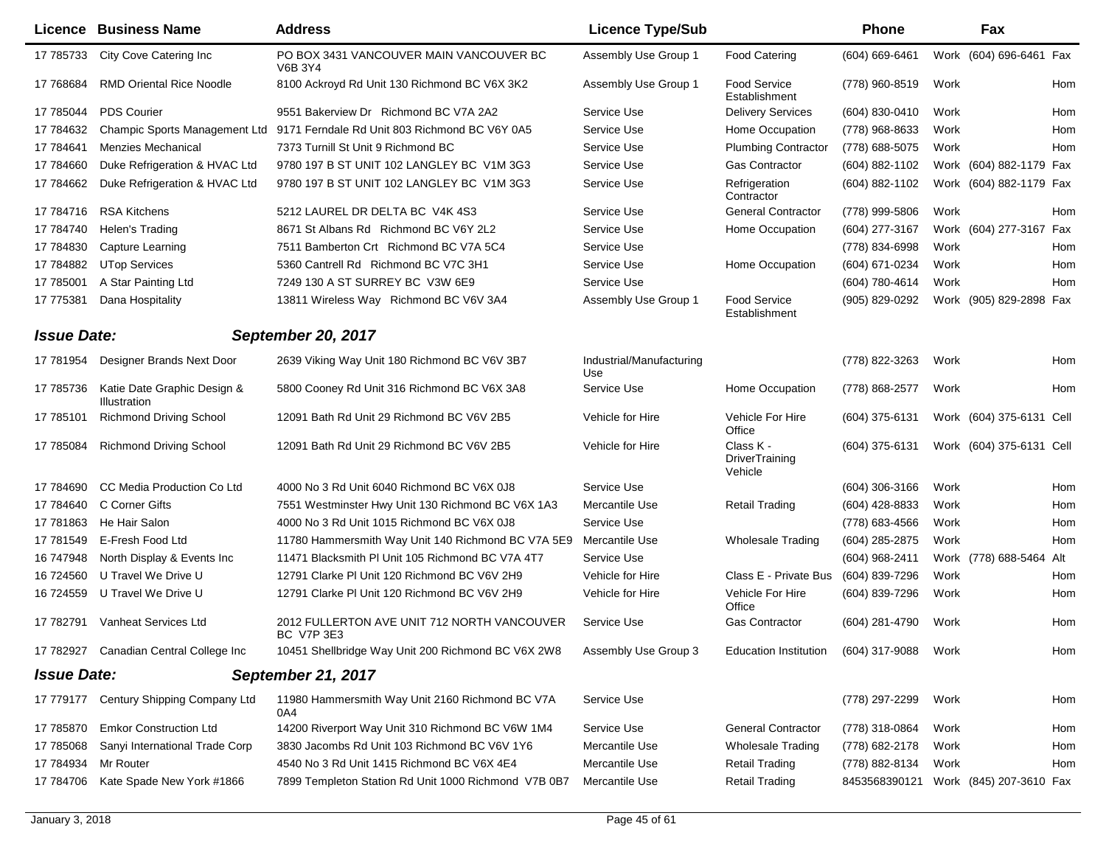|                    | <b>Licence Business Name</b>                | <b>Address</b>                                                   | <b>Licence Type/Sub</b>         |                                        | <b>Phone</b>        | Fax                      |     |
|--------------------|---------------------------------------------|------------------------------------------------------------------|---------------------------------|----------------------------------------|---------------------|--------------------------|-----|
| 17 785733          | City Cove Catering Inc                      | PO BOX 3431 VANCOUVER MAIN VANCOUVER BC<br><b>V6B 3Y4</b>        | Assembly Use Group 1            | <b>Food Catering</b>                   | (604) 669-6461      | Work (604) 696-6461 Fax  |     |
| 17 768684          | <b>RMD Oriental Rice Noodle</b>             | 8100 Ackroyd Rd Unit 130 Richmond BC V6X 3K2                     | Assembly Use Group 1            | <b>Food Service</b><br>Establishment   | (778) 960-8519      | Work                     | Hom |
| 17 785044          | <b>PDS Courier</b>                          | 9551 Bakerview Dr Richmond BC V7A 2A2                            | Service Use                     | <b>Delivery Services</b>               | (604) 830-0410      | Work                     | Hom |
| 17 784632          | Champic Sports Management Ltd               | 9171 Ferndale Rd Unit 803 Richmond BC V6Y 0A5                    | Service Use                     | Home Occupation                        | (778) 968-8633      | Work                     | Hom |
| 17 784641          | <b>Menzies Mechanical</b>                   | 7373 Turnill St Unit 9 Richmond BC                               | Service Use                     | <b>Plumbing Contractor</b>             | (778) 688-5075      | Work                     | Hom |
| 17 784660          | Duke Refrigeration & HVAC Ltd               | 9780 197 B ST UNIT 102 LANGLEY BC V1M 3G3                        | Service Use                     | <b>Gas Contractor</b>                  | (604) 882-1102      | Work (604) 882-1179 Fax  |     |
| 17 784662          | Duke Refrigeration & HVAC Ltd               | 9780 197 B ST UNIT 102 LANGLEY BC V1M 3G3                        | Service Use                     | Refrigeration<br>Contractor            | (604) 882-1102      | Work (604) 882-1179 Fax  |     |
| 17 784716          | <b>RSA Kitchens</b>                         | 5212 LAUREL DR DELTA BC V4K 4S3                                  | Service Use                     | <b>General Contractor</b>              | (778) 999-5806      | Work                     | Hom |
| 17 784740          | Helen's Trading                             | 8671 St Albans Rd Richmond BC V6Y 2L2                            | Service Use                     | Home Occupation                        | (604) 277-3167      | Work (604) 277-3167 Fax  |     |
| 17 784830          | Capture Learning                            | 7511 Bamberton Crt Richmond BC V7A 5C4                           | Service Use                     |                                        | (778) 834-6998      | Work                     | Hom |
| 17 784882          | <b>UTop Services</b>                        | 5360 Cantrell Rd Richmond BC V7C 3H1                             | Service Use                     | Home Occupation                        | (604) 671-0234      | Work                     | Hom |
| 17 785001          | A Star Painting Ltd                         | 7249 130 A ST SURREY BC V3W 6E9                                  | Service Use                     |                                        | (604) 780-4614      | Work                     | Hom |
| 17 775381          | Dana Hospitality                            | 13811 Wireless Way Richmond BC V6V 3A4                           | Assembly Use Group 1            | <b>Food Service</b><br>Establishment   | (905) 829-0292      | Work (905) 829-2898 Fax  |     |
| <b>Issue Date:</b> |                                             | <b>September 20, 2017</b>                                        |                                 |                                        |                     |                          |     |
| 17 781954          | Designer Brands Next Door                   | 2639 Viking Way Unit 180 Richmond BC V6V 3B7                     | Industrial/Manufacturing<br>Use |                                        | (778) 822-3263      | Work                     | Hom |
| 17 785736          | Katie Date Graphic Design &<br>Illustration | 5800 Cooney Rd Unit 316 Richmond BC V6X 3A8                      | Service Use                     | Home Occupation                        | (778) 868-2577      | Work                     | Hom |
| 17 785101          | <b>Richmond Driving School</b>              | 12091 Bath Rd Unit 29 Richmond BC V6V 2B5                        | Vehicle for Hire                | Vehicle For Hire<br>Office             | (604) 375-6131      | Work (604) 375-6131 Cell |     |
| 17 785084          | <b>Richmond Driving School</b>              | 12091 Bath Rd Unit 29 Richmond BC V6V 2B5                        | Vehicle for Hire                | Class K -<br>DriverTraining<br>Vehicle | (604) 375-6131      | Work (604) 375-6131 Cell |     |
| 17 784690          | CC Media Production Co Ltd                  | 4000 No 3 Rd Unit 6040 Richmond BC V6X 0J8                       | Service Use                     |                                        | (604) 306-3166      | Work                     | Hom |
| 17 784640          | C Corner Gifts                              | 7551 Westminster Hwy Unit 130 Richmond BC V6X 1A3                | Mercantile Use                  | <b>Retail Trading</b>                  | (604) 428-8833      | Work                     | Hom |
| 17 781863          | He Hair Salon                               | 4000 No 3 Rd Unit 1015 Richmond BC V6X 0J8                       | Service Use                     |                                        | (778) 683-4566      | Work                     | Hom |
| 17 781549          | E-Fresh Food Ltd                            | 11780 Hammersmith Way Unit 140 Richmond BC V7A 5E9               | Mercantile Use                  | <b>Wholesale Trading</b>               | (604) 285-2875      | Work                     | Hom |
| 16 747948          | North Display & Events Inc                  | 11471 Blacksmith PI Unit 105 Richmond BC V7A 4T7                 | Service Use                     |                                        | (604) 968-2411      | Work (778) 688-5464 Alt  |     |
| 16 724560          | U Travel We Drive U                         | 12791 Clarke PI Unit 120 Richmond BC V6V 2H9                     | Vehicle for Hire                | Class E - Private Bus                  | (604) 839-7296      | Work                     | Hom |
| 16 724559          | U Travel We Drive U                         | 12791 Clarke PI Unit 120 Richmond BC V6V 2H9                     | Vehicle for Hire                | Vehicle For Hire<br>Office             | (604) 839-7296      | Work                     | Hom |
| 17 782791          | Vanheat Services Ltd                        | 2012 FULLERTON AVE UNIT 712 NORTH VANCOUVER<br><b>BC V7P 3E3</b> | Service Use                     | <b>Gas Contractor</b>                  | (604) 281-4790      | Work                     | Hom |
|                    | 17 782927 Canadian Central College Inc      | 10451 Shellbridge Way Unit 200 Richmond BC V6X 2W8               | Assembly Use Group 3            | Education Institution                  | (604) 317-9088 Work |                          | Hom |
| <b>Issue Date:</b> |                                             | September 21, 2017                                               |                                 |                                        |                     |                          |     |
| 17 779177          | Century Shipping Company Ltd                | 11980 Hammersmith Way Unit 2160 Richmond BC V7A<br>0A4           | Service Use                     |                                        | (778) 297-2299      | Work                     | Hom |
| 17 785870          | <b>Emkor Construction Ltd</b>               | 14200 Riverport Way Unit 310 Richmond BC V6W 1M4                 | Service Use                     | <b>General Contractor</b>              | (778) 318-0864      | Work                     | Hom |
| 17 785068          | Sanyi International Trade Corp              | 3830 Jacombs Rd Unit 103 Richmond BC V6V 1Y6                     | Mercantile Use                  | <b>Wholesale Trading</b>               | (778) 682-2178      | Work                     | Hom |
| 17 784934          | Mr Router                                   | 4540 No 3 Rd Unit 1415 Richmond BC V6X 4E4                       | Mercantile Use                  | <b>Retail Trading</b>                  | (778) 882-8134      | Work                     | Hom |
| 17 784706          | Kate Spade New York #1866                   | 7899 Templeton Station Rd Unit 1000 Richmond V7B 0B7             | Mercantile Use                  | <b>Retail Trading</b>                  | 8453568390121       | Work (845) 207-3610 Fax  |     |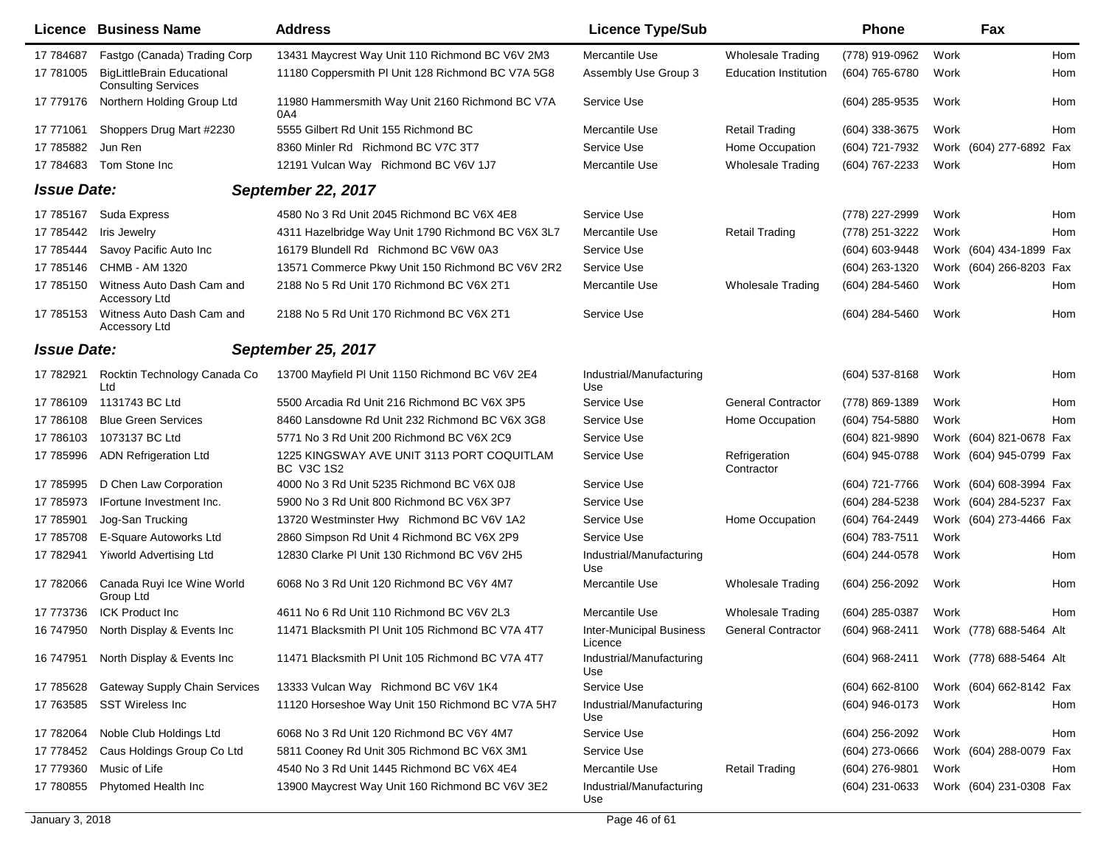|                    | <b>Licence Business Name</b>                                    | <b>Address</b>                                           | <b>Licence Type/Sub</b>                    |                             | <b>Phone</b>                           |      | Fax                     |            |
|--------------------|-----------------------------------------------------------------|----------------------------------------------------------|--------------------------------------------|-----------------------------|----------------------------------------|------|-------------------------|------------|
| 17 784687          | Fastgo (Canada) Trading Corp                                    | 13431 Maycrest Way Unit 110 Richmond BC V6V 2M3          | Mercantile Use                             | <b>Wholesale Trading</b>    | (778) 919-0962                         | Work |                         | <b>Hom</b> |
| 17 781005          | <b>BigLittleBrain Educational</b><br><b>Consulting Services</b> | 11180 Coppersmith PI Unit 128 Richmond BC V7A 5G8        | Assembly Use Group 3                       | Education Institution       | (604) 765-6780                         | Work |                         | Hom        |
| 17 779176          | Northern Holding Group Ltd                                      | 11980 Hammersmith Way Unit 2160 Richmond BC V7A<br>0A4   | Service Use                                |                             | (604) 285-9535                         | Work |                         | Hom        |
| 17 771061          | Shoppers Drug Mart #2230                                        | 5555 Gilbert Rd Unit 155 Richmond BC                     | Mercantile Use                             | <b>Retail Trading</b>       | $(604)$ 338-3675                       | Work |                         | Hom        |
| 17 785882          | Jun Ren                                                         | 8360 Minler Rd Richmond BC V7C 3T7                       | Service Use                                | Home Occupation             | (604) 721-7932                         |      | Work (604) 277-6892     | Fax        |
| 17 784683          | Tom Stone Inc                                                   | 12191 Vulcan Way Richmond BC V6V 1J7                     | Mercantile Use                             | <b>Wholesale Trading</b>    | (604) 767-2233                         | Work |                         | Hom        |
| <b>Issue Date:</b> |                                                                 | <b>September 22, 2017</b>                                |                                            |                             |                                        |      |                         |            |
| 17 785167          | Suda Express                                                    | 4580 No 3 Rd Unit 2045 Richmond BC V6X 4E8               | Service Use                                |                             | (778) 227-2999                         | Work |                         | Hom        |
| 17 785442          | Iris Jewelry                                                    | 4311 Hazelbridge Way Unit 1790 Richmond BC V6X 3L7       | Mercantile Use                             | <b>Retail Trading</b>       | (778) 251-3222                         | Work |                         | Hom        |
| 17 785444          | Savoy Pacific Auto Inc                                          | 16179 Blundell Rd Richmond BC V6W 0A3                    | Service Use                                |                             | (604) 603-9448                         |      | Work (604) 434-1899 Fax |            |
| 17 785146          | <b>CHMB - AM 1320</b>                                           | 13571 Commerce Pkwy Unit 150 Richmond BC V6V 2R2         | Service Use                                |                             | (604) 263-1320                         |      | Work (604) 266-8203 Fax |            |
| 17 785150          | Witness Auto Dash Cam and<br><b>Accessory Ltd</b>               | 2188 No 5 Rd Unit 170 Richmond BC V6X 2T1                | Mercantile Use                             | Wholesale Trading           | (604) 284-5460                         | Work |                         | Hom        |
| 17 785153          | Witness Auto Dash Cam and<br>Accessory Ltd                      | 2188 No 5 Rd Unit 170 Richmond BC V6X 2T1                | Service Use                                |                             | (604) 284-5460                         | Work |                         | Hom        |
| <b>Issue Date:</b> |                                                                 | <b>September 25, 2017</b>                                |                                            |                             |                                        |      |                         |            |
| 17 782921          | Rocktin Technology Canada Co<br>Ltd                             | 13700 Mayfield PI Unit 1150 Richmond BC V6V 2E4          | Industrial/Manufacturing<br>Use            |                             | (604) 537-8168                         | Work |                         | Hom        |
| 17 786109          | 1131743 BC Ltd                                                  | 5500 Arcadia Rd Unit 216 Richmond BC V6X 3P5             | Service Use                                | <b>General Contractor</b>   | (778) 869-1389                         | Work |                         | Hom        |
| 17 786108          | <b>Blue Green Services</b>                                      | 8460 Lansdowne Rd Unit 232 Richmond BC V6X 3G8           | Service Use                                | Home Occupation             | (604) 754-5880                         | Work |                         | Hom        |
| 17 786103          | 1073137 BC Ltd                                                  | 5771 No 3 Rd Unit 200 Richmond BC V6X 2C9                | Service Use                                |                             | (604) 821-9890                         |      | Work (604) 821-0678 Fax |            |
| 17 785996          | <b>ADN Refrigeration Ltd</b>                                    | 1225 KINGSWAY AVE UNIT 3113 PORT COQUITLAM<br>BC V3C 1S2 | Service Use                                | Refrigeration<br>Contractor | (604) 945-0788                         |      | Work (604) 945-0799 Fax |            |
| 17 785995          | D Chen Law Corporation                                          | 4000 No 3 Rd Unit 5235 Richmond BC V6X 0J8               | Service Use                                |                             | (604) 721-7766                         |      | Work (604) 608-3994 Fax |            |
| 17 785973          | IFortune Investment Inc.                                        | 5900 No 3 Rd Unit 800 Richmond BC V6X 3P7                | Service Use                                |                             | (604) 284-5238                         |      | Work (604) 284-5237 Fax |            |
| 17 785901          | Jog-San Trucking                                                | 13720 Westminster Hwy Richmond BC V6V 1A2                | Service Use                                | Home Occupation             | (604) 764-2449                         |      | Work (604) 273-4466 Fax |            |
| 17 785708          | E-Square Autoworks Ltd                                          | 2860 Simpson Rd Unit 4 Richmond BC V6X 2P9               | Service Use                                |                             | (604) 783-7511                         | Work |                         |            |
| 17 782941          | <b>Yiworld Advertising Ltd</b>                                  | 12830 Clarke PI Unit 130 Richmond BC V6V 2H5             | Industrial/Manufacturing<br>Use            |                             | (604) 244-0578                         | Work |                         | Hom        |
| 17 782066          | Canada Ruyi Ice Wine World<br>Group Ltd                         | 6068 No 3 Rd Unit 120 Richmond BC V6Y 4M7                | Mercantile Use                             | <b>Wholesale Trading</b>    | (604) 256-2092                         | Work |                         | Hom        |
| 17 773736          | <b>ICK Product Inc</b>                                          | 4611 No 6 Rd Unit 110 Richmond BC V6V 2L3                | Mercantile Use                             | <b>Wholesale Trading</b>    | (604) 285-0387                         | Work |                         | Hom        |
| 16 747950          | North Display & Events Inc                                      | 11471 Blacksmith PI Unit 105 Richmond BC V7A 4T7         | <b>Inter-Municipal Business</b><br>Licence | <b>General Contractor</b>   | (604) 968-2411                         |      | Work (778) 688-5464 Alt |            |
|                    | 16 747951 North Display & Events Inc                            | 11471 Blacksmith PI Unit 105 Richmond BC V7A 4T7         | Industrial/Manufacturing<br>Use            |                             | (604) 968-2411 Work (778) 688-5464 Alt |      |                         |            |
| 17 785628          | <b>Gateway Supply Chain Services</b>                            | 13333 Vulcan Way Richmond BC V6V 1K4                     | Service Use                                |                             | (604) 662-8100                         |      | Work (604) 662-8142 Fax |            |
| 17 763585          | <b>SST Wireless Inc</b>                                         | 11120 Horseshoe Way Unit 150 Richmond BC V7A 5H7         | Industrial/Manufacturing<br>Use            |                             | (604) 946-0173                         | Work |                         | Hom        |
| 17 782064          | Noble Club Holdings Ltd                                         | 6068 No 3 Rd Unit 120 Richmond BC V6Y 4M7                | Service Use                                |                             | (604) 256-2092                         | Work |                         | Hom        |
| 17 778452          | Caus Holdings Group Co Ltd                                      | 5811 Cooney Rd Unit 305 Richmond BC V6X 3M1              | Service Use                                |                             | (604) 273-0666                         |      | Work (604) 288-0079 Fax |            |
| 17 779360          | Music of Life                                                   | 4540 No 3 Rd Unit 1445 Richmond BC V6X 4E4               | Mercantile Use                             | <b>Retail Trading</b>       | (604) 276-9801                         | Work |                         | Hom        |
| 17 780855          | Phytomed Health Inc                                             | 13900 Maycrest Way Unit 160 Richmond BC V6V 3E2          | Industrial/Manufacturing<br>Use            |                             | (604) 231-0633                         |      | Work (604) 231-0308 Fax |            |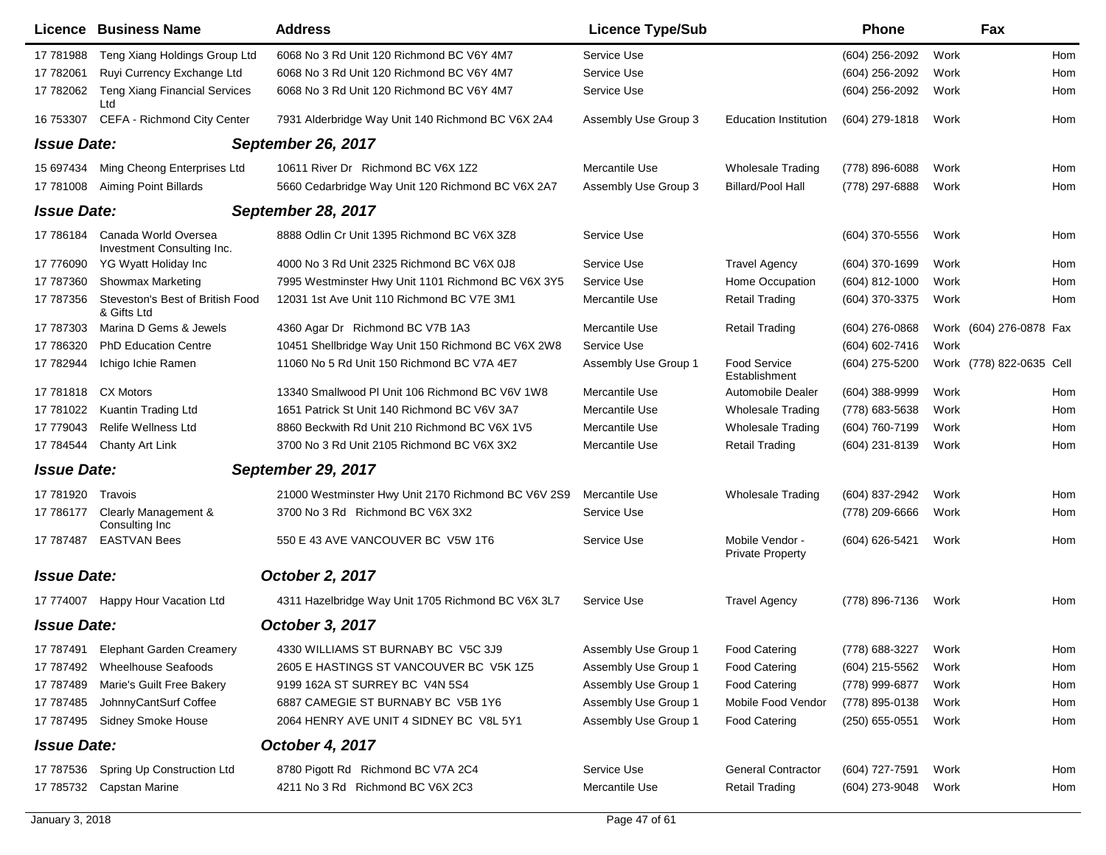|                    | <b>Licence Business Name</b>                       | <b>Address</b>                                      | <b>Licence Type/Sub</b> |                                            | Phone            |      | Fax                      |     |
|--------------------|----------------------------------------------------|-----------------------------------------------------|-------------------------|--------------------------------------------|------------------|------|--------------------------|-----|
| 17 781988          | Teng Xiang Holdings Group Ltd                      | 6068 No 3 Rd Unit 120 Richmond BC V6Y 4M7           | Service Use             |                                            | $(604)$ 256-2092 | Work |                          | Hom |
| 17 782061          | Ruyi Currency Exchange Ltd                         | 6068 No 3 Rd Unit 120 Richmond BC V6Y 4M7           | Service Use             |                                            | $(604)$ 256-2092 | Work |                          | Hom |
| 17 782062          | <b>Teng Xiang Financial Services</b><br>Ltd        | 6068 No 3 Rd Unit 120 Richmond BC V6Y 4M7           | Service Use             |                                            | (604) 256-2092   | Work |                          | Hom |
| 16 753307          | CEFA - Richmond City Center                        | 7931 Alderbridge Way Unit 140 Richmond BC V6X 2A4   | Assembly Use Group 3    | <b>Education Institution</b>               | (604) 279-1818   | Work |                          | Hom |
| <b>Issue Date:</b> |                                                    | <b>September 26, 2017</b>                           |                         |                                            |                  |      |                          |     |
| 15 697434          | Ming Cheong Enterprises Ltd                        | 10611 River Dr Richmond BC V6X 1Z2                  | Mercantile Use          | <b>Wholesale Trading</b>                   | (778) 896-6088   | Work |                          | Hom |
| 17 781008          | <b>Aiming Point Billards</b>                       | 5660 Cedarbridge Way Unit 120 Richmond BC V6X 2A7   | Assembly Use Group 3    | <b>Billard/Pool Hall</b>                   | (778) 297-6888   | Work |                          | Hom |
| <b>Issue Date:</b> |                                                    | <b>September 28, 2017</b>                           |                         |                                            |                  |      |                          |     |
| 17 786184          | Canada World Oversea<br>Investment Consulting Inc. | 8888 Odlin Cr Unit 1395 Richmond BC V6X 3Z8         | Service Use             |                                            | (604) 370-5556   | Work |                          | Hom |
| 17 776090          | YG Wyatt Holiday Inc                               | 4000 No 3 Rd Unit 2325 Richmond BC V6X 0J8          | Service Use             | <b>Travel Agency</b>                       | $(604)$ 370-1699 | Work |                          | Hom |
| 17 787360          | Showmax Marketing                                  | 7995 Westminster Hwy Unit 1101 Richmond BC V6X 3Y5  | Service Use             | Home Occupation                            | (604) 812-1000   | Work |                          | Hom |
| 17 787356          | Steveston's Best of British Food<br>& Gifts Ltd    | 12031 1st Ave Unit 110 Richmond BC V7E 3M1          | Mercantile Use          | Retail Trading                             | (604) 370-3375   | Work |                          | Hom |
| 17 787303          | Marina D Gems & Jewels                             | 4360 Agar Dr Richmond BC V7B 1A3                    | Mercantile Use          | <b>Retail Trading</b>                      | (604) 276-0868   |      | Work (604) 276-0878 Fax  |     |
| 17 786320          | <b>PhD Education Centre</b>                        | 10451 Shellbridge Way Unit 150 Richmond BC V6X 2W8  | Service Use             |                                            | (604) 602-7416   | Work |                          |     |
| 17 782944          | Ichigo Ichie Ramen                                 | 11060 No 5 Rd Unit 150 Richmond BC V7A 4E7          | Assembly Use Group 1    | <b>Food Service</b><br>Establishment       | (604) 275-5200   |      | Work (778) 822-0635 Cell |     |
| 17 781818          | <b>CX Motors</b>                                   | 13340 Smallwood PI Unit 106 Richmond BC V6V 1W8     | Mercantile Use          | Automobile Dealer                          | (604) 388-9999   | Work |                          | Hom |
| 17 781022          | Kuantin Trading Ltd                                | 1651 Patrick St Unit 140 Richmond BC V6V 3A7        | Mercantile Use          | <b>Wholesale Trading</b>                   | (778) 683-5638   | Work |                          | Hom |
| 17 779043          | <b>Relife Wellness Ltd</b>                         | 8860 Beckwith Rd Unit 210 Richmond BC V6X 1V5       | Mercantile Use          | <b>Wholesale Trading</b>                   | (604) 760-7199   | Work |                          | Hom |
| 17 784544          | Chanty Art Link                                    | 3700 No 3 Rd Unit 2105 Richmond BC V6X 3X2          | Mercantile Use          | <b>Retail Trading</b>                      | (604) 231-8139   | Work |                          | Hom |
| <b>Issue Date:</b> |                                                    | September 29, 2017                                  |                         |                                            |                  |      |                          |     |
| 17 781920          | Travois                                            | 21000 Westminster Hwy Unit 2170 Richmond BC V6V 2S9 | Mercantile Use          | <b>Wholesale Trading</b>                   | (604) 837-2942   | Work |                          | Hom |
| 17 786177          | Clearly Management &<br>Consulting Inc             | 3700 No 3 Rd Richmond BC V6X 3X2                    | Service Use             |                                            | (778) 209-6666   | Work |                          | Hom |
| 17 787487          | <b>EASTVAN Bees</b>                                | 550 E 43 AVE VANCOUVER BC V5W 1T6                   | Service Use             | Mobile Vendor -<br><b>Private Property</b> | (604) 626-5421   | Work |                          | Hom |
| <b>Issue Date:</b> |                                                    | <b>October 2, 2017</b>                              |                         |                                            |                  |      |                          |     |
|                    | 17 774007 Happy Hour Vacation Ltd                  | 4311 Hazelbridge Way Unit 1705 Richmond BC V6X 3L7  | Service Use             | <b>Travel Agency</b>                       | (778) 896-7136   | Work |                          | Hom |
| <b>Issue Date:</b> |                                                    | October 3, 2017                                     |                         |                                            |                  |      |                          |     |
| 17 787491          | <b>Elephant Garden Creamery</b>                    | 4330 WILLIAMS ST BURNABY BC V5C 3J9                 | Assembly Use Group 1    | <b>Food Catering</b>                       | (778) 688-3227   | Work |                          | Hom |
| 17 787492          | Wheelhouse Seafoods                                | 2605 E HASTINGS ST VANCOUVER BC V5K 1Z5             | Assembly Use Group 1    | <b>Food Catering</b>                       | (604) 215-5562   | Work |                          | Hom |
| 17 787489          | Marie's Guilt Free Bakery                          | 9199 162A ST SURREY BC V4N 5S4                      | Assembly Use Group 1    | <b>Food Catering</b>                       | (778) 999-6877   | Work |                          | Hom |
| 17 787485          | JohnnyCantSurf Coffee                              | 6887 CAMEGIE ST BURNABY BC V5B 1Y6                  | Assembly Use Group 1    | Mobile Food Vendor                         | (778) 895-0138   | Work |                          | Hom |
| 17 787495          | Sidney Smoke House                                 | 2064 HENRY AVE UNIT 4 SIDNEY BC V8L 5Y1             | Assembly Use Group 1    | <b>Food Catering</b>                       | $(250)$ 655-0551 | Work |                          | Hom |
| <b>Issue Date:</b> |                                                    | <b>October 4, 2017</b>                              |                         |                                            |                  |      |                          |     |
| 17 787536          | Spring Up Construction Ltd                         | 8780 Pigott Rd Richmond BC V7A 2C4                  | Service Use             | <b>General Contractor</b>                  | (604) 727-7591   | Work |                          | Hom |
| 17 785732          | Capstan Marine                                     | 4211 No 3 Rd Richmond BC V6X 2C3                    | Mercantile Use          | <b>Retail Trading</b>                      | (604) 273-9048   | Work |                          | Hom |
|                    |                                                    |                                                     |                         |                                            |                  |      |                          |     |

 $\overline{a}$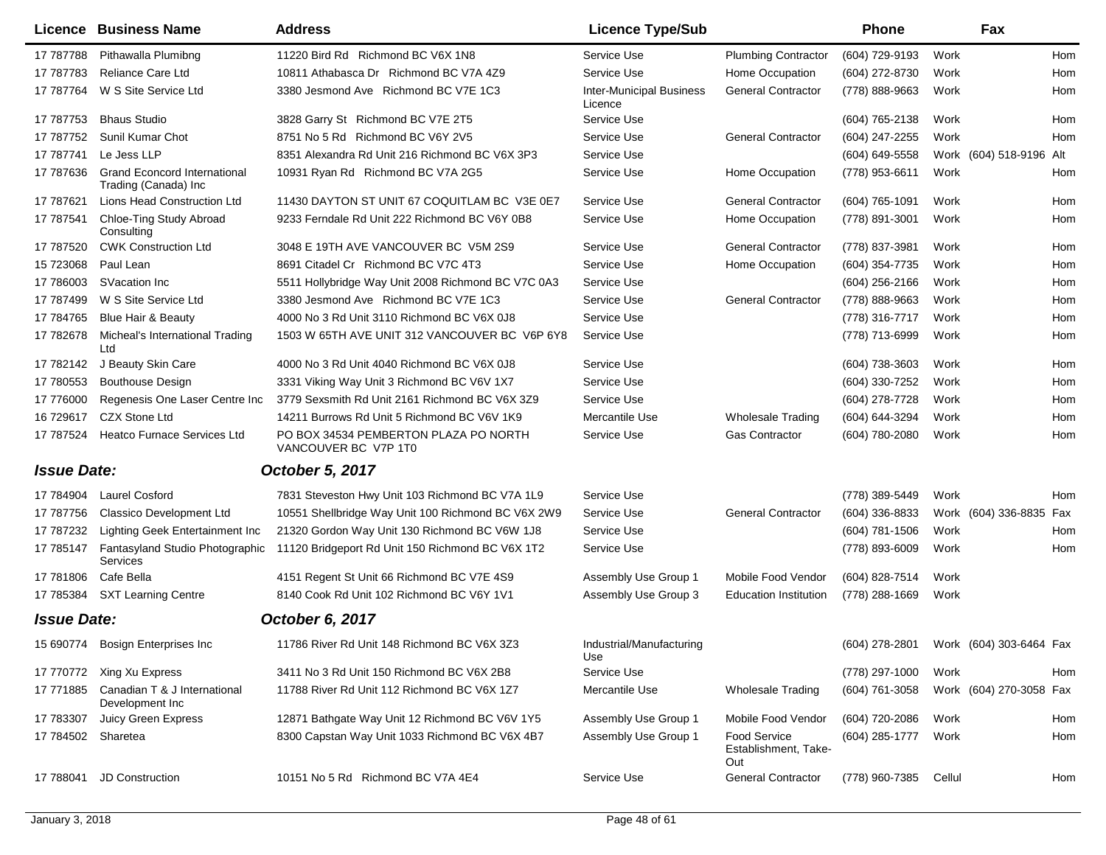|                    | <b>Licence Business Name</b>                                | <b>Address</b>                                                | <b>Licence Type/Sub</b>                    |                                                    | Phone            |        | Fax                     |            |
|--------------------|-------------------------------------------------------------|---------------------------------------------------------------|--------------------------------------------|----------------------------------------------------|------------------|--------|-------------------------|------------|
| 17 787788          | Pithawalla Plumibng                                         | 11220 Bird Rd Richmond BC V6X 1N8                             | Service Use                                | <b>Plumbing Contractor</b>                         | (604) 729-9193   | Work   |                         | <b>Hom</b> |
| 17 787783          | Reliance Care Ltd                                           | 10811 Athabasca Dr Richmond BC V7A 4Z9                        | Service Use                                | Home Occupation                                    | (604) 272-8730   | Work   |                         | Hom        |
| 17 787764          | W S Site Service Ltd                                        | 3380 Jesmond Ave Richmond BC V7E 1C3                          | <b>Inter-Municipal Business</b><br>Licence | <b>General Contractor</b>                          | (778) 888-9663   | Work   |                         | Hom        |
| 17 787753          | <b>Bhaus Studio</b>                                         | 3828 Garry St Richmond BC V7E 2T5                             | Service Use                                |                                                    | (604) 765-2138   | Work   |                         | Hom        |
| 17 787752          | Sunil Kumar Chot                                            | 8751 No 5 Rd Richmond BC V6Y 2V5                              | Service Use                                | <b>General Contractor</b>                          | (604) 247-2255   | Work   |                         | Hom        |
| 17 787741          | Le Jess LLP                                                 | 8351 Alexandra Rd Unit 216 Richmond BC V6X 3P3                | Service Use                                |                                                    | (604) 649-5558   |        | Work (604) 518-9196 Alt |            |
| 17 787636          | <b>Grand Econcord International</b><br>Trading (Canada) Inc | 10931 Ryan Rd Richmond BC V7A 2G5                             | Service Use                                | Home Occupation                                    | (778) 953-6611   | Work   |                         | Hom        |
| 17 787621          | Lions Head Construction Ltd                                 | 11430 DAYTON ST UNIT 67 COQUITLAM BC V3E 0E7                  | Service Use                                | <b>General Contractor</b>                          | (604) 765-1091   | Work   |                         | Hom        |
| 17 787541          | Chloe-Ting Study Abroad<br>Consulting                       | 9233 Ferndale Rd Unit 222 Richmond BC V6Y 0B8                 | Service Use                                | Home Occupation                                    | (778) 891-3001   | Work   |                         | Hom        |
| 17 787520          | <b>CWK Construction Ltd</b>                                 | 3048 E 19TH AVE VANCOUVER BC V5M 2S9                          | Service Use                                | <b>General Contractor</b>                          | (778) 837-3981   | Work   |                         | Hom        |
| 15 723068          | Paul Lean                                                   | 8691 Citadel Cr Richmond BC V7C 4T3                           | Service Use                                | Home Occupation                                    | (604) 354-7735   | Work   |                         | Hom        |
| 17 786003          | SVacation Inc                                               | 5511 Hollybridge Way Unit 2008 Richmond BC V7C 0A3            | Service Use                                |                                                    | $(604)$ 256-2166 | Work   |                         | Hom        |
| 17 787499          | W S Site Service Ltd                                        | 3380 Jesmond Ave Richmond BC V7E 1C3                          | Service Use                                | <b>General Contractor</b>                          | (778) 888-9663   | Work   |                         | Hom        |
| 17 784765          | Blue Hair & Beauty                                          | 4000 No 3 Rd Unit 3110 Richmond BC V6X 0J8                    | Service Use                                |                                                    | (778) 316-7717   | Work   |                         | Hom        |
| 17 782678          | Micheal's International Trading<br>Ltd                      | 1503 W 65TH AVE UNIT 312 VANCOUVER BC V6P 6Y8                 | Service Use                                |                                                    | (778) 713-6999   | Work   |                         | Hom        |
| 17 782142          | J Beauty Skin Care                                          | 4000 No 3 Rd Unit 4040 Richmond BC V6X 0J8                    | Service Use                                |                                                    | (604) 738-3603   | Work   |                         | Hom        |
| 17 780553          | <b>Bouthouse Design</b>                                     | 3331 Viking Way Unit 3 Richmond BC V6V 1X7                    | Service Use                                |                                                    | (604) 330-7252   | Work   |                         | Hom        |
| 17 776000          | Regenesis One Laser Centre Inc                              | 3779 Sexsmith Rd Unit 2161 Richmond BC V6X 3Z9                | Service Use                                |                                                    | (604) 278-7728   | Work   |                         | Hom        |
| 16 729617          | <b>CZX Stone Ltd</b>                                        | 14211 Burrows Rd Unit 5 Richmond BC V6V 1K9                   | Mercantile Use                             | <b>Wholesale Trading</b>                           | (604) 644-3294   | Work   |                         | Hom        |
| 17 787524          | <b>Heatco Furnace Services Ltd</b>                          | PO BOX 34534 PEMBERTON PLAZA PO NORTH<br>VANCOUVER BC V7P 1T0 | Service Use                                | <b>Gas Contractor</b>                              | (604) 780-2080   | Work   |                         | Hom        |
| <b>Issue Date:</b> |                                                             | October 5, 2017                                               |                                            |                                                    |                  |        |                         |            |
| 17 784904          | <b>Laurel Cosford</b>                                       | 7831 Steveston Hwy Unit 103 Richmond BC V7A 1L9               | Service Use                                |                                                    | (778) 389-5449   | Work   |                         | Hom        |
| 17 787756          | <b>Classico Development Ltd</b>                             | 10551 Shellbridge Way Unit 100 Richmond BC V6X 2W9            | Service Use                                | <b>General Contractor</b>                          | (604) 336-8833   |        | Work (604) 336-8835 Fax |            |
| 17 787232          | Lighting Geek Entertainment Inc                             | 21320 Gordon Way Unit 130 Richmond BC V6W 1J8                 | Service Use                                |                                                    | (604) 781-1506   | Work   |                         | Hom        |
| 17 785147          | Fantasyland Studio Photographic<br><b>Services</b>          | 11120 Bridgeport Rd Unit 150 Richmond BC V6X 1T2              | Service Use                                |                                                    | (778) 893-6009   | Work   |                         | Hom        |
| 17 781806          | Cafe Bella                                                  | 4151 Regent St Unit 66 Richmond BC V7E 4S9                    | Assembly Use Group 1                       | Mobile Food Vendor                                 | (604) 828-7514   | Work   |                         |            |
| 17 785384          | <b>SXT Learning Centre</b>                                  | 8140 Cook Rd Unit 102 Richmond BC V6Y 1V1                     | Assembly Use Group 3                       | <b>Education Institution</b>                       | (778) 288-1669   | Work   |                         |            |
| <b>Issue Date:</b> |                                                             | October 6, 2017                                               |                                            |                                                    |                  |        |                         |            |
|                    | 15 690774 Bosign Enterprises Inc                            | 11786 River Rd Unit 148 Richmond BC V6X 3Z3                   | Industrial/Manufacturing<br>Use            |                                                    | (604) 278-2801   |        | Work (604) 303-6464 Fax |            |
| 17 770772          | Xing Xu Express                                             | 3411 No 3 Rd Unit 150 Richmond BC V6X 2B8                     | Service Use                                |                                                    | (778) 297-1000   | Work   |                         | Hom        |
| 17 771885          | Canadian T & J International<br>Development Inc             | 11788 River Rd Unit 112 Richmond BC V6X 127                   | Mercantile Use                             | <b>Wholesale Trading</b>                           | (604) 761-3058   |        | Work (604) 270-3058 Fax |            |
| 17 783307          | Juicy Green Express                                         | 12871 Bathgate Way Unit 12 Richmond BC V6V 1Y5                | Assembly Use Group 1                       | Mobile Food Vendor                                 | (604) 720-2086   | Work   |                         | Hom        |
| 17 784502 Sharetea |                                                             | 8300 Capstan Way Unit 1033 Richmond BC V6X 4B7                | Assembly Use Group 1                       | <b>Food Service</b><br>Establishment, Take-<br>Out | $(604)$ 285-1777 | Work   |                         | Hom        |
| 17 788041          | JD Construction                                             | 10151 No 5 Rd Richmond BC V7A 4E4                             | Service Use                                | <b>General Contractor</b>                          | (778) 960-7385   | Cellul |                         | Hom        |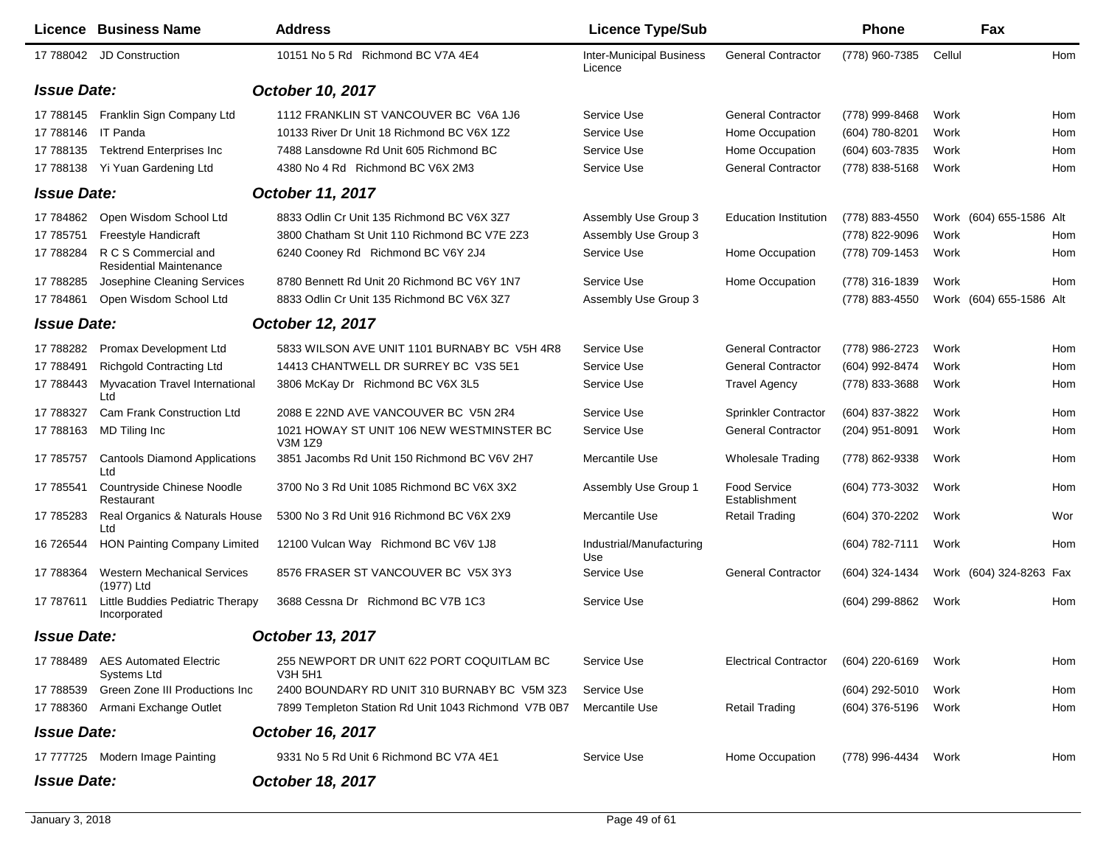|                    | Licence Business Name                                  | <b>Address</b>                                       | <b>Licence Type/Sub</b>                    |                               | <b>Phone</b>   |        | Fax                     |     |
|--------------------|--------------------------------------------------------|------------------------------------------------------|--------------------------------------------|-------------------------------|----------------|--------|-------------------------|-----|
|                    | 17 788042 JD Construction                              | 10151 No 5 Rd Richmond BC V7A 4E4                    | <b>Inter-Municipal Business</b><br>Licence | <b>General Contractor</b>     | (778) 960-7385 | Cellul |                         | Hom |
| <b>Issue Date:</b> |                                                        | October 10, 2017                                     |                                            |                               |                |        |                         |     |
|                    | 17 788145 Franklin Sign Company Ltd                    | 1112 FRANKLIN ST VANCOUVER BC V6A 1J6                | Service Use                                | <b>General Contractor</b>     | (778) 999-8468 | Work   |                         | Hom |
| 17 788146          | IT Panda                                               | 10133 River Dr Unit 18 Richmond BC V6X 1Z2           | Service Use                                | Home Occupation               | (604) 780-8201 | Work   |                         | Hom |
| 17 788135          | <b>Tektrend Enterprises Inc</b>                        | 7488 Lansdowne Rd Unit 605 Richmond BC               | Service Use                                | Home Occupation               | (604) 603-7835 | Work   |                         | Hom |
| 17 788138          | Yi Yuan Gardening Ltd                                  | 4380 No 4 Rd Richmond BC V6X 2M3                     | Service Use                                | <b>General Contractor</b>     | (778) 838-5168 | Work   |                         | Hom |
| <b>Issue Date:</b> |                                                        | October 11, 2017                                     |                                            |                               |                |        |                         |     |
| 17 784862          | Open Wisdom School Ltd                                 | 8833 Odlin Cr Unit 135 Richmond BC V6X 3Z7           | Assembly Use Group 3                       | <b>Education Institution</b>  | (778) 883-4550 |        | Work (604) 655-1586 Alt |     |
| 17 785751          | Freestyle Handicraft                                   | 3800 Chatham St Unit 110 Richmond BC V7E 2Z3         | Assembly Use Group 3                       |                               | (778) 822-9096 | Work   |                         | Hom |
| 17 788284          | R C S Commercial and<br><b>Residential Maintenance</b> | 6240 Cooney Rd Richmond BC V6Y 2J4                   | Service Use                                | Home Occupation               | (778) 709-1453 | Work   |                         | Hom |
| 17 788285          | Josephine Cleaning Services                            | 8780 Bennett Rd Unit 20 Richmond BC V6Y 1N7          | Service Use                                | Home Occupation               | (778) 316-1839 | Work   |                         | Hom |
| 17 784861          | Open Wisdom School Ltd                                 | 8833 Odlin Cr Unit 135 Richmond BC V6X 3Z7           | Assembly Use Group 3                       |                               | (778) 883-4550 |        | Work (604) 655-1586 Alt |     |
| <b>Issue Date:</b> |                                                        | October 12, 2017                                     |                                            |                               |                |        |                         |     |
| 17 788282          | Promax Development Ltd                                 | 5833 WILSON AVE UNIT 1101 BURNABY BC V5H 4R8         | Service Use                                | <b>General Contractor</b>     | (778) 986-2723 | Work   |                         | Hom |
| 17 788491          | <b>Richgold Contracting Ltd</b>                        | 14413 CHANTWELL DR SURREY BC V3S 5E1                 | Service Use                                | <b>General Contractor</b>     | (604) 992-8474 | Work   |                         | Hom |
| 17 788443          | Myvacation Travel International<br>Ltd                 | 3806 McKay Dr Richmond BC V6X 3L5                    | Service Use                                | <b>Travel Agency</b>          | (778) 833-3688 | Work   |                         | Hom |
| 17 788327          | Cam Frank Construction Ltd                             | 2088 E 22ND AVE VANCOUVER BC V5N 2R4                 | Service Use                                | Sprinkler Contractor          | (604) 837-3822 | Work   |                         | Hom |
| 17 788163          | MD Tiling Inc                                          | 1021 HOWAY ST UNIT 106 NEW WESTMINSTER BC<br>V3M 1Z9 | Service Use                                | <b>General Contractor</b>     | (204) 951-8091 | Work   |                         | Hom |
| 17 785757          | <b>Cantools Diamond Applications</b><br>Ltd            | 3851 Jacombs Rd Unit 150 Richmond BC V6V 2H7         | Mercantile Use                             | <b>Wholesale Trading</b>      | (778) 862-9338 | Work   |                         | Hom |
| 17 785541          | Countryside Chinese Noodle<br>Restaurant               | 3700 No 3 Rd Unit 1085 Richmond BC V6X 3X2           | Assembly Use Group 1                       | Food Service<br>Establishment | (604) 773-3032 | Work   |                         | Hom |
| 17 785283          | Real Organics & Naturals House<br>Ltd                  | 5300 No 3 Rd Unit 916 Richmond BC V6X 2X9            | Mercantile Use                             | <b>Retail Trading</b>         | (604) 370-2202 | Work   |                         | Wor |
| 16 726544          | HON Painting Company Limited                           | 12100 Vulcan Way Richmond BC V6V 1J8                 | Industrial/Manufacturing<br>Use            |                               | (604) 782-7111 | Work   |                         | Hom |
| 17 788364          | <b>Western Mechanical Services</b><br>(1977) Ltd       | 8576 FRASER ST VANCOUVER BC V5X 3Y3                  | Service Use                                | <b>General Contractor</b>     | (604) 324-1434 |        | Work (604) 324-8263 Fax |     |
| 17 787611          | Little Buddies Pediatric Therapy<br>Incorporated       | 3688 Cessna Dr Richmond BC V7B 1C3                   | Service Use                                |                               | (604) 299-8862 | Work   |                         | Hom |
| <b>Issue Date:</b> |                                                        | October 13, 2017                                     |                                            |                               |                |        |                         |     |
| 17 788489          | <b>AES Automated Electric</b><br>Systems Ltd           | 255 NEWPORT DR UNIT 622 PORT COQUITLAM BC<br>V3H 5H1 | Service Use                                | <b>Electrical Contractor</b>  | (604) 220-6169 | Work   |                         | Hom |
| 17 788539          | Green Zone III Productions Inc                         | 2400 BOUNDARY RD UNIT 310 BURNABY BC V5M 3Z3         | Service Use                                |                               | (604) 292-5010 | Work   |                         | Hom |
| 17 788360          | Armani Exchange Outlet                                 | 7899 Templeton Station Rd Unit 1043 Richmond V7B 0B7 | Mercantile Use                             | <b>Retail Trading</b>         | (604) 376-5196 | Work   |                         | Hom |
| <b>Issue Date:</b> |                                                        | October 16, 2017                                     |                                            |                               |                |        |                         |     |
|                    | 17 777725 Modern Image Painting                        | 9331 No 5 Rd Unit 6 Richmond BC V7A 4E1              | Service Use                                | Home Occupation               | (778) 996-4434 | Work   |                         | Hom |
| <b>Issue Date:</b> |                                                        | October 18, 2017                                     |                                            |                               |                |        |                         |     |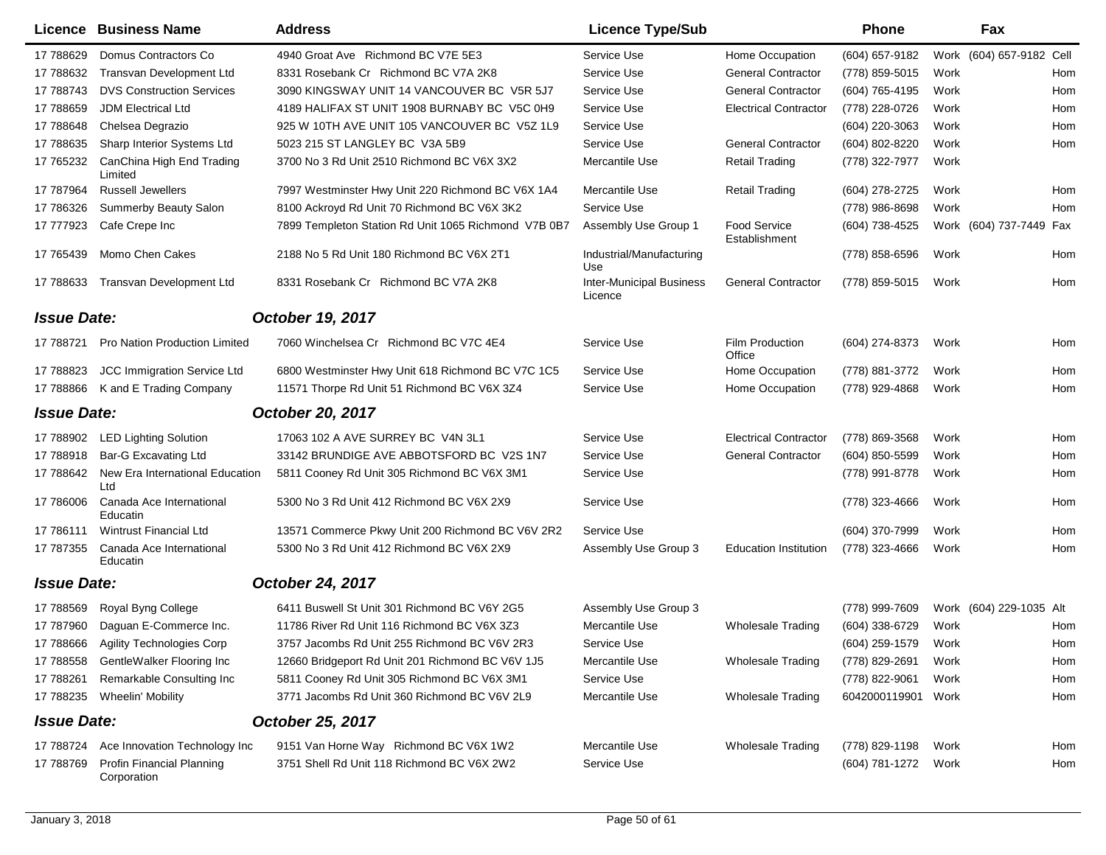|                    | <b>Licence Business Name</b>                | <b>Address</b>                                       | <b>Licence Type/Sub</b>                    |                                      | Phone              | Fax                      |     |
|--------------------|---------------------------------------------|------------------------------------------------------|--------------------------------------------|--------------------------------------|--------------------|--------------------------|-----|
| 17 788629          | Domus Contractors Co                        | 4940 Groat Ave Richmond BC V7E 5E3                   | Service Use                                | Home Occupation                      | (604) 657-9182     | Work (604) 657-9182 Cell |     |
| 17 788632          | Transvan Development Ltd                    | 8331 Rosebank Cr Richmond BC V7A 2K8                 | Service Use                                | <b>General Contractor</b>            | (778) 859-5015     | Work                     | Hom |
| 17 788743          | <b>DVS Construction Services</b>            | 3090 KINGSWAY UNIT 14 VANCOUVER BC V5R 5J7           | Service Use                                | <b>General Contractor</b>            | (604) 765-4195     | Work                     | Hom |
| 17 788659          | <b>JDM Electrical Ltd</b>                   | 4189 HALIFAX ST UNIT 1908 BURNABY BC V5C 0H9         | Service Use                                | <b>Electrical Contractor</b>         | (778) 228-0726     | Work                     | Hom |
| 17 788648          | Chelsea Degrazio                            | 925 W 10TH AVE UNIT 105 VANCOUVER BC V5Z 1L9         | Service Use                                |                                      | (604) 220-3063     | Work                     | Hom |
| 17 788635          | Sharp Interior Systems Ltd                  | 5023 215 ST LANGLEY BC V3A 5B9                       | Service Use                                | <b>General Contractor</b>            | (604) 802-8220     | Work                     | Hom |
| 17 765232          | CanChina High End Trading<br>Limited        | 3700 No 3 Rd Unit 2510 Richmond BC V6X 3X2           | Mercantile Use                             | <b>Retail Trading</b>                | (778) 322-7977     | Work                     |     |
| 17 787964          | <b>Russell Jewellers</b>                    | 7997 Westminster Hwy Unit 220 Richmond BC V6X 1A4    | Mercantile Use                             | <b>Retail Trading</b>                | (604) 278-2725     | Work                     | Hom |
| 17 786326          | Summerby Beauty Salon                       | 8100 Ackroyd Rd Unit 70 Richmond BC V6X 3K2          | Service Use                                |                                      | (778) 986-8698     | Work                     | Hom |
| 17 777923          | Cafe Crepe Inc                              | 7899 Templeton Station Rd Unit 1065 Richmond V7B 0B7 | Assembly Use Group 1                       | <b>Food Service</b><br>Establishment | (604) 738-4525     | Work (604) 737-7449 Fax  |     |
| 17 765439          | Momo Chen Cakes                             | 2188 No 5 Rd Unit 180 Richmond BC V6X 2T1            | Industrial/Manufacturing<br>Use            |                                      | (778) 858-6596     | Work                     | Hom |
| 17 788633          | Transvan Development Ltd                    | 8331 Rosebank Cr Richmond BC V7A 2K8                 | <b>Inter-Municipal Business</b><br>Licence | <b>General Contractor</b>            | (778) 859-5015     | Work                     | Hom |
| <b>Issue Date:</b> |                                             | October 19, 2017                                     |                                            |                                      |                    |                          |     |
| 17 788721          | <b>Pro Nation Production Limited</b>        | 7060 Winchelsea Cr Richmond BC V7C 4E4               | Service Use                                | <b>Film Production</b><br>Office     | (604) 274-8373     | Work                     | Hom |
| 17 788823          | JCC Immigration Service Ltd                 | 6800 Westminster Hwy Unit 618 Richmond BC V7C 1C5    | Service Use                                | Home Occupation                      | (778) 881-3772     | Work                     | Hom |
| 17 788866          | K and E Trading Company                     | 11571 Thorpe Rd Unit 51 Richmond BC V6X 3Z4          | Service Use                                | Home Occupation                      | (778) 929-4868     | Work                     | Hom |
| <b>Issue Date:</b> |                                             | October 20, 2017                                     |                                            |                                      |                    |                          |     |
| 17 788902          | <b>LED Lighting Solution</b>                | 17063 102 A AVE SURREY BC V4N 3L1                    | Service Use                                | <b>Electrical Contractor</b>         | (778) 869-3568     | Work                     | Hom |
| 17 788918          | <b>Bar-G Excavating Ltd</b>                 | 33142 BRUNDIGE AVE ABBOTSFORD BC V2S 1N7             | Service Use                                | <b>General Contractor</b>            | (604) 850-5599     | Work                     | Hom |
| 17 788642          | New Era International Education<br>Ltd      | 5811 Cooney Rd Unit 305 Richmond BC V6X 3M1          | Service Use                                |                                      | (778) 991-8778     | Work                     | Hom |
| 17 786006          | Canada Ace International<br><b>Educatin</b> | 5300 No 3 Rd Unit 412 Richmond BC V6X 2X9            | Service Use                                |                                      | (778) 323-4666     | Work                     | Hom |
| 17 786111          | Wintrust Financial Ltd                      | 13571 Commerce Pkwy Unit 200 Richmond BC V6V 2R2     | Service Use                                |                                      | (604) 370-7999     | Work                     | Hom |
| 17 787355          | Canada Ace International<br>Educatin        | 5300 No 3 Rd Unit 412 Richmond BC V6X 2X9            | Assembly Use Group 3                       | <b>Education Institution</b>         | (778) 323-4666     | Work                     | Hom |
| <b>Issue Date:</b> |                                             | <b>October 24, 2017</b>                              |                                            |                                      |                    |                          |     |
| 17 788569          | Royal Byng College                          | 6411 Buswell St Unit 301 Richmond BC V6Y 2G5         | Assembly Use Group 3                       |                                      | (778) 999-7609     | Work (604) 229-1035 Alt  |     |
| 17 787960          | Daguan E-Commerce Inc.                      | 11786 River Rd Unit 116 Richmond BC V6X 3Z3          | Mercantile Use                             | <b>Wholesale Trading</b>             | (604) 338-6729     | Work                     | Hom |
| 17 788666          | <b>Agility Technologies Corp</b>            | 3757 Jacombs Rd Unit 255 Richmond BC V6V 2R3         | Service Use                                |                                      | (604) 259-1579     | Work                     | Hom |
| 17 788558          | GentleWalker Flooring Inc                   | 12660 Bridgeport Rd Unit 201 Richmond BC V6V 1J5     | Mercantile Use                             | <b>Wholesale Trading</b>             | (778) 829-2691     | Work                     | Hom |
| 17 788261          | Remarkable Consulting Inc                   | 5811 Cooney Rd Unit 305 Richmond BC V6X 3M1          | Service Use                                |                                      | (778) 822-9061     | Work                     | Hom |
| 17 788235          | <b>Wheelin' Mobility</b>                    | 3771 Jacombs Rd Unit 360 Richmond BC V6V 2L9         | Mercantile Use                             | <b>Wholesale Trading</b>             | 6042000119901 Work |                          | Hom |
| <b>Issue Date:</b> |                                             | October 25, 2017                                     |                                            |                                      |                    |                          |     |
| 17 788724          | Ace Innovation Technology Inc               | 9151 Van Horne Way Richmond BC V6X 1W2               | Mercantile Use                             | <b>Wholesale Trading</b>             | (778) 829-1198     | Work                     | Hom |
| 17 788769          | Profin Financial Planning<br>Corporation    | 3751 Shell Rd Unit 118 Richmond BC V6X 2W2           | Service Use                                |                                      | (604) 781-1272     | Work                     | Hom |
|                    |                                             |                                                      |                                            |                                      |                    |                          |     |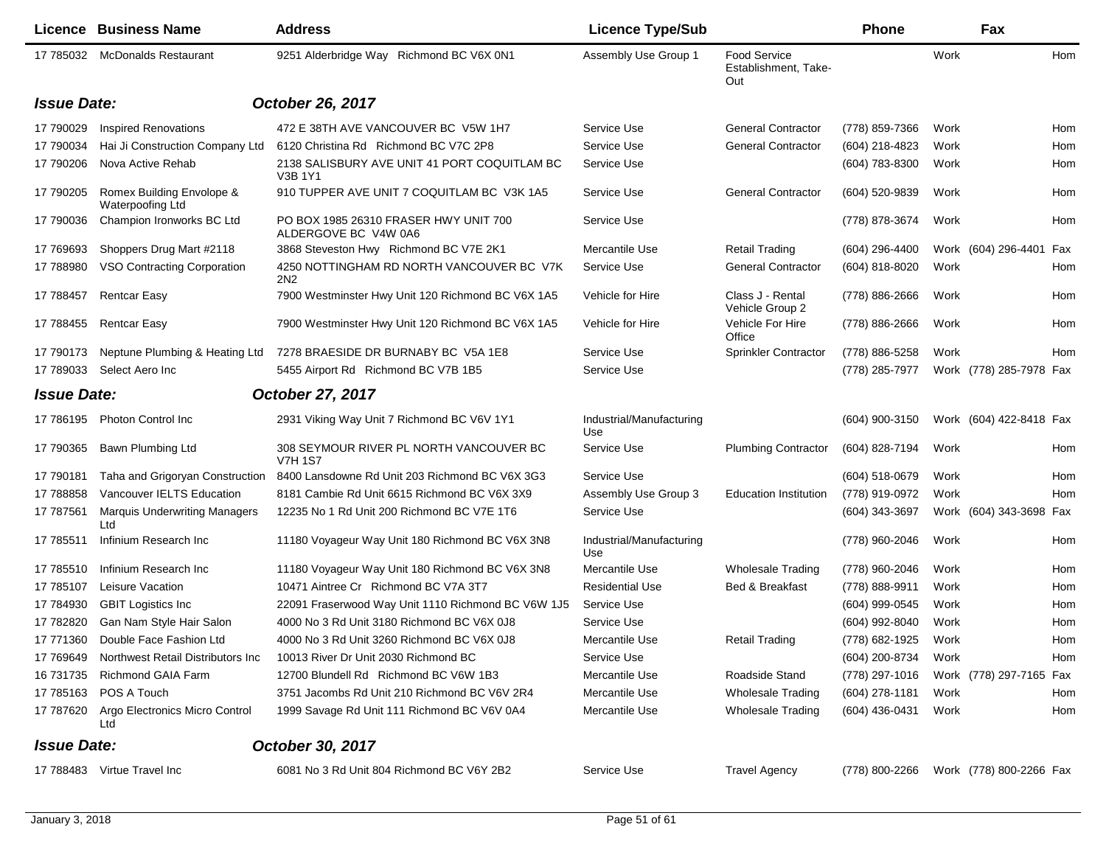|                    | <b>Licence Business Name</b>                  | <b>Address</b>                                                | <b>Licence Type/Sub</b>         |                                                    | <b>Phone</b>     |      | Fax                     |            |
|--------------------|-----------------------------------------------|---------------------------------------------------------------|---------------------------------|----------------------------------------------------|------------------|------|-------------------------|------------|
|                    | 17 785032 McDonalds Restaurant                | 9251 Alderbridge Way Richmond BC V6X 0N1                      | Assembly Use Group 1            | <b>Food Service</b><br>Establishment, Take-<br>Out |                  | Work |                         | <b>Hom</b> |
| <b>Issue Date:</b> |                                               | October 26, 2017                                              |                                 |                                                    |                  |      |                         |            |
| 17 790029          | <b>Inspired Renovations</b>                   | 472 E 38TH AVE VANCOUVER BC V5W 1H7                           | Service Use                     | <b>General Contractor</b>                          | (778) 859-7366   | Work |                         | Hom        |
| 17 790034          | Hai Ji Construction Company Ltd               | 6120 Christina Rd Richmond BC V7C 2P8                         | Service Use                     | <b>General Contractor</b>                          | (604) 218-4823   | Work |                         | Hom        |
| 17 790206          | Nova Active Rehab                             | 2138 SALISBURY AVE UNIT 41 PORT COQUITLAM BC<br>V3B 1Y1       | Service Use                     |                                                    | (604) 783-8300   | Work |                         | Hom        |
| 17 790205          | Romex Building Envolope &<br>Waterpoofing Ltd | 910 TUPPER AVE UNIT 7 COQUITLAM BC V3K 1A5                    | Service Use                     | <b>General Contractor</b>                          | (604) 520-9839   | Work |                         | Hom        |
| 17 790036          | Champion Ironworks BC Ltd                     | PO BOX 1985 26310 FRASER HWY UNIT 700<br>ALDERGOVE BC V4W 0A6 | Service Use                     |                                                    | (778) 878-3674   | Work |                         | Hom        |
| 17 769693          | Shoppers Drug Mart #2118                      | 3868 Steveston Hwy Richmond BC V7E 2K1                        | Mercantile Use                  | <b>Retail Trading</b>                              | (604) 296-4400   |      | Work (604) 296-4401     | Fax        |
| 17 788980          | VSO Contracting Corporation                   | 4250 NOTTINGHAM RD NORTH VANCOUVER BC V7K<br>2N2              | Service Use                     | <b>General Contractor</b>                          | (604) 818-8020   | Work |                         | Hom        |
| 17 788457          | Rentcar Easy                                  | 7900 Westminster Hwy Unit 120 Richmond BC V6X 1A5             | Vehicle for Hire                | Class J - Rental<br>Vehicle Group 2                | (778) 886-2666   | Work |                         | Hom        |
| 17 788455          | Rentcar Easy                                  | 7900 Westminster Hwy Unit 120 Richmond BC V6X 1A5             | Vehicle for Hire                | Vehicle For Hire<br>Office                         | (778) 886-2666   | Work |                         | Hom        |
| 17 790173          | Neptune Plumbing & Heating Ltd                | 7278 BRAESIDE DR BURNABY BC V5A 1E8                           | Service Use                     | Sprinkler Contractor                               | (778) 886-5258   | Work |                         | Hom        |
| 17 789033          | Select Aero Inc                               | 5455 Airport Rd Richmond BC V7B 1B5                           | Service Use                     |                                                    | (778) 285-7977   |      | Work (778) 285-7978 Fax |            |
| <b>Issue Date:</b> |                                               | October 27, 2017                                              |                                 |                                                    |                  |      |                         |            |
| 17 786195          | <b>Photon Control Inc</b>                     | 2931 Viking Way Unit 7 Richmond BC V6V 1Y1                    | Industrial/Manufacturing<br>Use |                                                    | (604) 900-3150   |      | Work (604) 422-8418 Fax |            |
| 17 790365          | Bawn Plumbing Ltd                             | 308 SEYMOUR RIVER PL NORTH VANCOUVER BC<br><b>V7H 1S7</b>     | Service Use                     | <b>Plumbing Contractor</b>                         | (604) 828-7194   | Work |                         | Hom        |
| 17 790181          | Taha and Grigoryan Construction               | 8400 Lansdowne Rd Unit 203 Richmond BC V6X 3G3                | Service Use                     |                                                    | $(604)$ 518-0679 | Work |                         | Hom        |
| 17 788858          | Vancouver IELTS Education                     | 8181 Cambie Rd Unit 6615 Richmond BC V6X 3X9                  | Assembly Use Group 3            | <b>Education Institution</b>                       | (778) 919-0972   | Work |                         | Hom        |
| 17 787561          | <b>Marquis Underwriting Managers</b><br>Ltd   | 12235 No 1 Rd Unit 200 Richmond BC V7E 1T6                    | Service Use                     |                                                    | (604) 343-3697   |      | Work (604) 343-3698 Fax |            |
| 17 785511          | Infinium Research Inc                         | 11180 Voyageur Way Unit 180 Richmond BC V6X 3N8               | Industrial/Manufacturing<br>Use |                                                    | (778) 960-2046   | Work |                         | Hom        |
| 17 785510          | Infinium Research Inc                         | 11180 Voyageur Way Unit 180 Richmond BC V6X 3N8               | Mercantile Use                  | <b>Wholesale Trading</b>                           | (778) 960-2046   | Work |                         | Hom        |
| 17 785107          | Leisure Vacation                              | 10471 Aintree Cr Richmond BC V7A 3T7                          | <b>Residential Use</b>          | Bed & Breakfast                                    | (778) 888-9911   | Work |                         | Hom        |
| 17 784930          | <b>GBIT Logistics Inc</b>                     | 22091 Fraserwood Way Unit 1110 Richmond BC V6W 1J5            | Service Use                     |                                                    | (604) 999-0545   | Work |                         | Hom        |
| 17 782820          | Gan Nam Style Hair Salon                      | 4000 No 3 Rd Unit 3180 Richmond BC V6X 0J8                    | Service Use                     |                                                    | (604) 992-8040   | Work |                         | Hom        |
| 17 771360          | Double Face Fashion Ltd                       | 4000 No 3 Rd Unit 3260 Richmond BC V6X 0J8                    | Mercantile Use                  | <b>Retail Trading</b>                              | (778) 682-1925   | Work |                         | Hom        |
| 17 769649          | Northwest Retail Distributors Inc             | 10013 River Dr Unit 2030 Richmond BC                          | Service Use                     |                                                    | (604) 200-8734   | Work |                         | Hom        |
| 16 731735          | <b>Richmond GAIA Farm</b>                     | 12700 Blundell Rd Richmond BC V6W 1B3                         | Mercantile Use                  | Roadside Stand                                     | (778) 297-1016   |      | Work (778) 297-7165 Fax |            |
| 17 785163          | POS A Touch                                   | 3751 Jacombs Rd Unit 210 Richmond BC V6V 2R4                  | Mercantile Use                  | <b>Wholesale Trading</b>                           | $(604)$ 278-1181 | Work |                         | Hom        |
| 17 787620          | Argo Electronics Micro Control<br>Ltd         | 1999 Savage Rd Unit 111 Richmond BC V6V 0A4                   | Mercantile Use                  | <b>Wholesale Trading</b>                           | (604) 436-0431   | Work |                         | Hom        |
| <b>Issue Date:</b> |                                               | October 30, 2017                                              |                                 |                                                    |                  |      |                         |            |
| 17 788483          | Virtue Travel Inc                             | 6081 No 3 Rd Unit 804 Richmond BC V6Y 2B2                     | Service Use                     | <b>Travel Agency</b>                               | (778) 800-2266   |      | Work (778) 800-2266 Fax |            |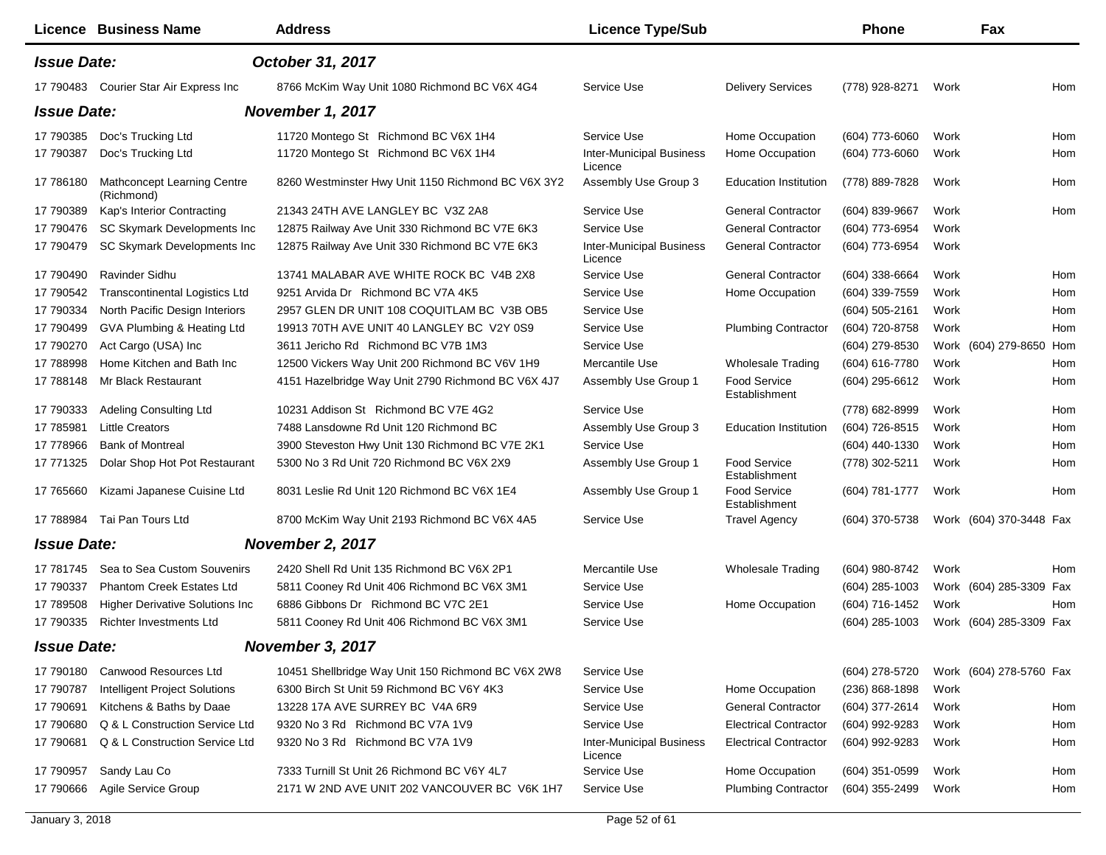| <b>Licence Business Name</b>                           | <b>Address</b>                                     | <b>Licence Type/Sub</b>                    |                                      | <b>Phone</b>     | Fax                     |     |
|--------------------------------------------------------|----------------------------------------------------|--------------------------------------------|--------------------------------------|------------------|-------------------------|-----|
| <b>Issue Date:</b>                                     | October 31, 2017                                   |                                            |                                      |                  |                         |     |
| 17 790483<br>Courier Star Air Express Inc              | 8766 McKim Way Unit 1080 Richmond BC V6X 4G4       | Service Use                                | <b>Delivery Services</b>             | (778) 928-8271   | Work                    | Hom |
| <b>Issue Date:</b><br>November 1, 2017                 |                                                    |                                            |                                      |                  |                         |     |
| Doc's Trucking Ltd<br>17 790385                        | 11720 Montego St Richmond BC V6X 1H4               | Service Use                                | Home Occupation                      | $(604)$ 773-6060 | Work                    | Hom |
| 17 790387<br>Doc's Trucking Ltd                        | 11720 Montego St Richmond BC V6X 1H4               | <b>Inter-Municipal Business</b><br>Licence | Home Occupation                      | (604) 773-6060   | Work                    | Hom |
| 17 786180<br>Mathconcept Learning Centre<br>(Richmond) | 8260 Westminster Hwy Unit 1150 Richmond BC V6X 3Y2 | Assembly Use Group 3                       | <b>Education Institution</b>         | (778) 889-7828   | Work                    | Hom |
| 17 790389<br>Kap's Interior Contracting                | 21343 24TH AVE LANGLEY BC V3Z 2A8                  | Service Use                                | <b>General Contractor</b>            | $(604)$ 839-9667 | Work                    | Hom |
| SC Skymark Developments Inc<br>17 790476               | 12875 Railway Ave Unit 330 Richmond BC V7E 6K3     | Service Use                                | <b>General Contractor</b>            | (604) 773-6954   | Work                    |     |
| 17 790479<br>SC Skymark Developments Inc               | 12875 Railway Ave Unit 330 Richmond BC V7E 6K3     | <b>Inter-Municipal Business</b><br>Licence | <b>General Contractor</b>            | (604) 773-6954   | Work                    |     |
| 17 790490<br>Ravinder Sidhu                            | 13741 MALABAR AVE WHITE ROCK BC V4B 2X8            | Service Use                                | <b>General Contractor</b>            | $(604)$ 338-6664 | Work                    | Hom |
| 17 790542<br><b>Transcontinental Logistics Ltd</b>     | 9251 Arvida Dr Richmond BC V7A 4K5                 | Service Use                                | Home Occupation                      | (604) 339-7559   | Work                    | Hom |
| 17 790334<br>North Pacific Design Interiors            | 2957 GLEN DR UNIT 108 COQUITLAM BC V3B OB5         | Service Use                                |                                      | (604) 505-2161   | Work                    | Hom |
| 17 790499<br>GVA Plumbing & Heating Ltd                | 19913 70TH AVE UNIT 40 LANGLEY BC V2Y 0S9          | Service Use                                | <b>Plumbing Contractor</b>           | (604) 720-8758   | Work                    | Hom |
| 17 790270<br>Act Cargo (USA) Inc                       | 3611 Jericho Rd Richmond BC V7B 1M3                | Service Use                                |                                      | (604) 279-8530   | Work (604) 279-8650     | Hom |
| 17 788998<br>Home Kitchen and Bath Inc                 | 12500 Vickers Way Unit 200 Richmond BC V6V 1H9     | Mercantile Use                             | <b>Wholesale Trading</b>             | (604) 616-7780   | Work                    | Hom |
| 17 788148<br>Mr Black Restaurant                       | 4151 Hazelbridge Way Unit 2790 Richmond BC V6X 4J7 | Assembly Use Group 1                       | <b>Food Service</b><br>Establishment | (604) 295-6612   | Work                    | Hom |
| 17 790333<br>Adeling Consulting Ltd                    | 10231 Addison St Richmond BC V7E 4G2               | Service Use                                |                                      | (778) 682-8999   | Work                    | Hom |
| 17 785981<br><b>Little Creators</b>                    | 7488 Lansdowne Rd Unit 120 Richmond BC             | Assembly Use Group 3                       | <b>Education Institution</b>         | (604) 726-8515   | Work                    | Hom |
| 17 778966<br><b>Bank of Montreal</b>                   | 3900 Steveston Hwy Unit 130 Richmond BC V7E 2K1    | Service Use                                |                                      | (604) 440-1330   | Work                    | Hom |
| 17 771325<br>Dolar Shop Hot Pot Restaurant             | 5300 No 3 Rd Unit 720 Richmond BC V6X 2X9          | Assembly Use Group 1                       | <b>Food Service</b><br>Establishment | (778) 302-5211   | Work                    | Hom |
| Kizami Japanese Cuisine Ltd<br>17 765660               | 8031 Leslie Rd Unit 120 Richmond BC V6X 1E4        | Assembly Use Group 1                       | <b>Food Service</b><br>Establishment | (604) 781-1777   | Work                    | Hom |
| Tai Pan Tours Ltd<br>17 788984                         | 8700 McKim Way Unit 2193 Richmond BC V6X 4A5       | Service Use                                | <b>Travel Agency</b>                 | (604) 370-5738   | Work (604) 370-3448 Fax |     |
| <b>Issue Date:</b>                                     | November 2, 2017                                   |                                            |                                      |                  |                         |     |
| Sea to Sea Custom Souvenirs<br>17 781745               | 2420 Shell Rd Unit 135 Richmond BC V6X 2P1         | Mercantile Use                             | <b>Wholesale Trading</b>             | (604) 980-8742   | Work                    | Hom |
| 17 790337<br><b>Phantom Creek Estates Ltd</b>          | 5811 Cooney Rd Unit 406 Richmond BC V6X 3M1        | Service Use                                |                                      | $(604)$ 285-1003 | Work (604) 285-3309     | Fax |
| <b>Higher Derivative Solutions Inc</b><br>17 789508    | 6886 Gibbons Dr Richmond BC V7C 2E1                | Service Use                                | Home Occupation                      | (604) 716-1452   | Work                    | Hom |
| 17 790335<br><b>Richter Investments Ltd</b>            | 5811 Cooney Rd Unit 406 Richmond BC V6X 3M1        | Service Use                                |                                      | $(604)$ 285-1003 | Work (604) 285-3309 Fax |     |
| <b>Issue Date:</b>                                     | November 3, 2017                                   |                                            |                                      |                  |                         |     |
| 17 790180<br>Canwood Resources Ltd                     | 10451 Shellbridge Way Unit 150 Richmond BC V6X 2W8 | Service Use                                |                                      | (604) 278-5720   | Work (604) 278-5760 Fax |     |
| 17 790787<br>Intelligent Project Solutions             | 6300 Birch St Unit 59 Richmond BC V6Y 4K3          | Service Use                                | Home Occupation                      | $(236)$ 868-1898 | Work                    |     |
| 17 790691<br>Kitchens & Baths by Daae                  | 13228 17A AVE SURREY BC V4A 6R9                    | Service Use                                | <b>General Contractor</b>            | (604) 377-2614   | Work                    | Hom |
| 17 790680<br>Q & L Construction Service Ltd            | 9320 No 3 Rd Richmond BC V7A 1V9                   | Service Use                                | <b>Electrical Contractor</b>         | (604) 992-9283   | Work                    | Hom |
| 17 790681<br>Q & L Construction Service Ltd            | 9320 No 3 Rd Richmond BC V7A 1V9                   | <b>Inter-Municipal Business</b><br>Licence | <b>Electrical Contractor</b>         | (604) 992-9283   | Work                    | Hom |
| Sandy Lau Co<br>17 790957                              | 7333 Turnill St Unit 26 Richmond BC V6Y 4L7        | Service Use                                | Home Occupation                      | (604) 351-0599   | Work                    | Hom |
| 17 790666<br>Agile Service Group                       | 2171 W 2ND AVE UNIT 202 VANCOUVER BC V6K 1H7       | Service Use                                | <b>Plumbing Contractor</b>           | (604) 355-2499   | Work                    | Hom |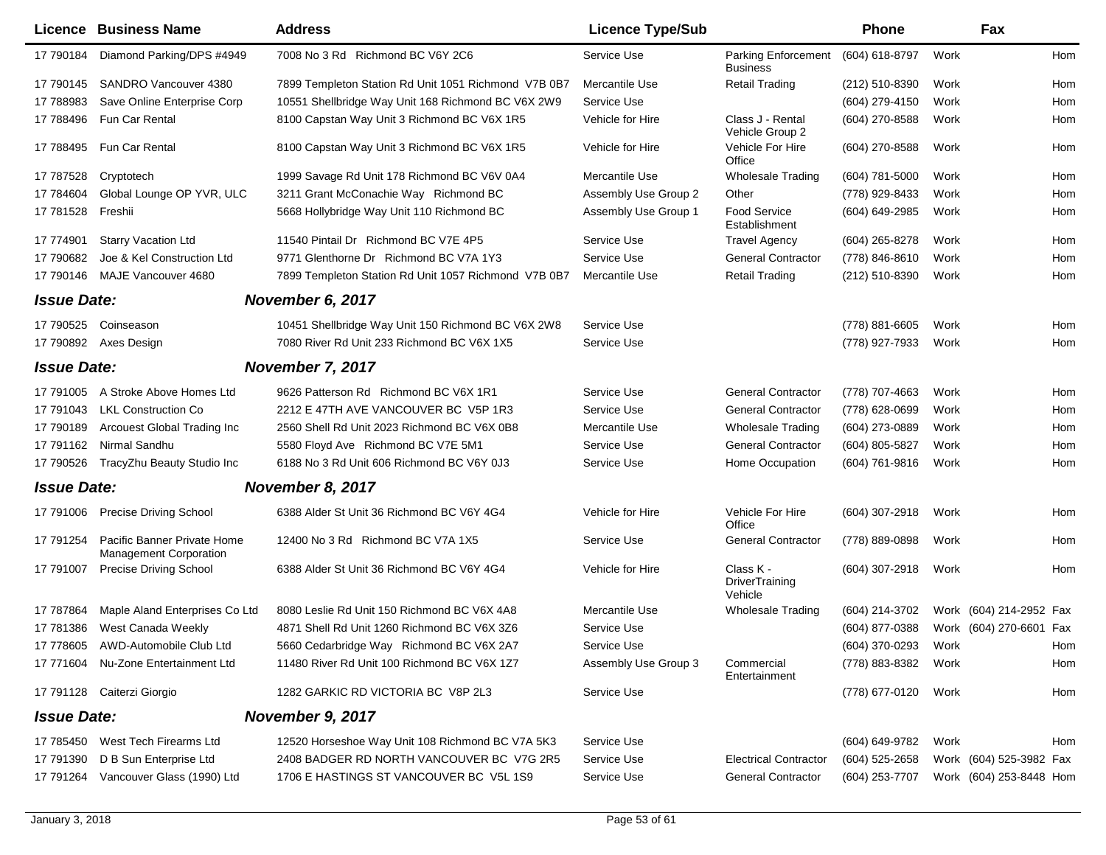|                    | Licence Business Name                                 | <b>Address</b>                                       | <b>Licence Type/Sub</b> |                                               | <b>Phone</b>        | Fax                     |     |
|--------------------|-------------------------------------------------------|------------------------------------------------------|-------------------------|-----------------------------------------------|---------------------|-------------------------|-----|
| 17 790184          | Diamond Parking/DPS #4949                             | 7008 No 3 Rd Richmond BC V6Y 2C6                     | Service Use             | Parking Enforcement<br><b>Business</b>        | (604) 618-8797      | Work                    | Hom |
| 17 790145          | SANDRO Vancouver 4380                                 | 7899 Templeton Station Rd Unit 1051 Richmond V7B 0B7 | Mercantile Use          | <b>Retail Trading</b>                         | (212) 510-8390      | Work                    | Hom |
| 17 788983          | Save Online Enterprise Corp                           | 10551 Shellbridge Way Unit 168 Richmond BC V6X 2W9   | Service Use             |                                               | (604) 279-4150      | Work                    | Hom |
| 17 788496          | Fun Car Rental                                        | 8100 Capstan Way Unit 3 Richmond BC V6X 1R5          | Vehicle for Hire        | Class J - Rental<br>Vehicle Group 2           | (604) 270-8588      | Work                    | Hom |
|                    | 17 788495 Fun Car Rental                              | 8100 Capstan Way Unit 3 Richmond BC V6X 1R5          | Vehicle for Hire        | Vehicle For Hire<br>Office                    | (604) 270-8588      | Work                    | Hom |
| 17 787528          | Cryptotech                                            | 1999 Savage Rd Unit 178 Richmond BC V6V 0A4          | Mercantile Use          | <b>Wholesale Trading</b>                      | $(604)$ 781-5000    | Work                    | Hom |
| 17 784604          | Global Lounge OP YVR, ULC                             | 3211 Grant McConachie Way Richmond BC                | Assembly Use Group 2    | Other                                         | (778) 929-8433      | Work                    | Hom |
| 17 781528          | Freshii                                               | 5668 Hollybridge Way Unit 110 Richmond BC            | Assembly Use Group 1    | <b>Food Service</b><br>Establishment          | (604) 649-2985      | Work                    | Hom |
| 17 774901          | <b>Starry Vacation Ltd</b>                            | 11540 Pintail Dr Richmond BC V7E 4P5                 | Service Use             | <b>Travel Agency</b>                          | (604) 265-8278      | Work                    | Hom |
| 17 790682          | Joe & Kel Construction Ltd                            | 9771 Glenthorne Dr Richmond BC V7A 1Y3               | Service Use             | <b>General Contractor</b>                     | (778) 846-8610      | Work                    | Hom |
| 17 790146          | MAJE Vancouver 4680                                   | 7899 Templeton Station Rd Unit 1057 Richmond V7B 0B7 | Mercantile Use          | <b>Retail Trading</b>                         | (212) 510-8390      | Work                    | Hom |
| <b>Issue Date:</b> |                                                       | November 6, 2017                                     |                         |                                               |                     |                         |     |
| 17 790525          | Coinseason                                            | 10451 Shellbridge Way Unit 150 Richmond BC V6X 2W8   | Service Use             |                                               | (778) 881-6605      | Work                    | Hom |
|                    | 17 790892 Axes Design                                 | 7080 River Rd Unit 233 Richmond BC V6X 1X5           | Service Use             |                                               | (778) 927-7933      | Work                    | Hom |
| <b>Issue Date:</b> |                                                       | November 7, 2017                                     |                         |                                               |                     |                         |     |
| 17 791005          | A Stroke Above Homes Ltd                              | 9626 Patterson Rd Richmond BC V6X 1R1                | Service Use             | <b>General Contractor</b>                     | (778) 707-4663      | Work                    | Hom |
| 17 791043          | <b>LKL Construction Co</b>                            | 2212 E 47TH AVE VANCOUVER BC V5P 1R3                 | Service Use             | <b>General Contractor</b>                     | (778) 628-0699      | Work                    | Hom |
| 17 790189          | Arcouest Global Trading Inc                           | 2560 Shell Rd Unit 2023 Richmond BC V6X 0B8          | Mercantile Use          | <b>Wholesale Trading</b>                      | (604) 273-0889      | Work                    | Hom |
| 17 791162          | Nirmal Sandhu                                         | 5580 Floyd Ave Richmond BC V7E 5M1                   | Service Use             | <b>General Contractor</b>                     | (604) 805-5827      | Work                    | Hom |
| 17 790526          | TracyZhu Beauty Studio Inc                            | 6188 No 3 Rd Unit 606 Richmond BC V6Y 0J3            | Service Use             | Home Occupation                               | (604) 761-9816      | Work                    | Hom |
| <b>Issue Date:</b> |                                                       | November 8, 2017                                     |                         |                                               |                     |                         |     |
| 17 791006          | <b>Precise Driving School</b>                         | 6388 Alder St Unit 36 Richmond BC V6Y 4G4            | Vehicle for Hire        | Vehicle For Hire<br>Office                    | (604) 307-2918      | Work                    | Hom |
| 17 791254          | Pacific Banner Private Home<br>Management Corporation | 12400 No 3 Rd Richmond BC V7A 1X5                    | Service Use             | <b>General Contractor</b>                     | (778) 889-0898      | Work                    | Hom |
| 17 791007          | <b>Precise Driving School</b>                         | 6388 Alder St Unit 36 Richmond BC V6Y 4G4            | Vehicle for Hire        | Class K -<br><b>DriverTraining</b><br>Vehicle | (604) 307-2918      | Work                    | Hom |
| 17 787864          | Maple Aland Enterprises Co Ltd                        | 8080 Leslie Rd Unit 150 Richmond BC V6X 4A8          | Mercantile Use          | <b>Wholesale Trading</b>                      | (604) 214-3702      | Work (604) 214-2952 Fax |     |
| 17 781386          | West Canada Weekly                                    | 4871 Shell Rd Unit 1260 Richmond BC V6X 3Z6          | Service Use             |                                               | (604) 877-0388      | Work (604) 270-6601 Fax |     |
|                    | 17 778605 AWD-Automobile Club Ltd                     | 5660 Cedarbridge Way Richmond BC V6X 2A7             | Service Use             |                                               | (604) 370-0293 Work |                         | Hom |
|                    | 17 771604 Nu-Zone Entertainment Ltd                   | 11480 River Rd Unit 100 Richmond BC V6X 1Z7          | Assembly Use Group 3    | Commercial<br>Entertainment                   | (778) 883-8382 Work |                         | Hom |
|                    | 17 791128 Caiterzi Giorgio                            | 1282 GARKIC RD VICTORIA BC V8P 2L3                   | Service Use             |                                               | (778) 677-0120      | Work                    | Hom |
| <b>Issue Date:</b> |                                                       | November 9, 2017                                     |                         |                                               |                     |                         |     |
|                    | 17 785450 West Tech Firearms Ltd                      | 12520 Horseshoe Way Unit 108 Richmond BC V7A 5K3     | Service Use             |                                               | (604) 649-9782      | Work                    | Hom |
| 17 791390          | D B Sun Enterprise Ltd                                | 2408 BADGER RD NORTH VANCOUVER BC V7G 2R5            | Service Use             | <b>Electrical Contractor</b>                  | $(604)$ 525-2658    | Work (604) 525-3982 Fax |     |
| 17 791264          | Vancouver Glass (1990) Ltd                            | 1706 E HASTINGS ST VANCOUVER BC V5L 1S9              | Service Use             | <b>General Contractor</b>                     | (604) 253-7707      | Work (604) 253-8448 Hom |     |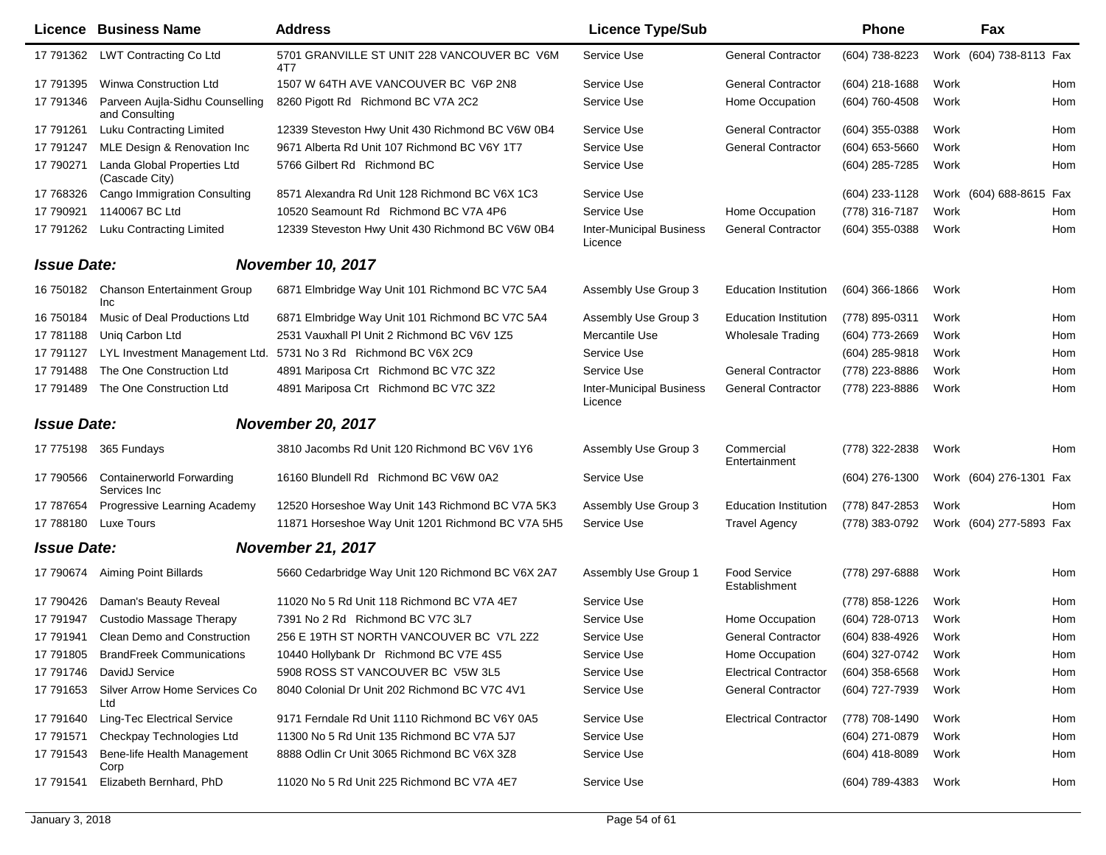|                    | <b>Licence Business Name</b>                      | <b>Address</b>                                     | <b>Licence Type/Sub</b>                    |                               | <b>Phone</b>     |      | Fax                     |     |
|--------------------|---------------------------------------------------|----------------------------------------------------|--------------------------------------------|-------------------------------|------------------|------|-------------------------|-----|
|                    | 17 791362 LWT Contracting Co Ltd                  | 5701 GRANVILLE ST UNIT 228 VANCOUVER BC V6M<br>4T7 | Service Use                                | <b>General Contractor</b>     | (604) 738-8223   |      | Work (604) 738-8113 Fax |     |
| 17 791395          | Winwa Construction Ltd                            | 1507 W 64TH AVE VANCOUVER BC V6P 2N8               | Service Use                                | <b>General Contractor</b>     | (604) 218-1688   | Work |                         | Hom |
| 17 791346          | Parveen Aujla-Sidhu Counselling<br>and Consulting | 8260 Pigott Rd Richmond BC V7A 2C2                 | Service Use                                | Home Occupation               | (604) 760-4508   | Work |                         | Hom |
| 17 791261          | <b>Luku Contracting Limited</b>                   | 12339 Steveston Hwy Unit 430 Richmond BC V6W 0B4   | Service Use                                | <b>General Contractor</b>     | (604) 355-0388   | Work |                         | Hom |
| 17 791247          | MLE Design & Renovation Inc                       | 9671 Alberta Rd Unit 107 Richmond BC V6Y 1T7       | Service Use                                | <b>General Contractor</b>     | (604) 653-5660   | Work |                         | Hom |
| 17 790271          | Landa Global Properties Ltd<br>(Cascade City)     | 5766 Gilbert Rd Richmond BC                        | Service Use                                |                               | (604) 285-7285   | Work |                         | Hom |
| 17 768326          | Cango Immigration Consulting                      | 8571 Alexandra Rd Unit 128 Richmond BC V6X 1C3     | Service Use                                |                               | (604) 233-1128   |      | Work (604) 688-8615     | Fax |
| 17 790921          | 1140067 BC Ltd                                    | 10520 Seamount Rd Richmond BC V7A 4P6              | Service Use                                | Home Occupation               | (778) 316-7187   | Work |                         | Hom |
|                    | 17 791262 Luku Contracting Limited                | 12339 Steveston Hwy Unit 430 Richmond BC V6W 0B4   | <b>Inter-Municipal Business</b><br>Licence | <b>General Contractor</b>     | (604) 355-0388   | Work |                         | Hom |
| <b>Issue Date:</b> |                                                   | <b>November 10, 2017</b>                           |                                            |                               |                  |      |                         |     |
| 16 750182          | <b>Chanson Entertainment Group</b><br><b>Inc</b>  | 6871 Elmbridge Way Unit 101 Richmond BC V7C 5A4    | Assembly Use Group 3                       | <b>Education Institution</b>  | $(604)$ 366-1866 | Work |                         | Hom |
| 16 750184          | Music of Deal Productions Ltd                     | 6871 Elmbridge Way Unit 101 Richmond BC V7C 5A4    | Assembly Use Group 3                       | <b>Education Institution</b>  | (778) 895-0311   | Work |                         | Hom |
| 17 781188          | Uniq Carbon Ltd                                   | 2531 Vauxhall PI Unit 2 Richmond BC V6V 1Z5        | Mercantile Use                             | <b>Wholesale Trading</b>      | $(604)$ 773-2669 | Work |                         | Hom |
| 17 791127          | LYL Investment Management Ltd.                    | 5731 No 3 Rd Richmond BC V6X 2C9                   | Service Use                                |                               | (604) 285-9818   | Work |                         | Hom |
| 17 791488          | The One Construction Ltd                          | 4891 Mariposa Crt Richmond BC V7C 3Z2              | Service Use                                | <b>General Contractor</b>     | (778) 223-8886   | Work |                         | Hom |
| 17 791489          | The One Construction Ltd                          | 4891 Mariposa Crt Richmond BC V7C 3Z2              | <b>Inter-Municipal Business</b><br>Licence | <b>General Contractor</b>     | (778) 223-8886   | Work |                         | Hom |
| <b>Issue Date:</b> |                                                   | <b>November 20, 2017</b>                           |                                            |                               |                  |      |                         |     |
|                    | 17 775198 365 Fundays                             | 3810 Jacombs Rd Unit 120 Richmond BC V6V 1Y6       | Assembly Use Group 3                       | Commercial<br>Entertainment   | (778) 322-2838   | Work |                         | Hom |
| 17 790566          | <b>Containerworld Forwarding</b><br>Services Inc  | 16160 Blundell Rd Richmond BC V6W 0A2              | Service Use                                |                               | $(604)$ 276-1300 |      | Work (604) 276-1301 Fax |     |
| 17 787654          | Progressive Learning Academy                      | 12520 Horseshoe Way Unit 143 Richmond BC V7A 5K3   | Assembly Use Group 3                       | <b>Education Institution</b>  | (778) 847-2853   | Work |                         | Hom |
| 17 788180          | Luxe Tours                                        | 11871 Horseshoe Way Unit 1201 Richmond BC V7A 5H5  | Service Use                                | <b>Travel Agency</b>          | (778) 383-0792   |      | Work (604) 277-5893 Fax |     |
| <b>Issue Date:</b> |                                                   | <b>November 21, 2017</b>                           |                                            |                               |                  |      |                         |     |
| 17 790674          | Aiming Point Billards                             | 5660 Cedarbridge Way Unit 120 Richmond BC V6X 2A7  | Assembly Use Group 1                       | Food Service<br>Establishment | (778) 297-6888   | Work |                         | Hom |
| 17 790426          | Daman's Beauty Reveal                             | 11020 No 5 Rd Unit 118 Richmond BC V7A 4E7         | Service Use                                |                               | (778) 858-1226   | Work |                         | Hom |
| 17 791947          | Custodio Massage Therapy                          | 7391 No 2 Rd Richmond BC V7C 3L7                   | Service Use                                | Home Occupation               | (604) 728-0713   | Work |                         | Hom |
| 17 791941          | Clean Demo and Construction                       | 256 E 19TH ST NORTH VANCOUVER BC V7L 2Z2           | Service Use                                | <b>General Contractor</b>     | (604) 838-4926   | Work |                         | Hom |
| 17 791805          | <b>BrandFreek Communications</b>                  | 10440 Hollybank Dr Richmond BC V7E 4S5             | Service Use                                | Home Occupation               | (604) 327-0742   | Work |                         | Hom |
| 17 791746          | DavidJ Service                                    | 5908 ROSS ST VANCOUVER BC V5W 3L5                  | Service Use                                | <b>Electrical Contractor</b>  | $(604)$ 358-6568 | Work |                         | Hom |
| 17 791653          | Silver Arrow Home Services Co<br>Ltd              | 8040 Colonial Dr Unit 202 Richmond BC V7C 4V1      | Service Use                                | <b>General Contractor</b>     | (604) 727-7939   | Work |                         | Hom |
| 17 791640          | <b>Ling-Tec Electrical Service</b>                | 9171 Ferndale Rd Unit 1110 Richmond BC V6Y 0A5     | Service Use                                | <b>Electrical Contractor</b>  | (778) 708-1490   | Work |                         | Hom |
| 17 791571          | Checkpay Technologies Ltd                         | 11300 No 5 Rd Unit 135 Richmond BC V7A 5J7         | Service Use                                |                               | (604) 271-0879   | Work |                         | Hom |
| 17 791543          | Bene-life Health Management<br>Corp               | 8888 Odlin Cr Unit 3065 Richmond BC V6X 3Z8        | Service Use                                |                               | $(604)$ 418-8089 | Work |                         | Hom |
| 17 791541          | Elizabeth Bernhard, PhD                           | 11020 No 5 Rd Unit 225 Richmond BC V7A 4E7         | Service Use                                |                               | (604) 789-4383   | Work |                         | Hom |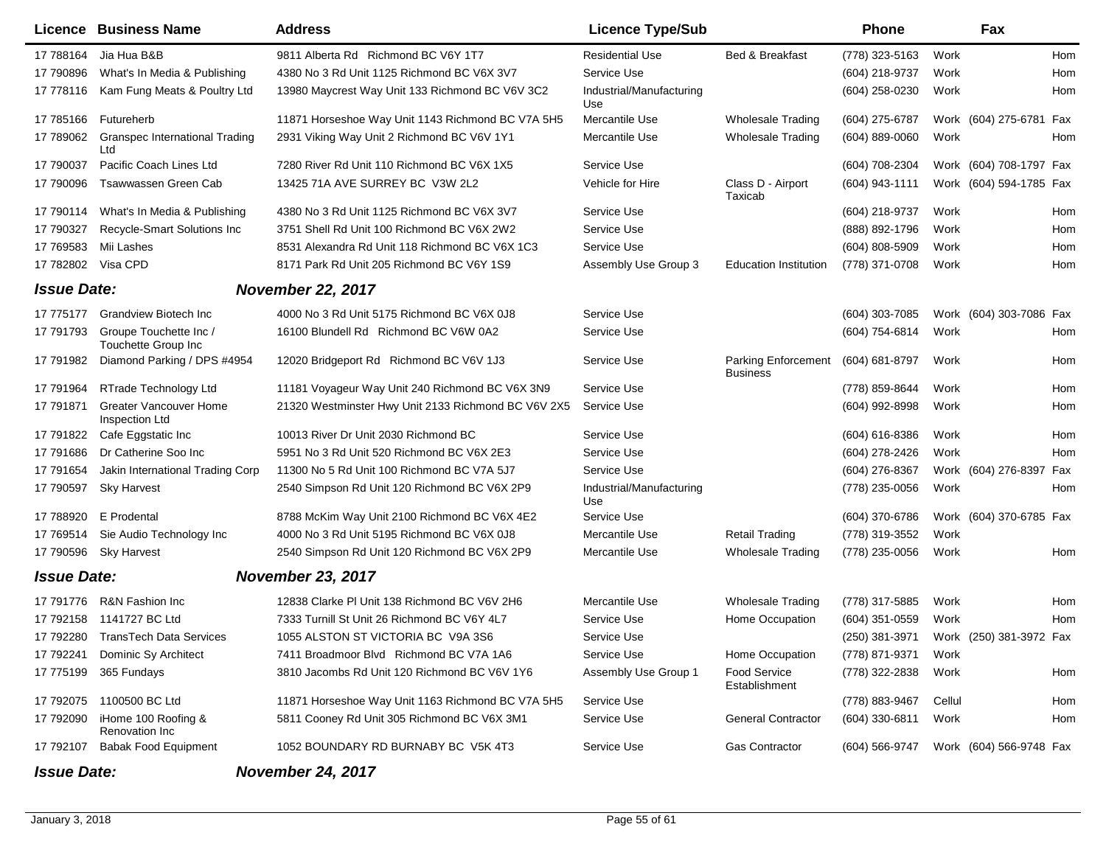|                    | Licence Business Name                           | <b>Address</b>                                      | <b>Licence Type/Sub</b>         |                                               | <b>Phone</b>     |        | Fax                     |            |
|--------------------|-------------------------------------------------|-----------------------------------------------------|---------------------------------|-----------------------------------------------|------------------|--------|-------------------------|------------|
| 17 788164          | Jia Hua B&B                                     | 9811 Alberta Rd Richmond BC V6Y 1T7                 | Residential Use                 | <b>Bed &amp; Breakfast</b>                    | (778) 323-5163   | Work   |                         | <b>Hom</b> |
| 17 790896          | What's In Media & Publishing                    | 4380 No 3 Rd Unit 1125 Richmond BC V6X 3V7          | Service Use                     |                                               | (604) 218-9737   | Work   |                         | Hom        |
| 17 778116          | Kam Fung Meats & Poultry Ltd                    | 13980 Maycrest Way Unit 133 Richmond BC V6V 3C2     | Industrial/Manufacturing<br>Use |                                               | (604) 258-0230   | Work   |                         | Hom        |
| 17 785166          | Futureherb                                      | 11871 Horseshoe Way Unit 1143 Richmond BC V7A 5H5   | Mercantile Use                  | <b>Wholesale Trading</b>                      | (604) 275-6787   |        | Work (604) 275-6781     | Fax        |
| 17 789062          | <b>Granspec International Trading</b><br>Ltd    | 2931 Viking Way Unit 2 Richmond BC V6V 1Y1          | Mercantile Use                  | <b>Wholesale Trading</b>                      | $(604)$ 889-0060 | Work   |                         | Hom        |
| 17 790037          | Pacific Coach Lines Ltd                         | 7280 River Rd Unit 110 Richmond BC V6X 1X5          | Service Use                     |                                               | (604) 708-2304   |        | Work (604) 708-1797 Fax |            |
| 17 790096          | <b>Tsawwassen Green Cab</b>                     | 13425 71A AVE SURREY BC V3W 2L2                     | Vehicle for Hire                | Class D - Airport<br>Taxicab                  | (604) 943-1111   |        | Work (604) 594-1785 Fax |            |
| 17 790114          | What's In Media & Publishing                    | 4380 No 3 Rd Unit 1125 Richmond BC V6X 3V7          | Service Use                     |                                               | (604) 218-9737   | Work   |                         | Hom        |
| 17 790327          | Recycle-Smart Solutions Inc                     | 3751 Shell Rd Unit 100 Richmond BC V6X 2W2          | Service Use                     |                                               | (888) 892-1796   | Work   |                         | Hom        |
| 17 769583          | Mii Lashes                                      | 8531 Alexandra Rd Unit 118 Richmond BC V6X 1C3      | Service Use                     |                                               | (604) 808-5909   | Work   |                         | Hom        |
| 17 782802 Visa CPD |                                                 | 8171 Park Rd Unit 205 Richmond BC V6Y 1S9           | Assembly Use Group 3            | <b>Education Institution</b>                  | (778) 371-0708   | Work   |                         | Hom        |
| <b>Issue Date:</b> |                                                 | <b>November 22, 2017</b>                            |                                 |                                               |                  |        |                         |            |
| 17 775177          | <b>Grandview Biotech Inc.</b>                   | 4000 No 3 Rd Unit 5175 Richmond BC V6X 0J8          | Service Use                     |                                               | (604) 303-7085   |        | Work (604) 303-7086 Fax |            |
| 17 791793          | Groupe Touchette Inc /<br>Touchette Group Inc   | 16100 Blundell Rd Richmond BC V6W 0A2               | Service Use                     |                                               | (604) 754-6814   | Work   |                         | Hom        |
| 17 791982          | Diamond Parking / DPS #4954                     | 12020 Bridgeport Rd Richmond BC V6V 1J3             | Service Use                     | <b>Parking Enforcement</b><br><b>Business</b> | (604) 681-8797   | Work   |                         | Hom        |
| 17 791964          | <b>RTrade Technology Ltd</b>                    | 11181 Voyageur Way Unit 240 Richmond BC V6X 3N9     | Service Use                     |                                               | (778) 859-8644   | Work   |                         | Hom        |
| 17 791871          | <b>Greater Vancouver Home</b><br>Inspection Ltd | 21320 Westminster Hwy Unit 2133 Richmond BC V6V 2X5 | Service Use                     |                                               | (604) 992-8998   | Work   |                         | Hom        |
| 17 791822          | Cafe Eggstatic Inc                              | 10013 River Dr Unit 2030 Richmond BC                | Service Use                     |                                               | (604) 616-8386   | Work   |                         | Hom        |
| 17 791686          | Dr Catherine Soo Inc                            | 5951 No 3 Rd Unit 520 Richmond BC V6X 2E3           | Service Use                     |                                               | (604) 278-2426   | Work   |                         | Hom        |
| 17 791654          | Jakin International Trading Corp                | 11300 No 5 Rd Unit 100 Richmond BC V7A 5J7          | Service Use                     |                                               | (604) 276-8367   |        | Work (604) 276-8397     | Fax        |
| 17 790597          | <b>Sky Harvest</b>                              | 2540 Simpson Rd Unit 120 Richmond BC V6X 2P9        | Industrial/Manufacturing<br>Use |                                               | (778) 235-0056   | Work   |                         | Hom        |
| 17 788920          | E Prodental                                     | 8788 McKim Way Unit 2100 Richmond BC V6X 4E2        | Service Use                     |                                               | (604) 370-6786   |        | Work (604) 370-6785 Fax |            |
| 17 769514          | Sie Audio Technology Inc                        | 4000 No 3 Rd Unit 5195 Richmond BC V6X 0J8          | Mercantile Use                  | <b>Retail Trading</b>                         | (778) 319-3552   | Work   |                         |            |
| 17 790596          | <b>Sky Harvest</b>                              | 2540 Simpson Rd Unit 120 Richmond BC V6X 2P9        | Mercantile Use                  | <b>Wholesale Trading</b>                      | (778) 235-0056   | Work   |                         | Hom        |
| <b>Issue Date:</b> |                                                 | <b>November 23, 2017</b>                            |                                 |                                               |                  |        |                         |            |
| 17 791776          | R&N Fashion Inc                                 | 12838 Clarke PI Unit 138 Richmond BC V6V 2H6        | Mercantile Use                  | <b>Wholesale Trading</b>                      | (778) 317-5885   | Work   |                         | Hom        |
| 17 792158          | 1141727 BC Ltd                                  | 7333 Turnill St Unit 26 Richmond BC V6Y 4L7         | Service Use                     | Home Occupation                               | (604) 351-0559   | Work   |                         | Hom        |
|                    | 17 792280 TransTech Data Services               | 1055 ALSTON ST VICTORIA BC V9A 3S6                  | Service Use                     |                                               | (250) 381-3971   |        | Work (250) 381-3972 Fax |            |
| 17 792241          | Dominic Sy Architect                            | 7411 Broadmoor Blvd Richmond BC V7A 1A6             | Service Use                     | Home Occupation                               | (778) 871-9371   | Work   |                         |            |
|                    | 17 775199 365 Fundays                           | 3810 Jacombs Rd Unit 120 Richmond BC V6V 1Y6        | Assembly Use Group 1            | <b>Food Service</b><br>Establishment          | (778) 322-2838   | Work   |                         | Hom        |
| 17 792075          | 1100500 BC Ltd                                  | 11871 Horseshoe Way Unit 1163 Richmond BC V7A 5H5   | Service Use                     |                                               | (778) 883-9467   | Cellul |                         | Hom        |
| 17 792090          | iHome 100 Roofing &<br>Renovation Inc           | 5811 Cooney Rd Unit 305 Richmond BC V6X 3M1         | Service Use                     | <b>General Contractor</b>                     | (604) 330-6811   | Work   |                         | Hom        |
| 17 792107          | <b>Babak Food Equipment</b>                     | 1052 BOUNDARY RD BURNABY BC V5K 4T3                 | Service Use                     | <b>Gas Contractor</b>                         | $(604)$ 566-9747 |        | Work (604) 566-9748 Fax |            |
| <b>Issue Date:</b> |                                                 | <b>November 24, 2017</b>                            |                                 |                                               |                  |        |                         |            |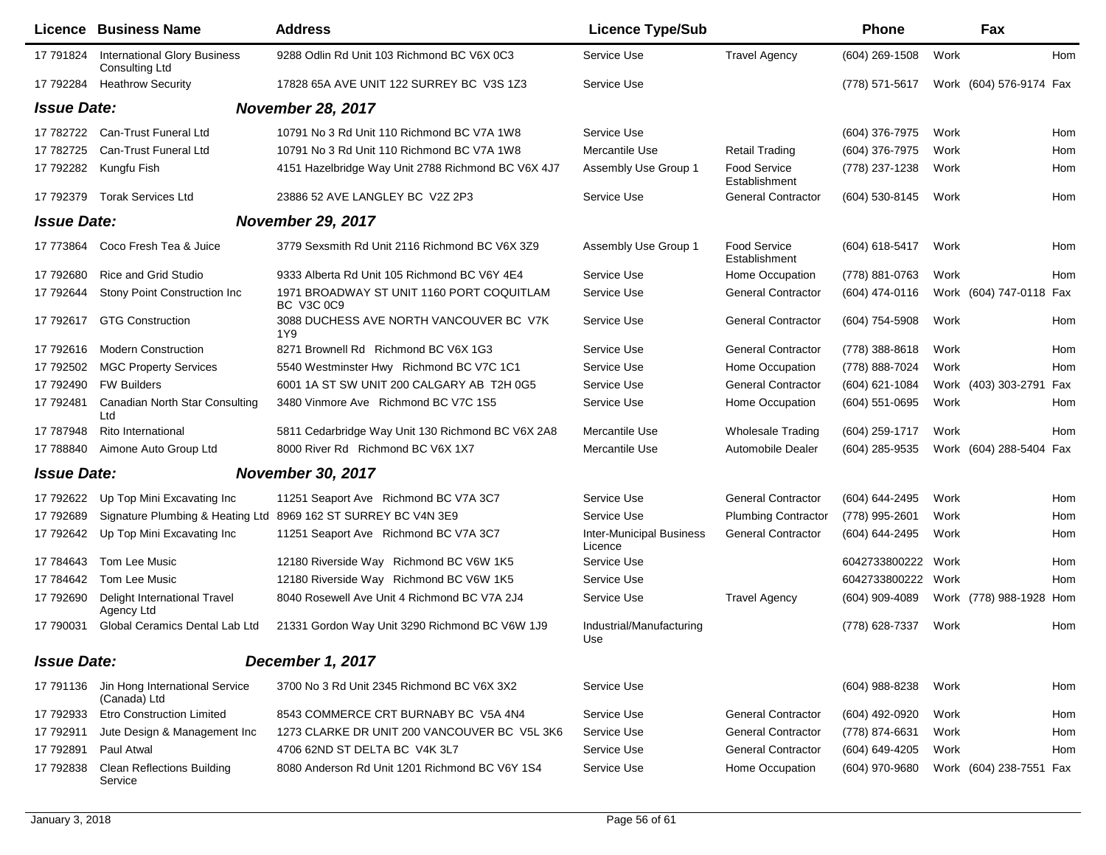|                    | <b>Licence Business Name</b>                             | <b>Address</b>                                                 | <b>Licence Type/Sub</b>                    |                               | <b>Phone</b>     |      | Fax                     |     |
|--------------------|----------------------------------------------------------|----------------------------------------------------------------|--------------------------------------------|-------------------------------|------------------|------|-------------------------|-----|
| 17 791824          | <b>International Glory Business</b><br>Consulting Ltd    | 9288 Odlin Rd Unit 103 Richmond BC V6X 0C3                     | Service Use                                | <b>Travel Agency</b>          | $(604)$ 269-1508 | Work |                         | Hom |
| 17 792284          | <b>Heathrow Security</b>                                 | 17828 65A AVE UNIT 122 SURREY BC V3S 1Z3                       | Service Use                                |                               | (778) 571-5617   |      | Work (604) 576-9174 Fax |     |
| <b>Issue Date:</b> |                                                          | <b>November 28, 2017</b>                                       |                                            |                               |                  |      |                         |     |
|                    | 17 782722 Can-Trust Funeral Ltd                          | 10791 No 3 Rd Unit 110 Richmond BC V7A 1W8                     | Service Use                                |                               | (604) 376-7975   | Work |                         | Hom |
| 17 782725          | Can-Trust Funeral Ltd                                    | 10791 No 3 Rd Unit 110 Richmond BC V7A 1W8                     | Mercantile Use                             | <b>Retail Trading</b>         | (604) 376-7975   | Work |                         | Hom |
| 17 792282          | Kungfu Fish                                              | 4151 Hazelbridge Way Unit 2788 Richmond BC V6X 4J7             | Assembly Use Group 1                       | Food Service<br>Establishment | (778) 237-1238   | Work |                         | Hom |
| 17 792379          | <b>Torak Services Ltd</b>                                | 23886 52 AVE LANGLEY BC V2Z 2P3                                | Service Use                                | <b>General Contractor</b>     | (604) 530-8145   | Work |                         | Hom |
| <b>Issue Date:</b> |                                                          | <b>November 29, 2017</b>                                       |                                            |                               |                  |      |                         |     |
| 17 773864          | Coco Fresh Tea & Juice                                   | 3779 Sexsmith Rd Unit 2116 Richmond BC V6X 3Z9                 | Assembly Use Group 1                       | Food Service<br>Establishment | (604) 618-5417   | Work |                         | Hom |
| 17 792680          | <b>Rice and Grid Studio</b>                              | 9333 Alberta Rd Unit 105 Richmond BC V6Y 4E4                   | Service Use                                | Home Occupation               | (778) 881-0763   | Work |                         | Hom |
| 17 792644          | Stony Point Construction Inc                             | 1971 BROADWAY ST UNIT 1160 PORT COQUITLAM<br>BC V3C 0C9        | Service Use                                | <b>General Contractor</b>     | (604) 474-0116   |      | Work (604) 747-0118 Fax |     |
| 17 792617          | <b>GTG Construction</b>                                  | 3088 DUCHESS AVE NORTH VANCOUVER BC V7K<br>1Y9                 | Service Use                                | <b>General Contractor</b>     | (604) 754-5908   | Work |                         | Hom |
| 17 792616          | <b>Modern Construction</b>                               | 8271 Brownell Rd Richmond BC V6X 1G3                           | Service Use                                | <b>General Contractor</b>     | (778) 388-8618   | Work |                         | Hom |
| 17 792502          | <b>MGC Property Services</b>                             | 5540 Westminster Hwy Richmond BC V7C 1C1                       | Service Use                                | Home Occupation               | (778) 888-7024   | Work |                         | Hom |
| 17 792490          | <b>FW Builders</b>                                       | 6001 1A ST SW UNIT 200 CALGARY AB T2H 0G5                      | Service Use                                | <b>General Contractor</b>     | (604) 621-1084   |      | Work (403) 303-2791 Fax |     |
| 17 792481          | Canadian North Star Consulting<br>Ltd                    | 3480 Vinmore Ave Richmond BC V7C 1S5                           | Service Use                                | Home Occupation               | $(604)$ 551-0695 | Work |                         | Hom |
| 17 787948          | Rito International                                       | 5811 Cedarbridge Way Unit 130 Richmond BC V6X 2A8              | Mercantile Use                             | <b>Wholesale Trading</b>      | (604) 259-1717   | Work |                         | Hom |
| 17 788840          | Aimone Auto Group Ltd                                    | 8000 River Rd Richmond BC V6X 1X7                              | Mercantile Use                             | <b>Automobile Dealer</b>      | (604) 285-9535   |      | Work (604) 288-5404 Fax |     |
| <b>Issue Date:</b> |                                                          | <b>November 30, 2017</b>                                       |                                            |                               |                  |      |                         |     |
| 17 792622          | Up Top Mini Excavating Inc                               | 11251 Seaport Ave Richmond BC V7A 3C7                          | Service Use                                | <b>General Contractor</b>     | (604) 644-2495   | Work |                         | Hom |
| 17 792689          |                                                          | Signature Plumbing & Heating Ltd 8969 162 ST SURREY BC V4N 3E9 | Service Use                                | <b>Plumbing Contractor</b>    | (778) 995-2601   | Work |                         | Hom |
| 17 792642          | Up Top Mini Excavating Inc                               | 11251 Seaport Ave Richmond BC V7A 3C7                          | <b>Inter-Municipal Business</b><br>Licence | <b>General Contractor</b>     | (604) 644-2495   | Work |                         | Hom |
| 17 784643          | Tom Lee Music                                            | 12180 Riverside Way Richmond BC V6W 1K5                        | Service Use                                |                               | 6042733800222    | Work |                         | Hom |
| 17 784642          | Tom Lee Music                                            | 12180 Riverside Way Richmond BC V6W 1K5                        | Service Use                                |                               | 6042733800222    | Work |                         | Hom |
| 17 792690          | Delight International Travel<br>Agency Ltd               | 8040 Rosewell Ave Unit 4 Richmond BC V7A 2J4                   | Service Use                                | <b>Travel Agency</b>          | (604) 909-4089   |      | Work (778) 988-1928 Hom |     |
| 17 790031          | Global Ceramics Dental Lab Ltd                           | 21331 Gordon Way Unit 3290 Richmond BC V6W 1J9                 | Industrial/Manufacturing<br>Use            |                               | (778) 628-7337   | Work |                         | Hom |
| <b>Issue Date:</b> |                                                          | December 1, 2017                                               |                                            |                               |                  |      |                         |     |
|                    | 17 791136 Jin Hong International Service<br>(Canada) Ltd | 3700 No 3 Rd Unit 2345 Richmond BC V6X 3X2                     | Service Use                                |                               | (604) 988-8238   | Work |                         | Hom |
| 17 792933          | <b>Etro Construction Limited</b>                         | 8543 COMMERCE CRT BURNABY BC V5A 4N4                           | Service Use                                | <b>General Contractor</b>     | (604) 492-0920   | Work |                         | Hom |
| 17 792911          | Jute Design & Management Inc                             | 1273 CLARKE DR UNIT 200 VANCOUVER BC V5L 3K6                   | Service Use                                | <b>General Contractor</b>     | (778) 874-6631   | Work |                         | Hom |
| 17 792891          | Paul Atwal                                               | 4706 62ND ST DELTA BC V4K 3L7                                  | Service Use                                | <b>General Contractor</b>     | (604) 649-4205   | Work |                         | Hom |
| 17 792838          | <b>Clean Reflections Building</b><br>Service             | 8080 Anderson Rd Unit 1201 Richmond BC V6Y 1S4                 | Service Use                                | Home Occupation               | (604) 970-9680   |      | Work (604) 238-7551 Fax |     |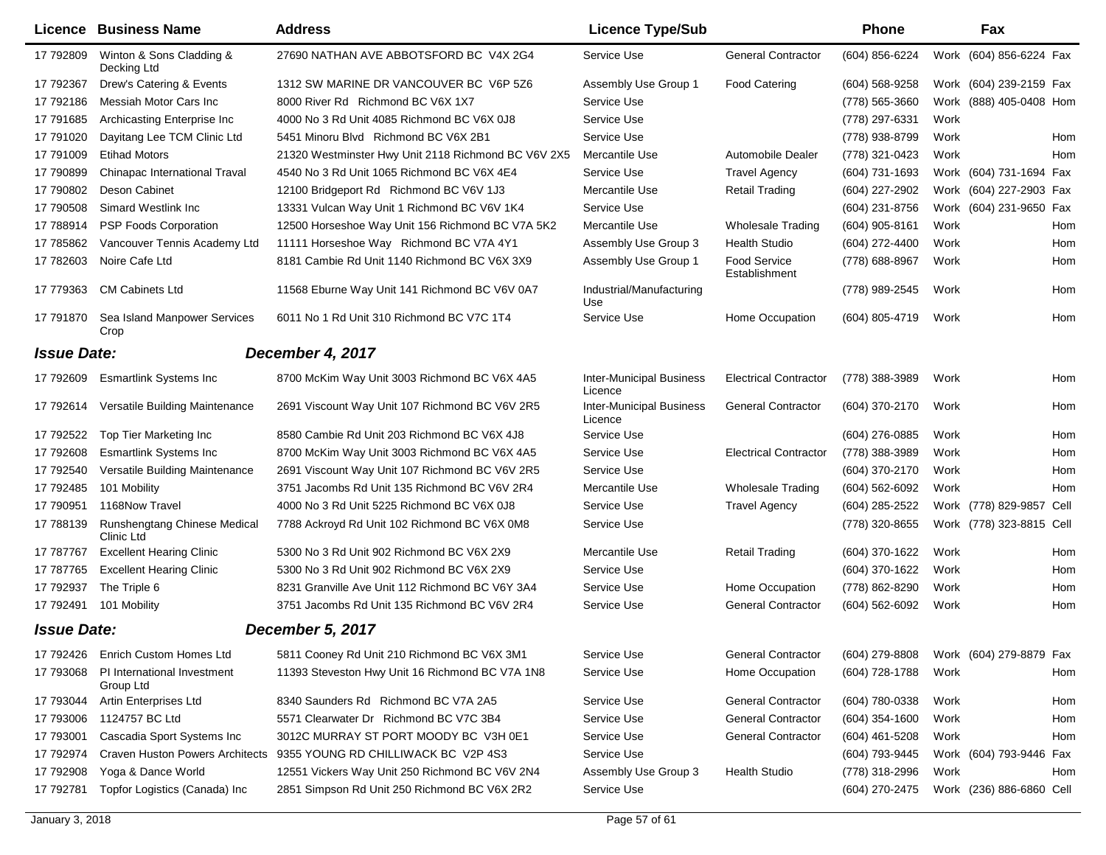|                    | <b>Licence Business Name</b>               | <b>Address</b>                                      | <b>Licence Type/Sub</b>                    |                               | <b>Phone</b>       |      | Fax                      |     |
|--------------------|--------------------------------------------|-----------------------------------------------------|--------------------------------------------|-------------------------------|--------------------|------|--------------------------|-----|
| 17 792809          | Winton & Sons Cladding &<br>Decking Ltd    | 27690 NATHAN AVE ABBOTSFORD BC V4X 2G4              | Service Use                                | <b>General Contractor</b>     | (604) 856-6224     |      | Work (604) 856-6224 Fax  |     |
| 17 792367          | Drew's Catering & Events                   | 1312 SW MARINE DR VANCOUVER BC V6P 5Z6              | Assembly Use Group 1                       | <b>Food Catering</b>          | (604) 568-9258     |      | Work (604) 239-2159 Fax  |     |
| 17 792186          | Messiah Motor Cars Inc                     | 8000 River Rd Richmond BC V6X 1X7                   | Service Use                                |                               | (778) 565-3660     | Work | (888) 405-0408 Hom       |     |
| 17 791685          | Archicasting Enterprise Inc                | 4000 No 3 Rd Unit 4085 Richmond BC V6X 0J8          | Service Use                                |                               | (778) 297-6331     | Work |                          |     |
| 17 791020          | Dayitang Lee TCM Clinic Ltd                | 5451 Minoru Blvd Richmond BC V6X 2B1                | Service Use                                |                               | (778) 938-8799     | Work |                          | Hom |
| 17 791009          | <b>Etihad Motors</b>                       | 21320 Westminster Hwy Unit 2118 Richmond BC V6V 2X5 | Mercantile Use                             | Automobile Dealer             | (778) 321-0423     | Work |                          | Hom |
| 17 790899          | Chinapac International Traval              | 4540 No 3 Rd Unit 1065 Richmond BC V6X 4E4          | Service Use                                | <b>Travel Agency</b>          | (604) 731-1693     |      | Work (604) 731-1694 Fax  |     |
| 17 790802          | Deson Cabinet                              | 12100 Bridgeport Rd Richmond BC V6V 1J3             | Mercantile Use                             | <b>Retail Trading</b>         | (604) 227-2902     |      | Work (604) 227-2903 Fax  |     |
| 17 790508          | Simard Westlink Inc                        | 13331 Vulcan Way Unit 1 Richmond BC V6V 1K4         | Service Use                                |                               | (604) 231-8756     |      | Work (604) 231-9650 Fax  |     |
| 17 788914          | PSP Foods Corporation                      | 12500 Horseshoe Way Unit 156 Richmond BC V7A 5K2    | Mercantile Use                             | <b>Wholesale Trading</b>      | (604) 905-8161     | Work |                          | Hom |
| 17 785862          | Vancouver Tennis Academy Ltd               | 11111 Horseshoe Way Richmond BC V7A 4Y1             | Assembly Use Group 3                       | <b>Health Studio</b>          | (604) 272-4400     | Work |                          | Hom |
| 17 782603          | Noire Cafe Ltd                             | 8181 Cambie Rd Unit 1140 Richmond BC V6X 3X9        | Assembly Use Group 1                       | Food Service<br>Establishment | (778) 688-8967     | Work |                          | Hom |
| 17 779363          | <b>CM Cabinets Ltd</b>                     | 11568 Eburne Way Unit 141 Richmond BC V6V 0A7       | Industrial/Manufacturing<br>Use            |                               | (778) 989-2545     | Work |                          | Hom |
| 17 791870          | Sea Island Manpower Services<br>Crop       | 6011 No 1 Rd Unit 310 Richmond BC V7C 1T4           | Service Use                                | Home Occupation               | (604) 805-4719     | Work |                          | Hom |
| <b>Issue Date:</b> |                                            | December 4, 2017                                    |                                            |                               |                    |      |                          |     |
| 17 792609          | <b>Esmartlink Systems Inc</b>              | 8700 McKim Way Unit 3003 Richmond BC V6X 4A5        | <b>Inter-Municipal Business</b><br>Licence | <b>Electrical Contractor</b>  | (778) 388-3989     | Work |                          | Hom |
| 17 792614          | Versatile Building Maintenance             | 2691 Viscount Way Unit 107 Richmond BC V6V 2R5      | <b>Inter-Municipal Business</b><br>Licence | <b>General Contractor</b>     | (604) 370-2170     | Work |                          | Hom |
| 17 792522          | Top Tier Marketing Inc                     | 8580 Cambie Rd Unit 203 Richmond BC V6X 4J8         | Service Use                                |                               | (604) 276-0885     | Work |                          | Hom |
| 17 792608          | <b>Esmartlink Systems Inc</b>              | 8700 McKim Way Unit 3003 Richmond BC V6X 4A5        | Service Use                                | <b>Electrical Contractor</b>  | (778) 388-3989     | Work |                          | Hom |
| 17 792540          | Versatile Building Maintenance             | 2691 Viscount Way Unit 107 Richmond BC V6V 2R5      | Service Use                                |                               | (604) 370-2170     | Work |                          | Hom |
| 17 792485          | 101 Mobility                               | 3751 Jacombs Rd Unit 135 Richmond BC V6V 2R4        | Mercantile Use                             | <b>Wholesale Trading</b>      | (604) 562-6092     | Work |                          | Hom |
| 17 790951          | 1168Now Travel                             | 4000 No 3 Rd Unit 5225 Richmond BC V6X 0J8          | Service Use                                | <b>Travel Agency</b>          | (604) 285-2522     |      | Work (778) 829-9857 Cell |     |
| 17 788139          | Runshengtang Chinese Medical<br>Clinic Ltd | 7788 Ackroyd Rd Unit 102 Richmond BC V6X 0M8        | Service Use                                |                               | (778) 320-8655     |      | Work (778) 323-8815 Cell |     |
| 17 787767          | <b>Excellent Hearing Clinic</b>            | 5300 No 3 Rd Unit 902 Richmond BC V6X 2X9           | Mercantile Use                             | <b>Retail Trading</b>         | (604) 370-1622     | Work |                          | Hom |
| 17 787765          | <b>Excellent Hearing Clinic</b>            | 5300 No 3 Rd Unit 902 Richmond BC V6X 2X9           | Service Use                                |                               | (604) 370-1622     | Work |                          | Hom |
| 17 792937          | The Triple 6                               | 8231 Granville Ave Unit 112 Richmond BC V6Y 3A4     | Service Use                                | Home Occupation               | (778) 862-8290     | Work |                          | Hom |
| 17 792491          | 101 Mobility                               | 3751 Jacombs Rd Unit 135 Richmond BC V6V 2R4        | Service Use                                | <b>General Contractor</b>     | $(604) 562 - 6092$ | Work |                          | Hom |
| <b>Issue Date:</b> |                                            | December 5, 2017                                    |                                            |                               |                    |      |                          |     |
| 17 792426          | Enrich Custom Homes Ltd                    | 5811 Cooney Rd Unit 210 Richmond BC V6X 3M1         | Service Use                                | <b>General Contractor</b>     | (604) 279-8808     |      | Work (604) 279-8879 Fax  |     |
| 17 793068          | PI International Investment<br>Group Ltd   | 11393 Steveston Hwy Unit 16 Richmond BC V7A 1N8     | Service Use                                | Home Occupation               | (604) 728-1788     | Work |                          | Hom |
| 17 793044          | Artin Enterprises Ltd                      | 8340 Saunders Rd Richmond BC V7A 2A5                | Service Use                                | <b>General Contractor</b>     | (604) 780-0338     | Work |                          | Hom |
| 17 793006          | 1124757 BC Ltd                             | 5571 Clearwater Dr Richmond BC V7C 3B4              | Service Use                                | <b>General Contractor</b>     | $(604)$ 354-1600   | Work |                          | Hom |
| 17 793001          | Cascadia Sport Systems Inc                 | 3012C MURRAY ST PORT MOODY BC V3H 0E1               | Service Use                                | <b>General Contractor</b>     | (604) 461-5208     | Work |                          | Hom |
| 17 792974          | <b>Craven Huston Powers Architects</b>     | 9355 YOUNG RD CHILLIWACK BC V2P 4S3                 | Service Use                                |                               | (604) 793-9445     |      | Work (604) 793-9446 Fax  |     |
| 17 792908          | Yoga & Dance World                         | 12551 Vickers Way Unit 250 Richmond BC V6V 2N4      | Assembly Use Group 3                       | <b>Health Studio</b>          | (778) 318-2996     | Work |                          | Hom |
| 17 792781          | Topfor Logistics (Canada) Inc              | 2851 Simpson Rd Unit 250 Richmond BC V6X 2R2        | Service Use                                |                               | (604) 270-2475     |      | Work (236) 886-6860 Cell |     |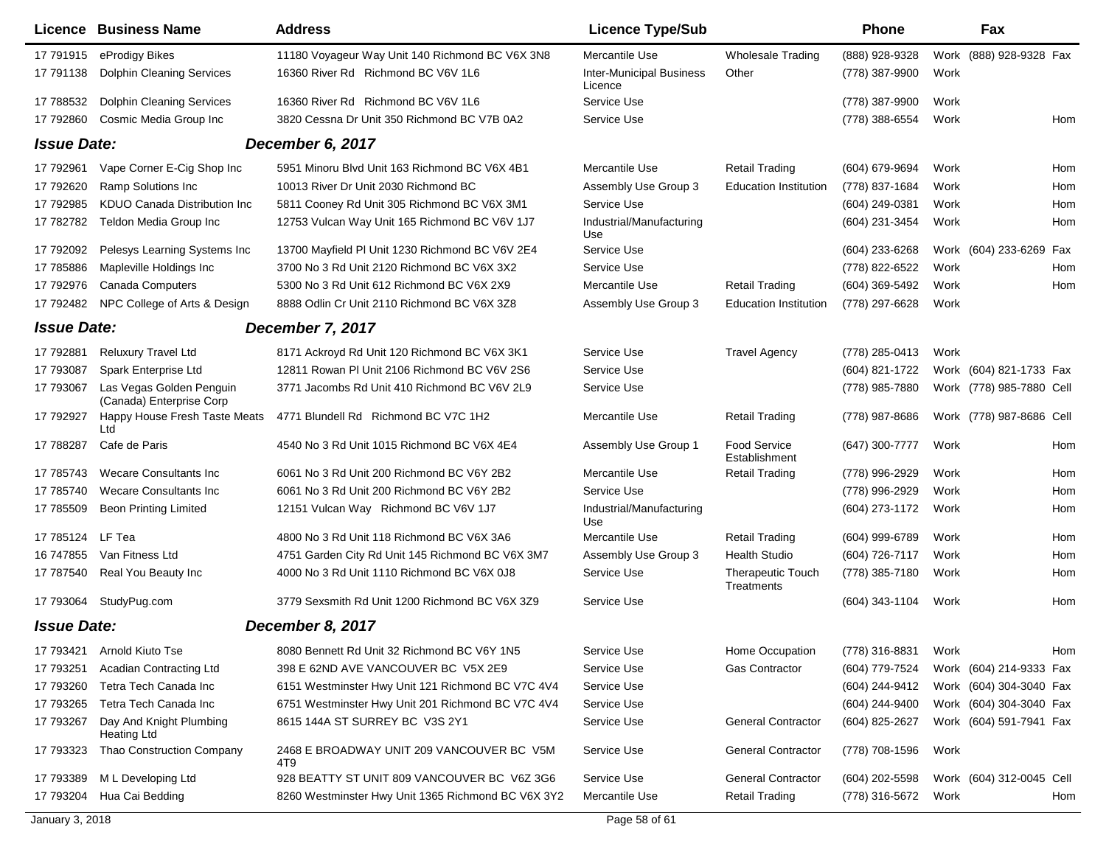| Licence            | <b>Business Name</b>                                 | <b>Address</b>                                     | <b>Licence Type/Sub</b>                    |                                        | <b>Phone</b>     |      | Fax                        |
|--------------------|------------------------------------------------------|----------------------------------------------------|--------------------------------------------|----------------------------------------|------------------|------|----------------------------|
| 17 791915          | eProdigy Bikes                                       | 11180 Voyageur Way Unit 140 Richmond BC V6X 3N8    | Mercantile Use                             | <b>Wholesale Trading</b>               | (888) 928-9328   |      | Work (888) 928-9328 Fax    |
| 17 791138          | <b>Dolphin Cleaning Services</b>                     | 16360 River Rd Richmond BC V6V 1L6                 | <b>Inter-Municipal Business</b><br>Licence | Other                                  | (778) 387-9900   | Work |                            |
| 17 788532          | <b>Dolphin Cleaning Services</b>                     | 16360 River Rd Richmond BC V6V 1L6                 | Service Use                                |                                        | (778) 387-9900   | Work |                            |
| 17 792860          | Cosmic Media Group Inc                               | 3820 Cessna Dr Unit 350 Richmond BC V7B 0A2        | Service Use                                |                                        | (778) 388-6554   | Work | Hom                        |
| <b>Issue Date:</b> |                                                      | December 6, 2017                                   |                                            |                                        |                  |      |                            |
| 17 792961          | Vape Corner E-Cig Shop Inc                           | 5951 Minoru Blvd Unit 163 Richmond BC V6X 4B1      | Mercantile Use                             | <b>Retail Trading</b>                  | (604) 679-9694   | Work | Hom                        |
| 17 792620          | Ramp Solutions Inc                                   | 10013 River Dr Unit 2030 Richmond BC               | Assembly Use Group 3                       | <b>Education Institution</b>           | (778) 837-1684   | Work | Hom                        |
| 17 792985          | <b>KDUO Canada Distribution Inc</b>                  | 5811 Cooney Rd Unit 305 Richmond BC V6X 3M1        | Service Use                                |                                        | (604) 249-0381   | Work | Hom                        |
| 17 782782          | Teldon Media Group Inc                               | 12753 Vulcan Way Unit 165 Richmond BC V6V 1J7      | Industrial/Manufacturing<br>Use            |                                        | (604) 231-3454   | Work | Hom                        |
| 17 792092          | Pelesys Learning Systems Inc                         | 13700 Mayfield PI Unit 1230 Richmond BC V6V 2E4    | Service Use                                |                                        | (604) 233-6268   |      | Work (604) 233-6269<br>Fax |
| 17 785886          | Mapleville Holdings Inc                              | 3700 No 3 Rd Unit 2120 Richmond BC V6X 3X2         | Service Use                                |                                        | (778) 822-6522   | Work | Hom                        |
| 17 792976          | <b>Canada Computers</b>                              | 5300 No 3 Rd Unit 612 Richmond BC V6X 2X9          | Mercantile Use                             | <b>Retail Trading</b>                  | (604) 369-5492   | Work | Hom                        |
| 17 792482          | NPC College of Arts & Design                         | 8888 Odlin Cr Unit 2110 Richmond BC V6X 3Z8        | Assembly Use Group 3                       | <b>Education Institution</b>           | (778) 297-6628   | Work |                            |
| <b>Issue Date:</b> |                                                      | December 7, 2017                                   |                                            |                                        |                  |      |                            |
| 17 792881          | <b>Reluxury Travel Ltd</b>                           | 8171 Ackroyd Rd Unit 120 Richmond BC V6X 3K1       | Service Use                                | <b>Travel Agency</b>                   | (778) 285-0413   | Work |                            |
| 17 793087          | Spark Enterprise Ltd                                 | 12811 Rowan PI Unit 2106 Richmond BC V6V 2S6       | Service Use                                |                                        | (604) 821-1722   |      | Work (604) 821-1733 Fax    |
| 17 793067          | Las Vegas Golden Penguin<br>(Canada) Enterprise Corp | 3771 Jacombs Rd Unit 410 Richmond BC V6V 2L9       | Service Use                                |                                        | (778) 985-7880   |      | Work (778) 985-7880 Cell   |
| 17 792927          | Happy House Fresh Taste Meats<br>Ltd                 | 4771 Blundell Rd Richmond BC V7C 1H2               | Mercantile Use                             | <b>Retail Trading</b>                  | (778) 987-8686   |      | Work (778) 987-8686 Cell   |
| 17 788287          | Cafe de Paris                                        | 4540 No 3 Rd Unit 1015 Richmond BC V6X 4E4         | Assembly Use Group 1                       | Food Service<br>Establishment          | (647) 300-7777   | Work | Hom                        |
| 17 785743          | <b>Wecare Consultants Inc.</b>                       | 6061 No 3 Rd Unit 200 Richmond BC V6Y 2B2          | Mercantile Use                             | <b>Retail Trading</b>                  | (778) 996-2929   | Work | Hom                        |
| 17 785740          | <b>Wecare Consultants Inc.</b>                       | 6061 No 3 Rd Unit 200 Richmond BC V6Y 2B2          | Service Use                                |                                        | (778) 996-2929   | Work | Hom                        |
| 17 785509          | <b>Beon Printing Limited</b>                         | 12151 Vulcan Way Richmond BC V6V 1J7               | Industrial/Manufacturing<br>Use            |                                        | (604) 273-1172   | Work | Hom                        |
| 17 785124          | LF Tea                                               | 4800 No 3 Rd Unit 118 Richmond BC V6X 3A6          | Mercantile Use                             | <b>Retail Trading</b>                  | (604) 999-6789   | Work | Hom                        |
| 16 747855          | Van Fitness Ltd                                      | 4751 Garden City Rd Unit 145 Richmond BC V6X 3M7   | Assembly Use Group 3                       | <b>Health Studio</b>                   | (604) 726-7117   | Work | Hom                        |
| 17 787540          | Real You Beauty Inc                                  | 4000 No 3 Rd Unit 1110 Richmond BC V6X 0J8         | Service Use                                | <b>Therapeutic Touch</b><br>Treatments | (778) 385-7180   | Work | Hom                        |
| 17 793064          | StudyPug.com                                         | 3779 Sexsmith Rd Unit 1200 Richmond BC V6X 3Z9     | Service Use                                |                                        | (604) 343-1104   | Work | Hom                        |
| <b>Issue Date:</b> |                                                      | December 8, 2017                                   |                                            |                                        |                  |      |                            |
| 17 793421          | Arnold Kiuto Tse                                     | 8080 Bennett Rd Unit 32 Richmond BC V6Y 1N5        | Service Use                                | Home Occupation                        | (778) 316-8831   | Work | Hom                        |
| 17 793251          | <b>Acadian Contracting Ltd</b>                       | 398 E 62ND AVE VANCOUVER BC V5X 2E9                | Service Use                                | Gas Contractor                         | (604) 779-7524   |      | Work (604) 214-9333 Fax    |
| 17 793260          | Tetra Tech Canada Inc                                | 6151 Westminster Hwy Unit 121 Richmond BC V7C 4V4  | Service Use                                |                                        | (604) 244-9412   |      | Work (604) 304-3040 Fax    |
| 17 793265          | Tetra Tech Canada Inc                                | 6751 Westminster Hwy Unit 201 Richmond BC V7C 4V4  | Service Use                                |                                        | (604) 244-9400   |      | Work (604) 304-3040 Fax    |
| 17 793267          | Day And Knight Plumbing<br>Heating Ltd               | 8615 144A ST SURREY BC V3S 2Y1                     | Service Use                                | <b>General Contractor</b>              | $(604)$ 825-2627 |      | Work (604) 591-7941 Fax    |
| 17 793323          | Thao Construction Company                            | 2468 E BROADWAY UNIT 209 VANCOUVER BC V5M<br>4T9   | Service Use                                | <b>General Contractor</b>              | (778) 708-1596   | Work |                            |
| 17 793389          | M L Developing Ltd                                   | 928 BEATTY ST UNIT 809 VANCOUVER BC V6Z 3G6        | Service Use                                | <b>General Contractor</b>              | (604) 202-5598   |      | Work (604) 312-0045 Cell   |
| 17 793204          | Hua Cai Bedding                                      | 8260 Westminster Hwy Unit 1365 Richmond BC V6X 3Y2 | Mercantile Use                             | <b>Retail Trading</b>                  | (778) 316-5672   | Work | Hom                        |
| January 3, 2018    |                                                      |                                                    | Page 58 of 61                              |                                        |                  |      |                            |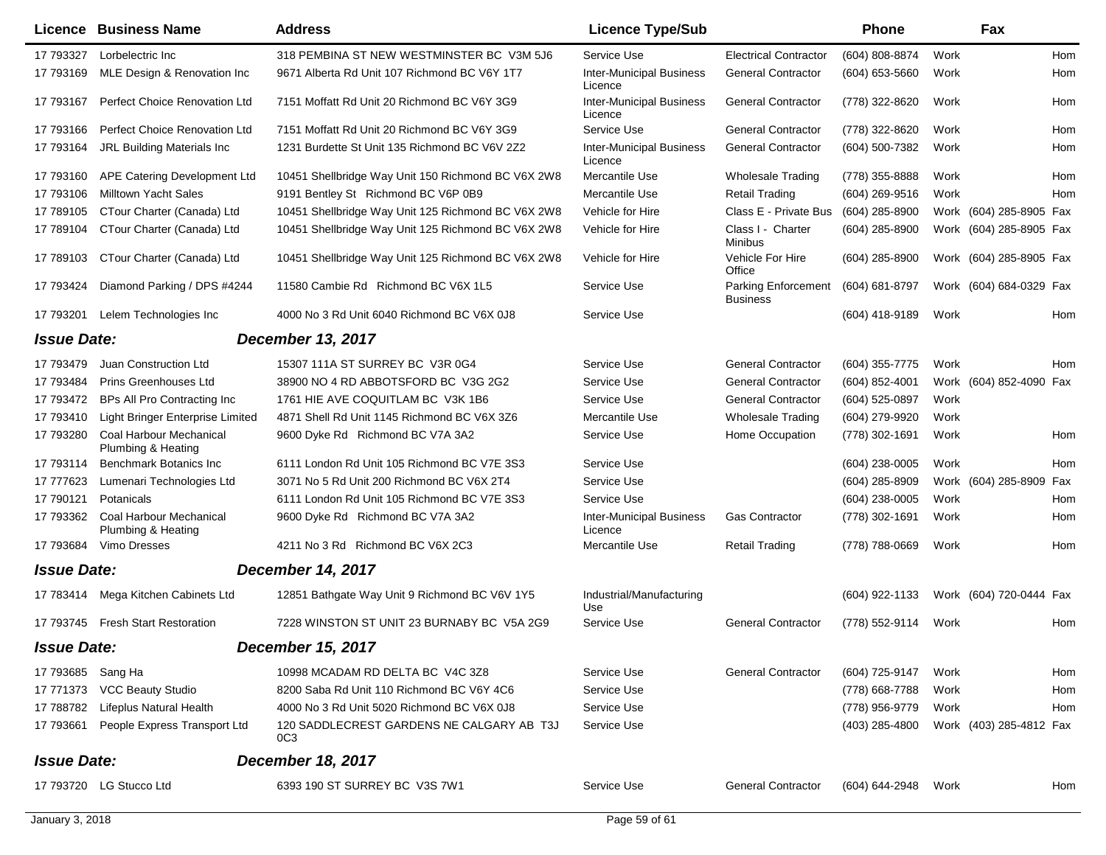|                    | Licence Business Name                         | <b>Address</b>                                                           | <b>Licence Type/Sub</b>                    |                                        | <b>Phone</b>     |      | Fax                     |     |
|--------------------|-----------------------------------------------|--------------------------------------------------------------------------|--------------------------------------------|----------------------------------------|------------------|------|-------------------------|-----|
| 17 793327          | Lorbelectric Inc                              | 318 PEMBINA ST NEW WESTMINSTER BC V3M 5J6                                | Service Use                                | <b>Electrical Contractor</b>           | (604) 808-8874   | Work |                         | Hom |
| 17 793169          | MLE Design & Renovation Inc                   | 9671 Alberta Rd Unit 107 Richmond BC V6Y 1T7                             | <b>Inter-Municipal Business</b><br>Licence | <b>General Contractor</b>              | $(604)$ 653-5660 | Work |                         | Hom |
| 17 793167          | <b>Perfect Choice Renovation Ltd</b>          | 7151 Moffatt Rd Unit 20 Richmond BC V6Y 3G9                              | <b>Inter-Municipal Business</b><br>Licence | <b>General Contractor</b>              | (778) 322-8620   | Work |                         | Hom |
| 17 793166          | Perfect Choice Renovation Ltd                 | 7151 Moffatt Rd Unit 20 Richmond BC V6Y 3G9                              | Service Use                                | <b>General Contractor</b>              | (778) 322-8620   | Work |                         | Hom |
| 17 793164          | <b>JRL Building Materials Inc.</b>            | 1231 Burdette St Unit 135 Richmond BC V6V 2Z2                            | <b>Inter-Municipal Business</b><br>Licence | <b>General Contractor</b>              | (604) 500-7382   | Work |                         | Hom |
| 17 793160          | APE Catering Development Ltd                  | 10451 Shellbridge Way Unit 150 Richmond BC V6X 2W8                       | Mercantile Use                             | <b>Wholesale Trading</b>               | (778) 355-8888   | Work |                         | Hom |
| 17 793106          | <b>Milltown Yacht Sales</b>                   | 9191 Bentley St Richmond BC V6P 0B9                                      | Mercantile Use                             | <b>Retail Trading</b>                  | $(604)$ 269-9516 | Work |                         | Hom |
| 17 789105          | CTour Charter (Canada) Ltd                    | 10451 Shellbridge Way Unit 125 Richmond BC V6X 2W8                       | Vehicle for Hire                           | Class E - Private Bus                  | (604) 285-8900   |      | Work (604) 285-8905 Fax |     |
| 17 789104          | CTour Charter (Canada) Ltd                    | 10451 Shellbridge Way Unit 125 Richmond BC V6X 2W8                       | Vehicle for Hire                           | Class I - Charter<br>Minibus           | (604) 285-8900   |      | Work (604) 285-8905 Fax |     |
| 17 789103          | CTour Charter (Canada) Ltd                    | 10451 Shellbridge Way Unit 125 Richmond BC V6X 2W8                       | Vehicle for Hire                           | Vehicle For Hire<br>Office             | $(604)$ 285-8900 |      | Work (604) 285-8905 Fax |     |
| 17 793424          | Diamond Parking / DPS #4244                   | 11580 Cambie Rd Richmond BC V6X 1L5                                      | Service Use                                | Parking Enforcement<br><b>Business</b> | (604) 681-8797   |      | Work (604) 684-0329 Fax |     |
| 17 793201          | Lelem Technologies Inc                        | 4000 No 3 Rd Unit 6040 Richmond BC V6X 0J8                               | Service Use                                |                                        | (604) 418-9189   | Work |                         | Hom |
| <b>Issue Date:</b> |                                               | <b>December 13, 2017</b>                                                 |                                            |                                        |                  |      |                         |     |
| 17 793479          | Juan Construction Ltd                         | 15307 111A ST SURREY BC V3R 0G4                                          | Service Use                                | <b>General Contractor</b>              | (604) 355-7775   | Work |                         | Hom |
| 17 793484          | <b>Prins Greenhouses Ltd</b>                  | 38900 NO 4 RD ABBOTSFORD BC V3G 2G2                                      | Service Use                                | <b>General Contractor</b>              | (604) 852-4001   |      | Work (604) 852-4090 Fax |     |
| 17 793472          | BPs All Pro Contracting Inc                   | 1761 HIE AVE COQUITLAM BC V3K 1B6                                        | Service Use                                | <b>General Contractor</b>              | (604) 525-0897   | Work |                         |     |
| 17 793410          | Light Bringer Enterprise Limited              | 4871 Shell Rd Unit 1145 Richmond BC V6X 3Z6                              | Mercantile Use                             | <b>Wholesale Trading</b>               | (604) 279-9920   | Work |                         |     |
| 17 793280          | Coal Harbour Mechanical<br>Plumbing & Heating | 9600 Dyke Rd Richmond BC V7A 3A2                                         | Service Use                                | Home Occupation                        | (778) 302-1691   | Work |                         | Hom |
| 17 793114          | Benchmark Botanics Inc                        | 6111 London Rd Unit 105 Richmond BC V7E 3S3                              | Service Use                                |                                        | $(604)$ 238-0005 | Work |                         | Hom |
| 17 777623          | Lumenari Technologies Ltd                     | 3071 No 5 Rd Unit 200 Richmond BC V6X 2T4                                | Service Use                                |                                        | (604) 285-8909   |      | Work (604) 285-8909 Fax |     |
| 17 790121          | Potanicals                                    | 6111 London Rd Unit 105 Richmond BC V7E 3S3                              | Service Use                                |                                        | (604) 238-0005   | Work |                         | Hom |
| 17 793362          | Coal Harbour Mechanical<br>Plumbing & Heating | 9600 Dyke Rd Richmond BC V7A 3A2                                         | <b>Inter-Municipal Business</b><br>Licence | <b>Gas Contractor</b>                  | (778) 302-1691   | Work |                         | Hom |
| 17 793684          | Vimo Dresses                                  | 4211 No 3 Rd Richmond BC V6X 2C3                                         | Mercantile Use                             | <b>Retail Trading</b>                  | (778) 788-0669   | Work |                         | Hom |
| <b>Issue Date:</b> |                                               | <b>December 14, 2017</b>                                                 |                                            |                                        |                  |      |                         |     |
|                    | 17 783414 Mega Kitchen Cabinets Ltd           | 12851 Bathgate Way Unit 9 Richmond BC V6V 1Y5                            | Industrial/Manufacturing<br>Use            |                                        | (604) 922-1133   |      | Work (604) 720-0444 Fax |     |
|                    | 17 793745 Fresh Start Restoration             | 7228 WINSTON ST UNIT 23 BURNABY BC V5A 2G9                               | Service Use                                | <b>General Contractor</b>              | (778) 552-9114   | Work |                         | Hom |
| <b>Issue Date:</b> |                                               | <b>December 15, 2017</b>                                                 |                                            |                                        |                  |      |                         |     |
| 17 793685 Sang Ha  |                                               | 10998 MCADAM RD DELTA BC V4C 3Z8                                         | Service Use                                | <b>General Contractor</b>              | (604) 725-9147   | Work |                         | Hom |
| 17 771373          | <b>VCC Beauty Studio</b>                      | 8200 Saba Rd Unit 110 Richmond BC V6Y 4C6                                | Service Use                                |                                        | (778) 668-7788   | Work |                         | Hom |
| 17 788782          | Lifeplus Natural Health                       | 4000 No 3 Rd Unit 5020 Richmond BC V6X 0J8                               | Service Use                                |                                        | (778) 956-9779   | Work |                         | Hom |
| 17 793661          | People Express Transport Ltd                  | 120 SADDLECREST GARDENS NE CALGARY AB T3J<br><sub>0</sub> C <sub>3</sub> | Service Use                                |                                        | (403) 285-4800   |      | Work (403) 285-4812 Fax |     |
| <b>Issue Date:</b> |                                               | <b>December 18, 2017</b>                                                 |                                            |                                        |                  |      |                         |     |
|                    | 17 793720 LG Stucco Ltd                       | 6393 190 ST SURREY BC V3S 7W1                                            | Service Use                                | <b>General Contractor</b>              | (604) 644-2948   | Work |                         | Hom |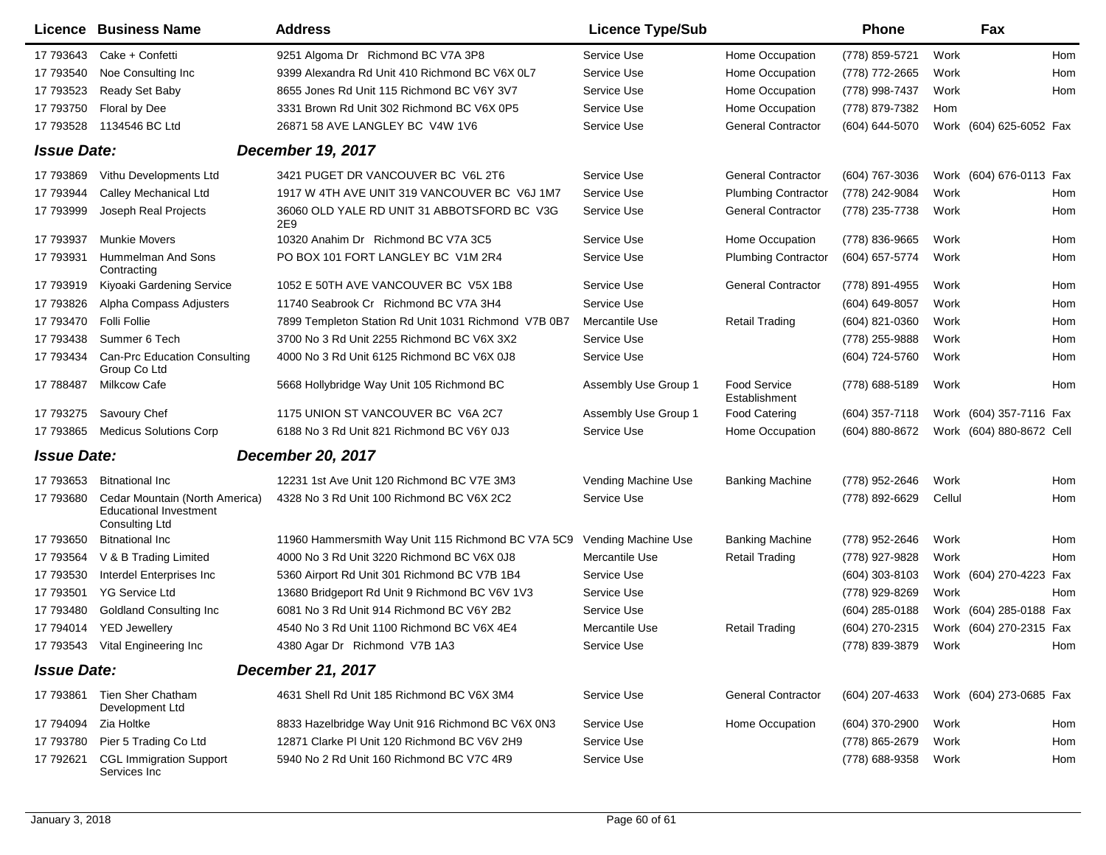|                    | <b>Licence Business Name</b>                                                      | <b>Address</b>                                       | <b>Licence Type/Sub</b> |                                      | Phone               | Fax                      |     |
|--------------------|-----------------------------------------------------------------------------------|------------------------------------------------------|-------------------------|--------------------------------------|---------------------|--------------------------|-----|
| 17 793643          | Cake + Confetti                                                                   | 9251 Algoma Dr Richmond BC V7A 3P8                   | Service Use             | Home Occupation                      | (778) 859-5721      | Work                     | Hom |
| 17 793540          | Noe Consulting Inc.                                                               | 9399 Alexandra Rd Unit 410 Richmond BC V6X 0L7       | Service Use             | Home Occupation                      | (778) 772-2665      | Work                     | Hom |
| 17 793523          | Ready Set Baby                                                                    | 8655 Jones Rd Unit 115 Richmond BC V6Y 3V7           | Service Use             | Home Occupation                      | (778) 998-7437      | Work                     | Hom |
| 17 793750          | Floral by Dee                                                                     | 3331 Brown Rd Unit 302 Richmond BC V6X 0P5           | Service Use             | Home Occupation                      | (778) 879-7382      | Hom                      |     |
| 17 793528          | 1134546 BC Ltd                                                                    | 26871 58 AVE LANGLEY BC V4W 1V6                      | Service Use             | <b>General Contractor</b>            | (604) 644-5070      | Work (604) 625-6052 Fax  |     |
| <b>Issue Date:</b> |                                                                                   | <b>December 19, 2017</b>                             |                         |                                      |                     |                          |     |
| 17 793869          | Vithu Developments Ltd                                                            | 3421 PUGET DR VANCOUVER BC V6L 2T6                   | Service Use             | <b>General Contractor</b>            | (604) 767-3036      | Work (604) 676-0113 Fax  |     |
| 17 793944          | Calley Mechanical Ltd                                                             | 1917 W 4TH AVE UNIT 319 VANCOUVER BC V6J 1M7         | Service Use             | <b>Plumbing Contractor</b>           | (778) 242-9084      | Work                     | Hom |
| 17 793999          | Joseph Real Projects                                                              | 36060 OLD YALE RD UNIT 31 ABBOTSFORD BC V3G<br>2E9   | Service Use             | <b>General Contractor</b>            | (778) 235-7738      | Work                     | Hom |
| 17 793937          | <b>Munkie Movers</b>                                                              | 10320 Anahim Dr Richmond BC V7A 3C5                  | Service Use             | Home Occupation                      | (778) 836-9665      | Work                     | Hom |
| 17 793931          | Hummelman And Sons<br>Contracting                                                 | PO BOX 101 FORT LANGLEY BC V1M 2R4                   | Service Use             | <b>Plumbing Contractor</b>           | (604) 657-5774      | Work                     | Hom |
| 17 793919          | Kiyoaki Gardening Service                                                         | 1052 E 50TH AVE VANCOUVER BC V5X 1B8                 | Service Use             | <b>General Contractor</b>            | (778) 891-4955      | Work                     | Hom |
| 17 793826          | Alpha Compass Adjusters                                                           | 11740 Seabrook Cr Richmond BC V7A 3H4                | Service Use             |                                      | $(604) 649 - 8057$  | Work                     | Hom |
| 17 793470          | Folli Follie                                                                      | 7899 Templeton Station Rd Unit 1031 Richmond V7B 0B7 | Mercantile Use          | <b>Retail Trading</b>                | $(604)$ 821-0360    | Work                     | Hom |
| 17 793438          | Summer 6 Tech                                                                     | 3700 No 3 Rd Unit 2255 Richmond BC V6X 3X2           | Service Use             |                                      | (778) 255-9888      | Work                     | Hom |
| 17 793434          | <b>Can-Prc Education Consulting</b><br>Group Co Ltd                               | 4000 No 3 Rd Unit 6125 Richmond BC V6X 0J8           | Service Use             |                                      | (604) 724-5760      | Work                     | Hom |
| 17 788487          | Milkcow Cafe                                                                      | 5668 Hollybridge Way Unit 105 Richmond BC            | Assembly Use Group 1    | <b>Food Service</b><br>Establishment | (778) 688-5189      | Work                     | Hom |
| 17 793275          | Savoury Chef                                                                      | 1175 UNION ST VANCOUVER BC V6A 2C7                   | Assembly Use Group 1    | <b>Food Catering</b>                 | $(604)$ 357-7118    | Work (604) 357-7116 Fax  |     |
| 17 793865          | <b>Medicus Solutions Corp</b>                                                     | 6188 No 3 Rd Unit 821 Richmond BC V6Y 0J3            | Service Use             | Home Occupation                      | (604) 880-8672      | Work (604) 880-8672 Cell |     |
| <b>Issue Date:</b> |                                                                                   | <b>December 20, 2017</b>                             |                         |                                      |                     |                          |     |
| 17 793653          | <b>Bitnational Inc</b>                                                            | 12231 1st Ave Unit 120 Richmond BC V7E 3M3           | Vending Machine Use     | <b>Banking Machine</b>               | (778) 952-2646      | Work                     | Hom |
| 17 793680          | Cedar Mountain (North America)<br><b>Educational Investment</b><br>Consulting Ltd | 4328 No 3 Rd Unit 100 Richmond BC V6X 2C2            | Service Use             |                                      | (778) 892-6629      | Cellul                   | Hom |
| 17 793650          | <b>Bitnational Inc</b>                                                            | 11960 Hammersmith Way Unit 115 Richmond BC V7A 5C9   | Vending Machine Use     | <b>Banking Machine</b>               | (778) 952-2646      | Work                     | Hom |
| 17 793564          | V & B Trading Limited                                                             | 4000 No 3 Rd Unit 3220 Richmond BC V6X 0J8           | Mercantile Use          | <b>Retail Trading</b>                | (778) 927-9828      | Work                     | Hom |
| 17 793530          | Interdel Enterprises Inc                                                          | 5360 Airport Rd Unit 301 Richmond BC V7B 1B4         | Service Use             |                                      | (604) 303-8103      | Work (604) 270-4223 Fax  |     |
| 17 793501          | <b>YG Service Ltd</b>                                                             | 13680 Bridgeport Rd Unit 9 Richmond BC V6V 1V3       | Service Use             |                                      | (778) 929-8269      | Work                     | Hom |
| 17 793480          | <b>Goldland Consulting Inc.</b>                                                   | 6081 No 3 Rd Unit 914 Richmond BC V6Y 2B2            | Service Use             |                                      | $(604)$ 285-0188    | Work (604) 285-0188 Fax  |     |
| 17 794014          | <b>YED Jewellery</b>                                                              | 4540 No 3 Rd Unit 1100 Richmond BC V6X 4E4           | Mercantile Use          | <b>Retail Trading</b>                | (604) 270-2315      | Work (604) 270-2315 Fax  |     |
|                    | 17 793543 Vital Engineering Inc                                                   | 4380 Agar Dr Richmond V7B 1A3                        | Service Use             |                                      | (778) 839-3879 Work |                          | Hom |
| <b>Issue Date:</b> |                                                                                   | <b>December 21, 2017</b>                             |                         |                                      |                     |                          |     |
| 17 793861          | Tien Sher Chatham<br>Development Ltd                                              | 4631 Shell Rd Unit 185 Richmond BC V6X 3M4           | Service Use             | <b>General Contractor</b>            | (604) 207-4633      | Work (604) 273-0685 Fax  |     |
| 17 794094          | Zia Holtke                                                                        | 8833 Hazelbridge Way Unit 916 Richmond BC V6X 0N3    | Service Use             | Home Occupation                      | (604) 370-2900      | Work                     | Hom |
| 17 793780          | Pier 5 Trading Co Ltd                                                             | 12871 Clarke PI Unit 120 Richmond BC V6V 2H9         | Service Use             |                                      | (778) 865-2679      | Work                     | Hom |
| 17 792621          | <b>CGL Immigration Support</b><br>Services Inc                                    | 5940 No 2 Rd Unit 160 Richmond BC V7C 4R9            | Service Use             |                                      | (778) 688-9358      | Work                     | Hom |